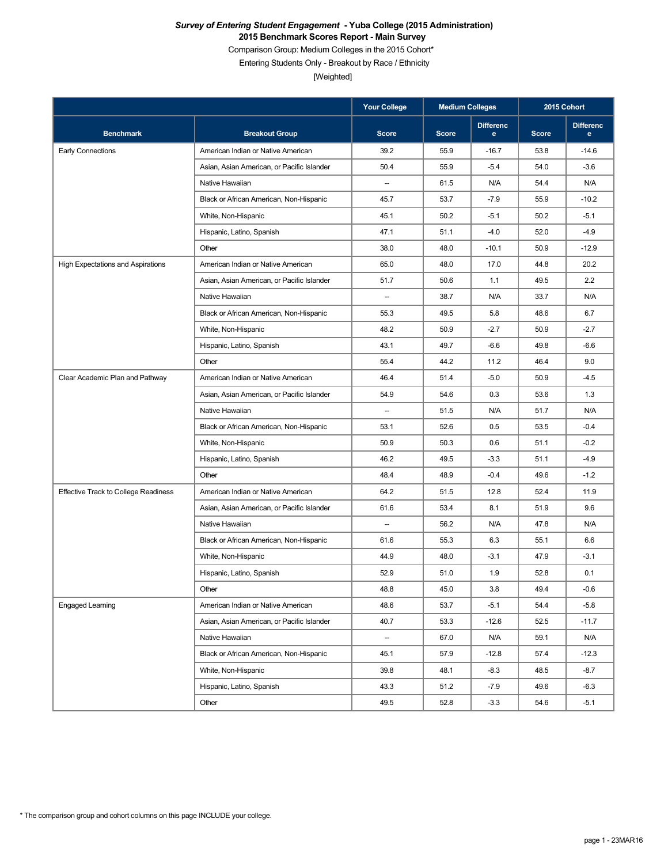### *Survey of Entering Student Engagement* **- Yuba College (2015 Administration) 2015 Benchmark Scores Report - Main Survey**

Comparison Group: Medium Colleges in the 2015 Cohort\*

Entering Students Only - Breakout by Race / Ethnicity

[Weighted]

|                                          | <b>Your College</b>                        | <b>Medium Colleges</b>   |              | 2015 Cohort                      |              |                       |
|------------------------------------------|--------------------------------------------|--------------------------|--------------|----------------------------------|--------------|-----------------------|
| <b>Benchmark</b>                         | <b>Breakout Group</b>                      | <b>Score</b>             | <b>Score</b> | <b>Differenc</b><br>$\mathbf{e}$ | <b>Score</b> | <b>Differenc</b><br>e |
| <b>Early Connections</b>                 | American Indian or Native American         | 39.2                     | 55.9         | $-16.7$                          | 53.8         | $-14.6$               |
|                                          | Asian, Asian American, or Pacific Islander | 50.4                     | 55.9         | $-5.4$                           | 54.0         | $-3.6$                |
|                                          | Native Hawaiian                            | $\overline{\phantom{a}}$ | 61.5         | N/A                              | 54.4         | N/A                   |
|                                          | Black or African American, Non-Hispanic    | 45.7                     | 53.7         | $-7.9$                           | 55.9         | $-10.2$               |
|                                          | White, Non-Hispanic                        | 45.1                     | 50.2         | $-5.1$                           | 50.2         | $-5.1$                |
|                                          | Hispanic, Latino, Spanish                  | 47.1                     | 51.1         | $-4.0$                           | 52.0         | $-4.9$                |
|                                          | Other                                      | 38.0                     | 48.0         | $-10.1$                          | 50.9         | $-12.9$               |
| <b>High Expectations and Aspirations</b> | American Indian or Native American         | 65.0                     | 48.0         | 17.0                             | 44.8         | 20.2                  |
|                                          | Asian, Asian American, or Pacific Islander | 51.7                     | 50.6         | 1.1                              | 49.5         | 2.2                   |
|                                          | Native Hawaiian                            | $\qquad \qquad -$        | 38.7         | N/A                              | 33.7         | N/A                   |
|                                          | Black or African American, Non-Hispanic    | 55.3                     | 49.5         | 5.8                              | 48.6         | 6.7                   |
|                                          | White, Non-Hispanic                        | 48.2                     | 50.9         | $-2.7$                           | 50.9         | $-2.7$                |
|                                          | Hispanic, Latino, Spanish                  | 43.1                     | 49.7         | $-6.6$                           | 49.8         | $-6.6$                |
|                                          | Other                                      | 55.4                     | 44.2         | 11.2                             | 46.4         | 9.0                   |
| Clear Academic Plan and Pathway          | American Indian or Native American         | 46.4                     | 51.4         | $-5.0$                           | 50.9         | $-4.5$                |
|                                          | Asian, Asian American, or Pacific Islander | 54.9                     | 54.6         | 0.3                              | 53.6         | 1.3                   |
|                                          | Native Hawaiian                            | $\overline{\phantom{a}}$ | 51.5         | N/A                              | 51.7         | N/A                   |
|                                          | Black or African American, Non-Hispanic    | 53.1                     | 52.6         | 0.5                              | 53.5         | $-0.4$                |
|                                          | White, Non-Hispanic                        | 50.9                     | 50.3         | 0.6                              | 51.1         | $-0.2$                |
|                                          | Hispanic, Latino, Spanish                  | 46.2                     | 49.5         | $-3.3$                           | 51.1         | $-4.9$                |
|                                          | Other                                      | 48.4                     | 48.9         | $-0.4$                           | 49.6         | $-1.2$                |
| Effective Track to College Readiness     | American Indian or Native American         | 64.2                     | 51.5         | 12.8                             | 52.4         | 11.9                  |
|                                          | Asian, Asian American, or Pacific Islander | 61.6                     | 53.4         | 8.1                              | 51.9         | 9.6                   |
|                                          | Native Hawaiian                            | $\overline{\phantom{a}}$ | 56.2         | N/A                              | 47.8         | N/A                   |
|                                          | Black or African American, Non-Hispanic    | 61.6                     | 55.3         | 6.3                              | 55.1         | 6.6                   |
|                                          | White, Non-Hispanic                        | 44.9                     | 48.0         | $-3.1$                           | 47.9         | $-3.1$                |
|                                          | Hispanic, Latino, Spanish                  | 52.9                     | 51.0         | 1.9                              | 52.8         | 0.1                   |
|                                          | Other                                      | 48.8                     | 45.0         | 3.8                              | 49.4         | $-0.6$                |
| Engaged Learning                         | American Indian or Native American         | 48.6                     | 53.7         | $-5.1$                           | 54.4         | $-5.8$                |
|                                          | Asian, Asian American, or Pacific Islander | 40.7                     | 53.3         | $-12.6$                          | 52.5         | $-11.7$               |
|                                          | Native Hawaiian                            | $\qquad \qquad \cdots$   | 67.0         | N/A                              | 59.1         | N/A                   |
|                                          | Black or African American, Non-Hispanic    | 45.1                     | 57.9         | $-12.8$                          | 57.4         | $-12.3$               |
|                                          | White, Non-Hispanic                        | 39.8                     | 48.1         | $-8.3$                           | 48.5         | $-8.7$                |
|                                          | Hispanic, Latino, Spanish                  | 43.3                     | 51.2         | $-7.9$                           | 49.6         | $-6.3$                |
|                                          | Other                                      | 49.5                     | 52.8         | $-3.3$                           | 54.6         | $-5.1$                |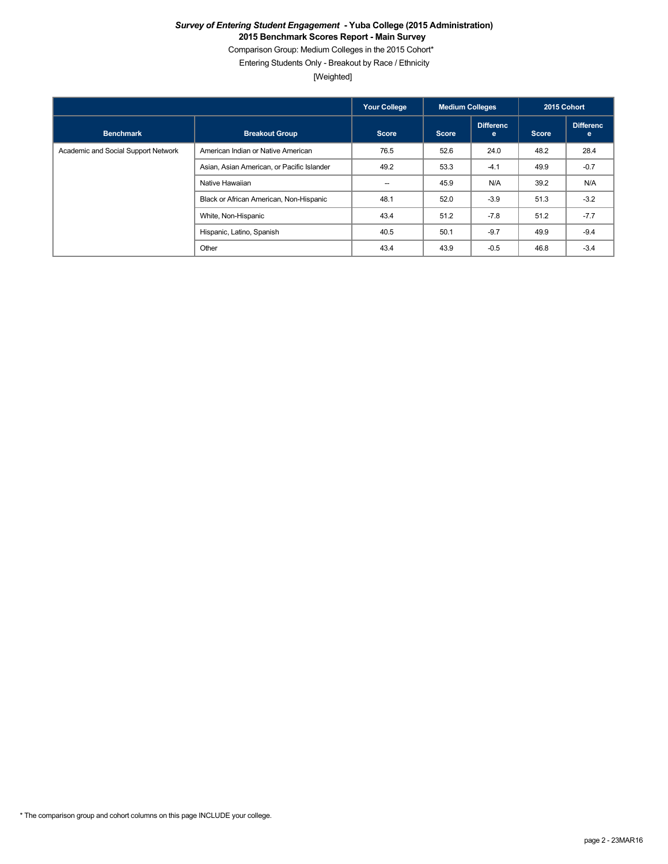### *Survey of Entering Student Engagement* **- Yuba College (2015 Administration) 2015 Benchmark Scores Report - Main Survey**

Comparison Group: Medium Colleges in the 2015 Cohort\*

Entering Students Only - Breakout by Race / Ethnicity

[Weighted]

|                                     |                                            | <b>Your College</b> | <b>Medium Colleges</b> |                       | 2015 Cohort  |                       |
|-------------------------------------|--------------------------------------------|---------------------|------------------------|-----------------------|--------------|-----------------------|
| <b>Benchmark</b>                    | <b>Breakout Group</b>                      | <b>Score</b>        | <b>Score</b>           | <b>Differenc</b><br>e | <b>Score</b> | <b>Differenc</b><br>e |
| Academic and Social Support Network | American Indian or Native American         | 76.5                | 52.6                   | 24.0                  | 48.2         | 28.4                  |
|                                     | Asian, Asian American, or Pacific Islander | 49.2                | 53.3                   | $-4.1$                | 49.9         | $-0.7$                |
|                                     | Native Hawaiian                            | $-$                 | 45.9                   | N/A                   | 39.2         | N/A                   |
|                                     | Black or African American, Non-Hispanic    | 48.1                | 52.0                   | $-3.9$                | 51.3         | $-3.2$                |
|                                     | White, Non-Hispanic                        | 43.4                | 51.2                   | $-7.8$                | 51.2         | $-7.7$                |
|                                     | Hispanic, Latino, Spanish                  | 40.5                | 50.1                   | $-9.7$                | 49.9         | $-9.4$                |
|                                     | Other                                      | 43.4                | 43.9                   | $-0.5$                | 46.8         | $-3.4$                |

\* The comparison group and cohort columns on this page INCLUDE your college.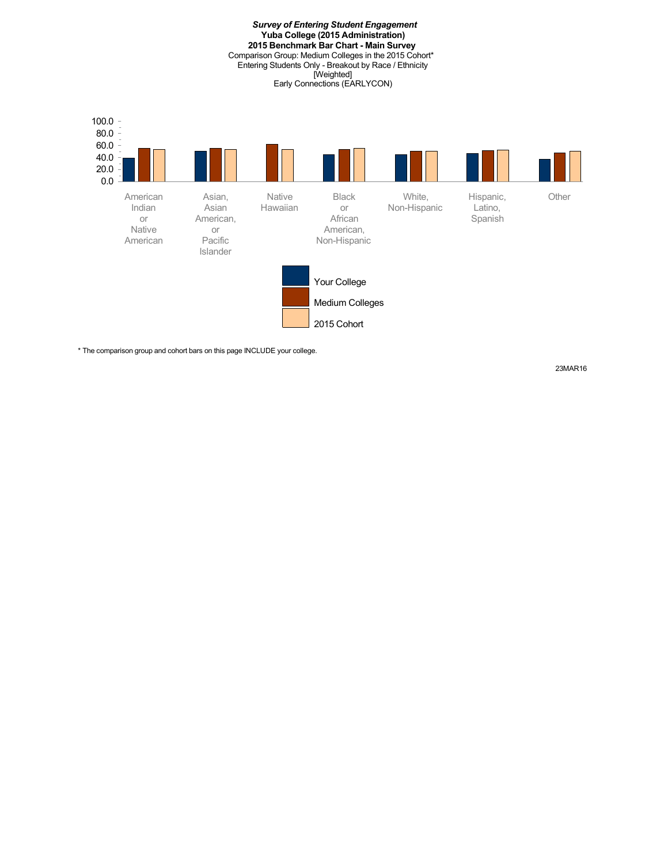*Survey of Entering Student Engagement* **Yuba College (2015 Administration) 2015 Benchmark Bar Chart - Main Survey** Comparison Group: Medium Colleges in the 2015 Cohort\* Entering Students Only - Breakout by Race / Ethnicity [Weighted] Early Connections (EARLYCON) Asian, Asian Native Hawaiian Black or White, Non-Hispanic Hispanic, Latino,



\* The comparison group and cohort bars on this page INCLUDE your college.

 80.0 100.0

23MAR16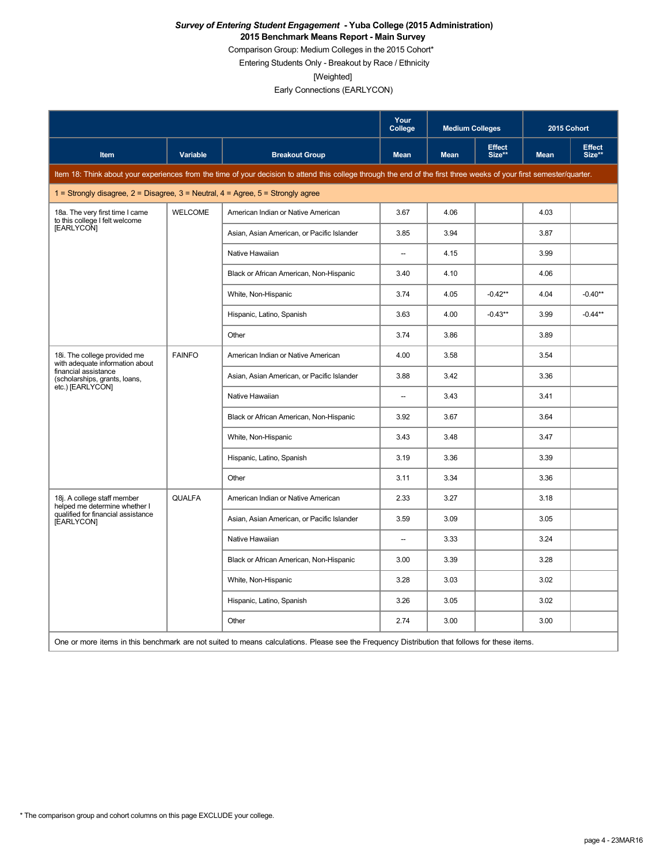#### *Survey of Entering Student Engagement* **- Yuba College (2015 Administration) 2015 Benchmark Means Report - Main Survey**

Comparison Group: Medium Colleges in the 2015 Cohort\*

Entering Students Only - Breakout by Race / Ethnicity

[Weighted]

|                                                                                 |                 |                                                                                                                                                                      | Your<br>College          | <b>Medium Colleges</b> |                         | 2015 Cohort |                         |
|---------------------------------------------------------------------------------|-----------------|----------------------------------------------------------------------------------------------------------------------------------------------------------------------|--------------------------|------------------------|-------------------------|-------------|-------------------------|
| Item                                                                            | <b>Variable</b> | <b>Breakout Group</b>                                                                                                                                                | <b>Mean</b>              | <b>Mean</b>            | <b>Effect</b><br>Size** | <b>Mean</b> | <b>Effect</b><br>Size** |
|                                                                                 |                 | Item 18: Think about your experiences from the time of your decision to attend this college through the end of the first three weeks of your first semester/quarter. |                          |                        |                         |             |                         |
| 1 = Strongly disagree, 2 = Disagree, 3 = Neutral, 4 = Agree, 5 = Strongly agree |                 |                                                                                                                                                                      |                          |                        |                         |             |                         |
| 18a. The very first time I came<br>to this college I felt welcome               | <b>WELCOME</b>  | American Indian or Native American                                                                                                                                   | 3.67                     | 4.06                   |                         | 4.03        |                         |
| [EARLYCON]                                                                      |                 | Asian, Asian American, or Pacific Islander                                                                                                                           | 3.85                     | 3.94                   |                         | 3.87        |                         |
|                                                                                 |                 | Native Hawaiian                                                                                                                                                      | $\overline{\phantom{a}}$ | 4.15                   |                         | 3.99        |                         |
|                                                                                 |                 | Black or African American, Non-Hispanic                                                                                                                              | 3.40                     | 4.10                   |                         | 4.06        |                         |
|                                                                                 |                 | White, Non-Hispanic                                                                                                                                                  | 3.74                     | 4.05                   | $-0.42**$               | 4.04        | $-0.40**$               |
|                                                                                 |                 | Hispanic, Latino, Spanish                                                                                                                                            | 3.63                     | 4.00                   | $-0.43**$               | 3.99        | $-0.44**$               |
|                                                                                 |                 | Other                                                                                                                                                                | 3.74                     | 3.86                   |                         | 3.89        |                         |
| 18i. The college provided me<br>with adequate information about                 | <b>FAINFO</b>   | American Indian or Native American                                                                                                                                   | 4.00                     | 3.58                   |                         | 3.54        |                         |
| financial assistance<br>(scholarships, grants, loans,                           |                 | Asian, Asian American, or Pacific Islander                                                                                                                           | 3.88                     | 3.42                   |                         | 3.36        |                         |
| etc.) [EARLYCON]                                                                |                 | Native Hawaiian                                                                                                                                                      | $\overline{\phantom{a}}$ | 3.43                   |                         | 3.41        |                         |
|                                                                                 |                 | Black or African American, Non-Hispanic                                                                                                                              | 3.92                     | 3.67                   |                         | 3.64        |                         |
|                                                                                 |                 | White, Non-Hispanic                                                                                                                                                  | 3.43                     | 3.48                   |                         | 3.47        |                         |
|                                                                                 |                 | Hispanic, Latino, Spanish                                                                                                                                            | 3.19                     | 3.36                   |                         | 3.39        |                         |
|                                                                                 |                 | Other                                                                                                                                                                | 3.11                     | 3.34                   |                         | 3.36        |                         |
| 18j. A college staff member<br>helped me determine whether I                    | <b>QUALFA</b>   | American Indian or Native American                                                                                                                                   | 2.33                     | 3.27                   |                         | 3.18        |                         |
| qualified for financial assistance<br>[EARLYCON]                                |                 | Asian, Asian American, or Pacific Islander                                                                                                                           | 3.59                     | 3.09                   |                         | 3.05        |                         |
|                                                                                 |                 | Native Hawaiian                                                                                                                                                      | Ξ.                       | 3.33                   |                         | 3.24        |                         |
|                                                                                 |                 | Black or African American, Non-Hispanic                                                                                                                              | 3.00                     | 3.39                   |                         | 3.28        |                         |
|                                                                                 |                 | White, Non-Hispanic                                                                                                                                                  | 3.28                     | 3.03                   |                         | 3.02        |                         |
|                                                                                 |                 | Hispanic, Latino, Spanish                                                                                                                                            | 3.26                     | 3.05                   |                         | 3.02        |                         |
|                                                                                 |                 | Other                                                                                                                                                                | 2.74                     | 3.00                   |                         | 3.00        |                         |
|                                                                                 |                 | One or more items in this benchmark are not suited to means calculations. Please see the Frequency Distribution that follows for these items.                        |                          |                        |                         |             |                         |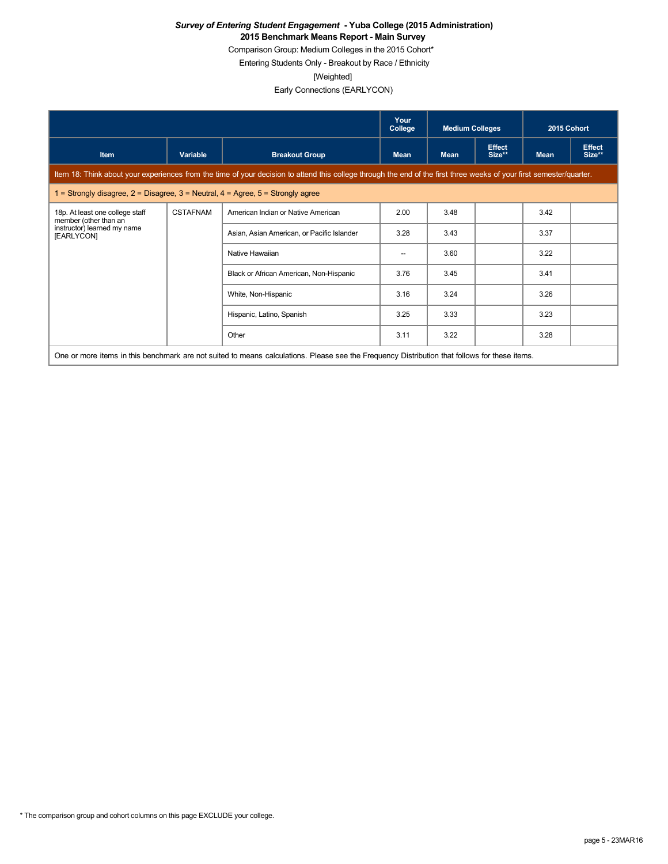### *Survey of Entering Student Engagement* **- Yuba College (2015 Administration) 2015 Benchmark Means Report - Main Survey**

Comparison Group: Medium Colleges in the 2015 Cohort\*

Entering Students Only - Breakout by Race / Ethnicity

[Weighted]

|                                                                                         |                 |                                                                                                                                                                      | Your<br>College | <b>Medium Colleges</b> |                         | 2015 Cohort |                         |
|-----------------------------------------------------------------------------------------|-----------------|----------------------------------------------------------------------------------------------------------------------------------------------------------------------|-----------------|------------------------|-------------------------|-------------|-------------------------|
| <b>Item</b>                                                                             | Variable        | <b>Breakout Group</b>                                                                                                                                                | <b>Mean</b>     | <b>Mean</b>            | <b>Effect</b><br>Size** | <b>Mean</b> | <b>Effect</b><br>Size** |
|                                                                                         |                 | Item 18: Think about your experiences from the time of your decision to attend this college through the end of the first three weeks of your first semester/quarter. |                 |                        |                         |             |                         |
| 1 = Strongly disagree, $2$ = Disagree, $3$ = Neutral, $4$ = Agree, $5$ = Strongly agree |                 |                                                                                                                                                                      |                 |                        |                         |             |                         |
| 18p. At least one college staff<br>member (other than an                                | <b>CSTAFNAM</b> | American Indian or Native American                                                                                                                                   | 2.00            | 3.48                   |                         | 3.42        |                         |
| instructor) learned my name<br>[EARLYCON]                                               |                 | Asian, Asian American, or Pacific Islander                                                                                                                           | 3.28            | 3.43                   |                         | 3.37        |                         |
|                                                                                         |                 | Native Hawaiian                                                                                                                                                      | --              | 3.60                   |                         | 3.22        |                         |
|                                                                                         |                 | Black or African American, Non-Hispanic                                                                                                                              | 3.76            | 3.45                   |                         | 3.41        |                         |
|                                                                                         |                 | White, Non-Hispanic                                                                                                                                                  | 3.16            | 3.24                   |                         | 3.26        |                         |
|                                                                                         |                 | Hispanic, Latino, Spanish                                                                                                                                            | 3.25            | 3.33                   |                         | 3.23        |                         |
|                                                                                         |                 | Other                                                                                                                                                                | 3.11            | 3.22                   |                         | 3.28        |                         |
|                                                                                         |                 | One or more items in this benchmark are not suited to means calculations. Please see the Frequency Distribution that follows for these items.                        |                 |                        |                         |             |                         |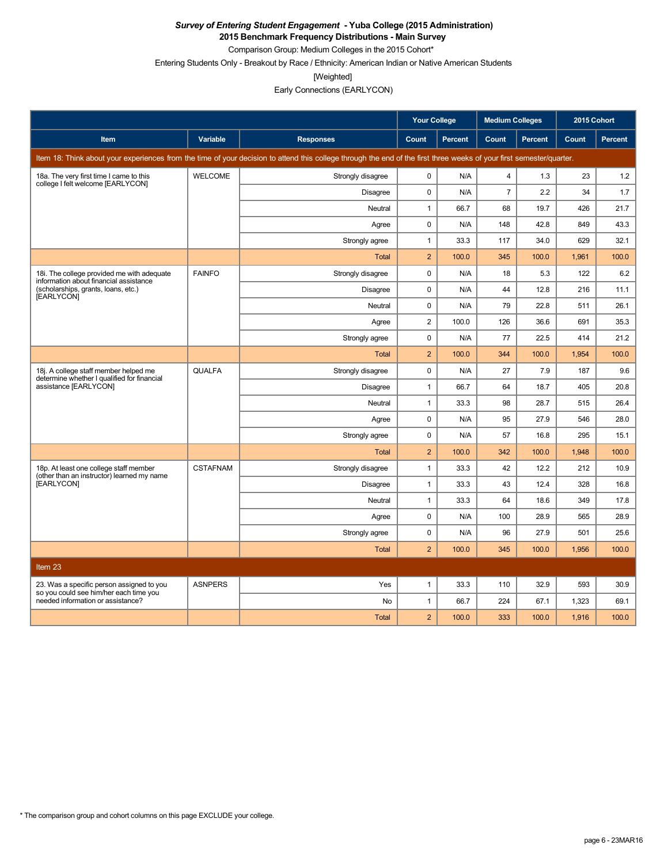**2015 Benchmark Frequency Distributions - Main Survey** Comparison Group: Medium Colleges in the 2015 Cohort\*

Entering Students Only - Breakout by Race / Ethnicity: American Indian or Native American Students

[Weighted]

|                                                                                      |                 |                                                                                                                                                                      | <b>Your College</b> |                | <b>Medium Colleges</b> |         | 2015 Cohort |                |
|--------------------------------------------------------------------------------------|-----------------|----------------------------------------------------------------------------------------------------------------------------------------------------------------------|---------------------|----------------|------------------------|---------|-------------|----------------|
| Item                                                                                 | Variable        | <b>Responses</b>                                                                                                                                                     | Count               | <b>Percent</b> | Count                  | Percent | Count       | <b>Percent</b> |
|                                                                                      |                 | Item 18: Think about your experiences from the time of your decision to attend this college through the end of the first three weeks of your first semester/quarter. |                     |                |                        |         |             |                |
| 18a. The very first time I came to this<br>college I felt welcome [EARLYCON]         | <b>WELCOME</b>  | Strongly disagree                                                                                                                                                    | 0                   | N/A            | $\overline{4}$         | 1.3     | 23          | 1.2            |
|                                                                                      |                 | <b>Disagree</b>                                                                                                                                                      | 0                   | N/A            | $\overline{7}$         | 2.2     | 34          | 1.7            |
|                                                                                      |                 | Neutral                                                                                                                                                              | $\mathbf{1}$        | 66.7           | 68                     | 19.7    | 426         | 21.7           |
|                                                                                      |                 | Agree                                                                                                                                                                | 0                   | N/A            | 148                    | 42.8    | 849         | 43.3           |
|                                                                                      |                 | Strongly agree                                                                                                                                                       | $\mathbf{1}$        | 33.3           | 117                    | 34.0    | 629         | 32.1           |
|                                                                                      |                 | <b>Total</b>                                                                                                                                                         | $\overline{c}$      | 100.0          | 345                    | 100.0   | 1,961       | 100.0          |
| 18i. The college provided me with adequate<br>information about financial assistance | <b>FAINFO</b>   | Strongly disagree                                                                                                                                                    | 0                   | N/A            | 18                     | 5.3     | 122         | 6.2            |
| (scholarships, grants, loans, etc.)<br>[EARLYCON]                                    |                 | <b>Disagree</b>                                                                                                                                                      | $\pmb{0}$           | N/A            | 44                     | 12.8    | 216         | 11.1           |
|                                                                                      |                 | Neutral                                                                                                                                                              | 0                   | N/A            | 79                     | 22.8    | 511         | 26.1           |
|                                                                                      |                 | Agree                                                                                                                                                                | $\overline{2}$      | 100.0          | 126                    | 36.6    | 691         | 35.3           |
|                                                                                      |                 | Strongly agree                                                                                                                                                       | $\pmb{0}$           | N/A            | 77                     | 22.5    | 414         | 21.2           |
|                                                                                      |                 | <b>Total</b>                                                                                                                                                         | $\overline{2}$      | 100.0          | 344                    | 100.0   | 1,954       | 100.0          |
| 18j. A college staff member helped me<br>determine whether I qualified for financial | <b>QUALFA</b>   | Strongly disagree                                                                                                                                                    | $\pmb{0}$           | N/A            | 27                     | 7.9     | 187         | 9.6            |
| assistance [EARLYCON]                                                                |                 | <b>Disagree</b>                                                                                                                                                      | $\mathbf{1}$        | 66.7           | 64                     | 18.7    | 405         | 20.8           |
|                                                                                      |                 | Neutral                                                                                                                                                              | $\mathbf{1}$        | 33.3           | 98                     | 28.7    | 515         | 26.4           |
|                                                                                      |                 | Agree                                                                                                                                                                | $\mathbf 0$         | N/A            | 95                     | 27.9    | 546         | 28.0           |
|                                                                                      |                 | Strongly agree                                                                                                                                                       | 0                   | N/A            | 57                     | 16.8    | 295         | 15.1           |
|                                                                                      |                 | <b>Total</b>                                                                                                                                                         | $\overline{2}$      | 100.0          | 342                    | 100.0   | 1,948       | 100.0          |
| 18p. At least one college staff member<br>(other than an instructor) learned my name | <b>CSTAFNAM</b> | Strongly disagree                                                                                                                                                    | $\mathbf{1}$        | 33.3           | 42                     | 12.2    | 212         | 10.9           |
| [EARLYCON]                                                                           |                 | <b>Disagree</b>                                                                                                                                                      | $\mathbf{1}$        | 33.3           | 43                     | 12.4    | 328         | 16.8           |
|                                                                                      |                 | Neutral                                                                                                                                                              | $\mathbf{1}$        | 33.3           | 64                     | 18.6    | 349         | 17.8           |
|                                                                                      |                 | Agree                                                                                                                                                                | $\mathbf 0$         | N/A            | 100                    | 28.9    | 565         | 28.9           |
|                                                                                      |                 | Strongly agree                                                                                                                                                       | $\mathbf 0$         | N/A            | 96                     | 27.9    | 501         | 25.6           |
|                                                                                      |                 | <b>Total</b>                                                                                                                                                         | $\overline{2}$      | 100.0          | 345                    | 100.0   | 1,956       | 100.0          |
| Item 23                                                                              |                 |                                                                                                                                                                      |                     |                |                        |         |             |                |
| 23. Was a specific person assigned to you<br>so you could see him/her each time you  | <b>ASNPERS</b>  | Yes                                                                                                                                                                  | $\mathbf{1}$        | 33.3           | 110                    | 32.9    | 593         | 30.9           |
| needed information or assistance?                                                    |                 | No                                                                                                                                                                   | $\mathbf{1}$        | 66.7           | 224                    | 67.1    | 1,323       | 69.1           |
|                                                                                      |                 | <b>Total</b>                                                                                                                                                         | $\overline{2}$      | 100.0          | 333                    | 100.0   | 1,916       | 100.0          |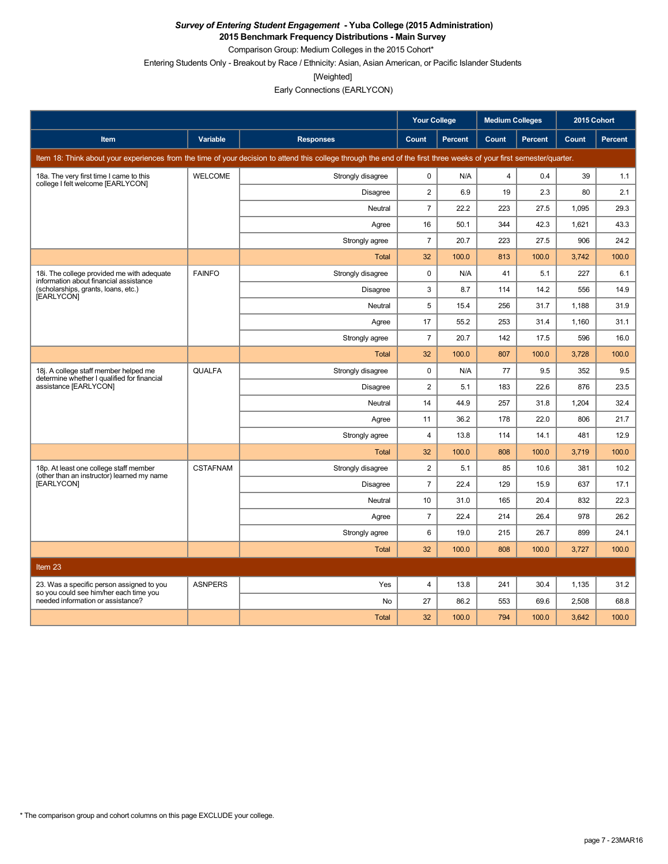**2015 Benchmark Frequency Distributions - Main Survey**

Comparison Group: Medium Colleges in the 2015 Cohort\*

Entering Students Only - Breakout by Race / Ethnicity: Asian, Asian American, or Pacific Islander Students

[Weighted]

|                                                                                      |                 |                                                                                                                                                                      | <b>Your College</b> |                | <b>Medium Colleges</b> |         | 2015 Cohort |                |
|--------------------------------------------------------------------------------------|-----------------|----------------------------------------------------------------------------------------------------------------------------------------------------------------------|---------------------|----------------|------------------------|---------|-------------|----------------|
| Item                                                                                 | Variable        | <b>Responses</b>                                                                                                                                                     | Count               | <b>Percent</b> | Count                  | Percent | Count       | <b>Percent</b> |
|                                                                                      |                 | Item 18: Think about your experiences from the time of your decision to attend this college through the end of the first three weeks of your first semester/quarter. |                     |                |                        |         |             |                |
| 18a. The very first time I came to this<br>college I felt welcome [EARLYCON]         | <b>WELCOME</b>  | Strongly disagree                                                                                                                                                    | $\mathbf 0$         | N/A            | $\overline{4}$         | 0.4     | 39          | 1.1            |
|                                                                                      |                 | <b>Disagree</b>                                                                                                                                                      | $\overline{2}$      | 6.9            | 19                     | 2.3     | 80          | 2.1            |
|                                                                                      |                 | <b>Neutral</b>                                                                                                                                                       | $\overline{7}$      | 22.2           | 223                    | 27.5    | 1.095       | 29.3           |
|                                                                                      |                 | Agree                                                                                                                                                                | 16                  | 50.1           | 344                    | 42.3    | 1,621       | 43.3           |
|                                                                                      |                 | Strongly agree                                                                                                                                                       | $\overline{7}$      | 20.7           | 223                    | 27.5    | 906         | 24.2           |
|                                                                                      |                 | Total                                                                                                                                                                | 32                  | 100.0          | 813                    | 100.0   | 3,742       | 100.0          |
| 18i. The college provided me with adequate<br>information about financial assistance | <b>FAINFO</b>   | Strongly disagree                                                                                                                                                    | 0                   | N/A            | 41                     | 5.1     | 227         | 6.1            |
| (scholarships, grants, loans, etc.)<br>[EARLYCON]                                    |                 | <b>Disagree</b>                                                                                                                                                      | 3                   | 8.7            | 114                    | 14.2    | 556         | 14.9           |
|                                                                                      |                 | Neutral                                                                                                                                                              | 5                   | 15.4           | 256                    | 31.7    | 1,188       | 31.9           |
|                                                                                      |                 | Agree                                                                                                                                                                | 17                  | 55.2           | 253                    | 31.4    | 1.160       | 31.1           |
|                                                                                      |                 | Strongly agree                                                                                                                                                       | $\overline{7}$      | 20.7           | 142                    | 17.5    | 596         | 16.0           |
|                                                                                      |                 | <b>Total</b>                                                                                                                                                         | 32                  | 100.0          | 807                    | 100.0   | 3,728       | 100.0          |
| 18j. A college staff member helped me<br>determine whether I qualified for financial | <b>QUALFA</b>   | Strongly disagree                                                                                                                                                    | $\mathbf 0$         | N/A            | 77                     | 9.5     | 352         | 9.5            |
| assistance [EARLYCON]                                                                |                 | <b>Disagree</b>                                                                                                                                                      | $\overline{2}$      | 5.1            | 183                    | 22.6    | 876         | 23.5           |
|                                                                                      |                 | Neutral                                                                                                                                                              | 14                  | 44.9           | 257                    | 31.8    | 1,204       | 32.4           |
|                                                                                      |                 | Agree                                                                                                                                                                | 11                  | 36.2           | 178                    | 22.0    | 806         | 21.7           |
|                                                                                      |                 | Strongly agree                                                                                                                                                       | $\overline{4}$      | 13.8           | 114                    | 14.1    | 481         | 12.9           |
|                                                                                      |                 | Total                                                                                                                                                                | 32                  | 100.0          | 808                    | 100.0   | 3,719       | 100.0          |
| 18p. At least one college staff member<br>(other than an instructor) learned my name | <b>CSTAFNAM</b> | Strongly disagree                                                                                                                                                    | 2                   | 5.1            | 85                     | 10.6    | 381         | 10.2           |
| [EARLYCON]                                                                           |                 | <b>Disagree</b>                                                                                                                                                      | $\overline{7}$      | 22.4           | 129                    | 15.9    | 637         | 17.1           |
|                                                                                      |                 | Neutral                                                                                                                                                              | 10                  | 31.0           | 165                    | 20.4    | 832         | 22.3           |
|                                                                                      |                 | Agree                                                                                                                                                                | $\overline{7}$      | 22.4           | 214                    | 26.4    | 978         | 26.2           |
|                                                                                      |                 | Strongly agree                                                                                                                                                       | 6                   | 19.0           | 215                    | 26.7    | 899         | 24.1           |
|                                                                                      |                 | <b>Total</b>                                                                                                                                                         | 32                  | 100.0          | 808                    | 100.0   | 3,727       | 100.0          |
| Item 23                                                                              |                 |                                                                                                                                                                      |                     |                |                        |         |             |                |
| 23. Was a specific person assigned to you<br>so you could see him/her each time you  | <b>ASNPERS</b>  | Yes                                                                                                                                                                  | $\overline{4}$      | 13.8           | 241                    | 30.4    | 1,135       | 31.2           |
| needed information or assistance?                                                    |                 | No                                                                                                                                                                   | 27                  | 86.2           | 553                    | 69.6    | 2,508       | 68.8           |
|                                                                                      |                 | <b>Total</b>                                                                                                                                                         | 32                  | 100.0          | 794                    | 100.0   | 3,642       | 100.0          |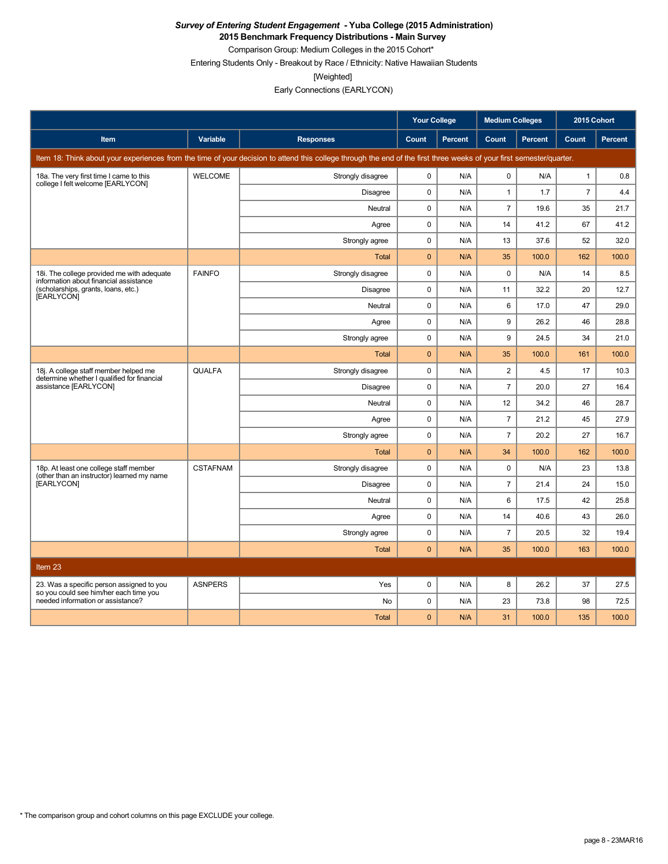**2015 Benchmark Frequency Distributions - Main Survey**

Comparison Group: Medium Colleges in the 2015 Cohort\* Entering Students Only - Breakout by Race / Ethnicity: Native Hawaiian Students

[Weighted]

|                                                                                      |                 |                                                                                                                                                                      | <b>Your College</b> |         | <b>Medium Colleges</b> |         | 2015 Cohort    |                |
|--------------------------------------------------------------------------------------|-----------------|----------------------------------------------------------------------------------------------------------------------------------------------------------------------|---------------------|---------|------------------------|---------|----------------|----------------|
| Item                                                                                 | <b>Variable</b> | <b>Responses</b>                                                                                                                                                     | Count               | Percent | Count                  | Percent | Count          | <b>Percent</b> |
|                                                                                      |                 | Item 18: Think about your experiences from the time of your decision to attend this college through the end of the first three weeks of your first semester/quarter. |                     |         |                        |         |                |                |
| 18a. The very first time I came to this<br>college I felt welcome [EARLYCON]         | <b>WELCOME</b>  | Strongly disagree                                                                                                                                                    | $\mathbf 0$         | N/A     | $\mathbf 0$            | N/A     | $\mathbf{1}$   | 0.8            |
|                                                                                      |                 | Disagree                                                                                                                                                             | $\mathbf 0$         | N/A     | $\mathbf{1}$           | 1.7     | $\overline{7}$ | 4.4            |
|                                                                                      |                 | Neutral                                                                                                                                                              | $\mathbf 0$         | N/A     | $\overline{7}$         | 19.6    | 35             | 21.7           |
|                                                                                      |                 | Agree                                                                                                                                                                | $\mathbf 0$         | N/A     | 14                     | 41.2    | 67             | 41.2           |
|                                                                                      |                 | Strongly agree                                                                                                                                                       | $\mathbf 0$         | N/A     | 13                     | 37.6    | 52             | 32.0           |
|                                                                                      |                 | <b>Total</b>                                                                                                                                                         | $\mathbf 0$         | N/A     | 35                     | 100.0   | 162            | 100.0          |
| 18i. The college provided me with adequate<br>information about financial assistance | <b>FAINFO</b>   | Strongly disagree                                                                                                                                                    | 0                   | N/A     | 0                      | N/A     | 14             | 8.5            |
| (scholarships, grants, loans, etc.)<br>[EARLYCON]                                    |                 | <b>Disagree</b>                                                                                                                                                      | $\mathbf 0$         | N/A     | 11                     | 32.2    | 20             | 12.7           |
|                                                                                      |                 | Neutral                                                                                                                                                              | $\mathbf 0$         | N/A     | 6                      | 17.0    | 47             | 29.0           |
|                                                                                      |                 | Agree                                                                                                                                                                | $\mathbf 0$         | N/A     | 9                      | 26.2    | 46             | 28.8           |
|                                                                                      |                 | Strongly agree                                                                                                                                                       | $\mathbf 0$         | N/A     | 9                      | 24.5    | 34             | 21.0           |
|                                                                                      |                 | <b>Total</b>                                                                                                                                                         | $\mathbf{0}$        | N/A     | 35                     | 100.0   | 161            | 100.0          |
| 18j. A college staff member helped me<br>determine whether I qualified for financial | <b>QUALFA</b>   | Strongly disagree                                                                                                                                                    | $\mathbf 0$         | N/A     | $\overline{2}$         | 4.5     | 17             | 10.3           |
| assistance [EARLYCON]                                                                |                 | <b>Disagree</b>                                                                                                                                                      | $\pmb{0}$           | N/A     | $\overline{7}$         | 20.0    | 27             | 16.4           |
|                                                                                      |                 | Neutral                                                                                                                                                              | $\mathbf 0$         | N/A     | 12                     | 34.2    | 46             | 28.7           |
|                                                                                      |                 | Agree                                                                                                                                                                | $\mathbf 0$         | N/A     | $\overline{7}$         | 21.2    | 45             | 27.9           |
|                                                                                      |                 | Strongly agree                                                                                                                                                       | $\mathbf 0$         | N/A     | $\overline{7}$         | 20.2    | 27             | 16.7           |
|                                                                                      |                 | <b>Total</b>                                                                                                                                                         | $\mathbf{0}$        | N/A     | 34                     | 100.0   | 162            | 100.0          |
| 18p. At least one college staff member<br>(other than an instructor) learned my name | <b>CSTAFNAM</b> | Strongly disagree                                                                                                                                                    | $\pmb{0}$           | N/A     | 0                      | N/A     | 23             | 13.8           |
| [EARLYCON]                                                                           |                 | <b>Disagree</b>                                                                                                                                                      | $\mathbf 0$         | N/A     | $\overline{7}$         | 21.4    | 24             | 15.0           |
|                                                                                      |                 | Neutral                                                                                                                                                              | 0                   | N/A     | 6                      | 17.5    | 42             | 25.8           |
|                                                                                      |                 | Agree                                                                                                                                                                | $\mathbf 0$         | N/A     | 14                     | 40.6    | 43             | 26.0           |
|                                                                                      |                 | Strongly agree                                                                                                                                                       | 0                   | N/A     | $\overline{7}$         | 20.5    | 32             | 19.4           |
|                                                                                      |                 | <b>Total</b>                                                                                                                                                         | $\mathbf{0}$        | N/A     | 35                     | 100.0   | 163            | 100.0          |
| Item 23                                                                              |                 |                                                                                                                                                                      |                     |         |                        |         |                |                |
| 23. Was a specific person assigned to you                                            | <b>ASNPERS</b>  | Yes                                                                                                                                                                  | $\mathbf 0$         | N/A     | 8                      | 26.2    | 37             | 27.5           |
| so you could see him/her each time you<br>needed information or assistance?          |                 | <b>No</b>                                                                                                                                                            | $\mathbf 0$         | N/A     | 23                     | 73.8    | 98             | 72.5           |
|                                                                                      |                 | <b>Total</b>                                                                                                                                                         | $\mathbf{0}$        | N/A     | 31                     | 100.0   | 135            | 100.0          |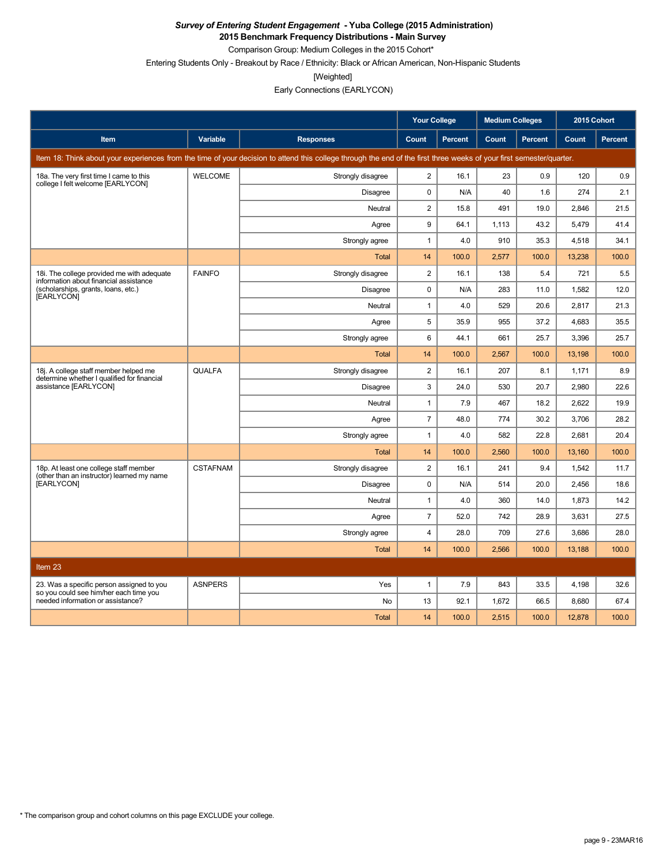**2015 Benchmark Frequency Distributions - Main Survey**

Comparison Group: Medium Colleges in the 2015 Cohort\*

Entering Students Only - Breakout by Race / Ethnicity: Black or African American, Non-Hispanic Students

[Weighted]

|                                                                                      |                 |                                                                                                                                                                      | <b>Your College</b> |                | <b>Medium Colleges</b> |         | 2015 Cohort |                |
|--------------------------------------------------------------------------------------|-----------------|----------------------------------------------------------------------------------------------------------------------------------------------------------------------|---------------------|----------------|------------------------|---------|-------------|----------------|
| Item                                                                                 | Variable        | <b>Responses</b>                                                                                                                                                     | Count               | <b>Percent</b> | Count                  | Percent | Count       | <b>Percent</b> |
|                                                                                      |                 | Item 18: Think about your experiences from the time of your decision to attend this college through the end of the first three weeks of your first semester/quarter. |                     |                |                        |         |             |                |
| 18a. The very first time I came to this<br>college I felt welcome [EARLYCON]         | <b>WELCOME</b>  | Strongly disagree                                                                                                                                                    | $\overline{2}$      | 16.1           | 23                     | 0.9     | 120         | 0.9            |
|                                                                                      |                 | <b>Disagree</b>                                                                                                                                                      | $\mathbf 0$         | N/A            | 40                     | 1.6     | 274         | 2.1            |
|                                                                                      |                 | <b>Neutral</b>                                                                                                                                                       | $\overline{2}$      | 15.8           | 491                    | 19.0    | 2.846       | 21.5           |
|                                                                                      |                 | Agree                                                                                                                                                                | 9                   | 64.1           | 1,113                  | 43.2    | 5,479       | 41.4           |
|                                                                                      |                 | Strongly agree                                                                                                                                                       | $\mathbf{1}$        | 4.0            | 910                    | 35.3    | 4,518       | 34.1           |
|                                                                                      |                 | Total                                                                                                                                                                | 14                  | 100.0          | 2,577                  | 100.0   | 13,238      | 100.0          |
| 18i. The college provided me with adequate<br>information about financial assistance | <b>FAINFO</b>   | Strongly disagree                                                                                                                                                    | $\overline{2}$      | 16.1           | 138                    | 5.4     | 721         | 5.5            |
| (scholarships, grants, loans, etc.)<br>[EARLYCON]                                    |                 | <b>Disagree</b>                                                                                                                                                      | $\mathbf 0$         | N/A            | 283                    | 11.0    | 1,582       | 12.0           |
|                                                                                      |                 | Neutral                                                                                                                                                              | $\mathbf{1}$        | 4.0            | 529                    | 20.6    | 2,817       | 21.3           |
|                                                                                      |                 | Agree                                                                                                                                                                | 5                   | 35.9           | 955                    | 37.2    | 4.683       | 35.5           |
|                                                                                      |                 | Strongly agree                                                                                                                                                       | 6                   | 44.1           | 661                    | 25.7    | 3.396       | 25.7           |
|                                                                                      |                 | <b>Total</b>                                                                                                                                                         | 14                  | 100.0          | 2,567                  | 100.0   | 13,198      | 100.0          |
| 18j. A college staff member helped me<br>determine whether I qualified for financial | <b>QUALFA</b>   | Strongly disagree                                                                                                                                                    | $\overline{c}$      | 16.1           | 207                    | 8.1     | 1,171       | 8.9            |
| assistance [EARLYCON]                                                                |                 | <b>Disagree</b>                                                                                                                                                      | 3                   | 24.0           | 530                    | 20.7    | 2,980       | 22.6           |
|                                                                                      |                 | Neutral                                                                                                                                                              | $\mathbf{1}$        | 7.9            | 467                    | 18.2    | 2.622       | 19.9           |
|                                                                                      |                 | Agree                                                                                                                                                                | $\overline{7}$      | 48.0           | 774                    | 30.2    | 3,706       | 28.2           |
|                                                                                      |                 | Strongly agree                                                                                                                                                       | $\mathbf{1}$        | 4.0            | 582                    | 22.8    | 2,681       | 20.4           |
|                                                                                      |                 | Total                                                                                                                                                                | 14                  | 100.0          | 2,560                  | 100.0   | 13,160      | 100.0          |
| 18p. At least one college staff member<br>(other than an instructor) learned my name | <b>CSTAFNAM</b> | Strongly disagree                                                                                                                                                    | $\overline{2}$      | 16.1           | 241                    | 9.4     | 1,542       | 11.7           |
| [EARLYCON]                                                                           |                 | <b>Disagree</b>                                                                                                                                                      | $\mathbf 0$         | N/A            | 514                    | 20.0    | 2,456       | 18.6           |
|                                                                                      |                 | Neutral                                                                                                                                                              | $\mathbf{1}$        | 4.0            | 360                    | 14.0    | 1,873       | 14.2           |
|                                                                                      |                 | Agree                                                                                                                                                                | $\overline{7}$      | 52.0           | 742                    | 28.9    | 3.631       | 27.5           |
|                                                                                      |                 | Strongly agree                                                                                                                                                       | $\overline{4}$      | 28.0           | 709                    | 27.6    | 3,686       | 28.0           |
|                                                                                      |                 | <b>Total</b>                                                                                                                                                         | 14                  | 100.0          | 2,566                  | 100.0   | 13,188      | 100.0          |
| Item 23                                                                              |                 |                                                                                                                                                                      |                     |                |                        |         |             |                |
| 23. Was a specific person assigned to you                                            | <b>ASNPERS</b>  | Yes                                                                                                                                                                  | $\mathbf{1}$        | 7.9            | 843                    | 33.5    | 4,198       | 32.6           |
| so you could see him/her each time you<br>needed information or assistance?          |                 | No                                                                                                                                                                   | 13                  | 92.1           | 1,672                  | 66.5    | 8,680       | 67.4           |
|                                                                                      |                 | <b>Total</b>                                                                                                                                                         | 14                  | 100.0          | 2,515                  | 100.0   | 12,878      | 100.0          |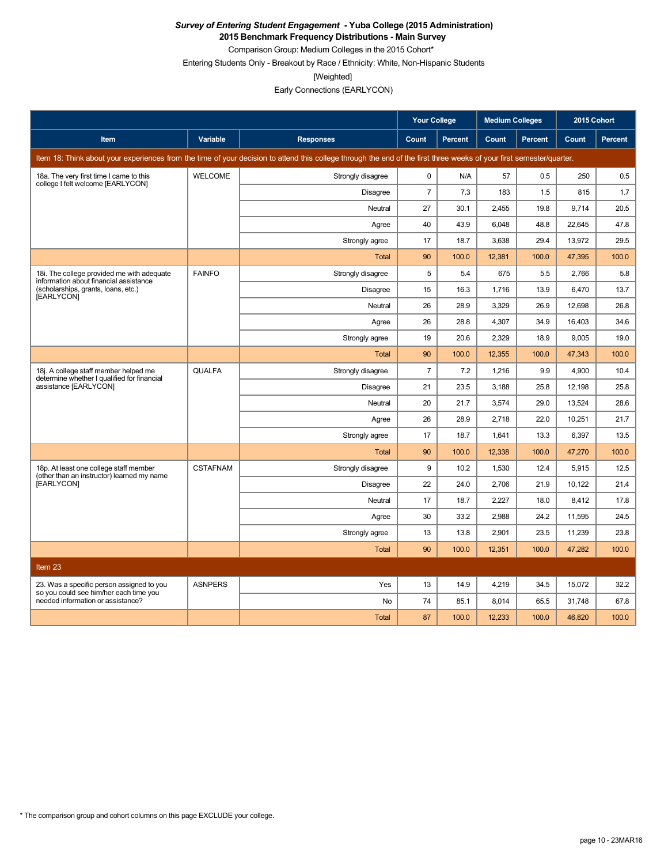**2015 Benchmark Frequency Distributions - Main Survey**

Comparison Group: Medium Colleges in the 2015 Cohort\* Entering Students Only - Breakout by Race / Ethnicity: White, Non-Hispanic Students

[Weighted]

|                                                                                      |                 |                                                                                                                                                                      | <b>Your College</b> |                | <b>Medium Colleges</b> |         | 2015 Cohort |                |
|--------------------------------------------------------------------------------------|-----------------|----------------------------------------------------------------------------------------------------------------------------------------------------------------------|---------------------|----------------|------------------------|---------|-------------|----------------|
| <b>Item</b>                                                                          | <b>Variable</b> | <b>Responses</b>                                                                                                                                                     | Count               | <b>Percent</b> | Count                  | Percent | Count       | <b>Percent</b> |
|                                                                                      |                 | Item 18: Think about your experiences from the time of your decision to attend this college through the end of the first three weeks of your first semester/quarter. |                     |                |                        |         |             |                |
| 18a. The very first time I came to this<br>college I felt welcome [EARLYCON]         | <b>WELCOME</b>  | Strongly disagree                                                                                                                                                    | 0                   | N/A            | 57                     | 0.5     | 250         | 0.5            |
|                                                                                      |                 | Disagree                                                                                                                                                             | $\overline{7}$      | 7.3            | 183                    | 1.5     | 815         | 1.7            |
|                                                                                      |                 | Neutral                                                                                                                                                              | 27                  | 30.1           | 2,455                  | 19.8    | 9.714       | 20.5           |
|                                                                                      |                 | Agree                                                                                                                                                                | 40                  | 43.9           | 6.048                  | 48.8    | 22.645      | 47.8           |
|                                                                                      |                 | Strongly agree                                                                                                                                                       | 17                  | 18.7           | 3.638                  | 29.4    | 13.972      | 29.5           |
|                                                                                      |                 | Total                                                                                                                                                                | 90                  | 100.0          | 12,381                 | 100.0   | 47,395      | 100.0          |
| 18i. The college provided me with adequate<br>information about financial assistance | <b>FAINFO</b>   | Strongly disagree                                                                                                                                                    | 5                   | 5.4            | 675                    | 5.5     | 2,766       | 5.8            |
| (scholarships, grants, loans, etc.)<br>[EARLYCON]                                    |                 | Disagree                                                                                                                                                             | 15                  | 16.3           | 1,716                  | 13.9    | 6,470       | 13.7           |
|                                                                                      |                 | Neutral                                                                                                                                                              | 26                  | 28.9           | 3,329                  | 26.9    | 12,698      | 26.8           |
|                                                                                      |                 | Agree                                                                                                                                                                | 26                  | 28.8           | 4,307                  | 34.9    | 16,403      | 34.6           |
|                                                                                      |                 | Strongly agree                                                                                                                                                       | 19                  | 20.6           | 2,329                  | 18.9    | 9,005       | 19.0           |
|                                                                                      |                 | Total                                                                                                                                                                | 90                  | 100.0          | 12,355                 | 100.0   | 47,343      | 100.0          |
| 18j. A college staff member helped me<br>determine whether I qualified for financial | <b>QUALFA</b>   | Strongly disagree                                                                                                                                                    | $\overline{7}$      | 7.2            | 1,216                  | 9.9     | 4,900       | 10.4           |
| assistance [EARLYCON]                                                                |                 | Disagree                                                                                                                                                             | 21                  | 23.5           | 3,188                  | 25.8    | 12,198      | 25.8           |
|                                                                                      |                 | Neutral                                                                                                                                                              | 20                  | 21.7           | 3,574                  | 29.0    | 13,524      | 28.6           |
|                                                                                      |                 | Agree                                                                                                                                                                | 26                  | 28.9           | 2.718                  | 22.0    | 10,251      | 21.7           |
|                                                                                      |                 | Strongly agree                                                                                                                                                       | 17                  | 18.7           | 1,641                  | 13.3    | 6.397       | 13.5           |
|                                                                                      |                 | Total                                                                                                                                                                | 90                  | 100.0          | 12,338                 | 100.0   | 47,270      | 100.0          |
| 18p. At least one college staff member<br>(other than an instructor) learned my name | <b>CSTAFNAM</b> | Strongly disagree                                                                                                                                                    | 9                   | 10.2           | 1,530                  | 12.4    | 5,915       | 12.5           |
| [EARLYCON]                                                                           |                 | <b>Disagree</b>                                                                                                                                                      | 22                  | 24.0           | 2,706                  | 21.9    | 10,122      | 21.4           |
|                                                                                      |                 | Neutral                                                                                                                                                              | 17                  | 18.7           | 2,227                  | 18.0    | 8,412       | 17.8           |
|                                                                                      |                 | Agree                                                                                                                                                                | 30                  | 33.2           | 2,988                  | 24.2    | 11,595      | 24.5           |
|                                                                                      |                 | Strongly agree                                                                                                                                                       | 13                  | 13.8           | 2,901                  | 23.5    | 11,239      | 23.8           |
|                                                                                      |                 | <b>Total</b>                                                                                                                                                         | 90                  | 100.0          | 12,351                 | 100.0   | 47,282      | 100.0          |
| Item 23                                                                              |                 |                                                                                                                                                                      |                     |                |                        |         |             |                |
| 23. Was a specific person assigned to you                                            | <b>ASNPERS</b>  | Yes                                                                                                                                                                  | 13                  | 14.9           | 4,219                  | 34.5    | 15,072      | 32.2           |
| so you could see him/her each time you<br>needed information or assistance?          |                 | <b>No</b>                                                                                                                                                            | 74                  | 85.1           | 8,014                  | 65.5    | 31,748      | 67.8           |
|                                                                                      |                 | <b>Total</b>                                                                                                                                                         | 87                  | 100.0          | 12.233                 | 100.0   | 46,820      | 100.0          |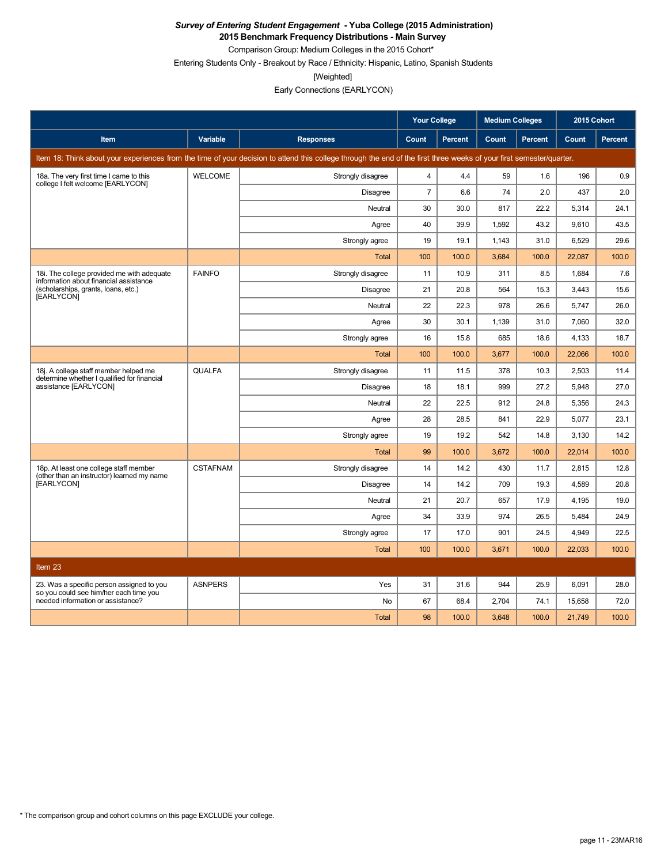**2015 Benchmark Frequency Distributions - Main Survey** Comparison Group: Medium Colleges in the 2015 Cohort\*

Entering Students Only - Breakout by Race / Ethnicity: Hispanic, Latino, Spanish Students

[Weighted]

|                                                                                      |                 |                                                                                                                                                                      | <b>Your College</b> |                | <b>Medium Colleges</b> |         | 2015 Cohort |                |
|--------------------------------------------------------------------------------------|-----------------|----------------------------------------------------------------------------------------------------------------------------------------------------------------------|---------------------|----------------|------------------------|---------|-------------|----------------|
| <b>Item</b>                                                                          | <b>Variable</b> | <b>Responses</b>                                                                                                                                                     | Count               | <b>Percent</b> | Count                  | Percent | Count       | <b>Percent</b> |
|                                                                                      |                 | Item 18: Think about your experiences from the time of your decision to attend this college through the end of the first three weeks of your first semester/quarter. |                     |                |                        |         |             |                |
| 18a. The very first time I came to this<br>college I felt welcome [EARLYCON]         | <b>WELCOME</b>  | Strongly disagree                                                                                                                                                    | $\overline{4}$      | 4.4            | 59                     | 1.6     | 196         | 0.9            |
|                                                                                      |                 | Disagree                                                                                                                                                             | $\overline{7}$      | 6.6            | 74                     | 2.0     | 437         | 2.0            |
|                                                                                      |                 | Neutral                                                                                                                                                              | 30                  | 30.0           | 817                    | 22.2    | 5,314       | 24.1           |
|                                                                                      |                 | Agree                                                                                                                                                                | 40                  | 39.9           | 1,592                  | 43.2    | 9.610       | 43.5           |
|                                                                                      |                 | Strongly agree                                                                                                                                                       | 19                  | 19.1           | 1,143                  | 31.0    | 6,529       | 29.6           |
|                                                                                      |                 | <b>Total</b>                                                                                                                                                         | 100                 | 100.0          | 3,684                  | 100.0   | 22,087      | 100.0          |
| 18i. The college provided me with adequate<br>information about financial assistance | <b>FAINFO</b>   | Strongly disagree                                                                                                                                                    | 11                  | 10.9           | 311                    | 8.5     | 1,684       | 7.6            |
| (scholarships, grants, loans, etc.)<br>[EARLYCON]                                    |                 | Disagree                                                                                                                                                             | 21                  | 20.8           | 564                    | 15.3    | 3,443       | 15.6           |
|                                                                                      |                 | Neutral                                                                                                                                                              | 22                  | 22.3           | 978                    | 26.6    | 5,747       | 26.0           |
|                                                                                      |                 | Agree                                                                                                                                                                | 30                  | 30.1           | 1,139                  | 31.0    | 7,060       | 32.0           |
|                                                                                      |                 | Strongly agree                                                                                                                                                       | 16                  | 15.8           | 685                    | 18.6    | 4,133       | 18.7           |
|                                                                                      |                 | Total                                                                                                                                                                | 100                 | 100.0          | 3,677                  | 100.0   | 22,066      | 100.0          |
| 18j. A college staff member helped me<br>determine whether I qualified for financial | <b>QUALFA</b>   | Strongly disagree                                                                                                                                                    | 11                  | 11.5           | 378                    | 10.3    | 2,503       | 11.4           |
| assistance [EARLYCON]                                                                |                 | Disagree                                                                                                                                                             | 18                  | 18.1           | 999                    | 27.2    | 5,948       | 27.0           |
|                                                                                      |                 | Neutral                                                                                                                                                              | 22                  | 22.5           | 912                    | 24.8    | 5,356       | 24.3           |
|                                                                                      |                 | Agree                                                                                                                                                                | 28                  | 28.5           | 841                    | 22.9    | 5,077       | 23.1           |
|                                                                                      |                 | Strongly agree                                                                                                                                                       | 19                  | 19.2           | 542                    | 14.8    | 3,130       | 14.2           |
|                                                                                      |                 | <b>Total</b>                                                                                                                                                         | 99                  | 100.0          | 3,672                  | 100.0   | 22,014      | 100.0          |
| 18p. At least one college staff member<br>(other than an instructor) learned my name | <b>CSTAFNAM</b> | Strongly disagree                                                                                                                                                    | 14                  | 14.2           | 430                    | 11.7    | 2,815       | 12.8           |
| [EARLYCON]                                                                           |                 | Disagree                                                                                                                                                             | 14                  | 14.2           | 709                    | 19.3    | 4,589       | 20.8           |
|                                                                                      |                 | Neutral                                                                                                                                                              | 21                  | 20.7           | 657                    | 17.9    | 4,195       | 19.0           |
|                                                                                      |                 | Agree                                                                                                                                                                | 34                  | 33.9           | 974                    | 26.5    | 5,484       | 24.9           |
|                                                                                      |                 | Strongly agree                                                                                                                                                       | 17                  | 17.0           | 901                    | 24.5    | 4,949       | 22.5           |
|                                                                                      |                 | Total                                                                                                                                                                | 100                 | 100.0          | 3,671                  | 100.0   | 22,033      | 100.0          |
| Item 23                                                                              |                 |                                                                                                                                                                      |                     |                |                        |         |             |                |
| 23. Was a specific person assigned to you                                            | <b>ASNPERS</b>  | Yes                                                                                                                                                                  | 31                  | 31.6           | 944                    | 25.9    | 6,091       | 28.0           |
| so you could see him/her each time you<br>needed information or assistance?          |                 | No                                                                                                                                                                   | 67                  | 68.4           | 2,704                  | 74.1    | 15,658      | 72.0           |
|                                                                                      |                 | Total                                                                                                                                                                | 98                  | 100.0          | 3,648                  | 100.0   | 21,749      | 100.0          |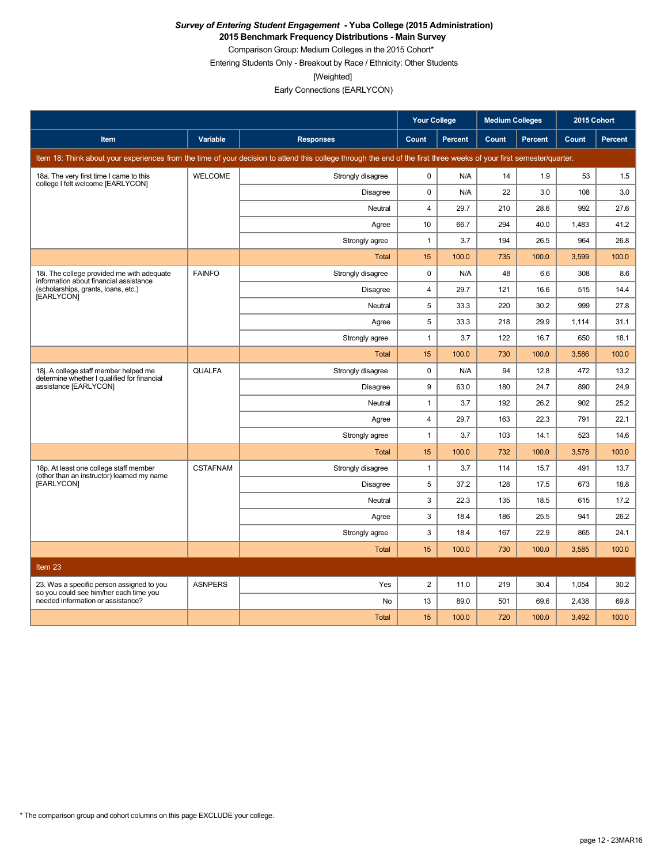**2015 Benchmark Frequency Distributions - Main Survey**

Comparison Group: Medium Colleges in the 2015 Cohort\* Entering Students Only - Breakout by Race / Ethnicity: Other Students

[Weighted]

|                                                                                      |                 |                                                                                                                                                                      | <b>Your College</b> |                | <b>Medium Colleges</b> |         | 2015 Cohort |                |
|--------------------------------------------------------------------------------------|-----------------|----------------------------------------------------------------------------------------------------------------------------------------------------------------------|---------------------|----------------|------------------------|---------|-------------|----------------|
| Item                                                                                 | Variable        | <b>Responses</b>                                                                                                                                                     | Count               | <b>Percent</b> | Count                  | Percent | Count       | <b>Percent</b> |
|                                                                                      |                 | Item 18: Think about your experiences from the time of your decision to attend this college through the end of the first three weeks of your first semester/quarter. |                     |                |                        |         |             |                |
| 18a. The very first time I came to this<br>college I felt welcome [EARLYCON]         | <b>WELCOME</b>  | Strongly disagree                                                                                                                                                    | 0                   | N/A            | 14                     | 1.9     | 53          | 1.5            |
|                                                                                      |                 | Disagree                                                                                                                                                             | $\mathbf 0$         | N/A            | 22                     | 3.0     | 108         | 3.0            |
|                                                                                      |                 | Neutral                                                                                                                                                              | $\overline{4}$      | 29.7           | 210                    | 28.6    | 992         | 27.6           |
|                                                                                      |                 | Agree                                                                                                                                                                | 10                  | 66.7           | 294                    | 40.0    | 1,483       | 41.2           |
|                                                                                      |                 | Strongly agree                                                                                                                                                       | $\mathbf{1}$        | 3.7            | 194                    | 26.5    | 964         | 26.8           |
|                                                                                      |                 | Total                                                                                                                                                                | 15                  | 100.0          | 735                    | 100.0   | 3.599       | 100.0          |
| 18i. The college provided me with adequate<br>information about financial assistance | <b>FAINFO</b>   | Strongly disagree                                                                                                                                                    | 0                   | N/A            | 48                     | 6.6     | 308         | 8.6            |
| (scholarships, grants, loans, etc.)<br>[EARLYCON]                                    |                 | <b>Disagree</b>                                                                                                                                                      | $\overline{4}$      | 29.7           | 121                    | 16.6    | 515         | 14.4           |
|                                                                                      |                 | Neutral                                                                                                                                                              | 5                   | 33.3           | 220                    | 30.2    | 999         | 27.8           |
|                                                                                      |                 | Agree                                                                                                                                                                | 5                   | 33.3           | 218                    | 29.9    | 1,114       | 31.1           |
|                                                                                      |                 | Strongly agree                                                                                                                                                       | $\mathbf{1}$        | 3.7            | 122                    | 16.7    | 650         | 18.1           |
|                                                                                      |                 | <b>Total</b>                                                                                                                                                         | 15                  | 100.0          | 730                    | 100.0   | 3,586       | 100.0          |
| 18j. A college staff member helped me<br>determine whether I qualified for financial | <b>QUALFA</b>   | Strongly disagree                                                                                                                                                    | $\mathbf 0$         | N/A            | 94                     | 12.8    | 472         | 13.2           |
| assistance [EARLYCON]                                                                |                 | <b>Disagree</b>                                                                                                                                                      | 9                   | 63.0           | 180                    | 24.7    | 890         | 24.9           |
|                                                                                      |                 | Neutral                                                                                                                                                              | $\mathbf{1}$        | 3.7            | 192                    | 26.2    | 902         | 25.2           |
|                                                                                      |                 | Agree                                                                                                                                                                | 4                   | 29.7           | 163                    | 22.3    | 791         | 22.1           |
|                                                                                      |                 | Strongly agree                                                                                                                                                       | $\mathbf{1}$        | 3.7            | 103                    | 14.1    | 523         | 14.6           |
|                                                                                      |                 | <b>Total</b>                                                                                                                                                         | 15                  | 100.0          | 732                    | 100.0   | 3,578       | 100.0          |
| 18p. At least one college staff member<br>(other than an instructor) learned my name | <b>CSTAFNAM</b> | Strongly disagree                                                                                                                                                    | $\mathbf{1}$        | 3.7            | 114                    | 15.7    | 491         | 13.7           |
| [EARLYCON]                                                                           |                 | Disagree                                                                                                                                                             | 5                   | 37.2           | 128                    | 17.5    | 673         | 18.8           |
|                                                                                      |                 | Neutral                                                                                                                                                              | 3                   | 22.3           | 135                    | 18.5    | 615         | 17.2           |
|                                                                                      |                 | Agree                                                                                                                                                                | 3                   | 18.4           | 186                    | 25.5    | 941         | 26.2           |
|                                                                                      |                 | Strongly agree                                                                                                                                                       | 3                   | 18.4           | 167                    | 22.9    | 865         | 24.1           |
|                                                                                      |                 | Total                                                                                                                                                                | 15                  | 100.0          | 730                    | 100.0   | 3.585       | 100.0          |
| Item 23                                                                              |                 |                                                                                                                                                                      |                     |                |                        |         |             |                |
| 23. Was a specific person assigned to you                                            | <b>ASNPERS</b>  | Yes                                                                                                                                                                  | $\overline{2}$      | 11.0           | 219                    | 30.4    | 1,054       | 30.2           |
| so you could see him/her each time you<br>needed information or assistance?          |                 | No                                                                                                                                                                   | 13                  | 89.0           | 501                    | 69.6    | 2,438       | 69.8           |
|                                                                                      |                 | <b>Total</b>                                                                                                                                                         | 15                  | 100.0          | 720                    | 100.0   | 3,492       | 100.0          |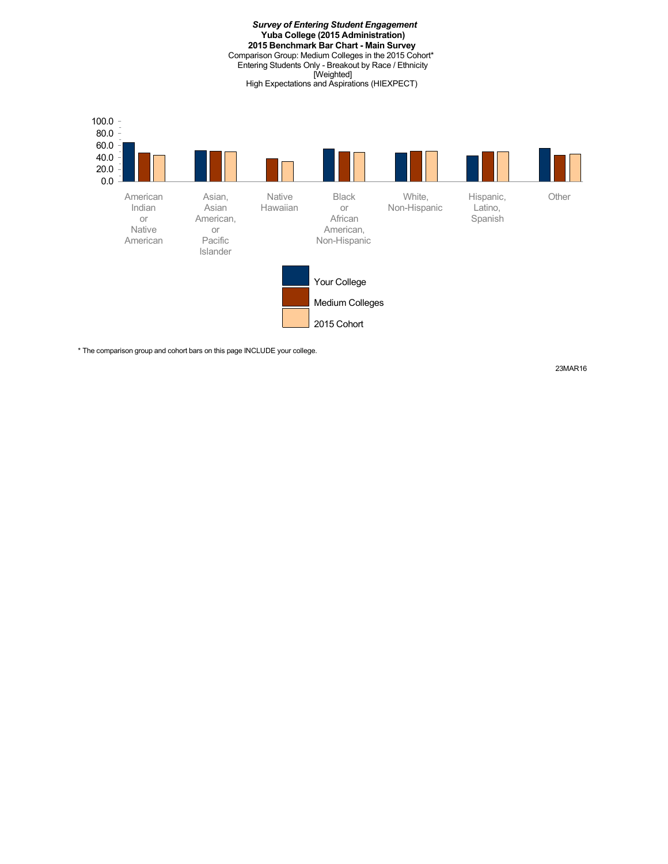*Survey of Entering Student Engagement* **Yuba College (2015 Administration) 2015 Benchmark Bar Chart - Main Survey** Comparison Group: Medium Colleges in the 2015 Cohort\* Entering Students Only - Breakout by Race / Ethnicity [Weighted] High Expectations and Aspirations (HIEXPECT)



\* The comparison group and cohort bars on this page INCLUDE your college.

23MAR16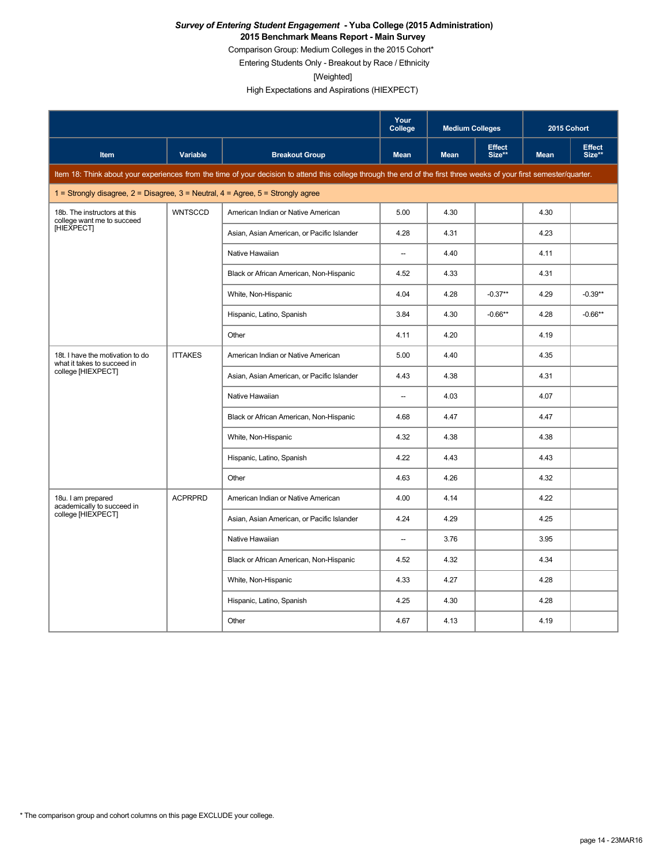#### *Survey of Entering Student Engagement* **- Yuba College (2015 Administration) 2015 Benchmark Means Report - Main Survey**

Comparison Group: Medium Colleges in the 2015 Cohort\*

Entering Students Only - Breakout by Race / Ethnicity

[Weighted]

High Expectations and Aspirations (HIEXPECT)

|                                                                                         |                 |                                                                                                                                                                      | Your<br>College          | <b>Medium Colleges</b> |                         |             | 2015 Cohort             |
|-----------------------------------------------------------------------------------------|-----------------|----------------------------------------------------------------------------------------------------------------------------------------------------------------------|--------------------------|------------------------|-------------------------|-------------|-------------------------|
| Item                                                                                    | <b>Variable</b> | <b>Breakout Group</b>                                                                                                                                                | <b>Mean</b>              | <b>Mean</b>            | <b>Effect</b><br>Size** | <b>Mean</b> | <b>Effect</b><br>Size** |
|                                                                                         |                 | Item 18: Think about your experiences from the time of your decision to attend this college through the end of the first three weeks of your first semester/quarter. |                          |                        |                         |             |                         |
| 1 = Strongly disagree, $2$ = Disagree, $3$ = Neutral, $4$ = Agree, $5$ = Strongly agree |                 |                                                                                                                                                                      |                          |                        |                         |             |                         |
| 18b. The instructors at this<br>college want me to succeed                              | <b>WNTSCCD</b>  | American Indian or Native American                                                                                                                                   | 5.00                     | 4.30                   |                         | 4.30        |                         |
| [HIEXPECT]                                                                              |                 | Asian, Asian American, or Pacific Islander                                                                                                                           | 4.28                     | 4.31                   |                         | 4.23        |                         |
|                                                                                         |                 | Native Hawaiian                                                                                                                                                      | $\overline{\phantom{a}}$ | 4.40                   |                         | 4.11        |                         |
|                                                                                         |                 | Black or African American, Non-Hispanic                                                                                                                              | 4.52                     | 4.33                   |                         | 4.31        |                         |
|                                                                                         |                 | White, Non-Hispanic                                                                                                                                                  | 4.04                     | 4.28                   | $-0.37**$               | 4.29        | $-0.39**$               |
|                                                                                         |                 | Hispanic, Latino, Spanish                                                                                                                                            | 3.84                     | 4.30                   | $-0.66**$               | 4.28        | $-0.66**$               |
|                                                                                         |                 | Other                                                                                                                                                                | 4.11                     | 4.20                   |                         | 4.19        |                         |
| 18t. I have the motivation to do<br>what it takes to succeed in                         | <b>ITTAKES</b>  | American Indian or Native American                                                                                                                                   | 5.00                     | 4.40                   |                         | 4.35        |                         |
| college [HIEXPECT]                                                                      |                 | Asian, Asian American, or Pacific Islander                                                                                                                           | 4.43                     | 4.38                   |                         | 4.31        |                         |
|                                                                                         |                 | Native Hawaiian                                                                                                                                                      | $\overline{\phantom{a}}$ | 4.03                   |                         | 4.07        |                         |
|                                                                                         |                 | Black or African American, Non-Hispanic                                                                                                                              | 4.68                     | 4.47                   |                         | 4.47        |                         |
|                                                                                         |                 | White, Non-Hispanic                                                                                                                                                  | 4.32                     | 4.38                   |                         | 4.38        |                         |
|                                                                                         |                 | Hispanic, Latino, Spanish                                                                                                                                            | 4.22                     | 4.43                   |                         | 4.43        |                         |
|                                                                                         |                 | Other                                                                                                                                                                | 4.63                     | 4.26                   |                         | 4.32        |                         |
| 18u. I am prepared<br>academically to succeed in                                        | <b>ACPRPRD</b>  | American Indian or Native American                                                                                                                                   | 4.00                     | 4.14                   |                         | 4.22        |                         |
| college [HIEXPECT]                                                                      |                 | Asian, Asian American, or Pacific Islander                                                                                                                           | 4.24                     | 4.29                   |                         | 4.25        |                         |
|                                                                                         |                 | Native Hawaiian                                                                                                                                                      | $\overline{\phantom{a}}$ | 3.76                   |                         | 3.95        |                         |
|                                                                                         |                 | Black or African American, Non-Hispanic                                                                                                                              | 4.52                     | 4.32                   |                         | 4.34        |                         |
|                                                                                         |                 | White, Non-Hispanic                                                                                                                                                  | 4.33                     | 4.27                   |                         | 4.28        |                         |
|                                                                                         |                 | Hispanic, Latino, Spanish                                                                                                                                            | 4.25                     | 4.30                   |                         | 4.28        |                         |
|                                                                                         |                 | Other                                                                                                                                                                | 4.67                     | 4.13                   |                         | 4.19        |                         |

\* The comparison group and cohort columns on this page EXCLUDE your college.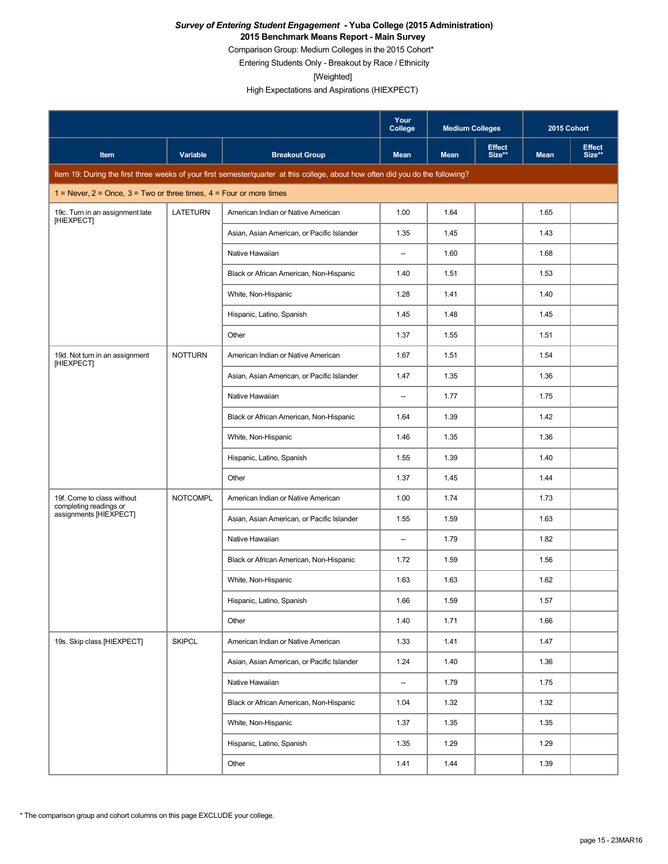#### *Survey of Entering Student Engagement* **- Yuba College (2015 Administration) 2015 Benchmark Means Report - Main Survey**

Comparison Group: Medium Colleges in the 2015 Cohort\*

Entering Students Only - Breakout by Race / Ethnicity

[Weighted]

|                                                                           |                 |                                                                                                                                 | Your<br>College          | <b>Medium Colleges</b> |                         | 2015 Cohort |                         |
|---------------------------------------------------------------------------|-----------------|---------------------------------------------------------------------------------------------------------------------------------|--------------------------|------------------------|-------------------------|-------------|-------------------------|
| Item                                                                      | Variable        | <b>Breakout Group</b>                                                                                                           | <b>Mean</b>              | <b>Mean</b>            | <b>Effect</b><br>Size** | <b>Mean</b> | <b>Effect</b><br>Size** |
|                                                                           |                 | Item 19: During the first three weeks of your first semester/quarter at this college, about how often did you do the following? |                          |                        |                         |             |                         |
| 1 = Never, $2$ = Once, $3$ = Two or three times, $4$ = Four or more times |                 |                                                                                                                                 |                          |                        |                         |             |                         |
| 19c. Turn in an assignment late<br><b>IHIEXPECTI</b>                      | <b>LATETURN</b> | American Indian or Native American                                                                                              | 1.00                     | 1.64                   |                         | 1.65        |                         |
|                                                                           |                 | Asian, Asian American, or Pacific Islander                                                                                      | 1.35                     | 1.45                   |                         | 1.43        |                         |
|                                                                           |                 | Native Hawaiian                                                                                                                 | $\overline{\phantom{a}}$ | 1.60                   |                         | 1.68        |                         |
|                                                                           |                 | Black or African American, Non-Hispanic                                                                                         | 1.40                     | 1.51                   |                         | 1.53        |                         |
|                                                                           |                 | White, Non-Hispanic                                                                                                             | 1.28                     | 1.41                   |                         | 1.40        |                         |
|                                                                           |                 | Hispanic, Latino, Spanish                                                                                                       | 1.45                     | 1.48                   |                         | 1.45        |                         |
|                                                                           |                 | Other                                                                                                                           | 1.37                     | 1.55                   |                         | 1.51        |                         |
| 19d. Not turn in an assignment<br>[HIEXPECT]                              | <b>NOTTURN</b>  | American Indian or Native American                                                                                              | 1.67                     | 1.51                   |                         | 1.54        |                         |
|                                                                           |                 | Asian, Asian American, or Pacific Islander                                                                                      | 1.47                     | 1.35                   |                         | 1.36        |                         |
|                                                                           |                 | Native Hawaiian                                                                                                                 | $\overline{\phantom{a}}$ | 1.77                   |                         | 1.75        |                         |
|                                                                           |                 | Black or African American, Non-Hispanic                                                                                         | 1.64                     | 1.39                   |                         | 1.42        |                         |
|                                                                           |                 | White, Non-Hispanic                                                                                                             | 1.46                     | 1.35                   |                         | 1.36        |                         |
|                                                                           |                 | Hispanic, Latino, Spanish                                                                                                       | 1.55                     | 1.39                   |                         | 1.40        |                         |
|                                                                           |                 | Other                                                                                                                           | 1.37                     | 1.45                   |                         | 1.44        |                         |
| 19f. Come to class without<br>completing readings or                      | <b>NOTCOMPL</b> | American Indian or Native American                                                                                              | 1.00                     | 1.74                   |                         | 1.73        |                         |
| assignments [HIEXPECT]                                                    |                 | Asian, Asian American, or Pacific Islander                                                                                      | 1.55                     | 1.59                   |                         | 1.63        |                         |
|                                                                           |                 | Native Hawaiian                                                                                                                 | $\overline{\phantom{a}}$ | 1.79                   |                         | 1.82        |                         |
|                                                                           |                 | Black or African American, Non-Hispanic                                                                                         | 1.72                     | 1.59                   |                         | 1.56        |                         |
|                                                                           |                 | White, Non-Hispanic                                                                                                             | 1.63                     | 1.63                   |                         | 1.62        |                         |
|                                                                           |                 | Hispanic, Latino, Spanish                                                                                                       | 1.66                     | 1.59                   |                         | 1.57        |                         |
|                                                                           |                 | Other                                                                                                                           | 1.40                     | 1.71                   |                         | 1.66        |                         |
| 19s. Skip class [HIEXPECT]                                                | <b>SKIPCL</b>   | American Indian or Native American                                                                                              | 1.33                     | 1.41                   |                         | 1.47        |                         |
|                                                                           |                 | Asian, Asian American, or Pacific Islander                                                                                      | 1.24                     | 1.40                   |                         | 1.36        |                         |
|                                                                           |                 | Native Hawaiian                                                                                                                 | $\qquad \qquad -$        | 1.79                   |                         | 1.75        |                         |
|                                                                           |                 | Black or African American, Non-Hispanic                                                                                         | 1.04                     | 1.32                   |                         | 1.32        |                         |
|                                                                           |                 | White, Non-Hispanic                                                                                                             | 1.37                     | 1.35                   |                         | 1.35        |                         |
|                                                                           |                 | Hispanic, Latino, Spanish                                                                                                       | 1.35                     | 1.29                   |                         | 1.29        |                         |
|                                                                           |                 | Other                                                                                                                           | 1.41                     | 1.44                   |                         | 1.39        |                         |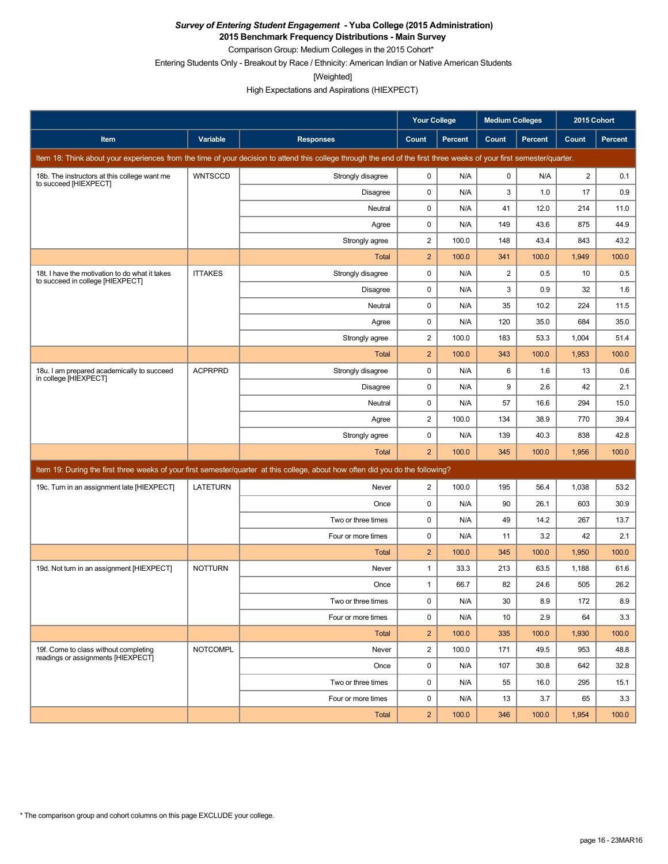**2015 Benchmark Frequency Distributions - Main Survey**

Comparison Group: Medium Colleges in the 2015 Cohort\* Entering Students Only - Breakout by Race / Ethnicity: American Indian or Native American Students

[Weighted]

|                                                                                    |                 |                                                                                                                                                                      | <b>Your College</b>     |                | <b>Medium Colleges</b> |                | 2015 Cohort    |         |
|------------------------------------------------------------------------------------|-----------------|----------------------------------------------------------------------------------------------------------------------------------------------------------------------|-------------------------|----------------|------------------------|----------------|----------------|---------|
| Item                                                                               | Variable        | <b>Responses</b>                                                                                                                                                     | Count                   | <b>Percent</b> | Count                  | <b>Percent</b> | Count          | Percent |
|                                                                                    |                 | Item 18: Think about your experiences from the time of your decision to attend this college through the end of the first three weeks of your first semester/quarter. |                         |                |                        |                |                |         |
| 18b. The instructors at this college want me<br>to succeed [HIEXPECT]              | <b>WNTSCCD</b>  | Strongly disagree                                                                                                                                                    | 0                       | N/A            | 0                      | N/A            | $\overline{2}$ | 0.1     |
|                                                                                    |                 | Disagree                                                                                                                                                             | 0                       | N/A            | 3                      | 1.0            | 17             | 0.9     |
|                                                                                    |                 | Neutral                                                                                                                                                              | 0                       | N/A            | 41                     | 12.0           | 214            | 11.0    |
|                                                                                    |                 | Agree                                                                                                                                                                | 0                       | N/A            | 149                    | 43.6           | 875            | 44.9    |
|                                                                                    |                 | Strongly agree                                                                                                                                                       | 2                       | 100.0          | 148                    | 43.4           | 843            | 43.2    |
|                                                                                    |                 | <b>Total</b>                                                                                                                                                         | $\overline{2}$          | 100.0          | 341                    | 100.0          | 1,949          | 100.0   |
| 18t. I have the motivation to do what it takes<br>to succeed in college [HIEXPECT] | <b>ITTAKES</b>  | Strongly disagree                                                                                                                                                    | 0                       | N/A            | $\overline{2}$         | 0.5            | 10             | 0.5     |
|                                                                                    |                 | <b>Disagree</b>                                                                                                                                                      | 0                       | N/A            | 3                      | 0.9            | 32             | 1.6     |
|                                                                                    |                 | Neutral                                                                                                                                                              | 0                       | N/A            | 35                     | 10.2           | 224            | 11.5    |
|                                                                                    |                 | Agree                                                                                                                                                                | 0                       | N/A            | 120                    | 35.0           | 684            | 35.0    |
|                                                                                    |                 | Strongly agree                                                                                                                                                       | $\overline{\mathbf{c}}$ | 100.0          | 183                    | 53.3           | 1,004          | 51.4    |
|                                                                                    |                 | Total                                                                                                                                                                | $\overline{2}$          | 100.0          | 343                    | 100.0          | 1,953          | 100.0   |
| 18u. I am prepared academically to succeed<br>in college [HIEXPECT]                | <b>ACPRPRD</b>  | Strongly disagree                                                                                                                                                    | $\mathbf 0$             | N/A            | 6                      | 1.6            | 13             | 0.6     |
|                                                                                    |                 | Disagree                                                                                                                                                             | 0                       | N/A            | 9                      | 2.6            | 42             | 2.1     |
|                                                                                    |                 | Neutral                                                                                                                                                              | $\mathbf 0$             | N/A            | 57                     | 16.6           | 294            | 15.0    |
|                                                                                    |                 | Agree                                                                                                                                                                | $\overline{c}$          | 100.0          | 134                    | 38.9           | 770            | 39.4    |
|                                                                                    |                 | Strongly agree                                                                                                                                                       | 0                       | N/A            | 139                    | 40.3           | 838            | 42.8    |
|                                                                                    |                 | <b>Total</b>                                                                                                                                                         | $\overline{2}$          | 100.0          | 345                    | 100.0          | 1,956          | 100.0   |
|                                                                                    |                 | Item 19: During the first three weeks of your first semester/quarter at this college, about how often did you do the following?                                      |                         |                |                        |                |                |         |
| 19c. Turn in an assignment late [HIEXPECT]                                         | LATETURN        | Never                                                                                                                                                                | $\overline{2}$          | 100.0          | 195                    | 56.4           | 1,038          | 53.2    |
|                                                                                    |                 | Once                                                                                                                                                                 | 0                       | N/A            | 90                     | 26.1           | 603            | 30.9    |
|                                                                                    |                 | Two or three times                                                                                                                                                   | 0                       | N/A            | 49                     | 14.2           | 267            | 13.7    |
|                                                                                    |                 | Four or more times                                                                                                                                                   | 0                       | N/A            | 11                     | 3.2            | 42             | 2.1     |
|                                                                                    |                 | <b>Total</b>                                                                                                                                                         | $\overline{2}$          | 100.0          | 345                    | 100.0          | 1,950          | 100.0   |
| 19d. Not turn in an assignment [HIEXPECT]                                          | <b>NOTTURN</b>  | Never                                                                                                                                                                | $\mathbf{1}$            | 33.3           | 213                    | 63.5           | 1,188          | 61.6    |
|                                                                                    |                 | Once                                                                                                                                                                 | $\mathbf{1}$            | 66.7           | 82                     | 24.6           | 505            | 26.2    |
|                                                                                    |                 | Two or three times                                                                                                                                                   | 0                       | N/A            | 30                     | 8.9            | 172            | 8.9     |
|                                                                                    |                 | Four or more times                                                                                                                                                   | $\mathbf 0$             | N/A            | 10 <sup>°</sup>        | 2.9            | 64             | 3.3     |
|                                                                                    |                 | Total                                                                                                                                                                | $\overline{2}$          | 100.0          | 335                    | 100.0          | 1,930          | 100.0   |
| 19f. Come to class without completing<br>readings or assignments [HIEXPECT]        | <b>NOTCOMPL</b> | Never                                                                                                                                                                | $\overline{2}$          | 100.0          | 171                    | 49.5           | 953            | 48.8    |
|                                                                                    |                 | Once                                                                                                                                                                 | 0                       | N/A            | 107                    | 30.8           | 642            | 32.8    |
|                                                                                    |                 | Two or three times                                                                                                                                                   | 0                       | N/A            | 55                     | 16.0           | 295            | 15.1    |
|                                                                                    |                 | Four or more times                                                                                                                                                   | 0                       | N/A            | 13                     | 3.7            | 65             | 3.3     |
|                                                                                    |                 | Total                                                                                                                                                                | $\overline{2}$          | 100.0          | 346                    | 100.0          | 1,954          | 100.0   |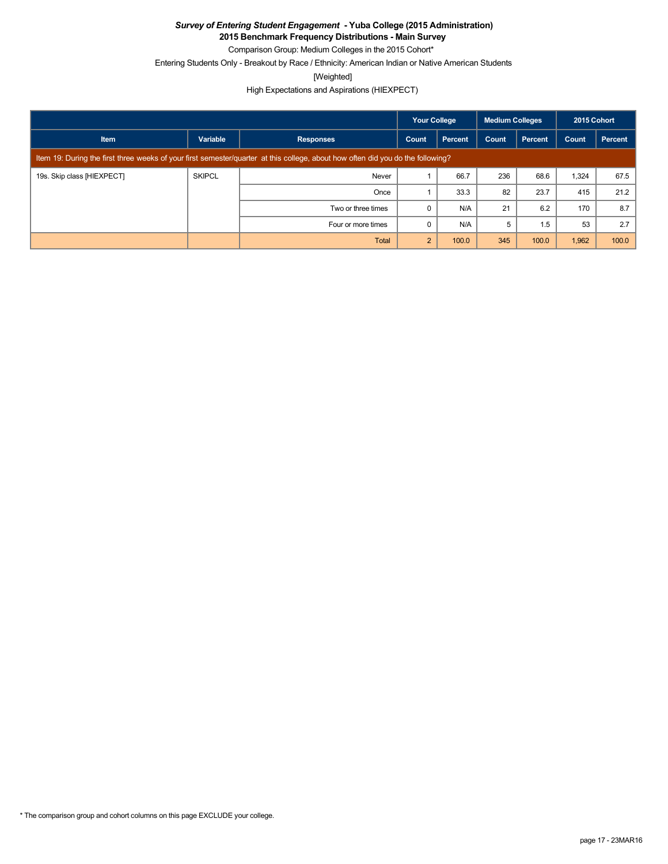**2015 Benchmark Frequency Distributions - Main Survey**

Comparison Group: Medium Colleges in the 2015 Cohort\*

Entering Students Only - Breakout by Race / Ethnicity: American Indian or Native American Students

[Weighted]

|                            |                                                                                                                                 |                    | <b>Your College</b><br><b>Medium Colleges</b> |         | 2015 Cohort |                |       |         |
|----------------------------|---------------------------------------------------------------------------------------------------------------------------------|--------------------|-----------------------------------------------|---------|-------------|----------------|-------|---------|
| <b>Item</b>                | Variable                                                                                                                        | <b>Responses</b>   | Count                                         | Percent | Count       | <b>Percent</b> | Count | Percent |
|                            | Item 19: During the first three weeks of your first semester/quarter at this college, about how often did you do the following? |                    |                                               |         |             |                |       |         |
| 19s. Skip class [HIEXPECT] | <b>SKIPCL</b>                                                                                                                   | Never              |                                               | 66.7    | 236         | 68.6           | 1,324 | 67.5    |
|                            |                                                                                                                                 | Once               |                                               | 33.3    | 82          | 23.7           | 415   | 21.2    |
|                            |                                                                                                                                 | Two or three times | O                                             | N/A     | 21          | 6.2            | 170   | 8.7     |
|                            |                                                                                                                                 | Four or more times |                                               | N/A     | 5           | 1.5            | 53    | 2.7     |
|                            |                                                                                                                                 | Total              | $\overline{2}$                                | 100.0   | 345         | 100.0          | 1,962 | 100.0   |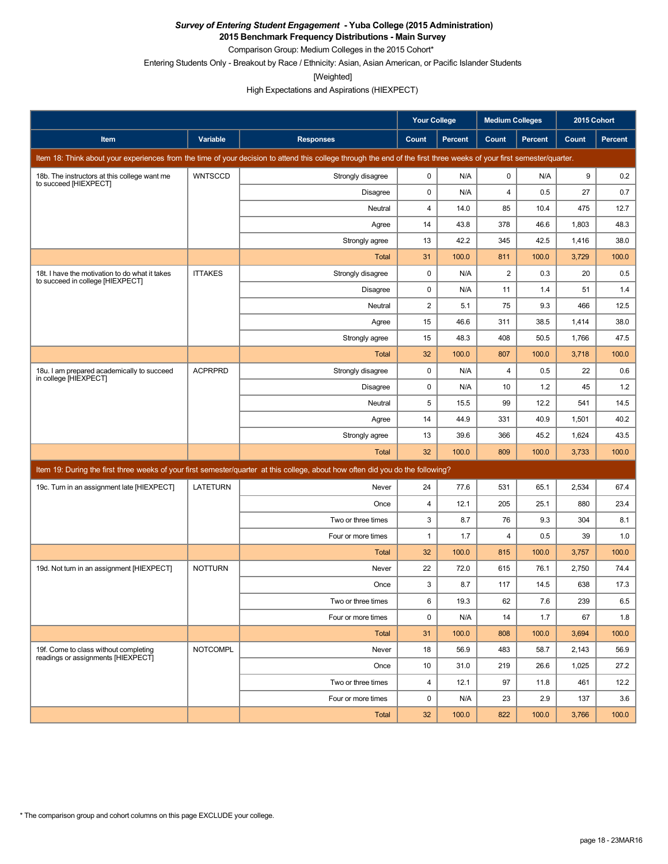**2015 Benchmark Frequency Distributions - Main Survey**

Comparison Group: Medium Colleges in the 2015 Cohort\*

Entering Students Only - Breakout by Race / Ethnicity: Asian, Asian American, or Pacific Islander Students

[Weighted]

|                                                                                    |                 |                                                                                                                                                                      | <b>Your College</b>     |         | <b>Medium Colleges</b> |                | 2015 Cohort |         |
|------------------------------------------------------------------------------------|-----------------|----------------------------------------------------------------------------------------------------------------------------------------------------------------------|-------------------------|---------|------------------------|----------------|-------------|---------|
| Item                                                                               | Variable        | <b>Responses</b>                                                                                                                                                     | Count                   | Percent | Count                  | <b>Percent</b> | Count       | Percent |
|                                                                                    |                 | Item 18: Think about your experiences from the time of your decision to attend this college through the end of the first three weeks of your first semester/quarter. |                         |         |                        |                |             |         |
| 18b. The instructors at this college want me<br>to succeed [HIEXPECT]              | <b>WNTSCCD</b>  | Strongly disagree                                                                                                                                                    | 0                       | N/A     | $\pmb{0}$              | N/A            | 9           | 0.2     |
|                                                                                    |                 | Disagree                                                                                                                                                             | 0                       | N/A     | $\overline{4}$         | 0.5            | 27          | 0.7     |
|                                                                                    |                 | Neutral                                                                                                                                                              | $\overline{\mathbf{4}}$ | 14.0    | 85                     | 10.4           | 475         | 12.7    |
|                                                                                    |                 | Agree                                                                                                                                                                | 14                      | 43.8    | 378                    | 46.6           | 1,803       | 48.3    |
|                                                                                    |                 | Strongly agree                                                                                                                                                       | 13                      | 42.2    | 345                    | 42.5           | 1,416       | 38.0    |
|                                                                                    |                 | <b>Total</b>                                                                                                                                                         | 31                      | 100.0   | 811                    | 100.0          | 3,729       | 100.0   |
| 18t. I have the motivation to do what it takes<br>to succeed in college [HIEXPECT] | <b>ITTAKES</b>  | Strongly disagree                                                                                                                                                    | $\mathbf 0$             | N/A     | $\overline{2}$         | 0.3            | 20          | 0.5     |
|                                                                                    |                 | Disagree                                                                                                                                                             | 0                       | N/A     | 11                     | 1.4            | 51          | 1.4     |
|                                                                                    |                 | Neutral                                                                                                                                                              | 2                       | 5.1     | 75                     | 9.3            | 466         | 12.5    |
|                                                                                    |                 | Agree                                                                                                                                                                | 15                      | 46.6    | 311                    | 38.5           | 1,414       | 38.0    |
|                                                                                    |                 | Strongly agree                                                                                                                                                       | 15                      | 48.3    | 408                    | 50.5           | 1,766       | 47.5    |
|                                                                                    |                 | <b>Total</b>                                                                                                                                                         | 32                      | 100.0   | 807                    | 100.0          | 3,718       | 100.0   |
| 18u. I am prepared academically to succeed<br>in college [HIEXPECT]                | <b>ACPRPRD</b>  | Strongly disagree                                                                                                                                                    | 0                       | N/A     | $\overline{4}$         | 0.5            | 22          | 0.6     |
|                                                                                    |                 | Disagree                                                                                                                                                             | 0                       | N/A     | 10                     | 1.2            | 45          | 1.2     |
|                                                                                    |                 | Neutral                                                                                                                                                              | 5                       | 15.5    | 99                     | 12.2           | 541         | 14.5    |
|                                                                                    |                 | Agree                                                                                                                                                                | 14                      | 44.9    | 331                    | 40.9           | 1,501       | 40.2    |
|                                                                                    |                 | Strongly agree                                                                                                                                                       | 13                      | 39.6    | 366                    | 45.2           | 1,624       | 43.5    |
|                                                                                    |                 | <b>Total</b>                                                                                                                                                         | 32                      | 100.0   | 809                    | 100.0          | 3,733       | 100.0   |
|                                                                                    |                 | Item 19: During the first three weeks of your first semester/quarter at this college, about how often did you do the following?                                      |                         |         |                        |                |             |         |
| 19c. Turn in an assignment late [HIEXPECT]                                         | <b>LATETURN</b> | Never                                                                                                                                                                | 24                      | 77.6    | 531                    | 65.1           | 2,534       | 67.4    |
|                                                                                    |                 | Once                                                                                                                                                                 | $\overline{4}$          | 12.1    | 205                    | 25.1           | 880         | 23.4    |
|                                                                                    |                 | Two or three times                                                                                                                                                   | 3                       | 8.7     | 76                     | 9.3            | 304         | 8.1     |
|                                                                                    |                 | Four or more times                                                                                                                                                   | $\mathbf{1}$            | 1.7     | $\overline{4}$         | 0.5            | 39          | 1.0     |
|                                                                                    |                 | <b>Total</b>                                                                                                                                                         | 32                      | 100.0   | 815                    | 100.0          | 3,757       | 100.0   |
| 19d. Not turn in an assignment [HIEXPECT]                                          | <b>NOTTURN</b>  | Never                                                                                                                                                                | 22                      | 72.0    | 615                    | 76.1           | 2,750       | 74.4    |
|                                                                                    |                 | Once                                                                                                                                                                 | 3                       | 8.7     | 117                    | 14.5           | 638         | 17.3    |
|                                                                                    |                 | Two or three times                                                                                                                                                   | 6                       | 19.3    | 62                     | $7.6\,$        | 239         | $6.5\,$ |
|                                                                                    |                 | Four or more times                                                                                                                                                   | $\mathbf 0$             | N/A     | 14                     | 1.7            | 67          | 1.8     |
|                                                                                    |                 | Total                                                                                                                                                                | 31                      | 100.0   | 808                    | 100.0          | 3,694       | 100.0   |
| 19f. Come to class without completing<br>readings or assignments [HIEXPECT]        | <b>NOTCOMPL</b> | Never                                                                                                                                                                | 18                      | 56.9    | 483                    | 58.7           | 2,143       | 56.9    |
|                                                                                    |                 | Once                                                                                                                                                                 | 10                      | 31.0    | 219                    | 26.6           | 1,025       | 27.2    |
|                                                                                    |                 | Two or three times                                                                                                                                                   | $\overline{4}$          | 12.1    | 97                     | 11.8           | 461         | 12.2    |
|                                                                                    |                 | Four or more times                                                                                                                                                   | 0                       | N/A     | 23                     | 2.9            | 137         | 3.6     |
|                                                                                    |                 | Total                                                                                                                                                                | 32                      | 100.0   | 822                    | 100.0          | 3,766       | 100.0   |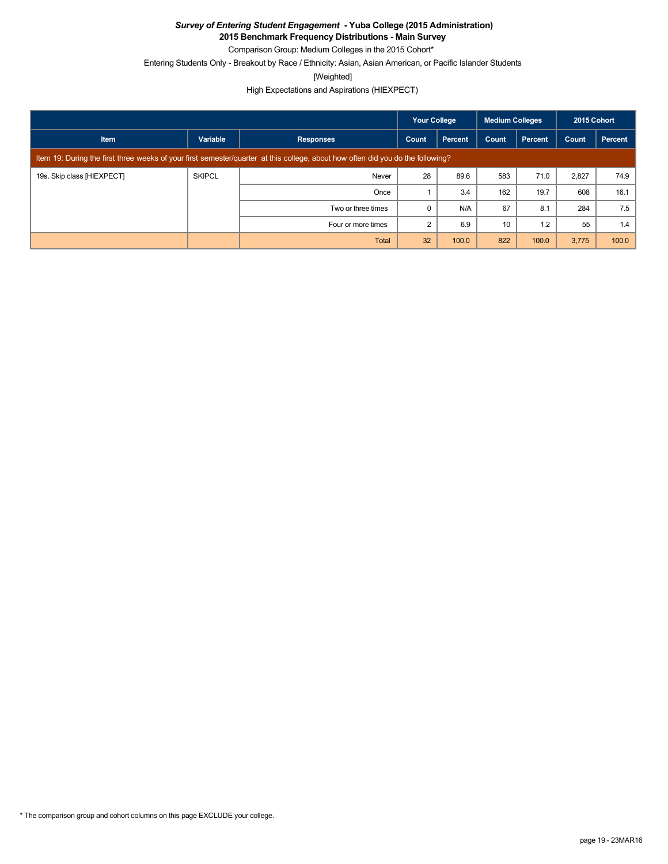**2015 Benchmark Frequency Distributions - Main Survey**

Comparison Group: Medium Colleges in the 2015 Cohort\*

Entering Students Only - Breakout by Race / Ethnicity: Asian, Asian American, or Pacific Islander Students

[Weighted]

|                            |                                                                                                                                 |                    | Your College |                | <b>Medium Colleges</b> |                | 2015 Cohort |         |
|----------------------------|---------------------------------------------------------------------------------------------------------------------------------|--------------------|--------------|----------------|------------------------|----------------|-------------|---------|
| <b>Item</b>                | Variable                                                                                                                        | <b>Responses</b>   | Count        | <b>Percent</b> | Count                  | <b>Percent</b> | Count       | Percent |
|                            | Item 19: During the first three weeks of your first semester/quarter at this college, about how often did you do the following? |                    |              |                |                        |                |             |         |
| 19s. Skip class [HIEXPECT] | <b>SKIPCL</b>                                                                                                                   | Never              | 28           | 89.6           | 583                    | 71.0           | 2,827       | 74.9    |
|                            |                                                                                                                                 | Once               |              | 3.4            | 162                    | 19.7           | 608         | 16.1    |
|                            |                                                                                                                                 | Two or three times |              | N/A            | 67                     | 8.1            | 284         | 7.5     |
|                            |                                                                                                                                 | Four or more times |              | 6.9            | 10                     | 1.2            | 55          | 1.4     |
|                            |                                                                                                                                 | Total              | 32           | 100.0          | 822                    | 100.0          | 3,775       | 100.0   |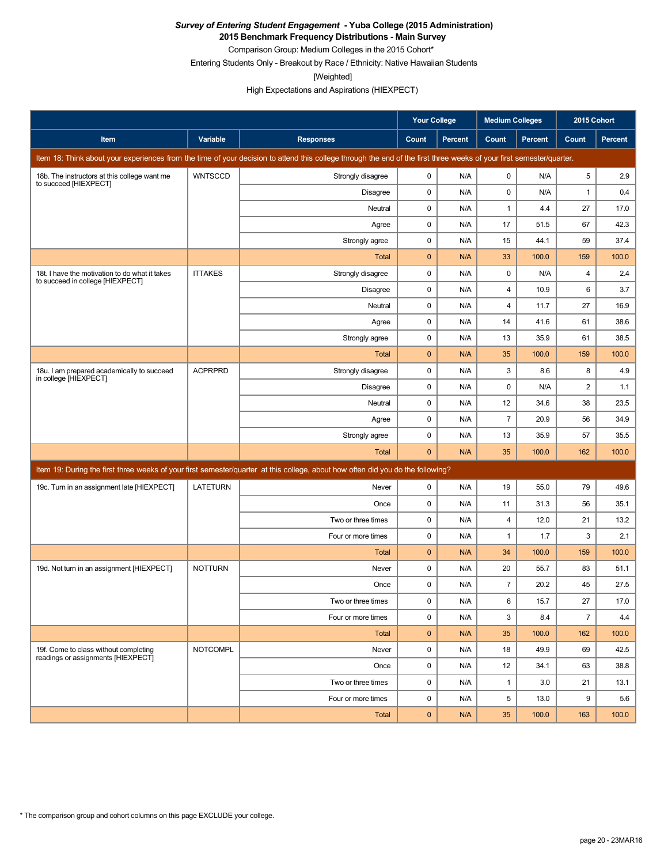**2015 Benchmark Frequency Distributions - Main Survey**

Comparison Group: Medium Colleges in the 2015 Cohort\* Entering Students Only - Breakout by Race / Ethnicity: Native Hawaiian Students

[Weighted]

|                                                                                    |                 |                                                                                                                                                                      | <b>Your College</b> |         | <b>Medium Colleges</b> |                | 2015 Cohort    |                |
|------------------------------------------------------------------------------------|-----------------|----------------------------------------------------------------------------------------------------------------------------------------------------------------------|---------------------|---------|------------------------|----------------|----------------|----------------|
| <b>Item</b>                                                                        | Variable        | <b>Responses</b>                                                                                                                                                     | Count               | Percent | Count                  | <b>Percent</b> | Count          | <b>Percent</b> |
|                                                                                    |                 | Item 18: Think about your experiences from the time of your decision to attend this college through the end of the first three weeks of your first semester/quarter. |                     |         |                        |                |                |                |
| 18b. The instructors at this college want me<br>to succeed [HIEXPECT]              | <b>WNTSCCD</b>  | Strongly disagree                                                                                                                                                    | 0                   | N/A     | 0                      | N/A            | 5              | 2.9            |
|                                                                                    |                 | Disagree                                                                                                                                                             | 0                   | N/A     | 0                      | N/A            | $\mathbf{1}$   | 0.4            |
|                                                                                    |                 | Neutral                                                                                                                                                              | 0                   | N/A     | $\mathbf{1}$           | 4.4            | 27             | 17.0           |
|                                                                                    |                 | Agree                                                                                                                                                                | 0                   | N/A     | 17                     | 51.5           | 67             | 42.3           |
|                                                                                    |                 | Strongly agree                                                                                                                                                       | 0                   | N/A     | 15                     | 44.1           | 59             | 37.4           |
|                                                                                    |                 | Total                                                                                                                                                                | 0                   | N/A     | 33                     | 100.0          | 159            | 100.0          |
| 18t. I have the motivation to do what it takes<br>to succeed in college [HIEXPECT] | <b>ITTAKES</b>  | Strongly disagree                                                                                                                                                    | 0                   | N/A     | 0                      | N/A            | $\overline{4}$ | 2.4            |
|                                                                                    |                 | Disagree                                                                                                                                                             | 0                   | N/A     | 4                      | 10.9           | 6              | 3.7            |
|                                                                                    |                 | Neutral                                                                                                                                                              | 0                   | N/A     | 4                      | 11.7           | 27             | 16.9           |
|                                                                                    |                 | Agree                                                                                                                                                                | 0                   | N/A     | 14                     | 41.6           | 61             | 38.6           |
|                                                                                    |                 | Strongly agree                                                                                                                                                       | 0                   | N/A     | 13                     | 35.9           | 61             | 38.5           |
|                                                                                    |                 | Total                                                                                                                                                                | $\mathbf 0$         | N/A     | 35                     | 100.0          | 159            | 100.0          |
| 18u. I am prepared academically to succeed<br>in college [HIEXPECT]                | <b>ACPRPRD</b>  | Strongly disagree                                                                                                                                                    | 0                   | N/A     | 3                      | 8.6            | 8              | 4.9            |
|                                                                                    |                 | Disagree                                                                                                                                                             | 0                   | N/A     | 0                      | N/A            | $\overline{2}$ | 1.1            |
|                                                                                    |                 | Neutral                                                                                                                                                              | 0                   | N/A     | 12                     | 34.6           | 38             | 23.5           |
|                                                                                    |                 | Agree                                                                                                                                                                | 0                   | N/A     | $\overline{7}$         | 20.9           | 56             | 34.9           |
|                                                                                    |                 | Strongly agree                                                                                                                                                       | 0                   | N/A     | 13                     | 35.9           | 57             | 35.5           |
|                                                                                    |                 | Total                                                                                                                                                                | $\mathbf 0$         | N/A     | 35                     | 100.0          | 162            | 100.0          |
|                                                                                    |                 | Item 19: During the first three weeks of your first semester/quarter at this college, about how often did you do the following?                                      |                     |         |                        |                |                |                |
| 19c. Turn in an assignment late [HIEXPECT]                                         | <b>LATETURN</b> | Never                                                                                                                                                                | 0                   | N/A     | 19                     | 55.0           | 79             | 49.6           |
|                                                                                    |                 | Once                                                                                                                                                                 | 0                   | N/A     | 11                     | 31.3           | 56             | 35.1           |
|                                                                                    |                 | Two or three times                                                                                                                                                   | 0                   | N/A     | 4                      | 12.0           | 21             | 13.2           |
|                                                                                    |                 | Four or more times                                                                                                                                                   | $\mathbf 0$         | N/A     | $\mathbf{1}$           | 1.7            | 3              | 2.1            |
|                                                                                    |                 | Total                                                                                                                                                                | $\mathbf 0$         | N/A     | 34                     | 100.0          | 159            | 100.0          |
| 19d. Not turn in an assignment [HIEXPECT]                                          | <b>NOTTURN</b>  | Never                                                                                                                                                                | 0                   | N/A     | 20                     | 55.7           | 83             | 51.1           |
|                                                                                    |                 | Once                                                                                                                                                                 | 0                   | N/A     | $\overline{7}$         | 20.2           | 45             | 27.5           |
|                                                                                    |                 | Two or three times                                                                                                                                                   | 0                   | N/A     | 6                      | 15.7           | 27             | 17.0           |
|                                                                                    |                 | Four or more times                                                                                                                                                   | 0                   | N/A     | 3                      | 8.4            | $\overline{7}$ | 4.4            |
|                                                                                    |                 | Total                                                                                                                                                                | $\mathbf 0$         | N/A     | 35                     | 100.0          | 162            | 100.0          |
| 19f. Come to class without completing<br>readings or assignments [HIEXPECT]        | <b>NOTCOMPL</b> | Never                                                                                                                                                                | 0                   | N/A     | 18                     | 49.9           | 69             | 42.5           |
|                                                                                    |                 | Once                                                                                                                                                                 | 0                   | N/A     | 12                     | 34.1           | 63             | 38.8           |
|                                                                                    |                 | Two or three times                                                                                                                                                   | 0                   | N/A     | $\mathbf{1}$           | 3.0            | 21             | 13.1           |
|                                                                                    |                 | Four or more times                                                                                                                                                   | 0                   | N/A     | 5                      | 13.0           | 9              | 5.6            |
|                                                                                    |                 | Total                                                                                                                                                                | $\pmb{0}$           | N/A     | 35                     | 100.0          | 163            | 100.0          |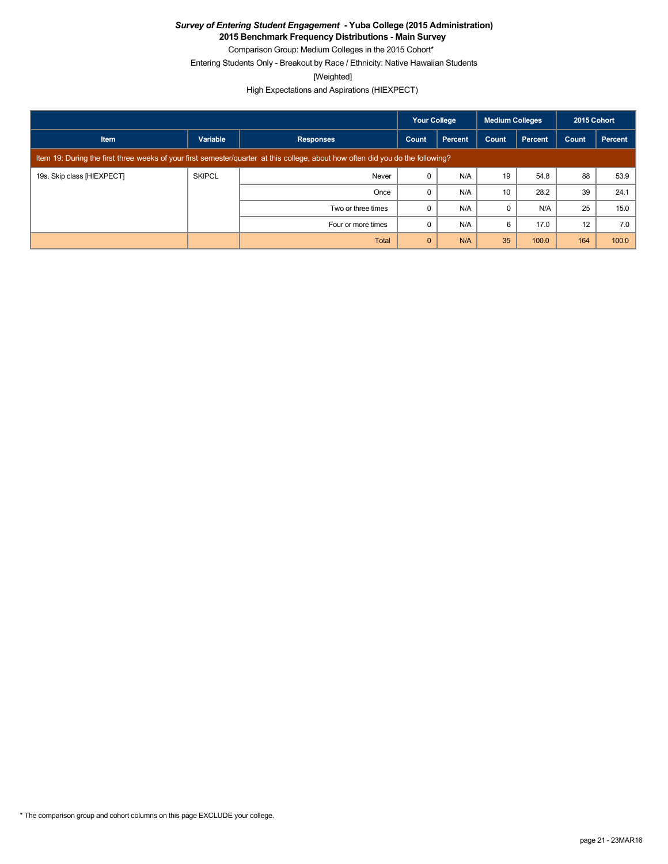**2015 Benchmark Frequency Distributions - Main Survey**

Comparison Group: Medium Colleges in the 2015 Cohort\* Entering Students Only - Breakout by Race / Ethnicity: Native Hawaiian Students

[Weighted]

|                            |                                                                                                                                 |                    | <b>Your College</b> |         | <b>Medium Colleges</b> |         | 2015 Cohort |         |
|----------------------------|---------------------------------------------------------------------------------------------------------------------------------|--------------------|---------------------|---------|------------------------|---------|-------------|---------|
| <b>Item</b>                | Variable                                                                                                                        | <b>Responses</b>   | Count               | Percent | Count                  | Percent | Count       | Percent |
|                            | Item 19: During the first three weeks of your first semester/quarter at this college, about how often did you do the following? |                    |                     |         |                        |         |             |         |
| 19s. Skip class [HIEXPECT] | <b>SKIPCL</b>                                                                                                                   | Never              |                     | N/A     | 19                     | 54.8    | 88          | 53.9    |
|                            |                                                                                                                                 | Once               |                     | N/A     | 10                     | 28.2    | 39          | 24.1    |
|                            |                                                                                                                                 | Two or three times |                     | N/A     | $\Omega$               | N/A     | 25          | 15.0    |
|                            |                                                                                                                                 | Four or more times |                     | N/A     | 6                      | 17.0    | 12          | 7.0     |
|                            |                                                                                                                                 | Total              | $\mathbf{0}$        | N/A     | 35                     | 100.0   | 164         | 100.0   |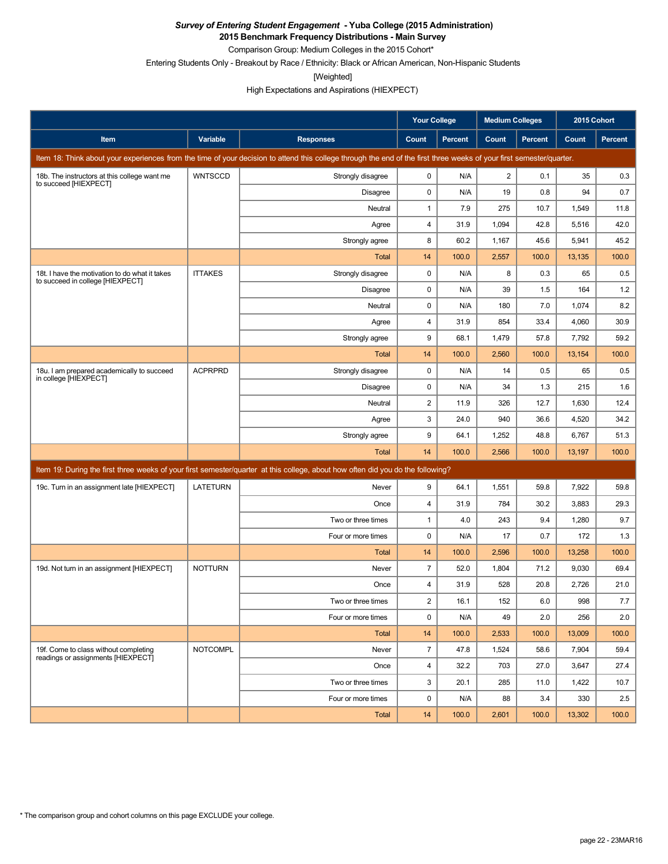**2015 Benchmark Frequency Distributions - Main Survey**

Comparison Group: Medium Colleges in the 2015 Cohort\*

Entering Students Only - Breakout by Race / Ethnicity: Black or African American, Non-Hispanic Students

[Weighted]

|                                                                                    |                 |                                                                                                                                                                      | Your College   |         | <b>Medium Colleges</b> |                | 2015 Cohort |                |
|------------------------------------------------------------------------------------|-----------------|----------------------------------------------------------------------------------------------------------------------------------------------------------------------|----------------|---------|------------------------|----------------|-------------|----------------|
| Item                                                                               | Variable        | <b>Responses</b>                                                                                                                                                     | Count          | Percent | Count                  | <b>Percent</b> | Count       | <b>Percent</b> |
|                                                                                    |                 | Item 18: Think about your experiences from the time of your decision to attend this college through the end of the first three weeks of your first semester/quarter. |                |         |                        |                |             |                |
| 18b. The instructors at this college want me<br>to succeed [HIEXPECT]              | <b>WNTSCCD</b>  | Strongly disagree                                                                                                                                                    | $\mathbf 0$    | N/A     | $\overline{2}$         | 0.1            | 35          | 0.3            |
|                                                                                    |                 | <b>Disagree</b>                                                                                                                                                      | 0              | N/A     | 19                     | 0.8            | 94          | 0.7            |
|                                                                                    |                 | Neutral                                                                                                                                                              | 1              | 7.9     | 275                    | 10.7           | 1,549       | 11.8           |
|                                                                                    |                 | Agree                                                                                                                                                                | 4              | 31.9    | 1,094                  | 42.8           | 5,516       | 42.0           |
|                                                                                    |                 | Strongly agree                                                                                                                                                       | 8              | 60.2    | 1,167                  | 45.6           | 5,941       | 45.2           |
|                                                                                    |                 | <b>Total</b>                                                                                                                                                         | 14             | 100.0   | 2,557                  | 100.0          | 13,135      | 100.0          |
| 18t. I have the motivation to do what it takes<br>to succeed in college [HIEXPECT] | <b>ITTAKES</b>  | Strongly disagree                                                                                                                                                    | $\mathbf 0$    | N/A     | 8                      | 0.3            | 65          | 0.5            |
|                                                                                    |                 | Disagree                                                                                                                                                             | 0              | N/A     | 39                     | 1.5            | 164         | 1.2            |
|                                                                                    |                 | Neutral                                                                                                                                                              | $\mathbf 0$    | N/A     | 180                    | 7.0            | 1,074       | 8.2            |
|                                                                                    |                 | Agree                                                                                                                                                                | 4              | 31.9    | 854                    | 33.4           | 4,060       | 30.9           |
|                                                                                    |                 | Strongly agree                                                                                                                                                       | 9              | 68.1    | 1,479                  | 57.8           | 7,792       | 59.2           |
|                                                                                    |                 | <b>Total</b>                                                                                                                                                         | 14             | 100.0   | 2,560                  | 100.0          | 13,154      | 100.0          |
| 18u. I am prepared academically to succeed<br>in college [HIEXPECT]                | <b>ACPRPRD</b>  | Strongly disagree                                                                                                                                                    | 0              | N/A     | 14                     | 0.5            | 65          | 0.5            |
|                                                                                    |                 | <b>Disagree</b>                                                                                                                                                      | $\mathbf 0$    | N/A     | 34                     | 1.3            | 215         | 1.6            |
|                                                                                    |                 | Neutral                                                                                                                                                              | $\overline{c}$ | 11.9    | 326                    | 12.7           | 1,630       | 12.4           |
|                                                                                    |                 | Agree                                                                                                                                                                | 3              | 24.0    | 940                    | 36.6           | 4,520       | 34.2           |
|                                                                                    |                 | Strongly agree                                                                                                                                                       | 9              | 64.1    | 1,252                  | 48.8           | 6,767       | 51.3           |
|                                                                                    |                 | <b>Total</b>                                                                                                                                                         | 14             | 100.0   | 2,566                  | 100.0          | 13,197      | 100.0          |
|                                                                                    |                 | Item 19: During the first three weeks of your first semester/quarter at this college, about how often did you do the following?                                      |                |         |                        |                |             |                |
| 19c. Turn in an assignment late [HIEXPECT]                                         | <b>LATETURN</b> | Never                                                                                                                                                                | 9              | 64.1    | 1,551                  | 59.8           | 7,922       | 59.8           |
|                                                                                    |                 | Once                                                                                                                                                                 | 4              | 31.9    | 784                    | 30.2           | 3,883       | 29.3           |
|                                                                                    |                 | Two or three times                                                                                                                                                   | 1              | 4.0     | 243                    | 9.4            | 1,280       | 9.7            |
|                                                                                    |                 | Four or more times                                                                                                                                                   | $\mathbf 0$    | N/A     | 17                     | 0.7            | 172         | 1.3            |
|                                                                                    |                 | <b>Total</b>                                                                                                                                                         | 14             | 100.0   | 2,596                  | 100.0          | 13,258      | 100.0          |
| 19d. Not turn in an assignment [HIEXPECT]                                          | <b>NOTTURN</b>  | Never                                                                                                                                                                | $\overline{7}$ | 52.0    | 1,804                  | 71.2           | 9,030       | 69.4           |
|                                                                                    |                 | Once                                                                                                                                                                 | 4              | 31.9    | 528                    | 20.8           | 2,726       | 21.0           |
|                                                                                    |                 | Two or three times                                                                                                                                                   | 2              | 16.1    | 152                    | $6.0\,$        | 998         | $7.7\,$        |
|                                                                                    |                 | Four or more times                                                                                                                                                   | $\mathbf 0$    | N/A     | 49                     | 2.0            | 256         | 2.0            |
|                                                                                    |                 | Total                                                                                                                                                                | 14             | 100.0   | 2,533                  | 100.0          | 13,009      | 100.0          |
| 19f. Come to class without completing<br>readings or assignments [HIEXPECT]        | <b>NOTCOMPL</b> | Never                                                                                                                                                                | $\overline{7}$ | 47.8    | 1,524                  | 58.6           | 7,904       | 59.4           |
|                                                                                    |                 | Once                                                                                                                                                                 | 4              | 32.2    | 703                    | 27.0           | 3,647       | 27.4           |
|                                                                                    |                 | Two or three times                                                                                                                                                   | 3              | 20.1    | 285                    | 11.0           | 1,422       | 10.7           |
|                                                                                    |                 | Four or more times                                                                                                                                                   | 0              | N/A     | 88                     | 3.4            | 330         | 2.5            |
|                                                                                    |                 | Total                                                                                                                                                                | 14             | 100.0   | 2,601                  | 100.0          | 13,302      | 100.0          |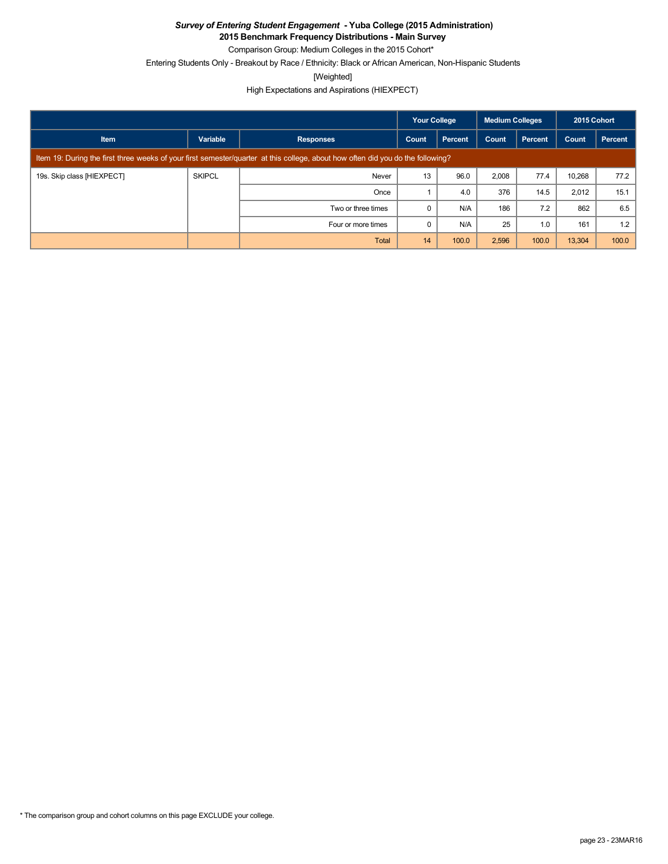**2015 Benchmark Frequency Distributions - Main Survey**

Comparison Group: Medium Colleges in the 2015 Cohort\* Entering Students Only - Breakout by Race / Ethnicity: Black or African American, Non-Hispanic Students

[Weighted]

|                            |                                                                                                                                 |                    | <b>Your College</b> |         | Medium Colleges |         | 2015 Cohort |         |
|----------------------------|---------------------------------------------------------------------------------------------------------------------------------|--------------------|---------------------|---------|-----------------|---------|-------------|---------|
| <b>Item</b>                | Variable                                                                                                                        | <b>Responses</b>   | Count               | Percent | Count           | Percent | Count       | Percent |
|                            | Item 19: During the first three weeks of your first semester/quarter at this college, about how often did you do the following? |                    |                     |         |                 |         |             |         |
| 19s. Skip class [HIEXPECT] | <b>SKIPCL</b>                                                                                                                   | Never              | 13                  | 96.0    | 2,008           | 77.4    | 10.268      | 77.2    |
|                            |                                                                                                                                 | Once               |                     | 4.0     | 376             | 14.5    | 2,012       | 15.1    |
|                            |                                                                                                                                 | Two or three times | 0                   | N/A     | 186             | 7.2     | 862         | 6.5     |
|                            |                                                                                                                                 | Four or more times | $\Omega$            | N/A     | 25              | 1.0     | 161         | 1.2     |
|                            |                                                                                                                                 | Total              | 14                  | 100.0   | 2,596           | 100.0   | 13,304      | 100.0   |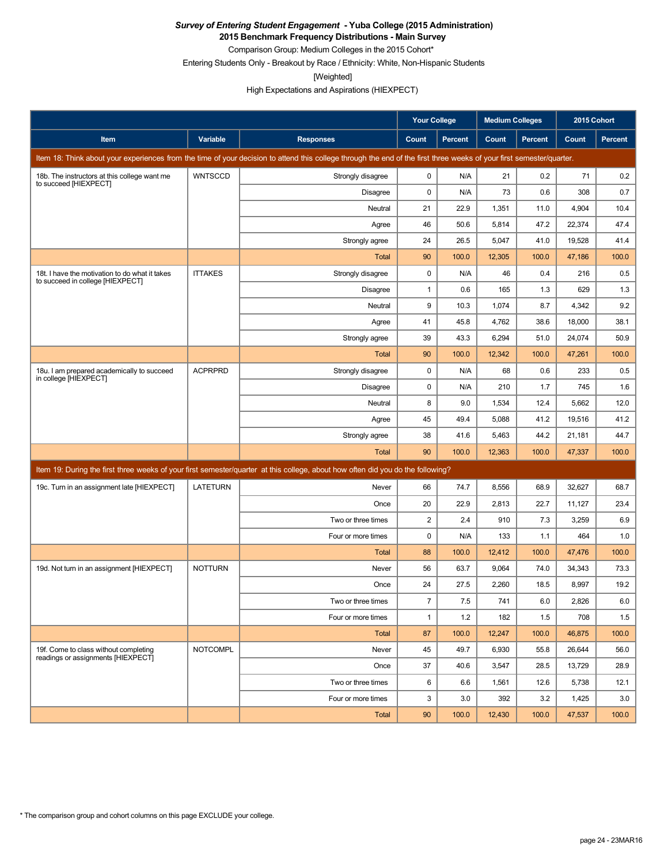**2015 Benchmark Frequency Distributions - Main Survey**

Comparison Group: Medium Colleges in the 2015 Cohort\* Entering Students Only - Breakout by Race / Ethnicity: White, Non-Hispanic Students

[Weighted]

|                                                                                    |                 |                                                                                                                                                                      | Your College   |                | <b>Medium Colleges</b> |                | 2015 Cohort |         |
|------------------------------------------------------------------------------------|-----------------|----------------------------------------------------------------------------------------------------------------------------------------------------------------------|----------------|----------------|------------------------|----------------|-------------|---------|
| <b>Item</b>                                                                        | Variable        | <b>Responses</b>                                                                                                                                                     | Count          | <b>Percent</b> | Count                  | <b>Percent</b> | Count       | Percent |
|                                                                                    |                 | Item 18: Think about your experiences from the time of your decision to attend this college through the end of the first three weeks of your first semester/quarter. |                |                |                        |                |             |         |
| 18b. The instructors at this college want me<br>to succeed [HIEXPECT]              | <b>WNTSCCD</b>  | Strongly disagree                                                                                                                                                    | 0              | N/A            | 21                     | 0.2            | 71          | 0.2     |
|                                                                                    |                 | <b>Disagree</b>                                                                                                                                                      | $\mathbf 0$    | N/A            | 73                     | 0.6            | 308         | 0.7     |
|                                                                                    |                 | Neutral                                                                                                                                                              | 21             | 22.9           | 1,351                  | 11.0           | 4,904       | 10.4    |
|                                                                                    |                 | Agree                                                                                                                                                                | 46             | 50.6           | 5,814                  | 47.2           | 22,374      | 47.4    |
|                                                                                    |                 | Strongly agree                                                                                                                                                       | 24             | 26.5           | 5,047                  | 41.0           | 19,528      | 41.4    |
|                                                                                    |                 | <b>Total</b>                                                                                                                                                         | 90             | 100.0          | 12,305                 | 100.0          | 47,186      | 100.0   |
| 18t. I have the motivation to do what it takes<br>to succeed in college [HIEXPECT] | <b>ITTAKES</b>  | Strongly disagree                                                                                                                                                    | $\mathbf 0$    | N/A            | 46                     | 0.4            | 216         | 0.5     |
|                                                                                    |                 | <b>Disagree</b>                                                                                                                                                      | 1              | 0.6            | 165                    | 1.3            | 629         | 1.3     |
|                                                                                    |                 | Neutral                                                                                                                                                              | 9              | 10.3           | 1,074                  | 8.7            | 4,342       | 9.2     |
|                                                                                    |                 | Agree                                                                                                                                                                | 41             | 45.8           | 4,762                  | 38.6           | 18,000      | 38.1    |
|                                                                                    |                 | Strongly agree                                                                                                                                                       | 39             | 43.3           | 6,294                  | 51.0           | 24,074      | 50.9    |
|                                                                                    |                 | <b>Total</b>                                                                                                                                                         | 90             | 100.0          | 12,342                 | 100.0          | 47,261      | 100.0   |
| 18u. I am prepared academically to succeed<br>in college [HIEXPECT]                | <b>ACPRPRD</b>  | Strongly disagree                                                                                                                                                    | 0              | N/A            | 68                     | 0.6            | 233         | 0.5     |
|                                                                                    |                 | <b>Disagree</b>                                                                                                                                                      | 0              | N/A            | 210                    | 1.7            | 745         | 1.6     |
|                                                                                    |                 | Neutral                                                                                                                                                              | 8              | 9.0            | 1,534                  | 12.4           | 5,662       | 12.0    |
|                                                                                    |                 | Agree                                                                                                                                                                | 45             | 49.4           | 5,088                  | 41.2           | 19,516      | 41.2    |
|                                                                                    |                 | Strongly agree                                                                                                                                                       | 38             | 41.6           | 5,463                  | 44.2           | 21,181      | 44.7    |
|                                                                                    |                 | Total                                                                                                                                                                | 90             | 100.0          | 12,363                 | 100.0          | 47,337      | 100.0   |
|                                                                                    |                 | Item 19: During the first three weeks of your first semester/quarter at this college, about how often did you do the following?                                      |                |                |                        |                |             |         |
| 19c. Turn in an assignment late [HIEXPECT]                                         | <b>LATETURN</b> | Never                                                                                                                                                                | 66             | 74.7           | 8,556                  | 68.9           | 32,627      | 68.7    |
|                                                                                    |                 | Once                                                                                                                                                                 | 20             | 22.9           | 2,813                  | 22.7           | 11,127      | 23.4    |
|                                                                                    |                 | Two or three times                                                                                                                                                   | $\overline{c}$ | 2.4            | 910                    | 7.3            | 3,259       | 6.9     |
|                                                                                    |                 | Four or more times                                                                                                                                                   | 0              | N/A            | 133                    | 1.1            | 464         | 1.0     |
|                                                                                    |                 | <b>Total</b>                                                                                                                                                         | 88             | 100.0          | 12,412                 | 100.0          | 47,476      | 100.0   |
| 19d. Not turn in an assignment [HIEXPECT]                                          | <b>NOTTURN</b>  | Never                                                                                                                                                                | 56             | 63.7           | 9,064                  | 74.0           | 34,343      | 73.3    |
|                                                                                    |                 | Once                                                                                                                                                                 | 24             | 27.5           | 2,260                  | 18.5           | 8,997       | 19.2    |
|                                                                                    |                 | Two or three times                                                                                                                                                   | $\overline{7}$ | $7.5\,$        | 741                    | $6.0\,$        | 2,826       | $6.0\,$ |
|                                                                                    |                 | Four or more times                                                                                                                                                   | $\mathbf{1}$   | 1.2            | 182                    | 1.5            | 708         | 1.5     |
|                                                                                    |                 | Total                                                                                                                                                                | 87             | 100.0          | 12,247                 | 100.0          | 46,875      | 100.0   |
| 19f. Come to class without completing<br>readings or assignments [HIEXPECT]        | <b>NOTCOMPL</b> | Never                                                                                                                                                                | 45             | 49.7           | 6,930                  | 55.8           | 26,644      | 56.0    |
|                                                                                    |                 | Once                                                                                                                                                                 | 37             | 40.6           | 3,547                  | 28.5           | 13,729      | 28.9    |
|                                                                                    |                 | Two or three times                                                                                                                                                   | 6              | 6.6            | 1,561                  | 12.6           | 5,738       | 12.1    |
|                                                                                    |                 | Four or more times                                                                                                                                                   | 3              | 3.0            | 392                    | 3.2            | 1,425       | 3.0     |
|                                                                                    |                 | Total                                                                                                                                                                | 90             | 100.0          | 12,430                 | 100.0          | 47,537      | 100.0   |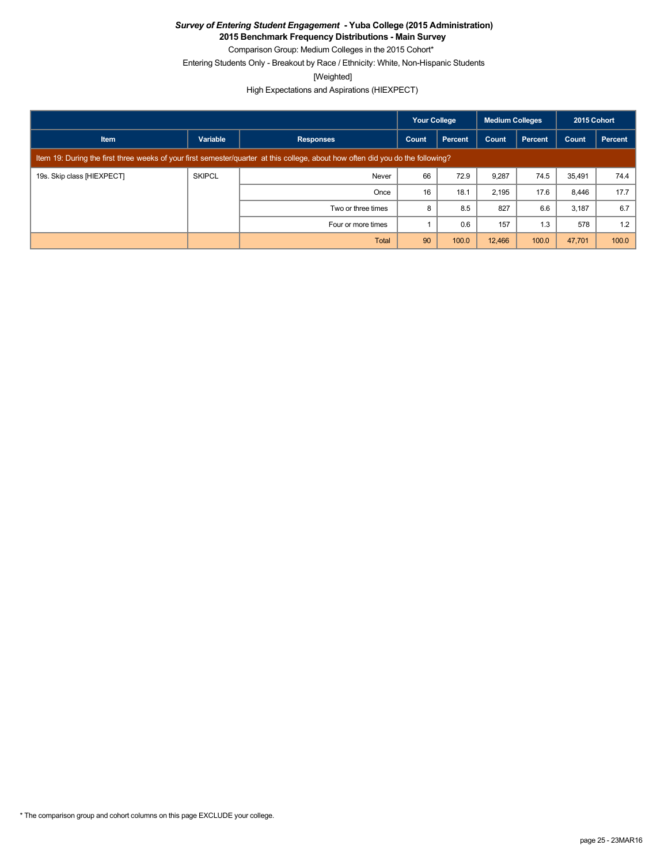**2015 Benchmark Frequency Distributions - Main Survey**

Comparison Group: Medium Colleges in the 2015 Cohort\*

Entering Students Only - Breakout by Race / Ethnicity: White, Non-Hispanic Students

[Weighted]

|                            |                                                                                                                                 |                    | <b>Medium Colleges</b><br><b>Your College</b> |         | 2015 Cohort |                |        |         |
|----------------------------|---------------------------------------------------------------------------------------------------------------------------------|--------------------|-----------------------------------------------|---------|-------------|----------------|--------|---------|
| <b>Item</b>                | Variable                                                                                                                        | <b>Responses</b>   | Count                                         | Percent | Count       | <b>Percent</b> | Count  | Percent |
|                            | Item 19: During the first three weeks of your first semester/quarter at this college, about how often did you do the following? |                    |                                               |         |             |                |        |         |
| 19s. Skip class [HIEXPECT] | <b>SKIPCL</b>                                                                                                                   | Never              | 66                                            | 72.9    | 9,287       | 74.5           | 35,491 | 74.4    |
|                            |                                                                                                                                 | Once               | 16                                            | 18.1    | 2,195       | 17.6           | 8,446  | 17.7    |
|                            |                                                                                                                                 | Two or three times | 8                                             | 8.5     | 827         | 6.6            | 3,187  | 6.7     |
|                            |                                                                                                                                 | Four or more times |                                               | 0.6     | 157         | 1.3            | 578    | 1.2     |
|                            |                                                                                                                                 | Total              | 90                                            | 100.0   | 12,466      | 100.0          | 47,701 | 100.0   |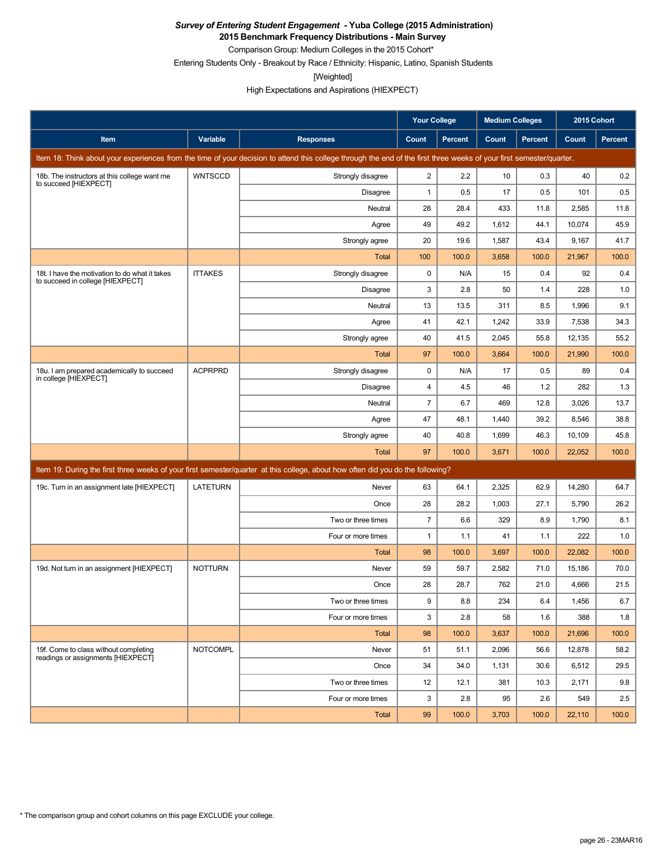**2015 Benchmark Frequency Distributions - Main Survey**

Comparison Group: Medium Colleges in the 2015 Cohort\* Entering Students Only - Breakout by Race / Ethnicity: Hispanic, Latino, Spanish Students

[Weighted]

|                                                                                    |                 |                                                                                                                                                                      | Your College            |                | <b>Medium Colleges</b> |                | 2015 Cohort |                |
|------------------------------------------------------------------------------------|-----------------|----------------------------------------------------------------------------------------------------------------------------------------------------------------------|-------------------------|----------------|------------------------|----------------|-------------|----------------|
| Item                                                                               | Variable        | <b>Responses</b>                                                                                                                                                     | Count                   | <b>Percent</b> | Count                  | <b>Percent</b> | Count       | <b>Percent</b> |
|                                                                                    |                 | Item 18: Think about your experiences from the time of your decision to attend this college through the end of the first three weeks of your first semester/quarter. |                         |                |                        |                |             |                |
| 18b. The instructors at this college want me<br>to succeed [HIEXPECT]              | <b>WNTSCCD</b>  | Strongly disagree                                                                                                                                                    | $\overline{\mathbf{c}}$ | 2.2            | 10                     | 0.3            | 40          | 0.2            |
|                                                                                    |                 | <b>Disagree</b>                                                                                                                                                      | 1                       | 0.5            | 17                     | 0.5            | 101         | 0.5            |
|                                                                                    |                 | Neutral                                                                                                                                                              | 28                      | 28.4           | 433                    | 11.8           | 2,585       | 11.8           |
|                                                                                    |                 | Agree                                                                                                                                                                | 49                      | 49.2           | 1,612                  | 44.1           | 10,074      | 45.9           |
|                                                                                    |                 | Strongly agree                                                                                                                                                       | 20                      | 19.6           | 1,587                  | 43.4           | 9,167       | 41.7           |
|                                                                                    |                 | <b>Total</b>                                                                                                                                                         | 100                     | 100.0          | 3,658                  | 100.0          | 21,967      | 100.0          |
| 18t. I have the motivation to do what it takes<br>to succeed in college [HIEXPECT] | <b>ITTAKES</b>  | Strongly disagree                                                                                                                                                    | $\mathbf 0$             | N/A            | 15                     | 0.4            | 92          | 0.4            |
|                                                                                    |                 | Disagree                                                                                                                                                             | 3                       | 2.8            | 50                     | 1.4            | 228         | 1.0            |
|                                                                                    |                 | Neutral                                                                                                                                                              | 13                      | 13.5           | 311                    | 8.5            | 1,996       | 9.1            |
|                                                                                    |                 | Agree                                                                                                                                                                | 41                      | 42.1           | 1,242                  | 33.9           | 7,538       | 34.3           |
|                                                                                    |                 | Strongly agree                                                                                                                                                       | 40                      | 41.5           | 2,045                  | 55.8           | 12,135      | 55.2           |
|                                                                                    |                 | <b>Total</b>                                                                                                                                                         | 97                      | 100.0          | 3,664                  | 100.0          | 21,990      | 100.0          |
| 18u. I am prepared academically to succeed<br>in college [HIEXPECT]                | <b>ACPRPRD</b>  | Strongly disagree                                                                                                                                                    | 0                       | N/A            | 17                     | 0.5            | 89          | 0.4            |
|                                                                                    |                 | <b>Disagree</b>                                                                                                                                                      | 4                       | 4.5            | 46                     | 1.2            | 282         | 1.3            |
|                                                                                    |                 | Neutral                                                                                                                                                              | $\overline{7}$          | 6.7            | 469                    | 12.8           | 3,026       | 13.7           |
|                                                                                    |                 | Agree                                                                                                                                                                | 47                      | 48.1           | 1,440                  | 39.2           | 8,546       | 38.8           |
|                                                                                    |                 | Strongly agree                                                                                                                                                       | 40                      | 40.8           | 1,699                  | 46.3           | 10,109      | 45.8           |
|                                                                                    |                 | <b>Total</b>                                                                                                                                                         | 97                      | 100.0          | 3,671                  | 100.0          | 22,052      | 100.0          |
|                                                                                    |                 | Item 19: During the first three weeks of your first semester/quarter at this college, about how often did you do the following?                                      |                         |                |                        |                |             |                |
| 19c. Turn in an assignment late [HIEXPECT]                                         | <b>LATETURN</b> | Never                                                                                                                                                                | 63                      | 64.1           | 2,325                  | 62.9           | 14,280      | 64.7           |
|                                                                                    |                 | Once                                                                                                                                                                 | 28                      | 28.2           | 1,003                  | 27.1           | 5,790       | 26.2           |
|                                                                                    |                 | Two or three times                                                                                                                                                   | $\overline{7}$          | 6.6            | 329                    | 8.9            | 1,790       | 8.1            |
|                                                                                    |                 | Four or more times                                                                                                                                                   | 1                       | 1.1            | 41                     | 1.1            | 222         | 1.0            |
|                                                                                    |                 | <b>Total</b>                                                                                                                                                         | 98                      | 100.0          | 3,697                  | 100.0          | 22,082      | 100.0          |
| 19d. Not turn in an assignment [HIEXPECT]                                          | <b>NOTTURN</b>  | Never                                                                                                                                                                | 59                      | 59.7           | 2,582                  | 71.0           | 15,186      | 70.0           |
|                                                                                    |                 | Once                                                                                                                                                                 | 28                      | 28.7           | 762                    | 21.0           | 4,666       | 21.5           |
|                                                                                    |                 | Two or three times                                                                                                                                                   | 9                       | 8.8            | 234                    | 6.4            | 1,456       | $6.7\,$        |
|                                                                                    |                 | Four or more times                                                                                                                                                   | 3                       | 2.8            | 58                     | 1.6            | 388         | 1.8            |
|                                                                                    |                 | Total                                                                                                                                                                | 98                      | 100.0          | 3,637                  | 100.0          | 21,696      | 100.0          |
| 19f. Come to class without completing<br>readings or assignments [HIEXPECT]        | <b>NOTCOMPL</b> | Never                                                                                                                                                                | 51                      | 51.1           | 2,096                  | 56.6           | 12,878      | 58.2           |
|                                                                                    |                 | Once                                                                                                                                                                 | 34                      | 34.0           | 1,131                  | 30.6           | 6,512       | 29.5           |
|                                                                                    |                 | Two or three times                                                                                                                                                   | 12                      | 12.1           | 381                    | 10.3           | 2,171       | 9.8            |
|                                                                                    |                 | Four or more times                                                                                                                                                   | 3                       | 2.8            | 95                     | 2.6            | 549         | 2.5            |
|                                                                                    |                 | Total                                                                                                                                                                | 99                      | 100.0          | 3,703                  | 100.0          | 22,110      | 100.0          |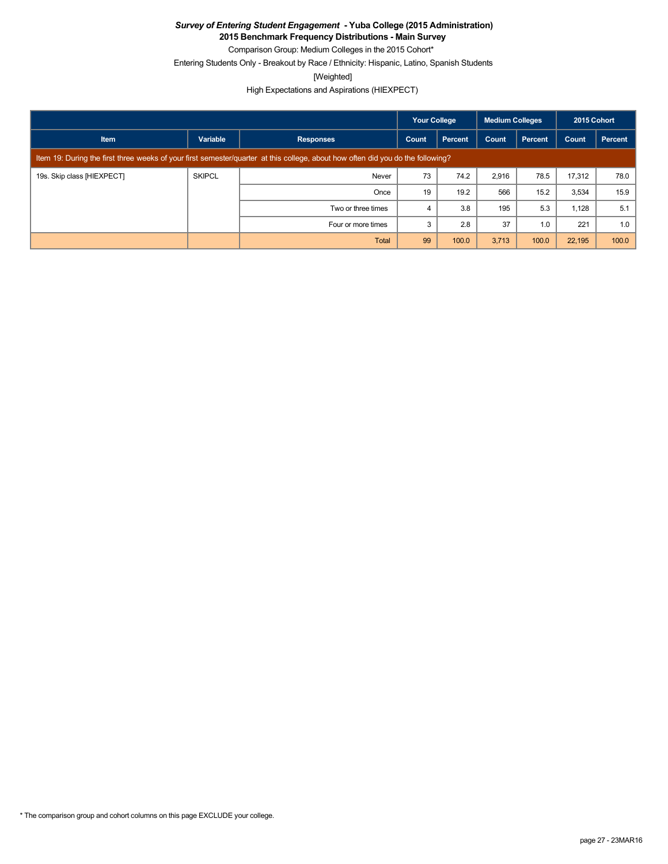**2015 Benchmark Frequency Distributions - Main Survey** Comparison Group: Medium Colleges in the 2015 Cohort\*

Entering Students Only - Breakout by Race / Ethnicity: Hispanic, Latino, Spanish Students

[Weighted]

High Expectations and Aspirations (HIEXPECT)

|                            |                                                                                                                                 |                    | <b>Your College</b> |         | Medium Colleges |         | 2015 Cohort |         |
|----------------------------|---------------------------------------------------------------------------------------------------------------------------------|--------------------|---------------------|---------|-----------------|---------|-------------|---------|
| <b>Item</b>                | Variable                                                                                                                        | <b>Responses</b>   | Count               | Percent | Count           | Percent | Count       | Percent |
|                            | Item 19: During the first three weeks of your first semester/quarter at this college, about how often did you do the following? |                    |                     |         |                 |         |             |         |
| 19s. Skip class [HIEXPECT] | <b>SKIPCL</b>                                                                                                                   | Never              | 73                  | 74.2    | 2,916           | 78.5    | 17.312      | 78.0    |
|                            |                                                                                                                                 | Once               | 19                  | 19.2    | 566             | 15.2    | 3,534       | 15.9    |
|                            |                                                                                                                                 | Two or three times | 4                   | 3.8     | 195             | 5.3     | 1,128       | 5.1     |
|                            |                                                                                                                                 | Four or more times | 3                   | 2.8     | 37              | 1.0     | 221         | 1.0     |
|                            |                                                                                                                                 | Total              | 99                  | 100.0   | 3,713           | 100.0   | 22,195      | 100.0   |

\* The comparison group and cohort columns on this page EXCLUDE your college.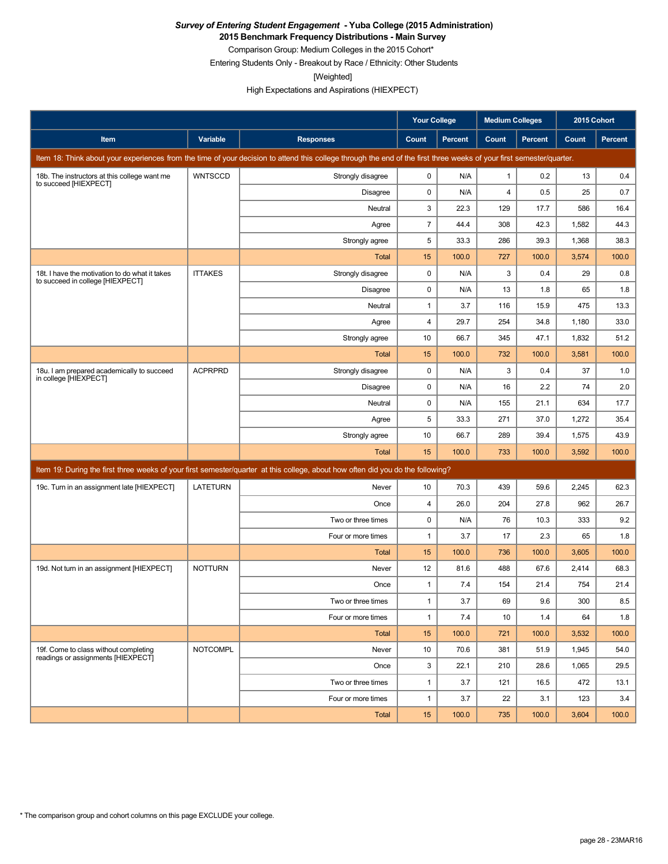**2015 Benchmark Frequency Distributions - Main Survey**

Comparison Group: Medium Colleges in the 2015 Cohort\* Entering Students Only - Breakout by Race / Ethnicity: Other Students

[Weighted]

|                                                                                    |                 |                                                                                                                                                                      | <b>Your College</b><br><b>Medium Colleges</b> |                | 2015 Cohort    |                |       |         |
|------------------------------------------------------------------------------------|-----------------|----------------------------------------------------------------------------------------------------------------------------------------------------------------------|-----------------------------------------------|----------------|----------------|----------------|-------|---------|
| <b>Item</b>                                                                        | Variable        | <b>Responses</b>                                                                                                                                                     | Count                                         | <b>Percent</b> | Count          | <b>Percent</b> | Count | Percent |
|                                                                                    |                 | Item 18: Think about your experiences from the time of your decision to attend this college through the end of the first three weeks of your first semester/quarter. |                                               |                |                |                |       |         |
| 18b. The instructors at this college want me<br>to succeed [HIEXPECT]              | <b>WNTSCCD</b>  | Strongly disagree                                                                                                                                                    | 0                                             | N/A            | $\mathbf{1}$   | 0.2            | 13    | 0.4     |
|                                                                                    |                 | <b>Disagree</b>                                                                                                                                                      | 0                                             | N/A            | $\overline{4}$ | 0.5            | 25    | 0.7     |
|                                                                                    |                 | Neutral                                                                                                                                                              | 3                                             | 22.3           | 129            | 17.7           | 586   | 16.4    |
|                                                                                    |                 | Agree                                                                                                                                                                | $\overline{7}$                                | 44.4           | 308            | 42.3           | 1,582 | 44.3    |
|                                                                                    |                 | Strongly agree                                                                                                                                                       | 5                                             | 33.3           | 286            | 39.3           | 1,368 | 38.3    |
|                                                                                    |                 | <b>Total</b>                                                                                                                                                         | 15                                            | 100.0          | 727            | 100.0          | 3,574 | 100.0   |
| 18t. I have the motivation to do what it takes<br>to succeed in college [HIEXPECT] | <b>ITTAKES</b>  | Strongly disagree                                                                                                                                                    | 0                                             | N/A            | 3              | 0.4            | 29    | 0.8     |
|                                                                                    |                 | Disagree                                                                                                                                                             | 0                                             | N/A            | 13             | 1.8            | 65    | 1.8     |
|                                                                                    |                 | Neutral                                                                                                                                                              | 1                                             | 3.7            | 116            | 15.9           | 475   | 13.3    |
|                                                                                    |                 | Agree                                                                                                                                                                | 4                                             | 29.7           | 254            | 34.8           | 1,180 | 33.0    |
|                                                                                    |                 | Strongly agree                                                                                                                                                       | 10                                            | 66.7           | 345            | 47.1           | 1,832 | 51.2    |
|                                                                                    |                 | Total                                                                                                                                                                | 15                                            | 100.0          | 732            | 100.0          | 3,581 | 100.0   |
| 18u. I am prepared academically to succeed<br>in college [HIEXPECT]                | <b>ACPRPRD</b>  | Strongly disagree                                                                                                                                                    | 0                                             | N/A            | 3              | 0.4            | 37    | 1.0     |
|                                                                                    |                 | <b>Disagree</b>                                                                                                                                                      | $\mathbf 0$                                   | N/A            | 16             | 2.2            | 74    | 2.0     |
|                                                                                    |                 | Neutral                                                                                                                                                              | $\mathbf 0$                                   | N/A            | 155            | 21.1           | 634   | 17.7    |
|                                                                                    |                 | Agree                                                                                                                                                                | 5                                             | 33.3           | 271            | 37.0           | 1,272 | 35.4    |
|                                                                                    |                 | Strongly agree                                                                                                                                                       | 10                                            | 66.7           | 289            | 39.4           | 1,575 | 43.9    |
|                                                                                    |                 | Total                                                                                                                                                                | 15                                            | 100.0          | 733            | 100.0          | 3,592 | 100.0   |
|                                                                                    |                 | Item 19: During the first three weeks of your first semester/quarter at this college, about how often did you do the following?                                      |                                               |                |                |                |       |         |
| 19c. Turn in an assignment late [HIEXPECT]                                         | <b>LATETURN</b> | Never                                                                                                                                                                | 10                                            | 70.3           | 439            | 59.6           | 2,245 | 62.3    |
|                                                                                    |                 | Once                                                                                                                                                                 | 4                                             | 26.0           | 204            | 27.8           | 962   | 26.7    |
|                                                                                    |                 | Two or three times                                                                                                                                                   | $\mathbf 0$                                   | N/A            | 76             | 10.3           | 333   | 9.2     |
|                                                                                    |                 | Four or more times                                                                                                                                                   | 1                                             | 3.7            | 17             | 2.3            | 65    | 1.8     |
|                                                                                    |                 | <b>Total</b>                                                                                                                                                         | 15                                            | 100.0          | 736            | 100.0          | 3,605 | 100.0   |
| 19d. Not turn in an assignment [HIEXPECT]                                          | <b>NOTTURN</b>  | Never                                                                                                                                                                | 12                                            | 81.6           | 488            | 67.6           | 2,414 | 68.3    |
|                                                                                    |                 | Once                                                                                                                                                                 | 1                                             | 7.4            | 154            | 21.4           | 754   | 21.4    |
|                                                                                    |                 | Two or three times                                                                                                                                                   | $\mathbf{1}$                                  | 3.7            | 69             | $9.6\,$        | 300   | $8.5\,$ |
|                                                                                    |                 | Four or more times                                                                                                                                                   | $\mathbf{1}$                                  | 7.4            | 10             | 1.4            | 64    | 1.8     |
|                                                                                    |                 | Total                                                                                                                                                                | 15                                            | 100.0          | 721            | 100.0          | 3,532 | 100.0   |
| 19f. Come to class without completing                                              | <b>NOTCOMPL</b> | Never                                                                                                                                                                | 10                                            | 70.6           | 381            | 51.9           | 1,945 | 54.0    |
| readings or assignments [HIEXPECT]                                                 |                 | Once                                                                                                                                                                 | 3                                             | 22.1           | 210            | 28.6           | 1,065 | 29.5    |
|                                                                                    |                 | Two or three times                                                                                                                                                   | $\mathbf{1}$                                  | 3.7            | 121            | 16.5           | 472   | 13.1    |
|                                                                                    |                 | Four or more times                                                                                                                                                   | $\mathbf{1}$                                  | 3.7            | 22             | 3.1            | 123   | 3.4     |
|                                                                                    |                 | Total                                                                                                                                                                | 15                                            | 100.0          | 735            | 100.0          | 3,604 | 100.0   |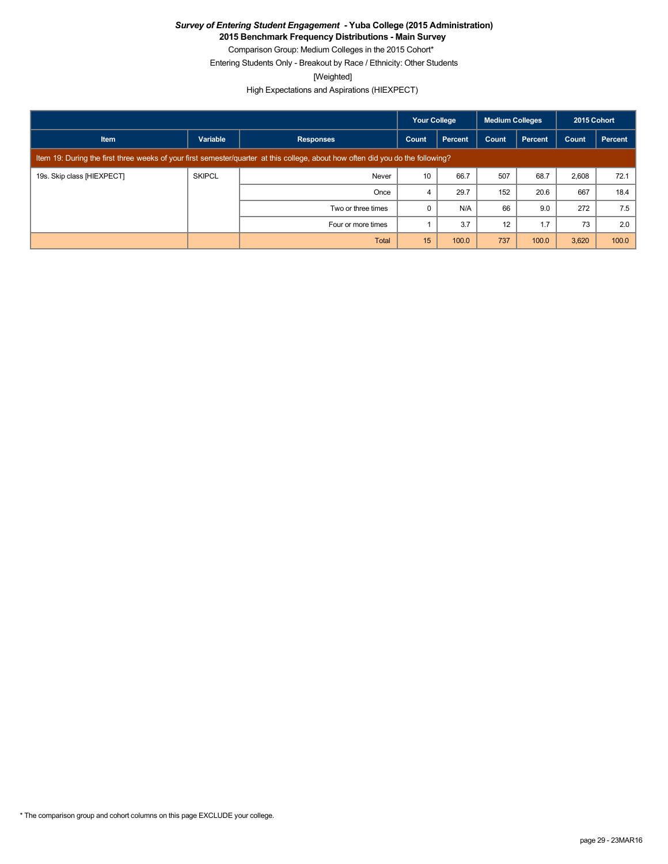**2015 Benchmark Frequency Distributions - Main Survey**

Comparison Group: Medium Colleges in the 2015 Cohort\* Entering Students Only - Breakout by Race / Ethnicity: Other Students

[Weighted]

|                            |                                                                                                                                 | <b>Your College</b> |       | <b>Medium Colleges</b> |       | 2015 Cohort    |       |         |
|----------------------------|---------------------------------------------------------------------------------------------------------------------------------|---------------------|-------|------------------------|-------|----------------|-------|---------|
| <b>Item</b>                | Variable                                                                                                                        | <b>Responses</b>    | Count | Percent                | Count | <b>Percent</b> | Count | Percent |
|                            | Item 19: During the first three weeks of your first semester/quarter at this college, about how often did you do the following? |                     |       |                        |       |                |       |         |
| 19s. Skip class [HIEXPECT] | <b>SKIPCL</b>                                                                                                                   | Never               | 10    | 66.7                   | 507   | 68.7           | 2,608 | 72.1    |
|                            |                                                                                                                                 | Once                | 4     | 29.7                   | 152   | 20.6           | 667   | 18.4    |
|                            |                                                                                                                                 | Two or three times  |       | N/A                    | 66    | 9.0            | 272   | 7.5     |
|                            |                                                                                                                                 | Four or more times  |       | 3.7                    | 12    | 1.7            | 73    | 2.0     |
|                            |                                                                                                                                 | Total               | 15    | 100.0                  | 737   | 100.0          | 3,620 | 100.0   |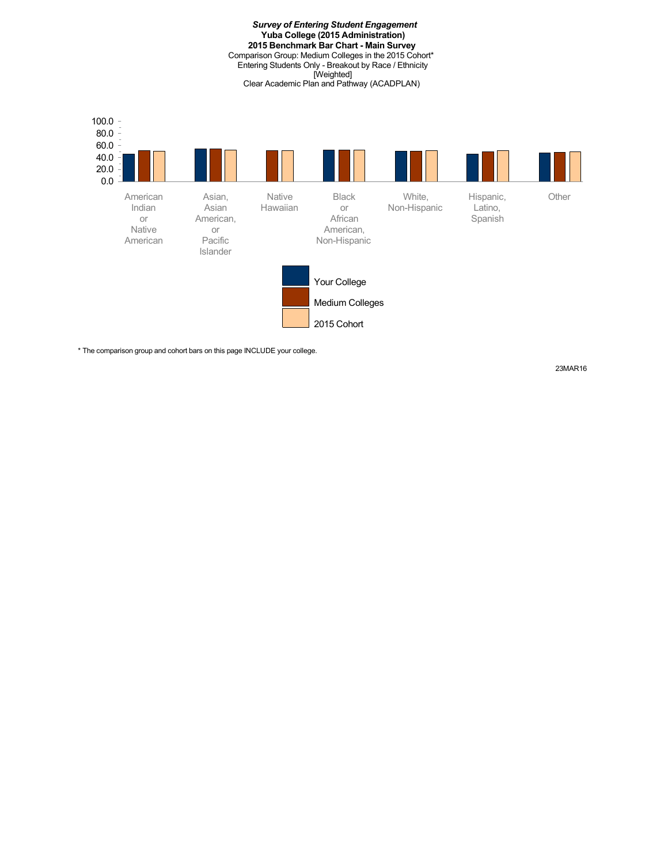*Survey of Entering Student Engagement* **Yuba College (2015 Administration) 2015 Benchmark Bar Chart - Main Survey** Comparison Group: Medium Colleges in the 2015 Cohort\* Entering Students Only - Breakout by Race / Ethnicity [Weighted] Clear Academic Plan and Pathway (ACADPLAN)



\* The comparison group and cohort bars on this page INCLUDE your college.

23MAR16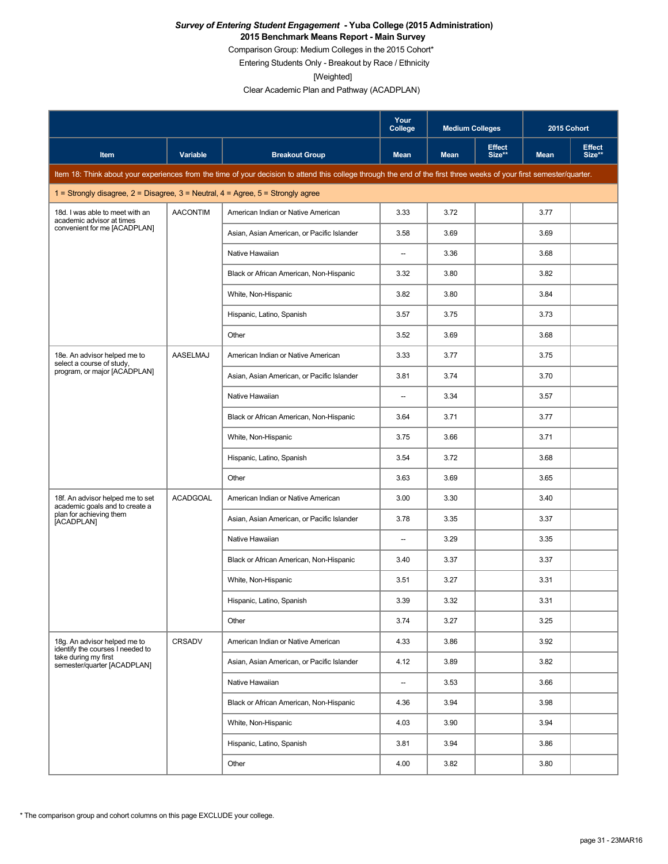#### *Survey of Entering Student Engagement* **- Yuba College (2015 Administration) 2015 Benchmark Means Report - Main Survey**

Comparison Group: Medium Colleges in the 2015 Cohort\*

Entering Students Only - Breakout by Race / Ethnicity

[Weighted]

|                                                                                         |                 |                                                                                                                                                                      | Your<br>College          | <b>Medium Colleges</b> |                         | 2015 Cohort |                         |
|-----------------------------------------------------------------------------------------|-----------------|----------------------------------------------------------------------------------------------------------------------------------------------------------------------|--------------------------|------------------------|-------------------------|-------------|-------------------------|
| Item                                                                                    | Variable        | <b>Breakout Group</b>                                                                                                                                                | Mean                     | <b>Mean</b>            | <b>Effect</b><br>Size** | <b>Mean</b> | <b>Effect</b><br>Size** |
|                                                                                         |                 | Item 18: Think about your experiences from the time of your decision to attend this college through the end of the first three weeks of your first semester/quarter. |                          |                        |                         |             |                         |
| 1 = Strongly disagree, $2$ = Disagree, $3$ = Neutral, $4$ = Agree, $5$ = Strongly agree |                 |                                                                                                                                                                      |                          |                        |                         |             |                         |
| 18d. I was able to meet with an<br>academic advisor at times                            | <b>AACONTIM</b> | American Indian or Native American                                                                                                                                   | 3.33                     | 3.72                   |                         | 3.77        |                         |
| convenient for me [ACADPLAN]                                                            |                 | Asian, Asian American, or Pacific Islander                                                                                                                           | 3.58                     | 3.69                   |                         | 3.69        |                         |
|                                                                                         |                 | Native Hawaiian                                                                                                                                                      | $\overline{\phantom{a}}$ | 3.36                   |                         | 3.68        |                         |
|                                                                                         |                 | Black or African American, Non-Hispanic                                                                                                                              | 3.32                     | 3.80                   |                         | 3.82        |                         |
|                                                                                         |                 | White, Non-Hispanic                                                                                                                                                  | 3.82                     | 3.80                   |                         | 3.84        |                         |
|                                                                                         |                 | Hispanic, Latino, Spanish                                                                                                                                            | 3.57                     | 3.75                   |                         | 3.73        |                         |
|                                                                                         |                 | Other                                                                                                                                                                | 3.52                     | 3.69                   |                         | 3.68        |                         |
| 18e. An advisor helped me to<br>select a course of study,                               | AASELMAJ        | American Indian or Native American                                                                                                                                   | 3.33                     | 3.77                   |                         | 3.75        |                         |
| program, or major [ACADPLAN]                                                            |                 | Asian, Asian American, or Pacific Islander                                                                                                                           | 3.81                     | 3.74                   |                         | 3.70        |                         |
|                                                                                         |                 | Native Hawaiian                                                                                                                                                      | $\overline{\phantom{0}}$ | 3.34                   |                         | 3.57        |                         |
|                                                                                         |                 | Black or African American, Non-Hispanic                                                                                                                              | 3.64                     | 3.71                   |                         | 3.77        |                         |
|                                                                                         |                 | White, Non-Hispanic                                                                                                                                                  | 3.75                     | 3.66                   |                         | 3.71        |                         |
|                                                                                         |                 | Hispanic, Latino, Spanish                                                                                                                                            | 3.54                     | 3.72                   |                         | 3.68        |                         |
|                                                                                         |                 | Other                                                                                                                                                                | 3.63                     | 3.69                   |                         | 3.65        |                         |
| 18f. An advisor helped me to set<br>academic goals and to create a                      | <b>ACADGOAL</b> | American Indian or Native American                                                                                                                                   | 3.00                     | 3.30                   |                         | 3.40        |                         |
| plan for achieving them<br>[ACADPLAN]                                                   |                 | Asian, Asian American, or Pacific Islander                                                                                                                           | 3.78                     | 3.35                   |                         | 3.37        |                         |
|                                                                                         |                 | Native Hawaiian                                                                                                                                                      | --                       | 3.29                   |                         | 3.35        |                         |
|                                                                                         |                 | Black or African American, Non-Hispanic                                                                                                                              | 3.40                     | 3.37                   |                         | 3.37        |                         |
|                                                                                         |                 | White, Non-Hispanic                                                                                                                                                  | 3.51                     | 3.27                   |                         | 3.31        |                         |
|                                                                                         |                 | Hispanic, Latino, Spanish                                                                                                                                            | 3.39                     | 3.32                   |                         | 3.31        |                         |
|                                                                                         |                 | Other                                                                                                                                                                | 3.74                     | 3.27                   |                         | 3.25        |                         |
| 18g. An advisor helped me to<br>identify the courses I needed to                        | CRSADV          | American Indian or Native American                                                                                                                                   | 4.33                     | 3.86                   |                         | 3.92        |                         |
| take during my first<br>semester/quarter [ACADPLAN]                                     |                 | Asian, Asian American, or Pacific Islander                                                                                                                           | 4.12                     | 3.89                   |                         | 3.82        |                         |
|                                                                                         |                 | Native Hawaiian                                                                                                                                                      | --                       | 3.53                   |                         | 3.66        |                         |
|                                                                                         |                 | Black or African American, Non-Hispanic                                                                                                                              | 4.36                     | 3.94                   |                         | 3.98        |                         |
|                                                                                         |                 | White, Non-Hispanic                                                                                                                                                  | 4.03                     | 3.90                   |                         | 3.94        |                         |
|                                                                                         |                 | Hispanic, Latino, Spanish                                                                                                                                            | 3.81                     | 3.94                   |                         | 3.86        |                         |
|                                                                                         |                 | Other                                                                                                                                                                | 4.00                     | 3.82                   |                         | 3.80        |                         |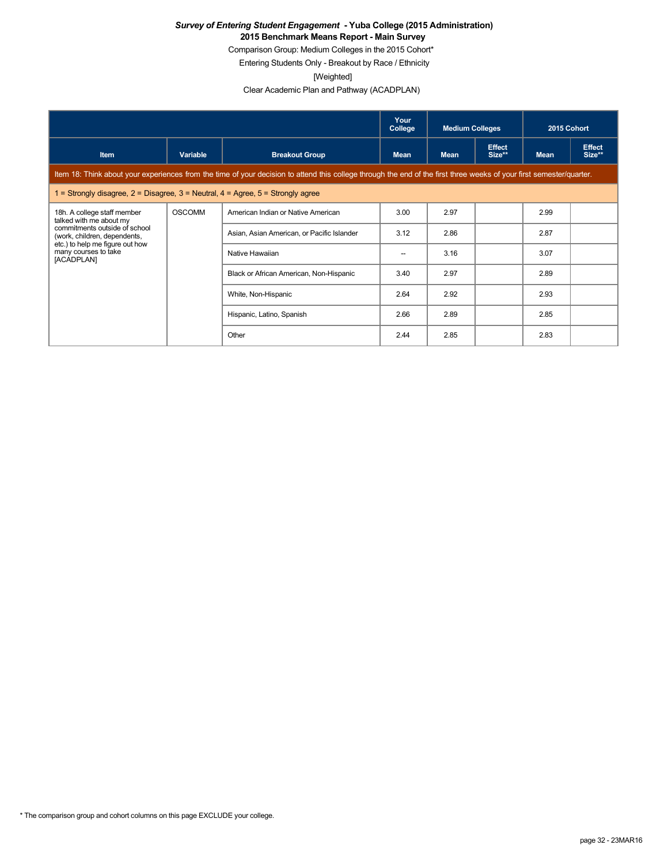#### *Survey of Entering Student Engagement* **- Yuba College (2015 Administration) 2015 Benchmark Means Report - Main Survey**

Comparison Group: Medium Colleges in the 2015 Cohort\*

Entering Students Only - Breakout by Race / Ethnicity

[Weighted]

|                                                                                                                                                                      |               | Your<br>College                         | <b>Medium Colleges</b>                     |             | 2015 Cohort             |             |                         |  |  |
|----------------------------------------------------------------------------------------------------------------------------------------------------------------------|---------------|-----------------------------------------|--------------------------------------------|-------------|-------------------------|-------------|-------------------------|--|--|
| <b>Item</b>                                                                                                                                                          | Variable      | <b>Breakout Group</b>                   | <b>Mean</b>                                | <b>Mean</b> | <b>Effect</b><br>Size** | <b>Mean</b> | <b>Effect</b><br>Size** |  |  |
| Item 18: Think about your experiences from the time of your decision to attend this college through the end of the first three weeks of your first semester/quarter. |               |                                         |                                            |             |                         |             |                         |  |  |
| 1 = Strongly disagree, $2$ = Disagree, $3$ = Neutral, $4$ = Agree, $5$ = Strongly agree                                                                              |               |                                         |                                            |             |                         |             |                         |  |  |
| 18h. A college staff member<br>talked with me about my                                                                                                               | <b>OSCOMM</b> | American Indian or Native American      | 3.00                                       | 2.97        |                         | 2.99        |                         |  |  |
| commitments outside of school<br>(work, children, dependents,                                                                                                        |               |                                         | Asian, Asian American, or Pacific Islander | 3.12        | 2.86                    |             | 2.87                    |  |  |
| etc.) to help me figure out how<br>many courses to take<br>[ACADPLAN]                                                                                                |               | Native Hawaiian                         | --                                         | 3.16        |                         | 3.07        |                         |  |  |
|                                                                                                                                                                      |               | Black or African American, Non-Hispanic | 3.40                                       | 2.97        |                         | 2.89        |                         |  |  |
|                                                                                                                                                                      |               | White, Non-Hispanic                     | 2.64                                       | 2.92        |                         | 2.93        |                         |  |  |
|                                                                                                                                                                      |               | Hispanic, Latino, Spanish               | 2.66                                       | 2.89        |                         | 2.85        |                         |  |  |
|                                                                                                                                                                      |               | Other                                   | 2.44                                       | 2.85        |                         | 2.83        |                         |  |  |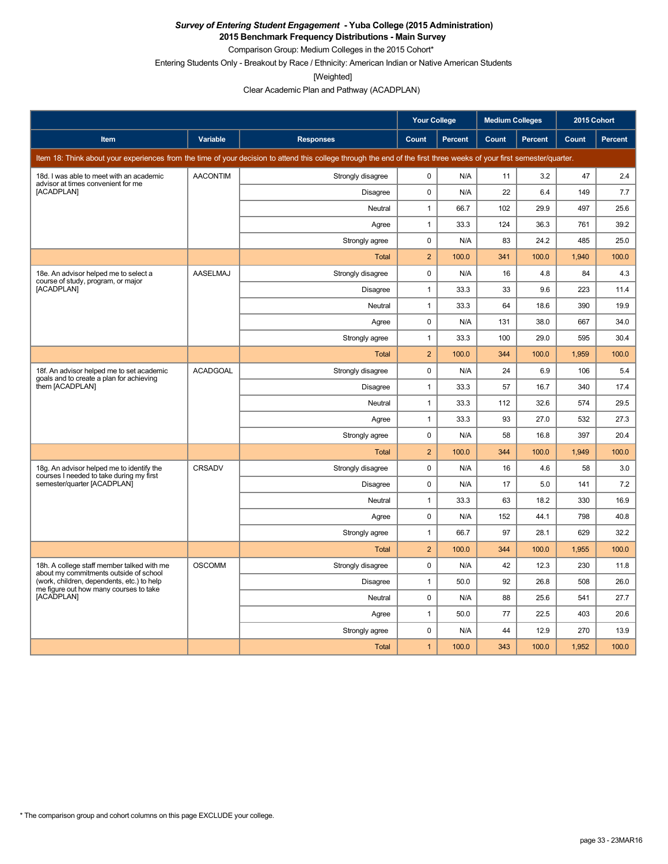**2015 Benchmark Frequency Distributions - Main Survey**

Comparison Group: Medium Colleges in the 2015 Cohort\* Entering Students Only - Breakout by Race / Ethnicity: American Indian or Native American Students

[Weighted]

|                                                                                       |                 |                                                                                                                                                                      | <b>Your College</b> |                |       | <b>Medium Colleges</b> |       | 2015 Cohort    |
|---------------------------------------------------------------------------------------|-----------------|----------------------------------------------------------------------------------------------------------------------------------------------------------------------|---------------------|----------------|-------|------------------------|-------|----------------|
| Item                                                                                  | Variable        | <b>Responses</b>                                                                                                                                                     | Count               | <b>Percent</b> | Count | <b>Percent</b>         | Count | <b>Percent</b> |
|                                                                                       |                 | Item 18: Think about your experiences from the time of your decision to attend this college through the end of the first three weeks of your first semester/quarter. |                     |                |       |                        |       |                |
| 18d. I was able to meet with an academic<br>advisor at times convenient for me        | <b>AACONTIM</b> | Strongly disagree                                                                                                                                                    | 0                   | N/A            | 11    | 3.2                    | 47    | 2.4            |
| [ACADPLAN]                                                                            |                 | <b>Disagree</b>                                                                                                                                                      | 0                   | N/A            | 22    | 6.4                    | 149   | 7.7            |
|                                                                                       |                 | Neutral                                                                                                                                                              | $\mathbf{1}$        | 66.7           | 102   | 29.9                   | 497   | 25.6           |
|                                                                                       |                 | Agree                                                                                                                                                                | 1                   | 33.3           | 124   | 36.3                   | 761   | 39.2           |
|                                                                                       |                 | Strongly agree                                                                                                                                                       | 0                   | N/A            | 83    | 24.2                   | 485   | 25.0           |
|                                                                                       |                 | <b>Total</b>                                                                                                                                                         | $\overline{c}$      | 100.0          | 341   | 100.0                  | 1,940 | 100.0          |
| 18e. An advisor helped me to select a<br>course of study, program, or major           | <b>AASELMAJ</b> | Strongly disagree                                                                                                                                                    | 0                   | N/A            | 16    | 4.8                    | 84    | 4.3            |
| [ACADPLAN]                                                                            |                 | <b>Disagree</b>                                                                                                                                                      | $\mathbf{1}$        | 33.3           | 33    | 9.6                    | 223   | 11.4           |
|                                                                                       |                 | Neutral                                                                                                                                                              | $\mathbf{1}$        | 33.3           | 64    | 18.6                   | 390   | 19.9           |
|                                                                                       |                 | Agree                                                                                                                                                                | 0                   | N/A            | 131   | 38.0                   | 667   | 34.0           |
|                                                                                       |                 | Strongly agree                                                                                                                                                       | 1                   | 33.3           | 100   | 29.0                   | 595   | 30.4           |
|                                                                                       |                 | <b>Total</b>                                                                                                                                                         | $\overline{2}$      | 100.0          | 344   | 100.0                  | 1,959 | 100.0          |
| 18f. An advisor helped me to set academic<br>goals and to create a plan for achieving | <b>ACADGOAL</b> | Strongly disagree                                                                                                                                                    | 0                   | N/A            | 24    | 6.9                    | 106   | 5.4            |
| them [ACADPLAN]                                                                       |                 | Disagree                                                                                                                                                             | 1                   | 33.3           | 57    | 16.7                   | 340   | 17.4           |
|                                                                                       |                 | Neutral                                                                                                                                                              | 1                   | 33.3           | 112   | 32.6                   | 574   | 29.5           |
|                                                                                       |                 | Agree                                                                                                                                                                | 1                   | 33.3           | 93    | 27.0                   | 532   | 27.3           |
|                                                                                       |                 | Strongly agree                                                                                                                                                       | 0                   | N/A            | 58    | 16.8                   | 397   | 20.4           |
|                                                                                       |                 | <b>Total</b>                                                                                                                                                         | $\overline{2}$      | 100.0          | 344   | 100.0                  | 1,949 | 100.0          |
| 18g. An advisor helped me to identify the<br>courses I needed to take during my first | <b>CRSADV</b>   | Strongly disagree                                                                                                                                                    | 0                   | N/A            | 16    | 4.6                    | 58    | 3.0            |
| semester/quarter [ACADPLAN]                                                           |                 | <b>Disagree</b>                                                                                                                                                      | 0                   | N/A            | 17    | 5.0                    | 141   | 7.2            |
|                                                                                       |                 | Neutral                                                                                                                                                              | $\mathbf{1}$        | 33.3           | 63    | 18.2                   | 330   | 16.9           |
|                                                                                       |                 | Agree                                                                                                                                                                | 0                   | N/A            | 152   | 44.1                   | 798   | 40.8           |
|                                                                                       |                 | Strongly agree                                                                                                                                                       | 1                   | 66.7           | 97    | 28.1                   | 629   | 32.2           |
|                                                                                       |                 | <b>Total</b>                                                                                                                                                         | $\overline{2}$      | 100.0          | 344   | 100.0                  | 1,955 | 100.0          |
| 18h. A college staff member talked with me<br>about my commitments outside of school  | <b>OSCOMM</b>   | Strongly disagree                                                                                                                                                    | 0                   | N/A            | 42    | 12.3                   | 230   | 11.8           |
| (work, children, dependents, etc.) to help<br>me figure out how many courses to take  |                 | Disagree                                                                                                                                                             | $\mathbf{1}$        | 50.0           | 92    | 26.8                   | 508   | 26.0           |
| [ACADPLAN]                                                                            |                 | Neutral                                                                                                                                                              | $\mathbf{0}$        | N/A            | 88    | 25.6                   | 541   | 27.7           |
|                                                                                       |                 | Agree                                                                                                                                                                | 1                   | 50.0           | 77    | 22.5                   | 403   | 20.6           |
|                                                                                       |                 | Strongly agree                                                                                                                                                       | 0                   | N/A            | 44    | 12.9                   | 270   | 13.9           |
|                                                                                       |                 | <b>Total</b>                                                                                                                                                         | $\mathbf{1}$        | 100.0          | 343   | 100.0                  | 1,952 | 100.0          |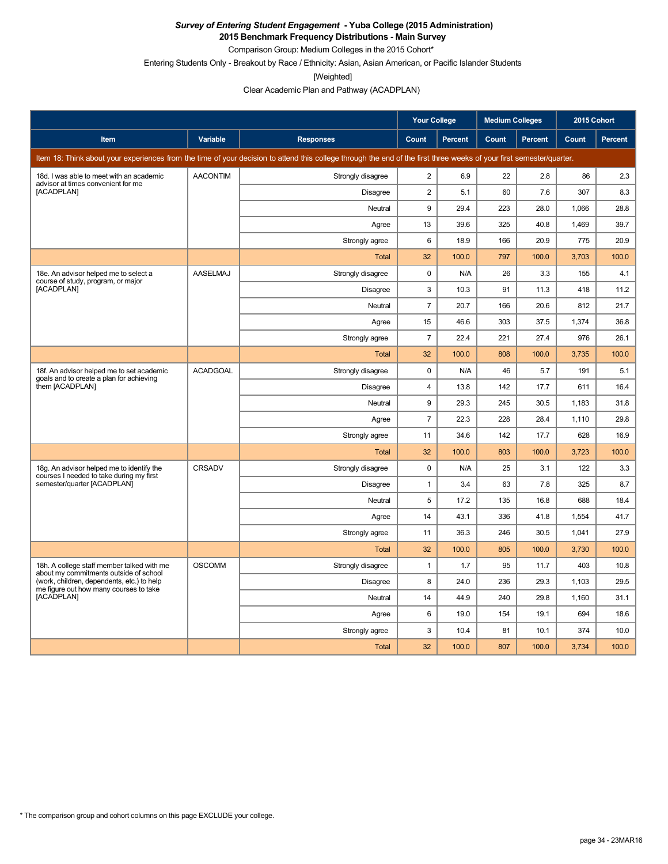**2015 Benchmark Frequency Distributions - Main Survey**

Comparison Group: Medium Colleges in the 2015 Cohort\*

Entering Students Only - Breakout by Race / Ethnicity: Asian, Asian American, or Pacific Islander Students

[Weighted]

|                                                                                       |                 |                                                                                                                                                                      | <b>Your College</b> |         |       | <b>Medium Colleges</b> |       | 2015 Cohort |
|---------------------------------------------------------------------------------------|-----------------|----------------------------------------------------------------------------------------------------------------------------------------------------------------------|---------------------|---------|-------|------------------------|-------|-------------|
| Item                                                                                  | Variable        | <b>Responses</b>                                                                                                                                                     | <b>Count</b>        | Percent | Count | Percent                | Count | Percent     |
|                                                                                       |                 | Item 18: Think about your experiences from the time of your decision to attend this college through the end of the first three weeks of your first semester/quarter. |                     |         |       |                        |       |             |
| 18d. I was able to meet with an academic<br>advisor at times convenient for me        | <b>AACONTIM</b> | Strongly disagree                                                                                                                                                    | $\overline{2}$      | 6.9     | 22    | 2.8                    | 86    | 2.3         |
| [ACADPLAN]                                                                            |                 | Disagree                                                                                                                                                             | $\overline{2}$      | 5.1     | 60    | 7.6                    | 307   | 8.3         |
|                                                                                       |                 | Neutral                                                                                                                                                              | 9                   | 29.4    | 223   | 28.0                   | 1,066 | 28.8        |
|                                                                                       |                 | Agree                                                                                                                                                                | 13                  | 39.6    | 325   | 40.8                   | 1,469 | 39.7        |
|                                                                                       |                 | Strongly agree                                                                                                                                                       | 6                   | 18.9    | 166   | 20.9                   | 775   | 20.9        |
|                                                                                       |                 | <b>Total</b>                                                                                                                                                         | 32                  | 100.0   | 797   | 100.0                  | 3,703 | 100.0       |
| 18e. An advisor helped me to select a<br>course of study, program, or major           | <b>AASELMAJ</b> | Strongly disagree                                                                                                                                                    | 0                   | N/A     | 26    | 3.3                    | 155   | 4.1         |
| [ACADPLAN]                                                                            |                 | Disagree                                                                                                                                                             | 3                   | 10.3    | 91    | 11.3                   | 418   | 11.2        |
|                                                                                       |                 | Neutral                                                                                                                                                              | $\overline{7}$      | 20.7    | 166   | 20.6                   | 812   | 21.7        |
|                                                                                       |                 | Agree                                                                                                                                                                | 15                  | 46.6    | 303   | 37.5                   | 1.374 | 36.8        |
|                                                                                       |                 | Strongly agree                                                                                                                                                       | $\overline{7}$      | 22.4    | 221   | 27.4                   | 976   | 26.1        |
|                                                                                       |                 | Total                                                                                                                                                                | 32                  | 100.0   | 808   | 100.0                  | 3,735 | 100.0       |
| 18f. An advisor helped me to set academic<br>goals and to create a plan for achieving | <b>ACADGOAL</b> | Strongly disagree                                                                                                                                                    | $\mathbf 0$         | N/A     | 46    | 5.7                    | 191   | 5.1         |
| them [ACADPLAN]                                                                       |                 | Disagree                                                                                                                                                             | $\overline{4}$      | 13.8    | 142   | 17.7                   | 611   | 16.4        |
|                                                                                       |                 | Neutral                                                                                                                                                              | 9                   | 29.3    | 245   | 30.5                   | 1,183 | 31.8        |
|                                                                                       |                 | Agree                                                                                                                                                                | $\overline{7}$      | 22.3    | 228   | 28.4                   | 1,110 | 29.8        |
|                                                                                       |                 | Strongly agree                                                                                                                                                       | 11                  | 34.6    | 142   | 17.7                   | 628   | 16.9        |
|                                                                                       |                 | Total                                                                                                                                                                | 32                  | 100.0   | 803   | 100.0                  | 3,723 | 100.0       |
| 18g. An advisor helped me to identify the<br>courses I needed to take during my first | CRSADV          | Strongly disagree                                                                                                                                                    | $\mathbf 0$         | N/A     | 25    | 3.1                    | 122   | 3.3         |
| semester/quarter [ACADPLAN]                                                           |                 | Disagree                                                                                                                                                             | $\mathbf{1}$        | 3.4     | 63    | 7.8                    | 325   | 8.7         |
|                                                                                       |                 | Neutral                                                                                                                                                              | 5                   | 17.2    | 135   | 16.8                   | 688   | 18.4        |
|                                                                                       |                 | Agree                                                                                                                                                                | 14                  | 43.1    | 336   | 41.8                   | 1,554 | 41.7        |
|                                                                                       |                 | Strongly agree                                                                                                                                                       | 11                  | 36.3    | 246   | 30.5                   | 1,041 | 27.9        |
|                                                                                       |                 | <b>Total</b>                                                                                                                                                         | 32                  | 100.0   | 805   | 100.0                  | 3,730 | 100.0       |
| 18h. A college staff member talked with me<br>about my commitments outside of school  | <b>OSCOMM</b>   | Strongly disagree                                                                                                                                                    | $\mathbf{1}$        | 1.7     | 95    | 11.7                   | 403   | 10.8        |
| (work, children, dependents, etc.) to help<br>me figure out how many courses to take  |                 | <b>Disagree</b>                                                                                                                                                      | 8                   | 24.0    | 236   | 29.3                   | 1,103 | 29.5        |
| [ACADPLAN]                                                                            |                 | Neutral                                                                                                                                                              | 14                  | 44.9    | 240   | 29.8                   | 1.160 | 31.1        |
|                                                                                       |                 | Agree                                                                                                                                                                | 6                   | 19.0    | 154   | 19.1                   | 694   | 18.6        |
|                                                                                       |                 | Strongly agree                                                                                                                                                       | 3                   | 10.4    | 81    | 10.1                   | 374   | 10.0        |
|                                                                                       |                 | Total                                                                                                                                                                | 32                  | 100.0   | 807   | 100.0                  | 3,734 | 100.0       |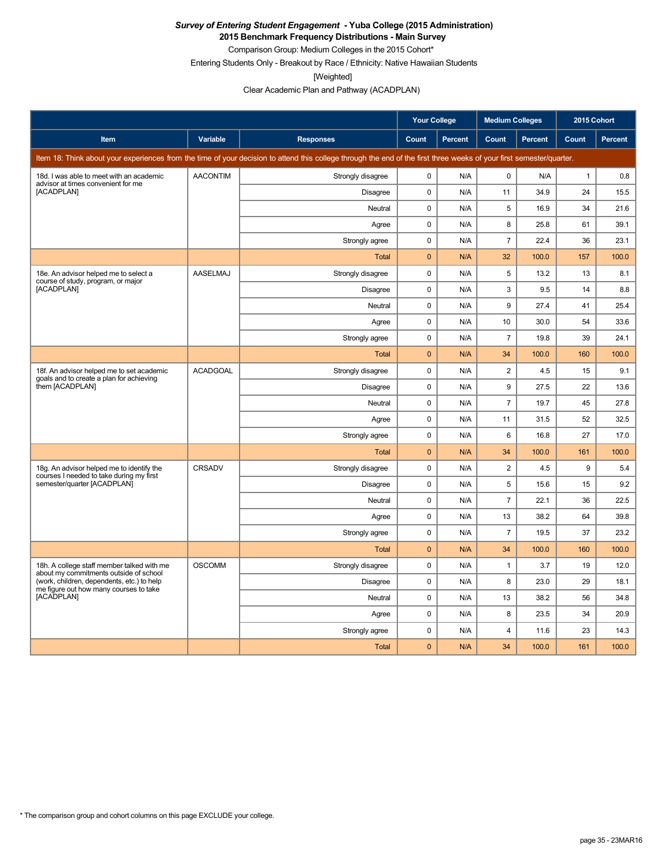**2015 Benchmark Frequency Distributions - Main Survey**

Comparison Group: Medium Colleges in the 2015 Cohort\* Entering Students Only - Breakout by Race / Ethnicity: Native Hawaiian Students

[Weighted]

|                                                                                                    |                 |                                                                                                                                                                      | <b>Your College</b> |                | <b>Medium Colleges</b>  |         | 2015 Cohort  |         |
|----------------------------------------------------------------------------------------------------|-----------------|----------------------------------------------------------------------------------------------------------------------------------------------------------------------|---------------------|----------------|-------------------------|---------|--------------|---------|
| Item                                                                                               | Variable        | <b>Responses</b>                                                                                                                                                     | <b>Count</b>        | <b>Percent</b> | Count                   | Percent | <b>Count</b> | Percent |
|                                                                                                    |                 | Item 18: Think about your experiences from the time of your decision to attend this college through the end of the first three weeks of your first semester/quarter. |                     |                |                         |         |              |         |
| 18d. I was able to meet with an academic<br>advisor at times convenient for me                     | <b>AACONTIM</b> | Strongly disagree                                                                                                                                                    | 0                   | N/A            | 0                       | N/A     | $\mathbf{1}$ | 0.8     |
| [ACADPLAN]                                                                                         |                 | Disagree                                                                                                                                                             | 0                   | N/A            | 11                      | 34.9    | 24           | 15.5    |
|                                                                                                    |                 | Neutral                                                                                                                                                              | 0                   | N/A            | 5                       | 16.9    | 34           | 21.6    |
|                                                                                                    |                 | Agree                                                                                                                                                                | 0                   | N/A            | 8                       | 25.8    | 61           | 39.1    |
|                                                                                                    |                 | Strongly agree                                                                                                                                                       | 0                   | N/A            | $\overline{7}$          | 22.4    | 36           | 23.1    |
|                                                                                                    |                 | Total                                                                                                                                                                | $\overline{0}$      | N/A            | 32                      | 100.0   | 157          | 100.0   |
| 18e. An advisor helped me to select a<br>course of study, program, or major                        | <b>AASELMAJ</b> | Strongly disagree                                                                                                                                                    | $\mathbf 0$         | N/A            | 5                       | 13.2    | 13           | 8.1     |
| [ACADPLAN]                                                                                         |                 | <b>Disagree</b>                                                                                                                                                      | 0                   | N/A            | 3                       | 9.5     | 14           | 8.8     |
|                                                                                                    |                 | Neutral                                                                                                                                                              | 0                   | N/A            | 9                       | 27.4    | 41           | 25.4    |
|                                                                                                    |                 | Agree                                                                                                                                                                | 0                   | N/A            | 10                      | 30.0    | 54           | 33.6    |
|                                                                                                    |                 | Strongly agree                                                                                                                                                       | 0                   | N/A            | $\overline{7}$          | 19.8    | 39           | 24.1    |
|                                                                                                    |                 | <b>Total</b>                                                                                                                                                         | $\mathbf 0$         | N/A            | 34                      | 100.0   | 160          | 100.0   |
| 18f. An advisor helped me to set academic<br>goals and to create a plan for achieving              | <b>ACADGOAL</b> | Strongly disagree                                                                                                                                                    | 0                   | N/A            | $\overline{\mathbf{c}}$ | 4.5     | 15           | 9.1     |
| them [ACADPLAN]                                                                                    |                 | <b>Disagree</b>                                                                                                                                                      | 0                   | N/A            | 9                       | 27.5    | 22           | 13.6    |
|                                                                                                    |                 | Neutral                                                                                                                                                              | 0                   | N/A            | $\overline{7}$          | 19.7    | 45           | 27.8    |
|                                                                                                    |                 | Agree                                                                                                                                                                | 0                   | N/A            | 11                      | 31.5    | 52           | 32.5    |
|                                                                                                    |                 | Strongly agree                                                                                                                                                       | 0                   | N/A            | 6                       | 16.8    | 27           | 17.0    |
|                                                                                                    |                 | Total                                                                                                                                                                | $\overline{0}$      | N/A            | 34                      | 100.0   | 161          | 100.0   |
| 18g. An advisor helped me to identify the<br>courses I needed to take during my first              | CRSADV          | Strongly disagree                                                                                                                                                    | 0                   | N/A            | $\overline{2}$          | 4.5     | 9            | 5.4     |
| semester/quarter [ACADPLAN]                                                                        |                 | <b>Disagree</b>                                                                                                                                                      | $\pmb{0}$           | N/A            | 5                       | 15.6    | 15           | 9.2     |
|                                                                                                    |                 | Neutral                                                                                                                                                              | $\mathbf 0$         | N/A            | $\overline{7}$          | 22.1    | 36           | 22.5    |
|                                                                                                    |                 | Agree                                                                                                                                                                | $\mathbf 0$         | N/A            | 13                      | 38.2    | 64           | 39.8    |
|                                                                                                    |                 | Strongly agree                                                                                                                                                       | 0                   | N/A            | $\overline{7}$          | 19.5    | 37           | 23.2    |
|                                                                                                    |                 | Total                                                                                                                                                                | $\overline{0}$      | N/A            | 34                      | 100.0   | 160          | 100.0   |
| 18h. A college staff member talked with me<br>about my commitments outside of school               | <b>OSCOMM</b>   | Strongly disagree                                                                                                                                                    | 0                   | N/A            | $\mathbf{1}$            | 3.7     | 19           | 12.0    |
| (work, children, dependents, etc.) to help<br>me figure out how many courses to take<br>[ACADPLAN] |                 | <b>Disagree</b>                                                                                                                                                      | 0                   | N/A            | 8                       | 23.0    | 29           | 18.1    |
|                                                                                                    |                 | Neutral                                                                                                                                                              | 0                   | N/A            | 13                      | 38.2    | 56           | 34.8    |
|                                                                                                    |                 | Agree                                                                                                                                                                | 0                   | N/A            | 8                       | 23.5    | 34           | 20.9    |
|                                                                                                    |                 | Strongly agree                                                                                                                                                       | 0                   | N/A            | 4                       | 11.6    | 23           | 14.3    |
|                                                                                                    |                 | <b>Total</b>                                                                                                                                                         | $\overline{0}$      | N/A            | 34                      | 100.0   | 161          | 100.0   |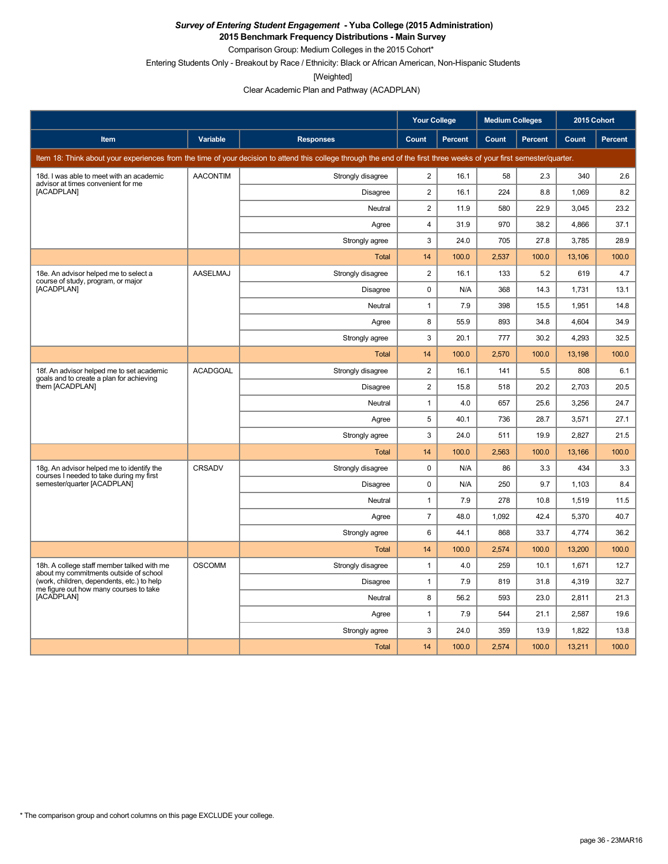**2015 Benchmark Frequency Distributions - Main Survey**

Comparison Group: Medium Colleges in the 2015 Cohort\*

Entering Students Only - Breakout by Race / Ethnicity: Black or African American, Non-Hispanic Students

[Weighted]

|                                                                                       |                 |                                                                                                                                                                      | <b>Your College</b> |                | <b>Medium Colleges</b> |         | 2015 Cohort  |         |
|---------------------------------------------------------------------------------------|-----------------|----------------------------------------------------------------------------------------------------------------------------------------------------------------------|---------------------|----------------|------------------------|---------|--------------|---------|
| Item                                                                                  | Variable        | <b>Responses</b>                                                                                                                                                     | Count               | <b>Percent</b> | Count                  | Percent | <b>Count</b> | Percent |
|                                                                                       |                 | Item 18: Think about your experiences from the time of your decision to attend this college through the end of the first three weeks of your first semester/quarter. |                     |                |                        |         |              |         |
| 18d. I was able to meet with an academic<br>advisor at times convenient for me        | <b>AACONTIM</b> | Strongly disagree                                                                                                                                                    | $\overline{2}$      | 16.1           | 58                     | 2.3     | 340          | 2.6     |
| [ACADPLAN]                                                                            |                 | <b>Disagree</b>                                                                                                                                                      | $\overline{c}$      | 16.1           | 224                    | 8.8     | 1,069        | 8.2     |
|                                                                                       |                 | Neutral                                                                                                                                                              | $\overline{c}$      | 11.9           | 580                    | 22.9    | 3,045        | 23.2    |
|                                                                                       |                 | Agree                                                                                                                                                                | 4                   | 31.9           | 970                    | 38.2    | 4,866        | 37.1    |
|                                                                                       |                 | Strongly agree                                                                                                                                                       | 3                   | 24.0           | 705                    | 27.8    | 3.785        | 28.9    |
|                                                                                       |                 | <b>Total</b>                                                                                                                                                         | 14                  | 100.0          | 2,537                  | 100.0   | 13,106       | 100.0   |
| 18e. An advisor helped me to select a<br>course of study, program, or major           | <b>AASELMAJ</b> | Strongly disagree                                                                                                                                                    | $\overline{c}$      | 16.1           | 133                    | 5.2     | 619          | 4.7     |
| [ACADPLAN]                                                                            |                 | <b>Disagree</b>                                                                                                                                                      | 0                   | N/A            | 368                    | 14.3    | 1,731        | 13.1    |
|                                                                                       |                 | Neutral                                                                                                                                                              | $\mathbf{1}$        | 7.9            | 398                    | 15.5    | 1,951        | 14.8    |
|                                                                                       |                 | Agree                                                                                                                                                                | 8                   | 55.9           | 893                    | 34.8    | 4,604        | 34.9    |
|                                                                                       |                 | Strongly agree                                                                                                                                                       | 3                   | 20.1           | 777                    | 30.2    | 4,293        | 32.5    |
|                                                                                       |                 | <b>Total</b>                                                                                                                                                         | 14                  | 100.0          | 2,570                  | 100.0   | 13,198       | 100.0   |
| 18f. An advisor helped me to set academic<br>goals and to create a plan for achieving | <b>ACADGOAL</b> | Strongly disagree                                                                                                                                                    | $\overline{c}$      | 16.1           | 141                    | 5.5     | 808          | 6.1     |
| them [ACADPLAN]                                                                       |                 | <b>Disagree</b>                                                                                                                                                      | $\overline{c}$      | 15.8           | 518                    | 20.2    | 2,703        | 20.5    |
|                                                                                       |                 | Neutral                                                                                                                                                              | $\mathbf{1}$        | 4.0            | 657                    | 25.6    | 3,256        | 24.7    |
|                                                                                       |                 | Agree                                                                                                                                                                | 5                   | 40.1           | 736                    | 28.7    | 3,571        | 27.1    |
|                                                                                       |                 | Strongly agree                                                                                                                                                       | 3                   | 24.0           | 511                    | 19.9    | 2,827        | 21.5    |
|                                                                                       |                 | <b>Total</b>                                                                                                                                                         | 14                  | 100.0          | 2,563                  | 100.0   | 13,166       | 100.0   |
| 18g. An advisor helped me to identify the<br>courses I needed to take during my first | CRSADV          | Strongly disagree                                                                                                                                                    | $\pmb{0}$           | N/A            | 86                     | 3.3     | 434          | 3.3     |
| semester/quarter [ACADPLAN]                                                           |                 | <b>Disagree</b>                                                                                                                                                      | 0                   | N/A            | 250                    | 9.7     | 1,103        | 8.4     |
|                                                                                       |                 | Neutral                                                                                                                                                              | 1                   | 7.9            | 278                    | 10.8    | 1,519        | 11.5    |
|                                                                                       |                 | Agree                                                                                                                                                                | 7                   | 48.0           | 1,092                  | 42.4    | 5,370        | 40.7    |
|                                                                                       |                 | Strongly agree                                                                                                                                                       | 6                   | 44.1           | 868                    | 33.7    | 4,774        | 36.2    |
|                                                                                       |                 | <b>Total</b>                                                                                                                                                         | 14                  | 100.0          | 2,574                  | 100.0   | 13,200       | 100.0   |
| 18h. A college staff member talked with me<br>about my commitments outside of school  | <b>OSCOMM</b>   | Strongly disagree                                                                                                                                                    | $\mathbf{1}$        | 4.0            | 259                    | 10.1    | 1,671        | 12.7    |
| (work, children, dependents, etc.) to help<br>me figure out how many courses to take  |                 | <b>Disagree</b>                                                                                                                                                      | $\mathbf{1}$        | 7.9            | 819                    | 31.8    | 4,319        | 32.7    |
| [ACADPLAN]                                                                            |                 | Neutral                                                                                                                                                              | 8                   | 56.2           | 593                    | 23.0    | 2.811        | 21.3    |
|                                                                                       |                 | Agree                                                                                                                                                                | $\mathbf{1}$        | 7.9            | 544                    | 21.1    | 2,587        | 19.6    |
|                                                                                       |                 | Strongly agree                                                                                                                                                       | 3                   | 24.0           | 359                    | 13.9    | 1,822        | 13.8    |
|                                                                                       |                 | <b>Total</b>                                                                                                                                                         | 14                  | 100.0          | 2,574                  | 100.0   | 13,211       | 100.0   |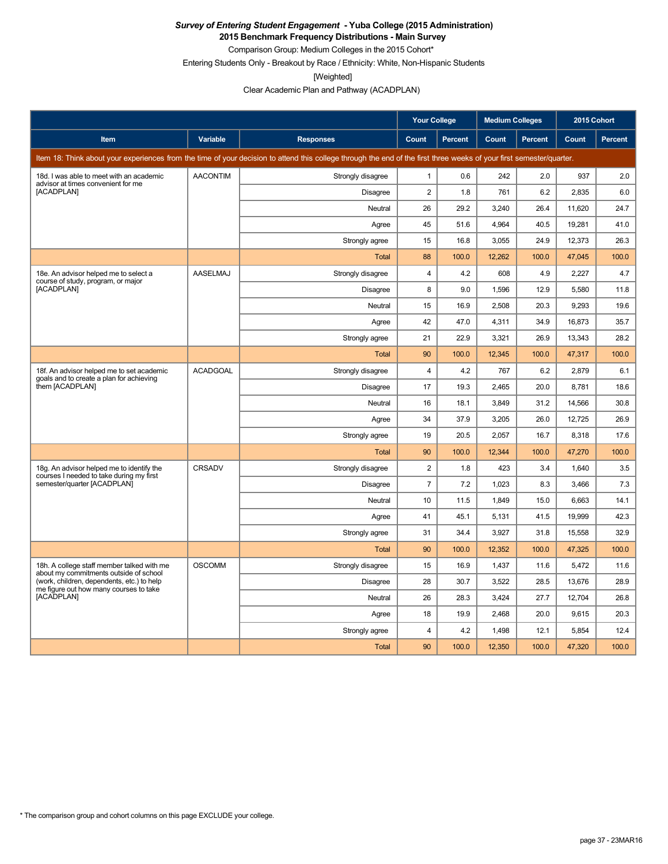**2015 Benchmark Frequency Distributions - Main Survey**

Comparison Group: Medium Colleges in the 2015 Cohort\* Entering Students Only - Breakout by Race / Ethnicity: White, Non-Hispanic Students

[Weighted]

Clear Academic Plan and Pathway (ACADPLAN)

|                                                                                       |                 |                                                                                                                                                                      | <b>Your College</b>     |                | <b>Medium Colleges</b> |         | 2015 Cohort |         |
|---------------------------------------------------------------------------------------|-----------------|----------------------------------------------------------------------------------------------------------------------------------------------------------------------|-------------------------|----------------|------------------------|---------|-------------|---------|
| <b>Item</b>                                                                           | <b>Variable</b> | <b>Responses</b>                                                                                                                                                     | Count                   | <b>Percent</b> | Count                  | Percent | Count       | Percent |
|                                                                                       |                 | Item 18: Think about your experiences from the time of your decision to attend this college through the end of the first three weeks of your first semester/quarter. |                         |                |                        |         |             |         |
| 18d. I was able to meet with an academic<br>advisor at times convenient for me        | <b>AACONTIM</b> | Strongly disagree                                                                                                                                                    | $\mathbf{1}$            | 0.6            | 242                    | 2.0     | 937         | 2.0     |
| [ACADPLAN]                                                                            |                 | Disagree                                                                                                                                                             | $\overline{2}$          | 1.8            | 761                    | 6.2     | 2,835       | 6.0     |
|                                                                                       |                 | Neutral                                                                                                                                                              | 26                      | 29.2           | 3,240                  | 26.4    | 11,620      | 24.7    |
|                                                                                       |                 | Agree                                                                                                                                                                | 45                      | 51.6           | 4,964                  | 40.5    | 19,281      | 41.0    |
|                                                                                       |                 | Strongly agree                                                                                                                                                       | 15                      | 16.8           | 3,055                  | 24.9    | 12,373      | 26.3    |
|                                                                                       |                 | Total                                                                                                                                                                | 88                      | 100.0          | 12,262                 | 100.0   | 47,045      | 100.0   |
| 18e. An advisor helped me to select a<br>course of study, program, or major           | AASELMAJ        | Strongly disagree                                                                                                                                                    | $\overline{\mathbf{4}}$ | 4.2            | 608                    | 4.9     | 2,227       | 4.7     |
| [ACADPLAN]                                                                            |                 | Disagree                                                                                                                                                             | 8                       | 9.0            | 1,596                  | 12.9    | 5,580       | 11.8    |
|                                                                                       |                 | Neutral                                                                                                                                                              | 15                      | 16.9           | 2,508                  | 20.3    | 9,293       | 19.6    |
|                                                                                       |                 | Agree                                                                                                                                                                | 42                      | 47.0           | 4,311                  | 34.9    | 16,873      | 35.7    |
|                                                                                       |                 | Strongly agree                                                                                                                                                       | 21                      | 22.9           | 3,321                  | 26.9    | 13,343      | 28.2    |
|                                                                                       |                 | Total                                                                                                                                                                | 90                      | 100.0          | 12,345                 | 100.0   | 47,317      | 100.0   |
| 18f. An advisor helped me to set academic<br>goals and to create a plan for achieving | <b>ACADGOAL</b> | Strongly disagree                                                                                                                                                    | $\overline{\mathbf{4}}$ | 4.2            | 767                    | 6.2     | 2,879       | 6.1     |
| them [ACADPLAN]                                                                       |                 | Disagree                                                                                                                                                             | 17                      | 19.3           | 2,465                  | 20.0    | 8,781       | 18.6    |
|                                                                                       |                 | Neutral                                                                                                                                                              | 16                      | 18.1           | 3,849                  | 31.2    | 14,566      | 30.8    |
|                                                                                       |                 | Agree                                                                                                                                                                | 34                      | 37.9           | 3,205                  | 26.0    | 12,725      | 26.9    |
|                                                                                       |                 | Strongly agree                                                                                                                                                       | 19                      | 20.5           | 2,057                  | 16.7    | 8,318       | 17.6    |
|                                                                                       |                 | Total                                                                                                                                                                | 90                      | 100.0          | 12,344                 | 100.0   | 47,270      | 100.0   |
| 18g. An advisor helped me to identify the<br>courses I needed to take during my first | CRSADV          | Strongly disagree                                                                                                                                                    | $\overline{c}$          | 1.8            | 423                    | 3.4     | 1,640       | 3.5     |
| semester/quarter [ACADPLAN]                                                           |                 | Disagree                                                                                                                                                             | $\overline{7}$          | 7.2            | 1,023                  | 8.3     | 3,466       | 7.3     |
|                                                                                       |                 | Neutral                                                                                                                                                              | 10                      | 11.5           | 1,849                  | 15.0    | 6,663       | 14.1    |
|                                                                                       |                 | Agree                                                                                                                                                                | 41                      | 45.1           | 5,131                  | 41.5    | 19,999      | 42.3    |
|                                                                                       |                 | Strongly agree                                                                                                                                                       | 31                      | 34.4           | 3,927                  | 31.8    | 15,558      | 32.9    |
|                                                                                       |                 | <b>Total</b>                                                                                                                                                         | 90                      | 100.0          | 12,352                 | 100.0   | 47,325      | 100.0   |
| 18h. A college staff member talked with me<br>about my commitments outside of school  | <b>OSCOMM</b>   | Strongly disagree                                                                                                                                                    | 15                      | 16.9           | 1,437                  | 11.6    | 5,472       | 11.6    |
| (work, children, dependents, etc.) to help<br>me figure out how many courses to take  |                 | Disagree                                                                                                                                                             | 28                      | 30.7           | 3,522                  | 28.5    | 13,676      | 28.9    |
| [ACADPLAN]                                                                            |                 | Neutral                                                                                                                                                              | 26                      | 28.3           | 3,424                  | 27.7    | 12,704      | 26.8    |
|                                                                                       |                 | Agree                                                                                                                                                                | 18                      | 19.9           | 2,468                  | 20.0    | 9,615       | 20.3    |
|                                                                                       |                 | Strongly agree                                                                                                                                                       | $\overline{4}$          | 4.2            | 1,498                  | 12.1    | 5,854       | 12.4    |
|                                                                                       |                 | <b>Total</b>                                                                                                                                                         | 90                      | 100.0          | 12,350                 | 100.0   | 47,320      | 100.0   |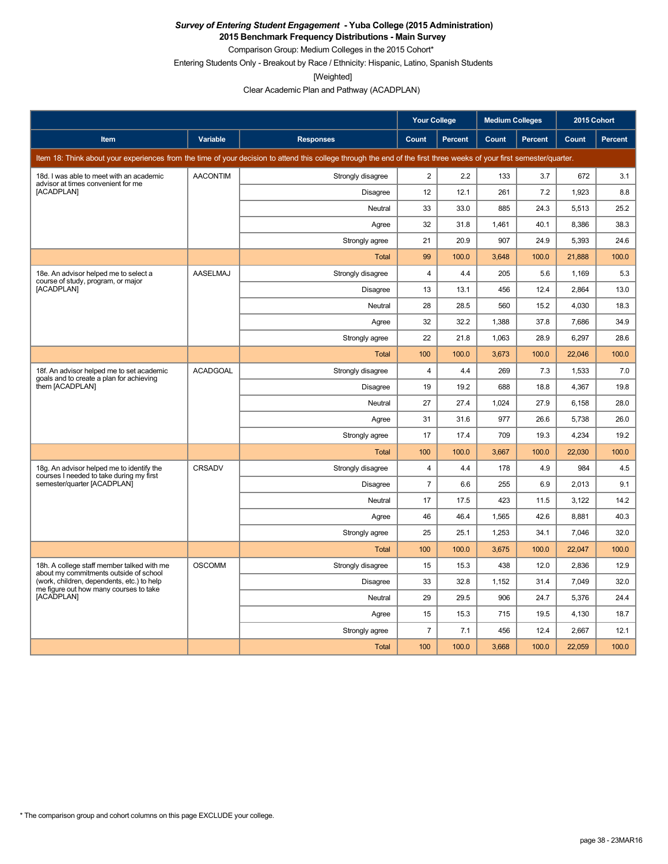**2015 Benchmark Frequency Distributions - Main Survey** Comparison Group: Medium Colleges in the 2015 Cohort\*

Entering Students Only - Breakout by Race / Ethnicity: Hispanic, Latino, Spanish Students

[Weighted]

Clear Academic Plan and Pathway (ACADPLAN)

|                                                                                       |                 |                                                                                                                                                                      | <b>Your College</b> |                | <b>Medium Colleges</b> |         | 2015 Cohort |         |
|---------------------------------------------------------------------------------------|-----------------|----------------------------------------------------------------------------------------------------------------------------------------------------------------------|---------------------|----------------|------------------------|---------|-------------|---------|
| Item                                                                                  | Variable        | <b>Responses</b>                                                                                                                                                     | <b>Count</b>        | <b>Percent</b> | Count                  | Percent | Count       | Percent |
|                                                                                       |                 | Item 18: Think about your experiences from the time of your decision to attend this college through the end of the first three weeks of your first semester/quarter. |                     |                |                        |         |             |         |
| 18d. I was able to meet with an academic<br>advisor at times convenient for me        | <b>AACONTIM</b> | Strongly disagree                                                                                                                                                    | $\overline{2}$      | 2.2            | 133                    | 3.7     | 672         | 3.1     |
| [ACADPLAN]                                                                            |                 | Disagree                                                                                                                                                             | 12                  | 12.1           | 261                    | 7.2     | 1,923       | 8.8     |
|                                                                                       |                 | Neutral                                                                                                                                                              | 33                  | 33.0           | 885                    | 24.3    | 5,513       | 25.2    |
|                                                                                       |                 | Agree                                                                                                                                                                | 32                  | 31.8           | 1,461                  | 40.1    | 8,386       | 38.3    |
|                                                                                       |                 | Strongly agree                                                                                                                                                       | 21                  | 20.9           | 907                    | 24.9    | 5,393       | 24.6    |
|                                                                                       |                 | Total                                                                                                                                                                | 99                  | 100.0          | 3,648                  | 100.0   | 21,888      | 100.0   |
| 18e. An advisor helped me to select a<br>course of study, program, or major           | <b>AASELMAJ</b> | Strongly disagree                                                                                                                                                    | $\overline{4}$      | 4.4            | 205                    | 5.6     | 1,169       | 5.3     |
| [ACADPLAN]                                                                            |                 | <b>Disagree</b>                                                                                                                                                      | 13                  | 13.1           | 456                    | 12.4    | 2,864       | 13.0    |
|                                                                                       |                 | Neutral                                                                                                                                                              | 28                  | 28.5           | 560                    | 15.2    | 4,030       | 18.3    |
|                                                                                       |                 | Agree                                                                                                                                                                | 32                  | 32.2           | 1,388                  | 37.8    | 7,686       | 34.9    |
|                                                                                       |                 | Strongly agree                                                                                                                                                       | 22                  | 21.8           | 1,063                  | 28.9    | 6,297       | 28.6    |
|                                                                                       |                 | Total                                                                                                                                                                | 100                 | 100.0          | 3,673                  | 100.0   | 22,046      | 100.0   |
| 18f. An advisor helped me to set academic<br>goals and to create a plan for achieving | <b>ACADGOAL</b> | Strongly disagree                                                                                                                                                    | 4                   | 4.4            | 269                    | 7.3     | 1,533       | 7.0     |
| them [ACADPLAN]                                                                       |                 | <b>Disagree</b>                                                                                                                                                      | 19                  | 19.2           | 688                    | 18.8    | 4,367       | 19.8    |
|                                                                                       |                 | Neutral                                                                                                                                                              | 27                  | 27.4           | 1,024                  | 27.9    | 6,158       | 28.0    |
|                                                                                       |                 | Agree                                                                                                                                                                | 31                  | 31.6           | 977                    | 26.6    | 5,738       | 26.0    |
|                                                                                       |                 | Strongly agree                                                                                                                                                       | 17                  | 17.4           | 709                    | 19.3    | 4,234       | 19.2    |
|                                                                                       |                 | <b>Total</b>                                                                                                                                                         | 100                 | 100.0          | 3.667                  | 100.0   | 22.030      | 100.0   |
| 18g. An advisor helped me to identify the<br>courses I needed to take during my first | <b>CRSADV</b>   | Strongly disagree                                                                                                                                                    | 4                   | 4.4            | 178                    | 4.9     | 984         | 4.5     |
| semester/quarter [ACADPLAN]                                                           |                 | Disagree                                                                                                                                                             | $\overline{7}$      | 6.6            | 255                    | 6.9     | 2.013       | 9.1     |
|                                                                                       |                 | Neutral                                                                                                                                                              | 17                  | 17.5           | 423                    | 11.5    | 3,122       | 14.2    |
|                                                                                       |                 | Agree                                                                                                                                                                | 46                  | 46.4           | 1,565                  | 42.6    | 8,881       | 40.3    |
|                                                                                       |                 | Strongly agree                                                                                                                                                       | 25                  | 25.1           | 1,253                  | 34.1    | 7,046       | 32.0    |
|                                                                                       |                 | Total                                                                                                                                                                | 100                 | 100.0          | 3,675                  | 100.0   | 22,047      | 100.0   |
| 18h. A college staff member talked with me<br>about my commitments outside of school  | <b>OSCOMM</b>   | Strongly disagree                                                                                                                                                    | 15                  | 15.3           | 438                    | 12.0    | 2,836       | 12.9    |
| (work, children, dependents, etc.) to help<br>me figure out how many courses to take  |                 | Disagree                                                                                                                                                             | 33                  | 32.8           | 1,152                  | 31.4    | 7,049       | 32.0    |
| [ACADPLAN]                                                                            |                 | Neutral                                                                                                                                                              | 29                  | 29.5           | 906                    | 24.7    | 5,376       | 24.4    |
|                                                                                       |                 | Agree                                                                                                                                                                | 15                  | 15.3           | 715                    | 19.5    | 4,130       | 18.7    |
|                                                                                       |                 | Strongly agree                                                                                                                                                       | $\overline{7}$      | 7.1            | 456                    | 12.4    | 2,667       | 12.1    |
|                                                                                       |                 | Total                                                                                                                                                                | 100                 | 100.0          | 3,668                  | 100.0   | 22,059      | 100.0   |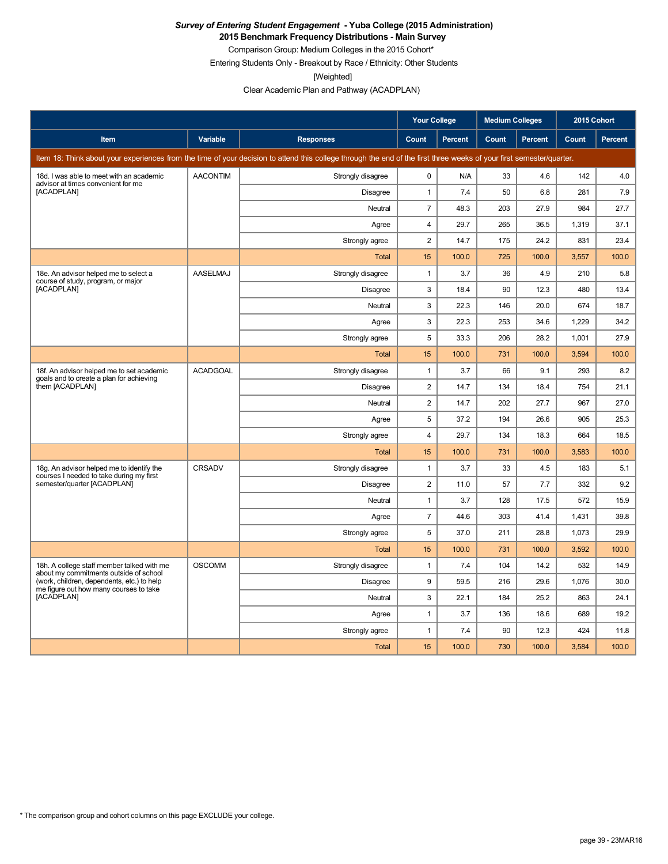**2015 Benchmark Frequency Distributions - Main Survey**

Comparison Group: Medium Colleges in the 2015 Cohort\* Entering Students Only - Breakout by Race / Ethnicity: Other Students

[Weighted]

Clear Academic Plan and Pathway (ACADPLAN)

|                                                                                       |                 |                                                                                                                                                                      | <b>Your College</b> |                | <b>Medium Colleges</b> |                | 2015 Cohort |                |
|---------------------------------------------------------------------------------------|-----------------|----------------------------------------------------------------------------------------------------------------------------------------------------------------------|---------------------|----------------|------------------------|----------------|-------------|----------------|
| Item                                                                                  | Variable        | <b>Responses</b>                                                                                                                                                     | Count               | <b>Percent</b> | Count                  | <b>Percent</b> | Count       | <b>Percent</b> |
|                                                                                       |                 | Item 18: Think about your experiences from the time of your decision to attend this college through the end of the first three weeks of your first semester/quarter. |                     |                |                        |                |             |                |
| 18d. I was able to meet with an academic<br>advisor at times convenient for me        | <b>AACONTIM</b> | Strongly disagree                                                                                                                                                    | 0                   | N/A            | 33                     | 4.6            | 142         | 4.0            |
| [ACADPLAN]                                                                            |                 | Disagree                                                                                                                                                             | $\mathbf{1}$        | 7.4            | 50                     | 6.8            | 281         | 7.9            |
|                                                                                       |                 | Neutral                                                                                                                                                              | $\overline{7}$      | 48.3           | 203                    | 27.9           | 984         | 27.7           |
|                                                                                       |                 | Agree                                                                                                                                                                | $\overline{4}$      | 29.7           | 265                    | 36.5           | 1,319       | 37.1           |
|                                                                                       |                 | Strongly agree                                                                                                                                                       | $\overline{2}$      | 14.7           | 175                    | 24.2           | 831         | 23.4           |
|                                                                                       |                 | <b>Total</b>                                                                                                                                                         | 15                  | 100.0          | 725                    | 100.0          | 3,557       | 100.0          |
| 18e. An advisor helped me to select a<br>course of study, program, or major           | AASELMAJ        | Strongly disagree                                                                                                                                                    | $\mathbf{1}$        | 3.7            | 36                     | 4.9            | 210         | 5.8            |
| [ACADPLAN]                                                                            |                 | Disagree                                                                                                                                                             | 3                   | 18.4           | 90                     | 12.3           | 480         | 13.4           |
|                                                                                       |                 | Neutral                                                                                                                                                              | 3                   | 22.3           | 146                    | 20.0           | 674         | 18.7           |
|                                                                                       |                 | Agree                                                                                                                                                                | 3                   | 22.3           | 253                    | 34.6           | 1,229       | 34.2           |
|                                                                                       |                 | Strongly agree                                                                                                                                                       | 5                   | 33.3           | 206                    | 28.2           | 1,001       | 27.9           |
|                                                                                       |                 | Total                                                                                                                                                                | 15                  | 100.0          | 731                    | 100.0          | 3,594       | 100.0          |
| 18f. An advisor helped me to set academic<br>goals and to create a plan for achieving | <b>ACADGOAL</b> | Strongly disagree                                                                                                                                                    | $\mathbf{1}$        | 3.7            | 66                     | 9.1            | 293         | 8.2            |
| them [ACADPLAN]                                                                       |                 | <b>Disagree</b>                                                                                                                                                      | $\overline{2}$      | 14.7           | 134                    | 18.4           | 754         | 21.1           |
|                                                                                       |                 | Neutral                                                                                                                                                              | $\overline{2}$      | 14.7           | 202                    | 27.7           | 967         | 27.0           |
|                                                                                       |                 | Agree                                                                                                                                                                | 5                   | 37.2           | 194                    | 26.6           | 905         | 25.3           |
|                                                                                       |                 | Strongly agree                                                                                                                                                       | $\overline{4}$      | 29.7           | 134                    | 18.3           | 664         | 18.5           |
|                                                                                       |                 | Total                                                                                                                                                                | 15                  | 100.0          | 731                    | 100.0          | 3,583       | 100.0          |
| 18g. An advisor helped me to identify the<br>courses I needed to take during my first | <b>CRSADV</b>   | Strongly disagree                                                                                                                                                    | $\mathbf{1}$        | 3.7            | 33                     | 4.5            | 183         | 5.1            |
| semester/quarter [ACADPLAN]                                                           |                 | Disagree                                                                                                                                                             | $\overline{2}$      | 11.0           | 57                     | 7.7            | 332         | 9.2            |
|                                                                                       |                 | Neutral                                                                                                                                                              | $\mathbf{1}$        | 3.7            | 128                    | 17.5           | 572         | 15.9           |
|                                                                                       |                 | Agree                                                                                                                                                                | $\overline{7}$      | 44.6           | 303                    | 41.4           | 1,431       | 39.8           |
|                                                                                       |                 | Strongly agree                                                                                                                                                       | 5                   | 37.0           | 211                    | 28.8           | 1.073       | 29.9           |
|                                                                                       |                 | Total                                                                                                                                                                | 15                  | 100.0          | 731                    | 100.0          | 3,592       | 100.0          |
| 18h. A college staff member talked with me<br>about my commitments outside of school  | <b>OSCOMM</b>   | Strongly disagree                                                                                                                                                    | $\mathbf{1}$        | 7.4            | 104                    | 14.2           | 532         | 14.9           |
| (work, children, dependents, etc.) to help<br>me figure out how many courses to take  |                 | Disagree                                                                                                                                                             | 9                   | 59.5           | 216                    | 29.6           | 1,076       | 30.0           |
| [ACADPLAN]                                                                            |                 | Neutral                                                                                                                                                              | 3                   | 22.1           | 184                    | 25.2           | 863         | 24.1           |
|                                                                                       |                 | Agree                                                                                                                                                                | $\mathbf{1}$        | 3.7            | 136                    | 18.6           | 689         | 19.2           |
|                                                                                       |                 | Strongly agree                                                                                                                                                       | $\mathbf{1}$        | 7.4            | 90                     | 12.3           | 424         | 11.8           |
|                                                                                       |                 | <b>Total</b>                                                                                                                                                         | 15                  | 100.0          | 730                    | 100.0          | 3,584       | 100.0          |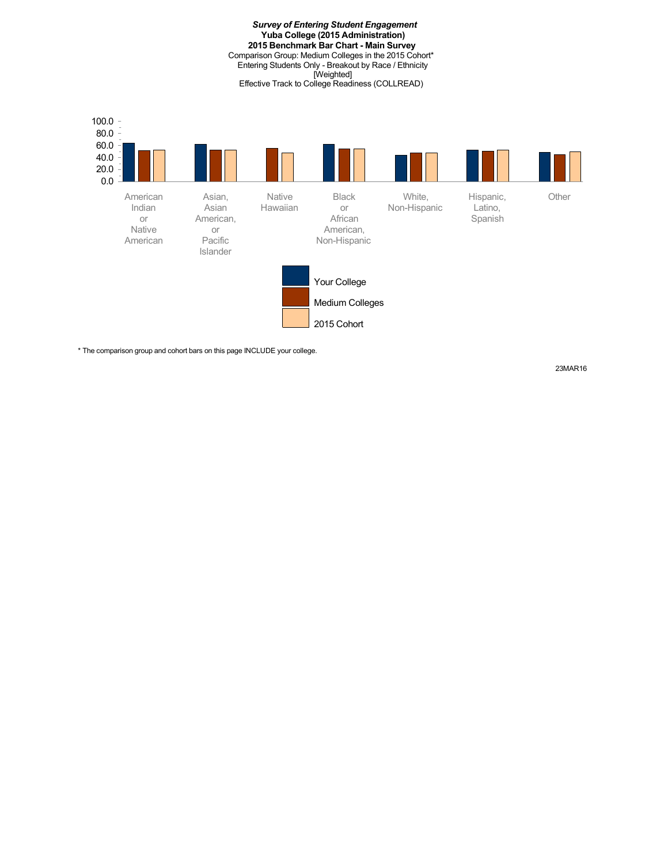*Survey of Entering Student Engagement* **Yuba College (2015 Administration) 2015 Benchmark Bar Chart - Main Survey** Comparison Group: Medium Colleges in the 2015 Cohort\* Entering Students Only - Breakout by Race / Ethnicity [Weighted] Effective Track to College Readiness (COLLREAD)



\* The comparison group and cohort bars on this page INCLUDE your college.

23MAR16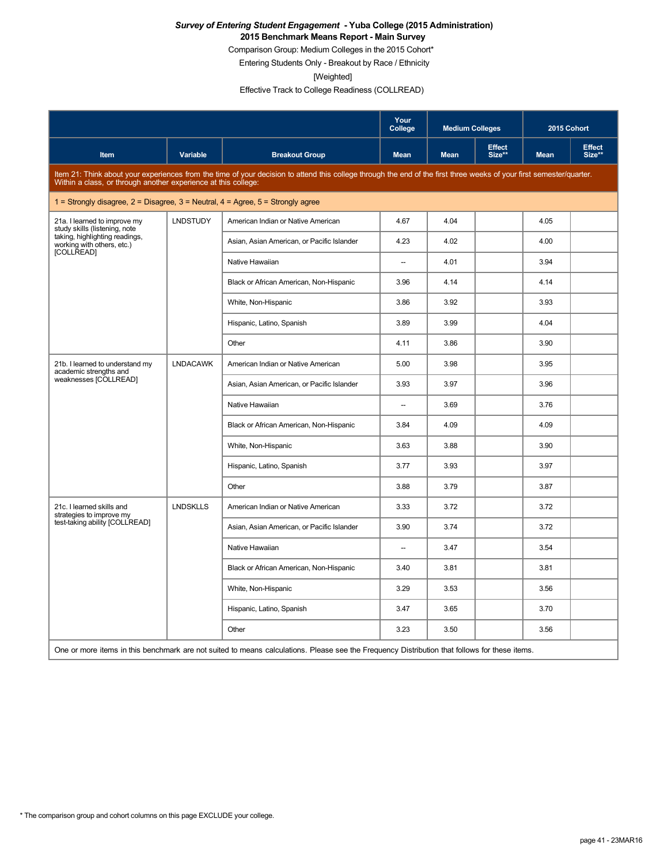Comparison Group: Medium Colleges in the 2015 Cohort\*

Entering Students Only - Breakout by Race / Ethnicity

[Weighted]

Effective Track to College Readiness (COLLREAD)

|                                                                                         |                 |                                                                                                                                                                                                                                   | Your<br>College          | <b>Medium Colleges</b> |                         | 2015 Cohort |                         |
|-----------------------------------------------------------------------------------------|-----------------|-----------------------------------------------------------------------------------------------------------------------------------------------------------------------------------------------------------------------------------|--------------------------|------------------------|-------------------------|-------------|-------------------------|
| Item                                                                                    | <b>Variable</b> | <b>Breakout Group</b>                                                                                                                                                                                                             | <b>Mean</b>              | <b>Mean</b>            | <b>Effect</b><br>Size** | <b>Mean</b> | <b>Effect</b><br>Size** |
|                                                                                         |                 | Item 21: Think about your experiences from the time of your decision to attend this college through the end of the first three weeks of your first semester/quarter.<br>Within a class, or through another experience at this col |                          |                        |                         |             |                         |
| 1 = Strongly disagree, $2$ = Disagree, $3$ = Neutral, $4$ = Agree, $5$ = Strongly agree |                 |                                                                                                                                                                                                                                   |                          |                        |                         |             |                         |
| 21a. I learned to improve my<br>study skills (listening, note                           | <b>LNDSTUDY</b> | American Indian or Native American                                                                                                                                                                                                | 4.67                     | 4.04                   |                         | 4.05        |                         |
| taking, highlighting readings,<br>working with others, etc.)<br>[COLLREAD]              |                 | Asian, Asian American, or Pacific Islander                                                                                                                                                                                        | 4.23                     | 4.02                   |                         | 4.00        |                         |
|                                                                                         |                 | Native Hawaiian                                                                                                                                                                                                                   | $\sim$                   | 4.01                   |                         | 3.94        |                         |
|                                                                                         |                 | Black or African American, Non-Hispanic                                                                                                                                                                                           | 3.96                     | 4.14                   |                         | 4.14        |                         |
|                                                                                         |                 | White, Non-Hispanic                                                                                                                                                                                                               | 3.86                     | 3.92                   |                         | 3.93        |                         |
|                                                                                         |                 | Hispanic, Latino, Spanish                                                                                                                                                                                                         | 3.89                     | 3.99                   |                         | 4.04        |                         |
|                                                                                         |                 | Other                                                                                                                                                                                                                             | 4.11                     | 3.86                   |                         | 3.90        |                         |
| 21b. I learned to understand my<br>academic strengths and                               | <b>LNDACAWK</b> | American Indian or Native American                                                                                                                                                                                                | 5.00                     | 3.98                   |                         | 3.95        |                         |
| weaknesses [COLLREAD]                                                                   |                 | Asian, Asian American, or Pacific Islander                                                                                                                                                                                        | 3.93                     | 3.97                   |                         | 3.96        |                         |
|                                                                                         |                 | Native Hawaiian                                                                                                                                                                                                                   | $\sim$                   | 3.69                   |                         | 3.76        |                         |
|                                                                                         |                 | Black or African American, Non-Hispanic                                                                                                                                                                                           | 3.84                     | 4.09                   |                         | 4.09        |                         |
|                                                                                         |                 | White, Non-Hispanic                                                                                                                                                                                                               | 3.63                     | 3.88                   |                         | 3.90        |                         |
|                                                                                         |                 | Hispanic, Latino, Spanish                                                                                                                                                                                                         | 3.77                     | 3.93                   |                         | 3.97        |                         |
|                                                                                         |                 | Other                                                                                                                                                                                                                             | 3.88                     | 3.79                   |                         | 3.87        |                         |
| 21c. I learned skills and<br>strategies to improve my                                   | <b>LNDSKLLS</b> | American Indian or Native American                                                                                                                                                                                                | 3.33                     | 3.72                   |                         | 3.72        |                         |
| test-taking ability [COLLREAD]                                                          |                 | Asian, Asian American, or Pacific Islander                                                                                                                                                                                        | 3.90                     | 3.74                   |                         | 3.72        |                         |
|                                                                                         |                 | Native Hawaiian                                                                                                                                                                                                                   | $\overline{\phantom{a}}$ | 3.47                   |                         | 3.54        |                         |
|                                                                                         |                 | Black or African American, Non-Hispanic                                                                                                                                                                                           | 3.40                     | 3.81                   |                         | 3.81        |                         |
|                                                                                         |                 | White, Non-Hispanic                                                                                                                                                                                                               | 3.29                     | 3.53                   |                         | 3.56        |                         |
|                                                                                         |                 | Hispanic, Latino, Spanish                                                                                                                                                                                                         | 3.47                     | 3.65                   |                         | 3.70        |                         |
|                                                                                         |                 | Other                                                                                                                                                                                                                             | 3.23                     | 3.50                   |                         | 3.56        |                         |
|                                                                                         |                 | One or more items in this benchmark are not suited to means calculations. Please see the Frequency Distribution that follows for these items.                                                                                     |                          |                        |                         |             |                         |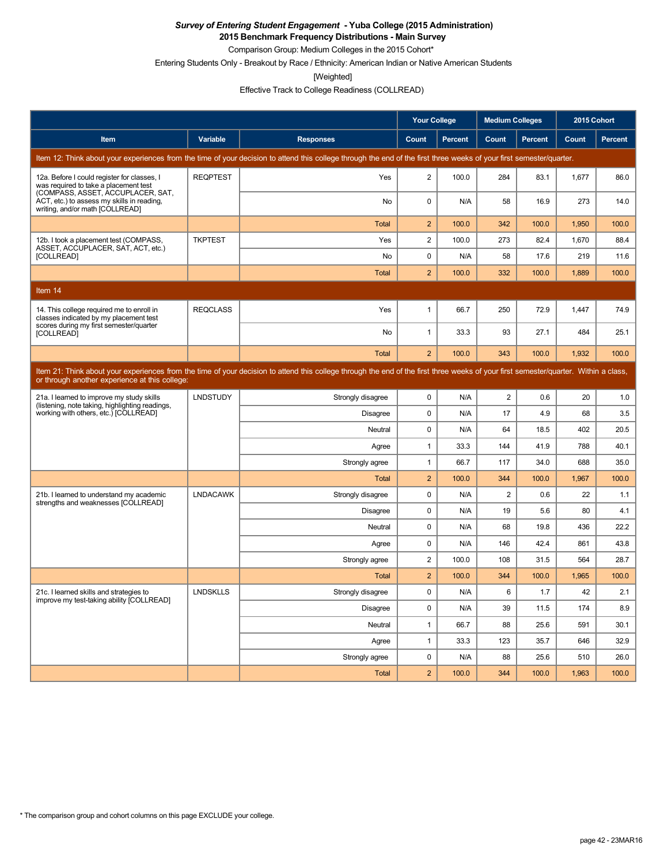**2015 Benchmark Frequency Distributions - Main Survey**

Comparison Group: Medium Colleges in the 2015 Cohort\*

Entering Students Only - Breakout by Race / Ethnicity: American Indian or Native American Students

[Weighted]

Effective Track to College Readiness (COLLREAD)

|                                                                                                                           |                 |                                                                                                                                                                                      | <b>Your College</b> |                | <b>Medium Colleges</b> |         | 2015 Cohort |         |
|---------------------------------------------------------------------------------------------------------------------------|-----------------|--------------------------------------------------------------------------------------------------------------------------------------------------------------------------------------|---------------------|----------------|------------------------|---------|-------------|---------|
| Item                                                                                                                      | Variable        | <b>Responses</b>                                                                                                                                                                     | Count               | <b>Percent</b> | Count                  | Percent | Count       | Percent |
|                                                                                                                           |                 | Item 12: Think about your experiences from the time of your decision to attend this college through the end of the first three weeks of your first semester/quarter.                 |                     |                |                        |         |             |         |
| 12a. Before I could register for classes, I<br>was required to take a placement test<br>(COMPASS, ASSET, ACCUPLACER, SAT, | <b>REQPTEST</b> | Yes                                                                                                                                                                                  | $\overline{c}$      | 100.0          | 284                    | 83.1    | 1,677       | 86.0    |
| ACT, etc.) to assess my skills in reading,<br>writing, and/or math [COLLREAD]                                             |                 | No                                                                                                                                                                                   | 0                   | N/A            | 58                     | 16.9    | 273         | 14.0    |
|                                                                                                                           |                 | Total                                                                                                                                                                                | $\overline{2}$      | 100.0          | 342                    | 100.0   | 1,950       | 100.0   |
| 12b. I took a placement test (COMPASS,<br>ASSET, ACCUPLACER, SAT, ACT, etc.)                                              | <b>TKPTEST</b>  | Yes                                                                                                                                                                                  | $\overline{2}$      | 100.0          | 273                    | 82.4    | 1,670       | 88.4    |
| [COLLREAD]                                                                                                                |                 | No                                                                                                                                                                                   | $\mathbf 0$         | N/A            | 58                     | 17.6    | 219         | 11.6    |
|                                                                                                                           |                 | Total                                                                                                                                                                                | $\overline{2}$      | 100.0          | 332                    | 100.0   | 1,889       | 100.0   |
| Item 14                                                                                                                   |                 |                                                                                                                                                                                      |                     |                |                        |         |             |         |
| 14. This college required me to enroll in<br>classes indicated by my placement test                                       | <b>REQCLASS</b> | Yes                                                                                                                                                                                  | 1                   | 66.7           | 250                    | 72.9    | 1,447       | 74.9    |
| scores during my first semester/quarter<br>[COLLREAD]                                                                     |                 | No                                                                                                                                                                                   | $\mathbf{1}$        | 33.3           | 93                     | 27.1    | 484         | 25.1    |
|                                                                                                                           |                 | Total                                                                                                                                                                                | $\overline{2}$      | 100.0          | 343                    | 100.0   | 1,932       | 100.0   |
| or through another experience at this college:                                                                            |                 | Item 21: Think about your experiences from the time of your decision to attend this college through the end of the first three weeks of your first semester/quarter. Within a class, |                     |                |                        |         |             |         |
| 21a. I learned to improve my study skills                                                                                 | <b>LNDSTUDY</b> | Strongly disagree                                                                                                                                                                    | $\mathbf 0$         | N/A            | $\overline{2}$         | 0.6     | 20          | 1.0     |
| (listening, note taking, highlighting readings,<br>working with others, etc.) [COLLREAD]                                  |                 | <b>Disagree</b>                                                                                                                                                                      | $\mathbf 0$         | N/A            | 17                     | 4.9     | 68          | 3.5     |
|                                                                                                                           |                 | Neutral                                                                                                                                                                              | 0                   | N/A            | 64                     | 18.5    | 402         | 20.5    |
|                                                                                                                           |                 | Agree                                                                                                                                                                                | 1                   | 33.3           | 144                    | 41.9    | 788         | 40.1    |
|                                                                                                                           |                 | Strongly agree                                                                                                                                                                       | 1                   | 66.7           | 117                    | 34.0    | 688         | 35.0    |
|                                                                                                                           |                 | Total                                                                                                                                                                                | $\overline{2}$      | 100.0          | 344                    | 100.0   | 1,967       | 100.0   |
| 21b. I learned to understand my academic<br>strengths and weaknesses [COLLREAD]                                           | <b>LNDACAWK</b> | Strongly disagree                                                                                                                                                                    | 0                   | N/A            | 2                      | 0.6     | 22          | 1.1     |
|                                                                                                                           |                 | <b>Disagree</b>                                                                                                                                                                      | 0                   | N/A            | 19                     | 5.6     | 80          | 4.1     |
|                                                                                                                           |                 | Neutral                                                                                                                                                                              | 0                   | N/A            | 68                     | 19.8    | 436         | 22.2    |
|                                                                                                                           |                 | Agree                                                                                                                                                                                | $\pmb{0}$           | N/A            | 146                    | 42.4    | 861         | 43.8    |
|                                                                                                                           |                 | Strongly agree                                                                                                                                                                       | $\overline{2}$      | 100.0          | 108                    | 31.5    | 564         | 28.7    |
|                                                                                                                           |                 | Total                                                                                                                                                                                | $\overline{2}$      | 100.0          | 344                    | 100.0   | 1,965       | 100.0   |
| 21c. I learned skills and strategies to<br>improve my test-taking ability [COLLREAD]                                      | <b>LNDSKLLS</b> | Strongly disagree                                                                                                                                                                    | $\mathbf 0$         | N/A            | 6                      | 1.7     | 42          | 2.1     |
|                                                                                                                           |                 | Disagree                                                                                                                                                                             | 0                   | N/A            | 39                     | 11.5    | 174         | 8.9     |
|                                                                                                                           |                 | Neutral                                                                                                                                                                              | $\mathbf{1}$        | 66.7           | 88                     | 25.6    | 591         | 30.1    |
|                                                                                                                           |                 | Agree                                                                                                                                                                                | $\mathbf{1}$        | 33.3           | 123                    | 35.7    | 646         | 32.9    |
|                                                                                                                           |                 | Strongly agree                                                                                                                                                                       | 0                   | N/A            | 88                     | 25.6    | 510         | 26.0    |
|                                                                                                                           |                 | Total                                                                                                                                                                                | $\overline{2}$      | 100.0          | 344                    | 100.0   | 1,963       | 100.0   |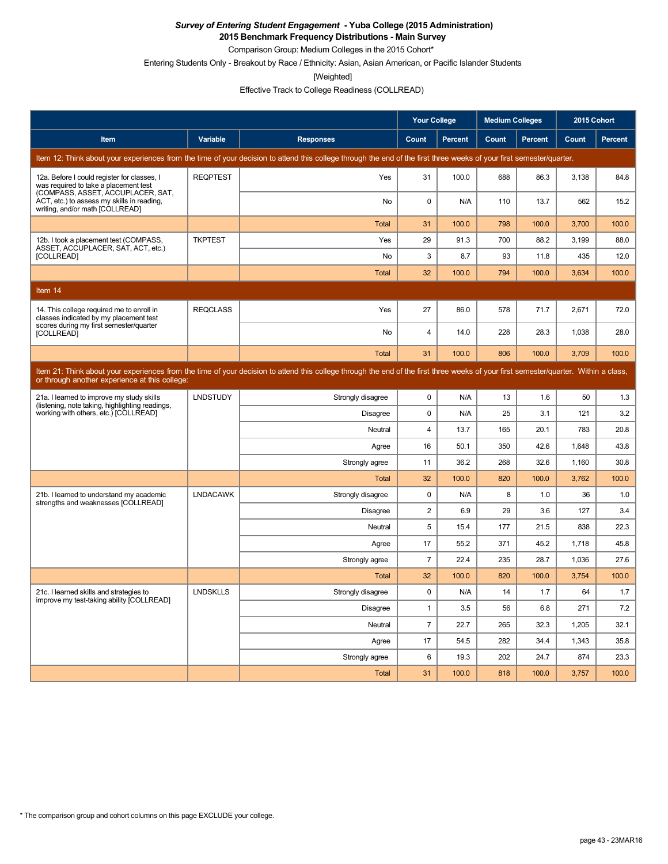**2015 Benchmark Frequency Distributions - Main Survey**

Comparison Group: Medium Colleges in the 2015 Cohort\*

Entering Students Only - Breakout by Race / Ethnicity: Asian, Asian American, or Pacific Islander Students

[Weighted]

Effective Track to College Readiness (COLLREAD)

|                                                                                                                           |                 |                                                                                                                                                                                      | <b>Your College</b> |                | <b>Medium Colleges</b> |                | 2015 Cohort |         |
|---------------------------------------------------------------------------------------------------------------------------|-----------------|--------------------------------------------------------------------------------------------------------------------------------------------------------------------------------------|---------------------|----------------|------------------------|----------------|-------------|---------|
| Item                                                                                                                      | Variable        | <b>Responses</b>                                                                                                                                                                     | Count               | <b>Percent</b> | Count                  | <b>Percent</b> | Count       | Percent |
|                                                                                                                           |                 | Item 12: Think about your experiences from the time of your decision to attend this college through the end of the first three weeks of your first semester/quarter.                 |                     |                |                        |                |             |         |
| 12a. Before I could register for classes, I<br>was required to take a placement test<br>(COMPASS, ASSET, ACCUPLACER, SAT, | <b>REQPTEST</b> | Yes                                                                                                                                                                                  | 31                  | 100.0          | 688                    | 86.3           | 3,138       | 84.8    |
| ACT, etc.) to assess my skills in reading,<br>writing, and/or math [COLLREAD]                                             |                 | <b>No</b>                                                                                                                                                                            | $\Omega$            | N/A            | 110                    | 13.7           | 562         | 15.2    |
|                                                                                                                           |                 | <b>Total</b>                                                                                                                                                                         | 31                  | 100.0          | 798                    | 100.0          | 3,700       | 100.0   |
| 12b. I took a placement test (COMPASS,<br>ASSET, ACCUPLACER, SAT, ACT, etc.)                                              | <b>TKPTEST</b>  | Yes                                                                                                                                                                                  | 29                  | 91.3           | 700                    | 88.2           | 3,199       | 88.0    |
| [COLLREAD]                                                                                                                |                 | <b>No</b>                                                                                                                                                                            | 3                   | 8.7            | 93                     | 11.8           | 435         | 12.0    |
|                                                                                                                           |                 | Total                                                                                                                                                                                | 32                  | 100.0          | 794                    | 100.0          | 3,634       | 100.0   |
| Item 14                                                                                                                   |                 |                                                                                                                                                                                      |                     |                |                        |                |             |         |
| 14. This college required me to enroll in<br>classes indicated by my placement test                                       | <b>REQCLASS</b> | Yes                                                                                                                                                                                  | 27                  | 86.0           | 578                    | 71.7           | 2,671       | 72.0    |
| scores during my first semester/quarter<br>[COLLREAD]                                                                     |                 | <b>No</b>                                                                                                                                                                            | $\overline{4}$      | 14.0           | 228                    | 28.3           | 1.038       | 28.0    |
|                                                                                                                           |                 | Total                                                                                                                                                                                | 31                  | 100.0          | 806                    | 100.0          | 3,709       | 100.0   |
| or through another experience at this college:                                                                            |                 | Item 21: Think about your experiences from the time of your decision to attend this college through the end of the first three weeks of your first semester/quarter. Within a class, |                     |                |                        |                |             |         |
| 21a. I learned to improve my study skills<br>(listening, note taking, highlighting readings,                              | <b>LNDSTUDY</b> | Strongly disagree                                                                                                                                                                    | 0                   | N/A            | 13                     | 1.6            | 50          | 1.3     |
| working with others, etc.) [COLLREAD]                                                                                     |                 | Disagree                                                                                                                                                                             | $\mathbf 0$         | N/A            | 25                     | 3.1            | 121         | 3.2     |
|                                                                                                                           |                 | Neutral                                                                                                                                                                              | $\overline{4}$      | 13.7           | 165                    | 20.1           | 783         | 20.8    |
|                                                                                                                           |                 | Agree                                                                                                                                                                                | 16                  | 50.1           | 350                    | 42.6           | 1,648       | 43.8    |
|                                                                                                                           |                 | Strongly agree                                                                                                                                                                       | 11                  | 36.2           | 268                    | 32.6           | 1,160       | 30.8    |
|                                                                                                                           |                 | Total                                                                                                                                                                                | 32                  | 100.0          | 820                    | 100.0          | 3,762       | 100.0   |
| 21b. I learned to understand my academic<br>strengths and weaknesses [COLLREAD]                                           | <b>LNDACAWK</b> | Strongly disagree                                                                                                                                                                    | $\mathbf 0$         | N/A            | 8                      | 1.0            | 36          | 1.0     |
|                                                                                                                           |                 | <b>Disagree</b>                                                                                                                                                                      | $\overline{c}$      | 6.9            | 29                     | 3.6            | 127         | 3.4     |
|                                                                                                                           |                 | Neutral                                                                                                                                                                              | 5                   | 15.4           | 177                    | 21.5           | 838         | 22.3    |
|                                                                                                                           |                 | Agree                                                                                                                                                                                | 17                  | 55.2           | 371                    | 45.2           | 1,718       | 45.8    |
|                                                                                                                           |                 | Strongly agree                                                                                                                                                                       | $\overline{7}$      | 22.4           | 235                    | 28.7           | 1,036       | 27.6    |
|                                                                                                                           |                 | <b>Total</b>                                                                                                                                                                         | 32                  | 100.0          | 820                    | 100.0          | 3,754       | 100.0   |
| 21c. I learned skills and strategies to<br>improve my test-taking ability [COLLREAD]                                      | <b>LNDSKLLS</b> | Strongly disagree                                                                                                                                                                    | $\mathbf 0$         | N/A            | 14                     | 1.7            | 64          | 1.7     |
|                                                                                                                           |                 | Disagree                                                                                                                                                                             | $\mathbf{1}$        | 3.5            | 56                     | 6.8            | 271         | 7.2     |
|                                                                                                                           |                 | Neutral                                                                                                                                                                              | $\overline{7}$      | 22.7           | 265                    | 32.3           | 1,205       | 32.1    |
|                                                                                                                           |                 | Agree                                                                                                                                                                                | 17                  | 54.5           | 282                    | 34.4           | 1,343       | 35.8    |
|                                                                                                                           |                 | Strongly agree                                                                                                                                                                       | 6                   | 19.3           | 202                    | 24.7           | 874         | 23.3    |
|                                                                                                                           |                 | Total                                                                                                                                                                                | 31                  | 100.0          | 818                    | 100.0          | 3,757       | 100.0   |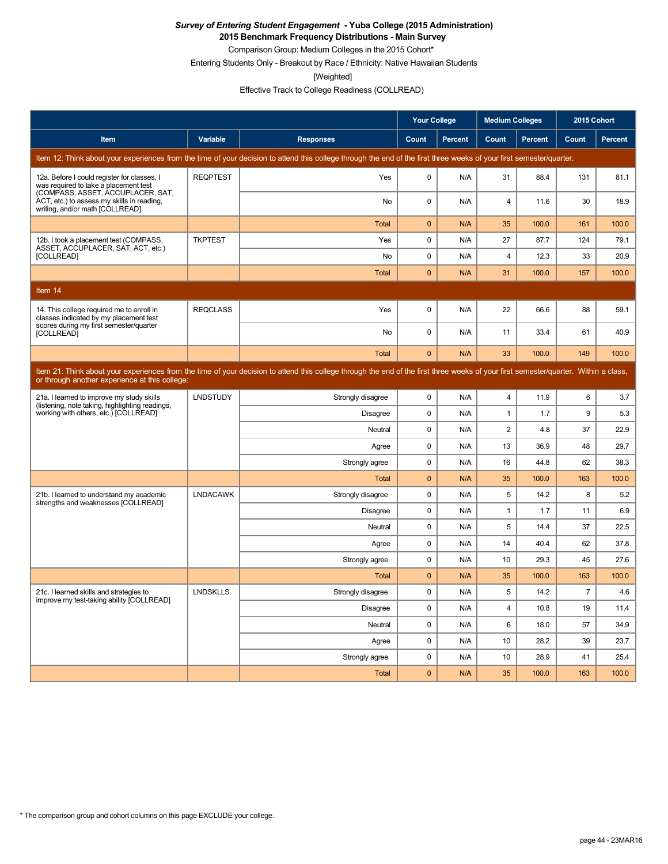**2015 Benchmark Frequency Distributions - Main Survey**

Comparison Group: Medium Colleges in the 2015 Cohort\* Entering Students Only - Breakout by Race / Ethnicity: Native Hawaiian Students

[Weighted]

Effective Track to College Readiness (COLLREAD)

|                                                                                                                           |                 |                                                                                                                                                                                      | <b>Your College</b> |                | <b>Medium Colleges</b> |                | 2015 Cohort    |                |
|---------------------------------------------------------------------------------------------------------------------------|-----------------|--------------------------------------------------------------------------------------------------------------------------------------------------------------------------------------|---------------------|----------------|------------------------|----------------|----------------|----------------|
| Item                                                                                                                      | Variable        | <b>Responses</b>                                                                                                                                                                     | Count               | <b>Percent</b> | Count                  | <b>Percent</b> | Count          | <b>Percent</b> |
|                                                                                                                           |                 | Item 12: Think about your experiences from the time of your decision to attend this college through the end of the first three weeks of your first semester/quarter.                 |                     |                |                        |                |                |                |
| 12a. Before I could register for classes, I<br>was required to take a placement test<br>(COMPASS, ASSET, ACCUPLACER, SAT, | <b>REQPTEST</b> | Yes                                                                                                                                                                                  | $\mathbf 0$         | N/A            | 31                     | 88.4           | 131            | 81.1           |
| ACT, etc.) to assess my skills in reading,<br>writing, and/or math [COLLREAD]                                             |                 | No                                                                                                                                                                                   | $\mathbf 0$         | N/A            | 4                      | 11.6           | 30             | 18.9           |
|                                                                                                                           |                 | <b>Total</b>                                                                                                                                                                         | $\mathbf{0}$        | N/A            | 35                     | 100.0          | 161            | 100.0          |
| 12b. I took a placement test (COMPASS,<br>ASSET, ACCUPLACER, SAT, ACT, etc.)                                              | <b>TKPTEST</b>  | Yes                                                                                                                                                                                  | 0                   | N/A            | 27                     | 87.7           | 124            | 79.1           |
| [COLLREAD]                                                                                                                |                 | No                                                                                                                                                                                   | $\mathbf 0$         | N/A            | 4                      | 12.3           | 33             | 20.9           |
|                                                                                                                           |                 | Total                                                                                                                                                                                | $\mathbf{0}$        | N/A            | 31                     | 100.0          | 157            | 100.0          |
| Item 14                                                                                                                   |                 |                                                                                                                                                                                      |                     |                |                        |                |                |                |
| 14. This college required me to enroll in<br>classes indicated by my placement test                                       | <b>REQCLASS</b> | Yes                                                                                                                                                                                  | $\mathbf 0$         | N/A            | 22                     | 66.6           | 88             | 59.1           |
| scores during my first semester/quarter<br>[COLLREAD]                                                                     |                 | No                                                                                                                                                                                   | 0                   | N/A            | 11                     | 33.4           | 61             | 40.9           |
|                                                                                                                           |                 | Total                                                                                                                                                                                | $\mathbf{0}$        | N/A            | 33                     | 100.0          | 149            | 100.0          |
| or through another experience at this college:                                                                            |                 | Item 21: Think about your experiences from the time of your decision to attend this college through the end of the first three weeks of your first semester/quarter. Within a class, |                     |                |                        |                |                |                |
| 21a. I learned to improve my study skills<br>(listening, note taking, highlighting readings,                              | <b>LNDSTUDY</b> | Strongly disagree                                                                                                                                                                    | 0                   | N/A            | 4                      | 11.9           | 6              | 3.7            |
| working with others, etc.) [COLLREAD]                                                                                     |                 | <b>Disagree</b>                                                                                                                                                                      | $\mathbf 0$         | N/A            | $\mathbf{1}$           | 1.7            | 9              | 5.3            |
|                                                                                                                           |                 | Neutral                                                                                                                                                                              | $\mathbf 0$         | N/A            | $\overline{2}$         | 4.8            | 37             | 22.9           |
|                                                                                                                           |                 | Agree                                                                                                                                                                                | $\mathbf 0$         | N/A            | 13                     | 36.9           | 48             | 29.7           |
|                                                                                                                           |                 | Strongly agree                                                                                                                                                                       | 0                   | N/A            | 16                     | 44.8           | 62             | 38.3           |
|                                                                                                                           |                 | Total                                                                                                                                                                                | $\mathbf{0}$        | N/A            | 35                     | 100.0          | 163            | 100.0          |
| 21b. I learned to understand my academic<br>strengths and weaknesses [COLLREAD]                                           | <b>LNDACAWK</b> | Strongly disagree                                                                                                                                                                    | $\mathbf 0$         | N/A            | 5                      | 14.2           | 8              | 5.2            |
|                                                                                                                           |                 | <b>Disagree</b>                                                                                                                                                                      | $\mathbf 0$         | N/A            | $\mathbf{1}$           | 1.7            | 11             | 6.9            |
|                                                                                                                           |                 | Neutral                                                                                                                                                                              | $\mathbf 0$         | N/A            | 5                      | 14.4           | 37             | 22.5           |
|                                                                                                                           |                 | Agree                                                                                                                                                                                | $\mathbf 0$         | N/A            | 14                     | 40.4           | 62             | 37.8           |
|                                                                                                                           |                 | Strongly agree                                                                                                                                                                       | 0                   | N/A            | 10                     | 29.3           | 45             | 27.6           |
|                                                                                                                           |                 | Total                                                                                                                                                                                | $\bf{0}$            | N/A            | 35                     | 100.0          | 163            | 100.0          |
| 21c. I learned skills and strategies to<br>improve my test-taking ability [COLLREAD]                                      | <b>LNDSKLLS</b> | Strongly disagree                                                                                                                                                                    | 0                   | N/A            | 5                      | 14.2           | $\overline{7}$ | 4.6            |
|                                                                                                                           |                 | Disagree                                                                                                                                                                             | $\pmb{0}$           | N/A            | 4                      | 10.8           | 19             | 11.4           |
|                                                                                                                           |                 | Neutral                                                                                                                                                                              | $\mathbf 0$         | N/A            | 6                      | 18.0           | 57             | 34.9           |
|                                                                                                                           |                 | Agree                                                                                                                                                                                | $\mathbf 0$         | N/A            | 10                     | 28.2           | 39             | 23.7           |
|                                                                                                                           |                 | Strongly agree                                                                                                                                                                       | $\mathbf 0$         | N/A            | 10                     | 28.9           | 41             | 25.4           |
|                                                                                                                           |                 | Total                                                                                                                                                                                | $\pmb{0}$           | N/A            | 35                     | 100.0          | 163            | 100.0          |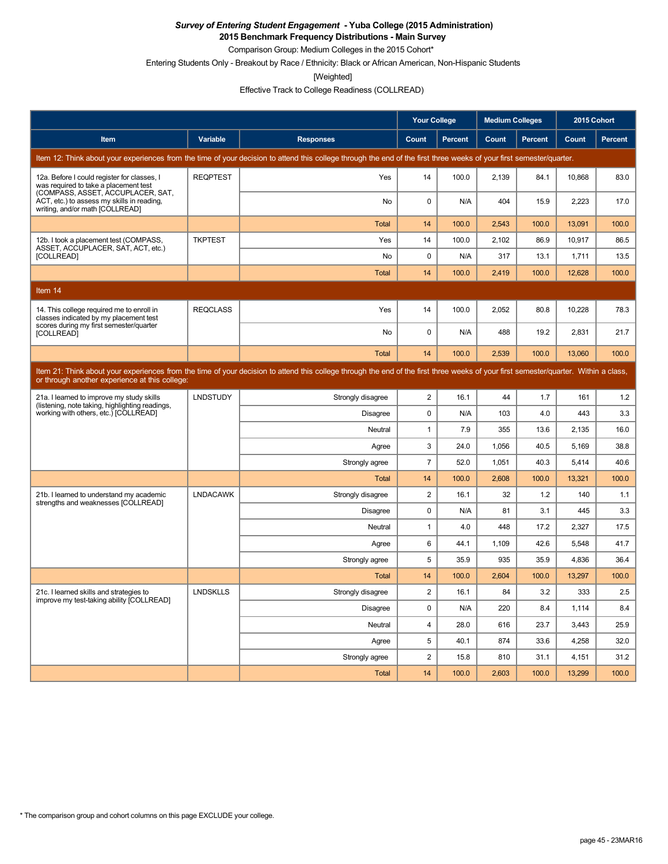**2015 Benchmark Frequency Distributions - Main Survey**

Comparison Group: Medium Colleges in the 2015 Cohort\*

Entering Students Only - Breakout by Race / Ethnicity: Black or African American, Non-Hispanic Students

[Weighted]

Effective Track to College Readiness (COLLREAD)

|                                                                                                                           |                 |                                                                                                                                                                                      | <b>Your College</b> |                | <b>Medium Colleges</b> |                | 2015 Cohort |                |
|---------------------------------------------------------------------------------------------------------------------------|-----------------|--------------------------------------------------------------------------------------------------------------------------------------------------------------------------------------|---------------------|----------------|------------------------|----------------|-------------|----------------|
| Item                                                                                                                      | Variable        | <b>Responses</b>                                                                                                                                                                     | Count               | <b>Percent</b> | Count                  | <b>Percent</b> | Count       | <b>Percent</b> |
|                                                                                                                           |                 | Item 12: Think about your experiences from the time of your decision to attend this college through the end of the first three weeks of your first semester/quarter.                 |                     |                |                        |                |             |                |
| 12a. Before I could register for classes, I<br>was required to take a placement test<br>(COMPASS, ASSET, ACCUPLACER, SAT, | <b>REQPTEST</b> | Yes                                                                                                                                                                                  | 14                  | 100.0          | 2,139                  | 84.1           | 10,868      | 83.0           |
| ACT, etc.) to assess my skills in reading,<br>writing, and/or math [COLLREAD]                                             |                 | <b>No</b>                                                                                                                                                                            | $\mathbf 0$         | N/A            | 404                    | 15.9           | 2.223       | 17.0           |
|                                                                                                                           |                 | <b>Total</b>                                                                                                                                                                         | 14                  | 100.0          | 2,543                  | 100.0          | 13,091      | 100.0          |
| 12b. I took a placement test (COMPASS,<br>ASSET, ACCUPLACER, SAT, ACT, etc.)                                              | <b>TKPTEST</b>  | Yes                                                                                                                                                                                  | 14                  | 100.0          | 2,102                  | 86.9           | 10,917      | 86.5           |
| [COLLREAD]                                                                                                                |                 | <b>No</b>                                                                                                                                                                            | $\mathbf 0$         | N/A            | 317                    | 13.1           | 1,711       | 13.5           |
|                                                                                                                           |                 | <b>Total</b>                                                                                                                                                                         | 14                  | 100.0          | 2,419                  | 100.0          | 12,628      | 100.0          |
| Item 14                                                                                                                   |                 |                                                                                                                                                                                      |                     |                |                        |                |             |                |
| 14. This college required me to enroll in<br>classes indicated by my placement test                                       | <b>REQCLASS</b> | Yes                                                                                                                                                                                  | 14                  | 100.0          | 2.052                  | 80.8           | 10.228      | 78.3           |
| scores during my first semester/quarter<br>[COLLREAD]                                                                     |                 | No                                                                                                                                                                                   | $\mathbf 0$         | N/A            | 488                    | 19.2           | 2,831       | 21.7           |
|                                                                                                                           |                 | <b>Total</b>                                                                                                                                                                         | 14                  | 100.0          | 2,539                  | 100.0          | 13,060      | 100.0          |
| or through another experience at this college:                                                                            |                 | Item 21: Think about your experiences from the time of your decision to attend this college through the end of the first three weeks of your first semester/quarter. Within a class, |                     |                |                        |                |             |                |
| 21a. I learned to improve my study skills                                                                                 | <b>LNDSTUDY</b> | Strongly disagree                                                                                                                                                                    | $\overline{2}$      | 16.1           | 44                     | 1.7            | 161         | 1.2            |
| (listening, note taking, highlighting readings,<br>working with others, etc.) [COLLREAD]                                  |                 | Disagree                                                                                                                                                                             | $\mathbf 0$         | N/A            | 103                    | 4.0            | 443         | 3.3            |
|                                                                                                                           |                 | Neutral                                                                                                                                                                              | 1                   | 7.9            | 355                    | 13.6           | 2,135       | 16.0           |
|                                                                                                                           |                 | Agree                                                                                                                                                                                | 3                   | 24.0           | 1,056                  | 40.5           | 5,169       | 38.8           |
|                                                                                                                           |                 | Strongly agree                                                                                                                                                                       | $\overline{7}$      | 52.0           | 1.051                  | 40.3           | 5.414       | 40.6           |
|                                                                                                                           |                 | <b>Total</b>                                                                                                                                                                         | 14                  | 100.0          | 2,608                  | 100.0          | 13,321      | 100.0          |
| 21b. I learned to understand my academic<br>strengths and weaknesses [COLLREAD]                                           | <b>LNDACAWK</b> | Strongly disagree                                                                                                                                                                    | $\overline{2}$      | 16.1           | 32                     | 1.2            | 140         | 1.1            |
|                                                                                                                           |                 | Disagree                                                                                                                                                                             | 0                   | N/A            | 81                     | 3.1            | 445         | 3.3            |
|                                                                                                                           |                 | Neutral                                                                                                                                                                              | $\mathbf{1}$        | 4.0            | 448                    | 17.2           | 2,327       | 17.5           |
|                                                                                                                           |                 | Agree                                                                                                                                                                                | 6                   | 44.1           | 1,109                  | 42.6           | 5,548       | 41.7           |
|                                                                                                                           |                 | Strongly agree                                                                                                                                                                       | 5                   | 35.9           | 935                    | 35.9           | 4,836       | 36.4           |
|                                                                                                                           |                 | Total                                                                                                                                                                                | 14                  | 100.0          | 2,604                  | 100.0          | 13,297      | 100.0          |
| 21c. I learned skills and strategies to<br>improve my test-taking ability [COLLREAD]                                      | <b>LNDSKLLS</b> | Strongly disagree                                                                                                                                                                    | $\overline{2}$      | 16.1           | 84                     | 3.2            | 333         | 2.5            |
|                                                                                                                           |                 | Disagree                                                                                                                                                                             | $\mathbf 0$         | N/A            | 220                    | 8.4            | 1,114       | 8.4            |
|                                                                                                                           |                 | Neutral                                                                                                                                                                              | $\overline{4}$      | 28.0           | 616                    | 23.7           | 3,443       | 25.9           |
|                                                                                                                           |                 | Agree                                                                                                                                                                                | 5                   | 40.1           | 874                    | 33.6           | 4,258       | 32.0           |
|                                                                                                                           |                 | Strongly agree                                                                                                                                                                       | $\overline{2}$      | 15.8           | 810                    | 31.1           | 4,151       | 31.2           |
|                                                                                                                           |                 | Total                                                                                                                                                                                | 14                  | 100.0          | 2,603                  | 100.0          | 13,299      | 100.0          |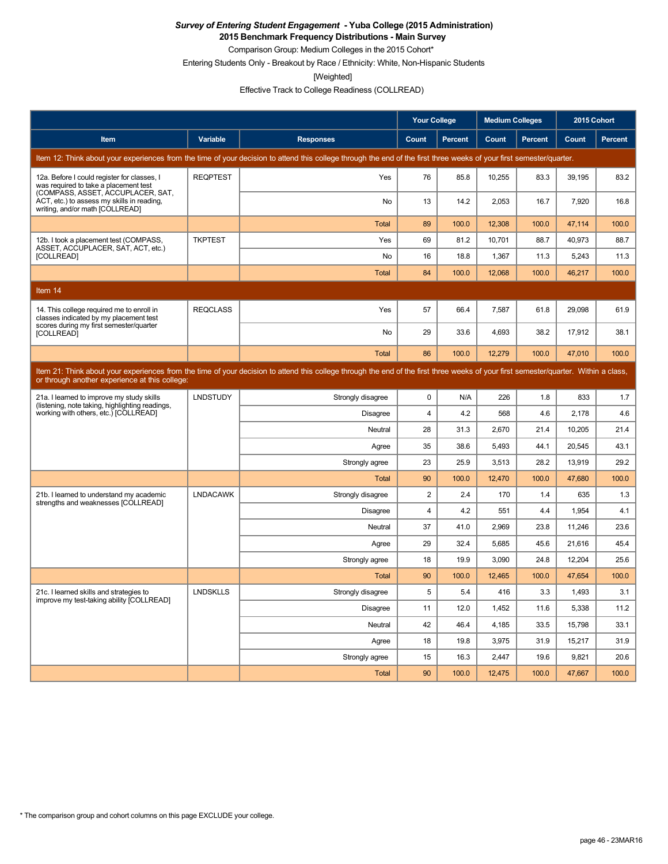**2015 Benchmark Frequency Distributions - Main Survey**

Comparison Group: Medium Colleges in the 2015 Cohort\* Entering Students Only - Breakout by Race / Ethnicity: White, Non-Hispanic Students

[Weighted]

Effective Track to College Readiness (COLLREAD)

|                                                                                                                           |                 |                                                                                                                                                                                      | <b>Your College</b> |                | <b>Medium Colleges</b> |                | 2015 Cohort |                |
|---------------------------------------------------------------------------------------------------------------------------|-----------------|--------------------------------------------------------------------------------------------------------------------------------------------------------------------------------------|---------------------|----------------|------------------------|----------------|-------------|----------------|
| Item                                                                                                                      | Variable        | <b>Responses</b>                                                                                                                                                                     | Count               | <b>Percent</b> | Count                  | <b>Percent</b> | Count       | <b>Percent</b> |
|                                                                                                                           |                 | Item 12: Think about your experiences from the time of your decision to attend this college through the end of the first three weeks of your first semester/quarter.                 |                     |                |                        |                |             |                |
| 12a. Before I could register for classes, I<br>was required to take a placement test<br>(COMPASS, ASSET, ACCUPLACER, SAT, | <b>REQPTEST</b> | Yes                                                                                                                                                                                  | 76                  | 85.8           | 10,255                 | 83.3           | 39,195      | 83.2           |
| ACT, etc.) to assess my skills in reading,<br>writing, and/or math [COLLREAD]                                             |                 | <b>No</b>                                                                                                                                                                            | 13                  | 14.2           | 2.053                  | 16.7           | 7.920       | 16.8           |
|                                                                                                                           |                 | <b>Total</b>                                                                                                                                                                         | 89                  | 100.0          | 12,308                 | 100.0          | 47,114      | 100.0          |
| 12b. I took a placement test (COMPASS,<br>ASSET, ACCUPLACER, SAT, ACT, etc.)                                              | <b>TKPTEST</b>  | Yes                                                                                                                                                                                  | 69                  | 81.2           | 10,701                 | 88.7           | 40,973      | 88.7           |
| [COLLREAD]                                                                                                                |                 | No                                                                                                                                                                                   | 16                  | 18.8           | 1,367                  | 11.3           | 5,243       | 11.3           |
|                                                                                                                           |                 | <b>Total</b>                                                                                                                                                                         | 84                  | 100.0          | 12.068                 | 100.0          | 46,217      | 100.0          |
| Item 14                                                                                                                   |                 |                                                                                                                                                                                      |                     |                |                        |                |             |                |
| 14. This college required me to enroll in<br>classes indicated by my placement test                                       | <b>REQCLASS</b> | Yes                                                                                                                                                                                  | 57                  | 66.4           | 7,587                  | 61.8           | 29,098      | 61.9           |
| scores during my first semester/quarter<br><b>[COLLREAD]</b>                                                              |                 | No                                                                                                                                                                                   | 29                  | 33.6           | 4,693                  | 38.2           | 17,912      | 38.1           |
|                                                                                                                           |                 | <b>Total</b>                                                                                                                                                                         | 86                  | 100.0          | 12,279                 | 100.0          | 47,010      | 100.0          |
| or through another experience at this college:                                                                            |                 | Item 21: Think about your experiences from the time of your decision to attend this college through the end of the first three weeks of your first semester/quarter. Within a class, |                     |                |                        |                |             |                |
| 21a. I learned to improve my study skills<br>(listening, note taking, highlighting readings,                              | <b>LNDSTUDY</b> | Strongly disagree                                                                                                                                                                    | 0                   | N/A            | 226                    | 1.8            | 833         | 1.7            |
| working with others, etc.) [COLLREAD]                                                                                     |                 | <b>Disagree</b>                                                                                                                                                                      | $\overline{4}$      | 4.2            | 568                    | 4.6            | 2,178       | 4.6            |
|                                                                                                                           |                 | Neutral                                                                                                                                                                              | 28                  | 31.3           | 2,670                  | 21.4           | 10,205      | 21.4           |
|                                                                                                                           |                 | Agree                                                                                                                                                                                | 35                  | 38.6           | 5.493                  | 44.1           | 20.545      | 43.1           |
|                                                                                                                           |                 | Strongly agree                                                                                                                                                                       | 23                  | 25.9           | 3,513                  | 28.2           | 13,919      | 29.2           |
|                                                                                                                           |                 | <b>Total</b>                                                                                                                                                                         | 90                  | 100.0          | 12,470                 | 100.0          | 47,680      | 100.0          |
| 21b. I learned to understand my academic<br>strengths and weaknesses [COLLREAD]                                           | <b>LNDACAWK</b> | Strongly disagree                                                                                                                                                                    | $\overline{2}$      | 2.4            | 170                    | 1.4            | 635         | 1.3            |
|                                                                                                                           |                 | <b>Disagree</b>                                                                                                                                                                      | $\overline{4}$      | 4.2            | 551                    | 4.4            | 1,954       | 4.1            |
|                                                                                                                           |                 | Neutral                                                                                                                                                                              | 37                  | 41.0           | 2,969                  | 23.8           | 11,246      | 23.6           |
|                                                                                                                           |                 | Agree                                                                                                                                                                                | 29                  | 32.4           | 5,685                  | 45.6           | 21,616      | 45.4           |
|                                                                                                                           |                 | Strongly agree                                                                                                                                                                       | 18                  | 19.9           | 3,090                  | 24.8           | 12,204      | 25.6           |
|                                                                                                                           |                 | Total                                                                                                                                                                                | 90                  | 100.0          | 12,465                 | 100.0          | 47,654      | 100.0          |
| 21c. I learned skills and strategies to<br>improve my test-taking ability [COLLREAD]                                      | <b>LNDSKLLS</b> | Strongly disagree                                                                                                                                                                    | 5                   | 5.4            | 416                    | 3.3            | 1,493       | 3.1            |
|                                                                                                                           |                 | Disagree                                                                                                                                                                             | 11                  | 12.0           | 1,452                  | 11.6           | 5,338       | 11.2           |
|                                                                                                                           |                 | Neutral                                                                                                                                                                              | 42                  | 46.4           | 4,185                  | 33.5           | 15,798      | 33.1           |
|                                                                                                                           |                 | Agree                                                                                                                                                                                | 18                  | 19.8           | 3,975                  | 31.9           | 15,217      | 31.9           |
|                                                                                                                           |                 | Strongly agree                                                                                                                                                                       | 15                  | 16.3           | 2,447                  | 19.6           | 9,821       | 20.6           |
|                                                                                                                           |                 | <b>Total</b>                                                                                                                                                                         | 90                  | 100.0          | 12.475                 | 100.0          | 47.667      | 100.0          |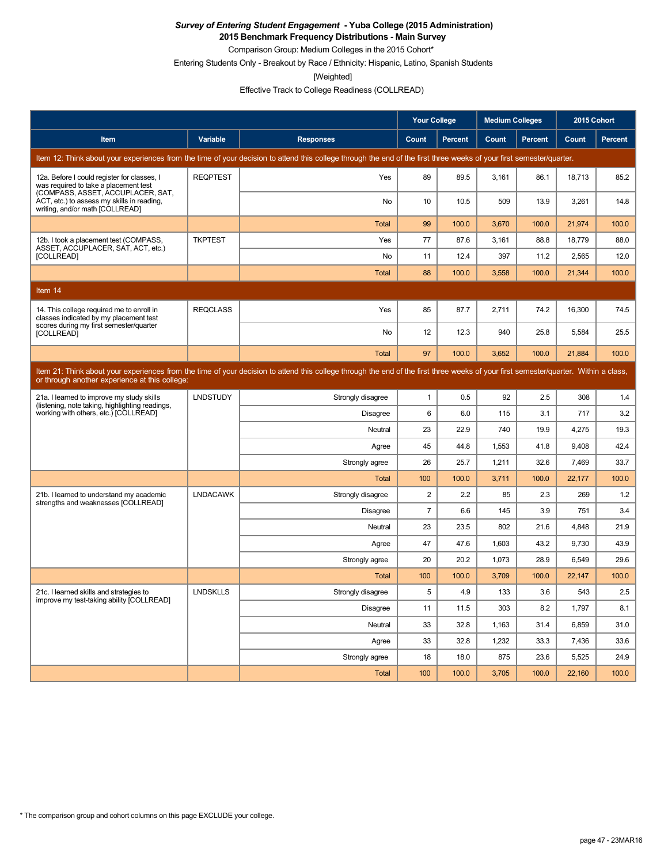**2015 Benchmark Frequency Distributions - Main Survey**

Comparison Group: Medium Colleges in the 2015 Cohort\* Entering Students Only - Breakout by Race / Ethnicity: Hispanic, Latino, Spanish Students

[Weighted]

Effective Track to College Readiness (COLLREAD)

|                                                                                                                           |                 |                                                                                                                                                                                      | <b>Your College</b> |                | <b>Medium Colleges</b> |                | 2015 Cohort |                |
|---------------------------------------------------------------------------------------------------------------------------|-----------------|--------------------------------------------------------------------------------------------------------------------------------------------------------------------------------------|---------------------|----------------|------------------------|----------------|-------------|----------------|
| Item                                                                                                                      | Variable        | <b>Responses</b>                                                                                                                                                                     | Count               | <b>Percent</b> | Count                  | <b>Percent</b> | Count       | <b>Percent</b> |
|                                                                                                                           |                 | Item 12: Think about your experiences from the time of your decision to attend this college through the end of the first three weeks of your first semester/quarter.                 |                     |                |                        |                |             |                |
| 12a. Before I could register for classes, I<br>was required to take a placement test<br>(COMPASS, ASSET, ACCUPLACER, SAT, | <b>REQPTEST</b> | Yes                                                                                                                                                                                  | 89                  | 89.5           | 3,161                  | 86.1           | 18,713      | 85.2           |
| ACT, etc.) to assess my skills in reading,<br>writing, and/or math [COLLREAD]                                             |                 | <b>No</b>                                                                                                                                                                            | 10                  | 10.5           | 509                    | 13.9           | 3.261       | 14.8           |
|                                                                                                                           |                 | <b>Total</b>                                                                                                                                                                         | 99                  | 100.0          | 3,670                  | 100.0          | 21,974      | 100.0          |
| 12b. I took a placement test (COMPASS,<br>ASSET, ACCUPLACER, SAT, ACT, etc.)                                              | <b>TKPTEST</b>  | Yes                                                                                                                                                                                  | 77                  | 87.6           | 3,161                  | 88.8           | 18,779      | 88.0           |
| [COLLREAD]                                                                                                                |                 | <b>No</b>                                                                                                                                                                            | 11                  | 12.4           | 397                    | 11.2           | 2.565       | 12.0           |
|                                                                                                                           |                 | <b>Total</b>                                                                                                                                                                         | 88                  | 100.0          | 3,558                  | 100.0          | 21,344      | 100.0          |
| Item 14                                                                                                                   |                 |                                                                                                                                                                                      |                     |                |                        |                |             |                |
| 14. This college required me to enroll in<br>classes indicated by my placement test                                       | <b>REQCLASS</b> | Yes                                                                                                                                                                                  | 85                  | 87.7           | 2.711                  | 74.2           | 16.300      | 74.5           |
| scores during my first semester/quarter<br>[COLLREAD]                                                                     |                 | No                                                                                                                                                                                   | 12                  | 12.3           | 940                    | 25.8           | 5,584       | 25.5           |
|                                                                                                                           |                 | <b>Total</b>                                                                                                                                                                         | 97                  | 100.0          | 3,652                  | 100.0          | 21,884      | 100.0          |
| or through another experience at this college:                                                                            |                 | Item 21: Think about your experiences from the time of your decision to attend this college through the end of the first three weeks of your first semester/quarter. Within a class, |                     |                |                        |                |             |                |
| 21a. I learned to improve my study skills                                                                                 | <b>LNDSTUDY</b> | Strongly disagree                                                                                                                                                                    | $\mathbf{1}$        | 0.5            | 92                     | 2.5            | 308         | 1.4            |
| (listening, note taking, highlighting readings,<br>working with others, etc.) [COLLREAD]                                  |                 | Disagree                                                                                                                                                                             | 6                   | 6.0            | 115                    | 3.1            | 717         | 3.2            |
|                                                                                                                           |                 | Neutral                                                                                                                                                                              | 23                  | 22.9           | 740                    | 19.9           | 4,275       | 19.3           |
|                                                                                                                           |                 | Agree                                                                                                                                                                                | 45                  | 44.8           | 1,553                  | 41.8           | 9,408       | 42.4           |
|                                                                                                                           |                 | Strongly agree                                                                                                                                                                       | 26                  | 25.7           | 1.211                  | 32.6           | 7.469       | 33.7           |
|                                                                                                                           |                 | <b>Total</b>                                                                                                                                                                         | 100                 | 100.0          | 3,711                  | 100.0          | 22,177      | 100.0          |
| 21b. I learned to understand my academic<br>strengths and weaknesses [COLLREAD]                                           | <b>LNDACAWK</b> | Strongly disagree                                                                                                                                                                    | $\overline{2}$      | 2.2            | 85                     | 2.3            | 269         | 1.2            |
|                                                                                                                           |                 | Disagree                                                                                                                                                                             | $\overline{7}$      | 6.6            | 145                    | 3.9            | 751         | 3.4            |
|                                                                                                                           |                 | Neutral                                                                                                                                                                              | 23                  | 23.5           | 802                    | 21.6           | 4.848       | 21.9           |
|                                                                                                                           |                 | Agree                                                                                                                                                                                | 47                  | 47.6           | 1,603                  | 43.2           | 9,730       | 43.9           |
|                                                                                                                           |                 | Strongly agree                                                                                                                                                                       | 20                  | 20.2           | 1,073                  | 28.9           | 6,549       | 29.6           |
|                                                                                                                           |                 | Total                                                                                                                                                                                | 100                 | 100.0          | 3,709                  | 100.0          | 22,147      | 100.0          |
| 21c. I learned skills and strategies to<br>improve my test-taking ability [COLLREAD]                                      | <b>LNDSKLLS</b> | Strongly disagree                                                                                                                                                                    | 5                   | 4.9            | 133                    | 3.6            | 543         | 2.5            |
|                                                                                                                           |                 | Disagree                                                                                                                                                                             | 11                  | 11.5           | 303                    | 8.2            | 1.797       | 8.1            |
|                                                                                                                           |                 | Neutral                                                                                                                                                                              | 33                  | 32.8           | 1,163                  | 31.4           | 6,859       | 31.0           |
|                                                                                                                           |                 | Agree                                                                                                                                                                                | 33                  | 32.8           | 1,232                  | 33.3           | 7,436       | 33.6           |
|                                                                                                                           |                 | Strongly agree                                                                                                                                                                       | 18                  | 18.0           | 875                    | 23.6           | 5,525       | 24.9           |
|                                                                                                                           |                 | Total                                                                                                                                                                                | 100                 | 100.0          | 3,705                  | 100.0          | 22,160      | 100.0          |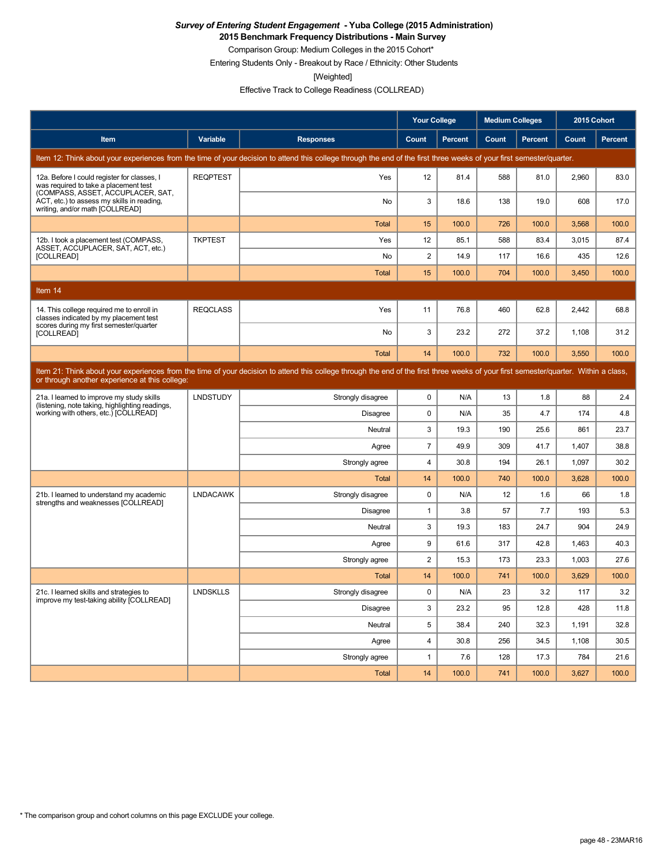**2015 Benchmark Frequency Distributions - Main Survey**

Comparison Group: Medium Colleges in the 2015 Cohort\* Entering Students Only - Breakout by Race / Ethnicity: Other Students

[Weighted]

Effective Track to College Readiness (COLLREAD)

|                                                                                                                           |                 |                                                                                                                                                                                      | <b>Your College</b> |                | <b>Medium Colleges</b> |                | 2015 Cohort |         |
|---------------------------------------------------------------------------------------------------------------------------|-----------------|--------------------------------------------------------------------------------------------------------------------------------------------------------------------------------------|---------------------|----------------|------------------------|----------------|-------------|---------|
| Item                                                                                                                      | Variable        | <b>Responses</b>                                                                                                                                                                     | Count               | <b>Percent</b> | Count                  | <b>Percent</b> | Count       | Percent |
|                                                                                                                           |                 | Item 12: Think about your experiences from the time of your decision to attend this college through the end of the first three weeks of your first semester/quarter.                 |                     |                |                        |                |             |         |
| 12a. Before I could register for classes, I<br>was required to take a placement test<br>(COMPASS, ASSET, ACCUPLACER, SAT, | <b>REQPTEST</b> | Yes                                                                                                                                                                                  | 12                  | 81.4           | 588                    | 81.0           | 2,960       | 83.0    |
| ACT, etc.) to assess my skills in reading,<br>writing, and/or math [COLLREAD]                                             |                 | No                                                                                                                                                                                   | 3                   | 18.6           | 138                    | 19.0           | 608         | 17.0    |
|                                                                                                                           |                 | <b>Total</b>                                                                                                                                                                         | 15                  | 100.0          | 726                    | 100.0          | 3,568       | 100.0   |
| 12b. I took a placement test (COMPASS,<br>ASSET, ACCUPLACER, SAT, ACT, etc.)                                              | <b>TKPTEST</b>  | Yes                                                                                                                                                                                  | 12                  | 85.1           | 588                    | 83.4           | 3,015       | 87.4    |
| [COLLREAD]                                                                                                                |                 | No                                                                                                                                                                                   | $\overline{2}$      | 14.9           | 117                    | 16.6           | 435         | 12.6    |
|                                                                                                                           |                 | <b>Total</b>                                                                                                                                                                         | 15                  | 100.0          | 704                    | 100.0          | 3,450       | 100.0   |
| Item 14                                                                                                                   |                 |                                                                                                                                                                                      |                     |                |                        |                |             |         |
| 14. This college required me to enroll in<br>classes indicated by my placement test                                       | <b>REQCLASS</b> | Yes                                                                                                                                                                                  | 11                  | 76.8           | 460                    | 62.8           | 2,442       | 68.8    |
| scores during my first semester/quarter<br>[COLLREAD]                                                                     |                 | No                                                                                                                                                                                   | 3                   | 23.2           | 272                    | 37.2           | 1,108       | 31.2    |
|                                                                                                                           |                 | Total                                                                                                                                                                                | 14                  | 100.0          | 732                    | 100.0          | 3,550       | 100.0   |
| or through another experience at this college:                                                                            |                 | Item 21: Think about your experiences from the time of your decision to attend this college through the end of the first three weeks of your first semester/quarter. Within a class, |                     |                |                        |                |             |         |
| 21a. I learned to improve my study skills                                                                                 | <b>LNDSTUDY</b> | Strongly disagree                                                                                                                                                                    | 0                   | N/A            | 13                     | 1.8            | 88          | 2.4     |
| (listening, note taking, highlighting readings,<br>working with others, etc.) [COLLREAD]                                  |                 | Disagree                                                                                                                                                                             | $\pmb{0}$           | N/A            | 35                     | 4.7            | 174         | 4.8     |
|                                                                                                                           |                 | Neutral                                                                                                                                                                              | 3                   | 19.3           | 190                    | 25.6           | 861         | 23.7    |
|                                                                                                                           |                 | Agree                                                                                                                                                                                | $\overline{7}$      | 49.9           | 309                    | 41.7           | 1,407       | 38.8    |
|                                                                                                                           |                 | Strongly agree                                                                                                                                                                       | $\overline{4}$      | 30.8           | 194                    | 26.1           | 1,097       | 30.2    |
|                                                                                                                           |                 | <b>Total</b>                                                                                                                                                                         | 14                  | 100.0          | 740                    | 100.0          | 3,628       | 100.0   |
| 21b. I learned to understand my academic<br>strengths and weaknesses [COLLREAD]                                           | <b>LNDACAWK</b> | Strongly disagree                                                                                                                                                                    | $\mathbf 0$         | N/A            | 12                     | 1.6            | 66          | 1.8     |
|                                                                                                                           |                 | Disagree                                                                                                                                                                             | $\mathbf{1}$        | 3.8            | 57                     | 7.7            | 193         | 5.3     |
|                                                                                                                           |                 | Neutral                                                                                                                                                                              | 3                   | 19.3           | 183                    | 24.7           | 904         | 24.9    |
|                                                                                                                           |                 | Agree                                                                                                                                                                                | 9                   | 61.6           | 317                    | 42.8           | 1,463       | 40.3    |
|                                                                                                                           |                 | Strongly agree                                                                                                                                                                       | $\overline{2}$      | 15.3           | 173                    | 23.3           | 1,003       | 27.6    |
|                                                                                                                           |                 | <b>Total</b>                                                                                                                                                                         | 14                  | 100.0          | 741                    | 100.0          | 3.629       | 100.0   |
| 21c. I learned skills and strategies to<br>improve my test-taking ability [COLLREAD]                                      | <b>LNDSKLLS</b> | Strongly disagree                                                                                                                                                                    | $\mathbf 0$         | N/A            | 23                     | 3.2            | 117         | 3.2     |
|                                                                                                                           |                 | <b>Disagree</b>                                                                                                                                                                      | 3                   | 23.2           | 95                     | 12.8           | 428         | 11.8    |
|                                                                                                                           |                 | Neutral                                                                                                                                                                              | 5                   | 38.4           | 240                    | 32.3           | 1,191       | 32.8    |
|                                                                                                                           |                 | Agree                                                                                                                                                                                | $\overline{4}$      | 30.8           | 256                    | 34.5           | 1,108       | 30.5    |
|                                                                                                                           |                 | Strongly agree                                                                                                                                                                       | 1                   | 7.6            | 128                    | 17.3           | 784         | 21.6    |
|                                                                                                                           |                 | <b>Total</b>                                                                                                                                                                         | 14                  | 100.0          | 741                    | 100.0          | 3.627       | 100.0   |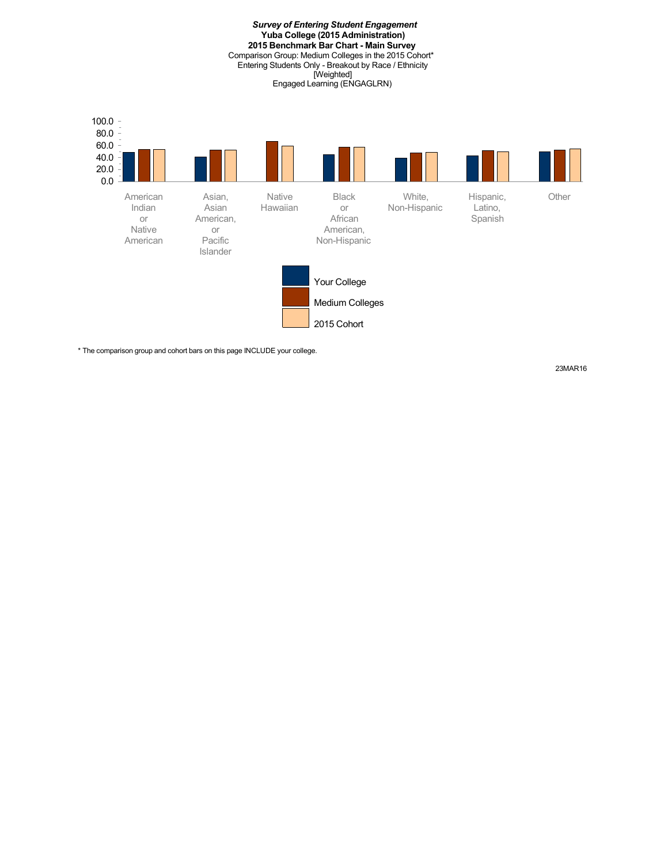*Survey of Entering Student Engagement* **Yuba College (2015 Administration) 2015 Benchmark Bar Chart - Main Survey** Comparison Group: Medium Colleges in the 2015 Cohort\* Entering Students Only - Breakout by Race / Ethnicity [Weighted] Engaged Learning (ENGAGLRN) Your College Medium Colleges 2015 Cohort 0.0 20.0 40.0 60.0 80.0  $-$  100.0 American Indian or Native American Asian, Asian American, or Pacific Islander Native Hawaiian Black or African American, Non-Hispanic White, Non-Hispanic Hispanic, Latino, Spanish **Other** 

\* The comparison group and cohort bars on this page INCLUDE your college.

23MAR16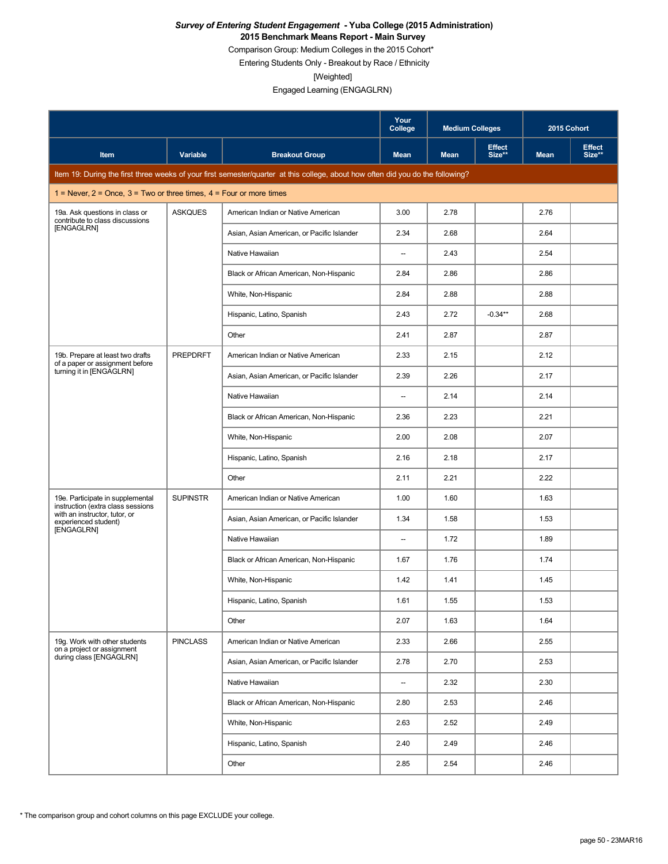Comparison Group: Medium Colleges in the 2015 Cohort\*

Entering Students Only - Breakout by Race / Ethnicity

[Weighted]

|                                                                           |                 |                                                                                                                                 | Your<br>College          | <b>Medium Colleges</b> |                         | 2015 Cohort |                         |
|---------------------------------------------------------------------------|-----------------|---------------------------------------------------------------------------------------------------------------------------------|--------------------------|------------------------|-------------------------|-------------|-------------------------|
| Item                                                                      | Variable        | <b>Breakout Group</b>                                                                                                           | <b>Mean</b>              | <b>Mean</b>            | <b>Effect</b><br>Size** | <b>Mean</b> | <b>Effect</b><br>Size** |
|                                                                           |                 | Item 19: During the first three weeks of your first semester/quarter at this college, about how often did you do the following? |                          |                        |                         |             |                         |
| 1 = Never, $2$ = Once, $3$ = Two or three times, $4$ = Four or more times |                 |                                                                                                                                 |                          |                        |                         |             |                         |
| 19a. Ask questions in class or<br>contribute to class discussions         | <b>ASKQUES</b>  | American Indian or Native American                                                                                              | 3.00                     | 2.78                   |                         | 2.76        |                         |
| [ENGAGLRN]                                                                |                 | Asian, Asian American, or Pacific Islander                                                                                      | 2.34                     | 2.68                   |                         | 2.64        |                         |
|                                                                           |                 | Native Hawaiian                                                                                                                 | $\overline{\phantom{a}}$ | 2.43                   |                         | 2.54        |                         |
|                                                                           |                 | Black or African American, Non-Hispanic                                                                                         | 2.84                     | 2.86                   |                         | 2.86        |                         |
|                                                                           |                 | White, Non-Hispanic                                                                                                             | 2.84                     | 2.88                   |                         | 2.88        |                         |
|                                                                           |                 | Hispanic, Latino, Spanish                                                                                                       | 2.43                     | 2.72                   | $-0.34**$               | 2.68        |                         |
|                                                                           |                 | Other                                                                                                                           | 2.41                     | 2.87                   |                         | 2.87        |                         |
| 19b. Prepare at least two drafts<br>of a paper or assignment before       | <b>PREPDRFT</b> | American Indian or Native American                                                                                              | 2.33                     | 2.15                   |                         | 2.12        |                         |
| turning it in [ENGAGLRN]                                                  |                 | Asian, Asian American, or Pacific Islander                                                                                      | 2.39                     | 2.26                   |                         | 2.17        |                         |
|                                                                           |                 | Native Hawaiian                                                                                                                 | $\overline{\phantom{a}}$ | 2.14                   |                         | 2.14        |                         |
|                                                                           |                 | Black or African American, Non-Hispanic                                                                                         | 2.36                     | 2.23                   |                         | 2.21        |                         |
|                                                                           |                 | White, Non-Hispanic                                                                                                             | 2.00                     | 2.08                   |                         | 2.07        |                         |
|                                                                           |                 | Hispanic, Latino, Spanish                                                                                                       | 2.16                     | 2.18                   |                         | 2.17        |                         |
|                                                                           |                 | Other                                                                                                                           | 2.11                     | 2.21                   |                         | 2.22        |                         |
| 19e. Participate in supplemental<br>instruction (extra class sessions     | <b>SUPINSTR</b> | American Indian or Native American                                                                                              | 1.00                     | 1.60                   |                         | 1.63        |                         |
| with an instructor, tutor, or<br>experienced student)                     |                 | Asian, Asian American, or Pacific Islander                                                                                      | 1.34                     | 1.58                   |                         | 1.53        |                         |
| [ENGAGLRN]                                                                |                 | Native Hawaiian                                                                                                                 | $\overline{\phantom{a}}$ | 1.72                   |                         | 1.89        |                         |
|                                                                           |                 | Black or African American, Non-Hispanic                                                                                         | 1.67                     | 1.76                   |                         | 1.74        |                         |
|                                                                           |                 | White, Non-Hispanic                                                                                                             | 1.42                     | 1.41                   |                         | 1.45        |                         |
|                                                                           |                 | Hispanic, Latino, Spanish                                                                                                       | 1.61                     | 1.55                   |                         | 1.53        |                         |
|                                                                           |                 | Other                                                                                                                           | 2.07                     | 1.63                   |                         | 1.64        |                         |
| 19g. Work with other students<br>on a project or assignment               | <b>PINCLASS</b> | American Indian or Native American                                                                                              | 2.33                     | 2.66                   |                         | 2.55        |                         |
| during class [ENGAGLRN]                                                   |                 | Asian, Asian American, or Pacific Islander                                                                                      | 2.78                     | 2.70                   |                         | 2.53        |                         |
|                                                                           |                 | Native Hawaiian                                                                                                                 | $\overline{\phantom{a}}$ | 2.32                   |                         | 2.30        |                         |
|                                                                           |                 | Black or African American, Non-Hispanic                                                                                         | 2.80                     | 2.53                   |                         | 2.46        |                         |
|                                                                           |                 | White, Non-Hispanic                                                                                                             | 2.63                     | 2.52                   |                         | 2.49        |                         |
|                                                                           |                 | Hispanic, Latino, Spanish                                                                                                       | 2.40                     | 2.49                   |                         | 2.46        |                         |
|                                                                           |                 | Other                                                                                                                           | 2.85                     | 2.54                   |                         | 2.46        |                         |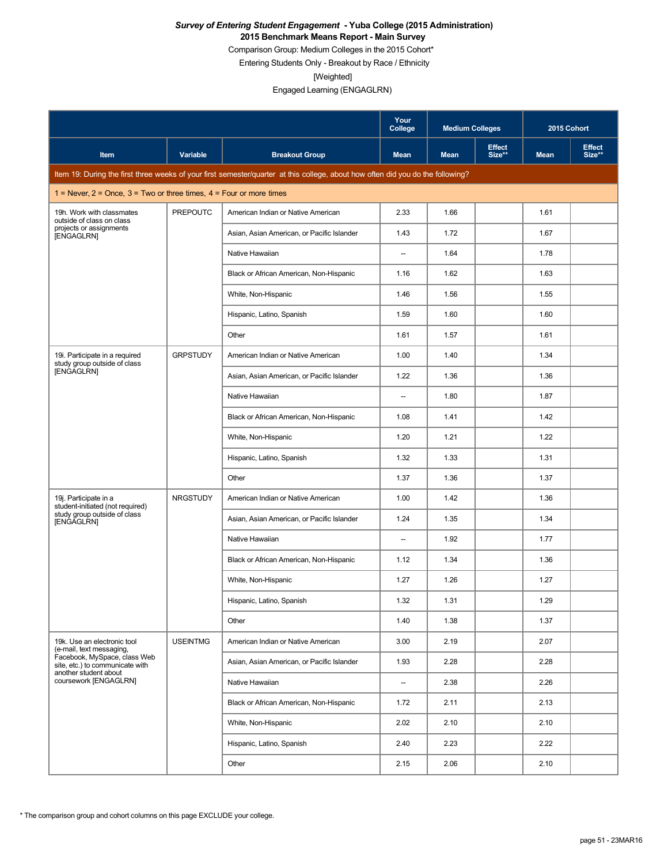Comparison Group: Medium Colleges in the 2015 Cohort\*

Entering Students Only - Breakout by Race / Ethnicity

[Weighted]

|                                                                           |                 |                                                                                                                                 | Your<br>College          | <b>Medium Colleges</b> |                         | 2015 Cohort |                         |
|---------------------------------------------------------------------------|-----------------|---------------------------------------------------------------------------------------------------------------------------------|--------------------------|------------------------|-------------------------|-------------|-------------------------|
| Item                                                                      | Variable        | <b>Breakout Group</b>                                                                                                           | <b>Mean</b>              | <b>Mean</b>            | <b>Effect</b><br>Size** | <b>Mean</b> | <b>Effect</b><br>Size** |
|                                                                           |                 | Item 19: During the first three weeks of your first semester/quarter at this college, about how often did you do the following? |                          |                        |                         |             |                         |
| 1 = Never, $2$ = Once, $3$ = Two or three times, $4$ = Four or more times |                 |                                                                                                                                 |                          |                        |                         |             |                         |
| 19h. Work with classmates<br>outside of class on class                    | <b>PREPOUTC</b> | American Indian or Native American                                                                                              | 2.33                     | 1.66                   |                         | 1.61        |                         |
| projects or assignments<br>[ENGAGLRN]                                     |                 | Asian, Asian American, or Pacific Islander                                                                                      | 1.43                     | 1.72                   |                         | 1.67        |                         |
|                                                                           |                 | Native Hawaiian                                                                                                                 | $\overline{\phantom{a}}$ | 1.64                   |                         | 1.78        |                         |
|                                                                           |                 | Black or African American, Non-Hispanic                                                                                         | 1.16                     | 1.62                   |                         | 1.63        |                         |
|                                                                           |                 | White, Non-Hispanic                                                                                                             | 1.46                     | 1.56                   |                         | 1.55        |                         |
|                                                                           |                 | Hispanic, Latino, Spanish                                                                                                       | 1.59                     | 1.60                   |                         | 1.60        |                         |
|                                                                           |                 | Other                                                                                                                           | 1.61                     | 1.57                   |                         | 1.61        |                         |
| 19i. Participate in a required<br>study group outside of class            | <b>GRPSTUDY</b> | American Indian or Native American                                                                                              | 1.00                     | 1.40                   |                         | 1.34        |                         |
| [ENGAGLRN]                                                                |                 | Asian, Asian American, or Pacific Islander                                                                                      | 1.22                     | 1.36                   |                         | 1.36        |                         |
|                                                                           |                 | Native Hawaiian                                                                                                                 | $\overline{\phantom{a}}$ | 1.80                   |                         | 1.87        |                         |
|                                                                           |                 | Black or African American, Non-Hispanic                                                                                         | 1.08                     | 1.41                   |                         | 1.42        |                         |
|                                                                           |                 | White, Non-Hispanic                                                                                                             | 1.20                     | 1.21                   |                         | 1.22        |                         |
|                                                                           |                 | Hispanic, Latino, Spanish                                                                                                       | 1.32                     | 1.33                   |                         | 1.31        |                         |
|                                                                           |                 | Other                                                                                                                           | 1.37                     | 1.36                   |                         | 1.37        |                         |
| 19j. Participate in a<br>student-initiated (not required)                 | <b>NRGSTUDY</b> | American Indian or Native American                                                                                              | 1.00                     | 1.42                   |                         | 1.36        |                         |
| study group outside of class<br>[ENGAGLRN]                                |                 | Asian, Asian American, or Pacific Islander                                                                                      | 1.24                     | 1.35                   |                         | 1.34        |                         |
|                                                                           |                 | Native Hawaiian                                                                                                                 | $\overline{\phantom{a}}$ | 1.92                   |                         | 1.77        |                         |
|                                                                           |                 | Black or African American, Non-Hispanic                                                                                         | 1.12                     | 1.34                   |                         | 1.36        |                         |
|                                                                           |                 | White, Non-Hispanic                                                                                                             | 1.27                     | 1.26                   |                         | 1.27        |                         |
|                                                                           |                 | Hispanic, Latino, Spanish                                                                                                       | 1.32                     | 1.31                   |                         | 1.29        |                         |
|                                                                           |                 | Other                                                                                                                           | 1.40                     | 1.38                   |                         | 1.37        |                         |
| 19k. Use an electronic tool<br>(e-mail, text messaging,                   | <b>USEINTMG</b> | American Indian or Native American                                                                                              | 3.00                     | 2.19                   |                         | 2.07        |                         |
| Facebook, MySpace, class Web<br>site, etc.) to communicate with           |                 | Asian, Asian American, or Pacific Islander                                                                                      | 1.93                     | 2.28                   |                         | 2.28        |                         |
| another student about<br>coursework [ENGAGLRN]                            |                 | Native Hawaiian                                                                                                                 | $\overline{\phantom{a}}$ | 2.38                   |                         | 2.26        |                         |
|                                                                           |                 | Black or African American, Non-Hispanic                                                                                         | 1.72                     | 2.11                   |                         | 2.13        |                         |
|                                                                           |                 | White, Non-Hispanic                                                                                                             | 2.02                     | 2.10                   |                         | 2.10        |                         |
|                                                                           |                 | Hispanic, Latino, Spanish                                                                                                       | 2.40                     | 2.23                   |                         | 2.22        |                         |
|                                                                           |                 | Other                                                                                                                           | 2.15                     | 2.06                   |                         | 2.10        |                         |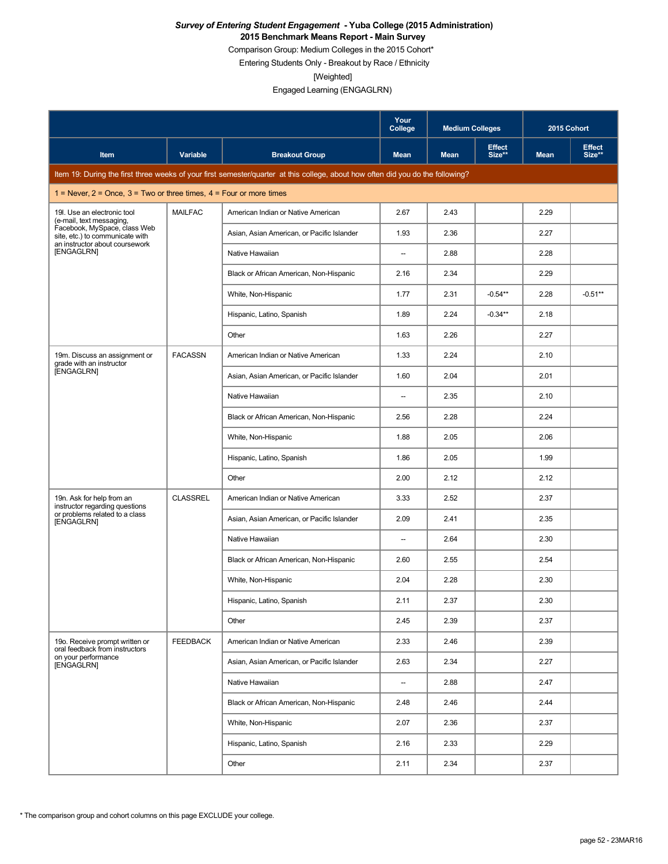Comparison Group: Medium Colleges in the 2015 Cohort\*

Entering Students Only - Breakout by Race / Ethnicity

[Weighted]

|                                                                           |                 |                                                                                                                                 | Your<br>College          | <b>Medium Colleges</b> |                         | 2015 Cohort |                         |
|---------------------------------------------------------------------------|-----------------|---------------------------------------------------------------------------------------------------------------------------------|--------------------------|------------------------|-------------------------|-------------|-------------------------|
| Item                                                                      | Variable        | <b>Breakout Group</b>                                                                                                           | <b>Mean</b>              | <b>Mean</b>            | <b>Effect</b><br>Size** | <b>Mean</b> | <b>Effect</b><br>Size** |
|                                                                           |                 | Item 19: During the first three weeks of your first semester/quarter at this college, about how often did you do the following? |                          |                        |                         |             |                         |
| 1 = Never, $2$ = Once, $3$ = Two or three times, $4$ = Four or more times |                 |                                                                                                                                 |                          |                        |                         |             |                         |
| 19I. Use an electronic tool<br>(e-mail, text messaging,                   | <b>MAILFAC</b>  | American Indian or Native American                                                                                              | 2.67                     | 2.43                   |                         | 2.29        |                         |
| Facebook, MySpace, class Web<br>site, etc.) to communicate with           |                 | Asian, Asian American, or Pacific Islander                                                                                      | 1.93                     | 2.36                   |                         | 2.27        |                         |
| an instructor about coursework<br>[ENGAGLRN]                              |                 | Native Hawaiian                                                                                                                 | --                       | 2.88                   |                         | 2.28        |                         |
|                                                                           |                 | Black or African American, Non-Hispanic                                                                                         | 2.16                     | 2.34                   |                         | 2.29        |                         |
|                                                                           |                 | White, Non-Hispanic                                                                                                             | 1.77                     | 2.31                   | $-0.54**$               | 2.28        | $-0.51**$               |
|                                                                           |                 | Hispanic, Latino, Spanish                                                                                                       | 1.89                     | 2.24                   | $-0.34**$               | 2.18        |                         |
|                                                                           |                 | Other                                                                                                                           | 1.63                     | 2.26                   |                         | 2.27        |                         |
| 19m. Discuss an assignment or<br>grade with an instructor                 | <b>FACASSN</b>  | American Indian or Native American                                                                                              | 1.33                     | 2.24                   |                         | 2.10        |                         |
| [ENGAGLRN]                                                                |                 | Asian, Asian American, or Pacific Islander                                                                                      | 1.60                     | 2.04                   |                         | 2.01        |                         |
|                                                                           |                 | Native Hawaiian                                                                                                                 | $\overline{\phantom{a}}$ | 2.35                   |                         | 2.10        |                         |
|                                                                           |                 | Black or African American, Non-Hispanic                                                                                         | 2.56                     | 2.28                   |                         | 2.24        |                         |
|                                                                           |                 | White, Non-Hispanic                                                                                                             | 1.88                     | 2.05                   |                         | 2.06        |                         |
|                                                                           |                 | Hispanic, Latino, Spanish                                                                                                       | 1.86                     | 2.05                   |                         | 1.99        |                         |
|                                                                           |                 | Other                                                                                                                           | 2.00                     | 2.12                   |                         | 2.12        |                         |
| 19n. Ask for help from an<br>instructor regarding questions               | <b>CLASSREL</b> | American Indian or Native American                                                                                              | 3.33                     | 2.52                   |                         | 2.37        |                         |
| or problems related to a class<br>[ENGAGLRN]                              |                 | Asian, Asian American, or Pacific Islander                                                                                      | 2.09                     | 2.41                   |                         | 2.35        |                         |
|                                                                           |                 | Native Hawaiian                                                                                                                 | $\overline{\phantom{a}}$ | 2.64                   |                         | 2.30        |                         |
|                                                                           |                 | Black or African American, Non-Hispanic                                                                                         | 2.60                     | 2.55                   |                         | 2.54        |                         |
|                                                                           |                 | White, Non-Hispanic                                                                                                             | 2.04                     | 2.28                   |                         | 2.30        |                         |
|                                                                           |                 | Hispanic, Latino, Spanish                                                                                                       | 2.11                     | 2.37                   |                         | 2.30        |                         |
|                                                                           |                 | Other                                                                                                                           | 2.45                     | 2.39                   |                         | 2.37        |                         |
| 19o. Receive prompt written or<br>oral feedback from instructors          | <b>FEEDBACK</b> | American Indian or Native American                                                                                              | 2.33                     | 2.46                   |                         | 2.39        |                         |
| on your performance<br>[ENGAGLRN]                                         |                 | Asian, Asian American, or Pacific Islander                                                                                      | 2.63                     | 2.34                   |                         | 2.27        |                         |
|                                                                           |                 | Native Hawaiian                                                                                                                 | $\overline{\phantom{a}}$ | 2.88                   |                         | 2.47        |                         |
|                                                                           |                 | Black or African American, Non-Hispanic                                                                                         | 2.48                     | 2.46                   |                         | 2.44        |                         |
|                                                                           |                 | White, Non-Hispanic                                                                                                             | 2.07                     | 2.36                   |                         | 2.37        |                         |
|                                                                           |                 | Hispanic, Latino, Spanish                                                                                                       | 2.16                     | 2.33                   |                         | 2.29        |                         |
|                                                                           |                 | Other                                                                                                                           | 2.11                     | 2.34                   |                         | 2.37        |                         |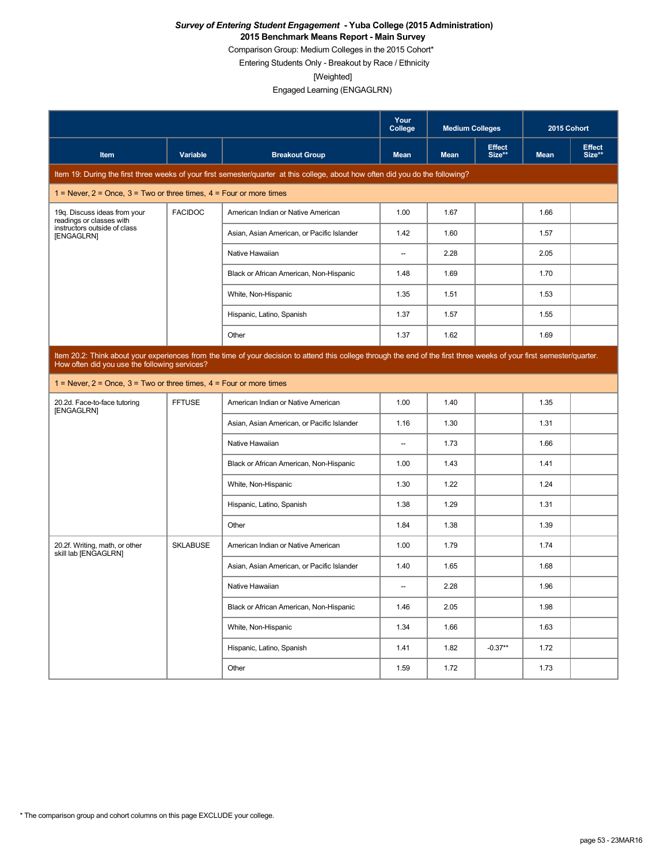Comparison Group: Medium Colleges in the 2015 Cohort\*

Entering Students Only - Breakout by Race / Ethnicity

[Weighted]

|                                                                           |                                                                                                                                                                                                                         |                                                                                                                                 | Your<br>College          | <b>Medium Colleges</b> |                         | 2015 Cohort |                         |  |  |
|---------------------------------------------------------------------------|-------------------------------------------------------------------------------------------------------------------------------------------------------------------------------------------------------------------------|---------------------------------------------------------------------------------------------------------------------------------|--------------------------|------------------------|-------------------------|-------------|-------------------------|--|--|
| <b>Item</b>                                                               | Variable                                                                                                                                                                                                                | <b>Breakout Group</b>                                                                                                           | <b>Mean</b>              | <b>Mean</b>            | <b>Effect</b><br>Size** | <b>Mean</b> | <b>Effect</b><br>Size** |  |  |
|                                                                           |                                                                                                                                                                                                                         | Item 19: During the first three weeks of your first semester/quarter at this college, about how often did you do the following? |                          |                        |                         |             |                         |  |  |
| 1 = Never, $2$ = Once, $3$ = Two or three times, $4$ = Four or more times |                                                                                                                                                                                                                         |                                                                                                                                 |                          |                        |                         |             |                         |  |  |
| 19q. Discuss ideas from your<br>readings or classes with                  | <b>FACIDOC</b>                                                                                                                                                                                                          | American Indian or Native American                                                                                              | 1.00                     | 1.67                   |                         | 1.66        |                         |  |  |
| instructors outside of class<br>[ENGAGLRN]                                |                                                                                                                                                                                                                         | Asian, Asian American, or Pacific Islander                                                                                      | 1.42                     | 1.60                   |                         | 1.57        |                         |  |  |
|                                                                           |                                                                                                                                                                                                                         | Native Hawaiian                                                                                                                 | $\overline{\phantom{a}}$ | 2.28                   |                         | 2.05        |                         |  |  |
|                                                                           |                                                                                                                                                                                                                         | Black or African American, Non-Hispanic                                                                                         | 1.48                     | 1.69                   |                         | 1.70        |                         |  |  |
|                                                                           |                                                                                                                                                                                                                         | White, Non-Hispanic                                                                                                             | 1.35                     | 1.51                   |                         | 1.53        |                         |  |  |
|                                                                           |                                                                                                                                                                                                                         | Hispanic, Latino, Spanish                                                                                                       | 1.37                     | 1.57                   |                         | 1.55        |                         |  |  |
|                                                                           |                                                                                                                                                                                                                         | Other                                                                                                                           | 1.37                     | 1.62                   |                         | 1.69        |                         |  |  |
|                                                                           | Item 20.2: Think about your experiences from the time of your decision to attend this college through the end of the first three weeks of your first semester/quarter.<br>How often did you use the following services? |                                                                                                                                 |                          |                        |                         |             |                         |  |  |
| 1 = Never, $2$ = Once, $3$ = Two or three times, $4$ = Four or more times |                                                                                                                                                                                                                         |                                                                                                                                 |                          |                        |                         |             |                         |  |  |
| <b>FFTUSE</b><br>20.2d. Face-to-face tutoring<br>[ENGAGLRN]               |                                                                                                                                                                                                                         | American Indian or Native American                                                                                              | 1.00                     | 1.40                   |                         | 1.35        |                         |  |  |
|                                                                           |                                                                                                                                                                                                                         | Asian, Asian American, or Pacific Islander                                                                                      | 1.16                     | 1.30                   |                         | 1.31        |                         |  |  |
|                                                                           |                                                                                                                                                                                                                         | Native Hawaiian                                                                                                                 | $\overline{\phantom{a}}$ | 1.73                   |                         | 1.66        |                         |  |  |
|                                                                           |                                                                                                                                                                                                                         | Black or African American, Non-Hispanic                                                                                         | 1.00                     | 1.43                   |                         | 1.41        |                         |  |  |
|                                                                           |                                                                                                                                                                                                                         | White, Non-Hispanic                                                                                                             | 1.30                     | 1.22                   |                         | 1.24        |                         |  |  |
|                                                                           |                                                                                                                                                                                                                         | Hispanic, Latino, Spanish                                                                                                       | 1.38                     | 1.29                   |                         | 1.31        |                         |  |  |
|                                                                           |                                                                                                                                                                                                                         | Other                                                                                                                           | 1.84                     | 1.38                   |                         | 1.39        |                         |  |  |
| 20.2f. Writing, math, or other<br>skill lab [ENGAGLRN]                    | <b>SKLABUSE</b>                                                                                                                                                                                                         | American Indian or Native American                                                                                              | 1.00                     | 1.79                   |                         | 1.74        |                         |  |  |
|                                                                           |                                                                                                                                                                                                                         | Asian, Asian American, or Pacific Islander                                                                                      | 1.40                     | 1.65                   |                         | 1.68        |                         |  |  |
|                                                                           |                                                                                                                                                                                                                         | Native Hawaiian                                                                                                                 |                          | 2.28                   |                         | 1.96        |                         |  |  |
|                                                                           |                                                                                                                                                                                                                         | Black or African American, Non-Hispanic                                                                                         | 1.46                     | 2.05                   |                         | 1.98        |                         |  |  |
|                                                                           |                                                                                                                                                                                                                         | White, Non-Hispanic                                                                                                             | 1.34                     | 1.66                   |                         | 1.63        |                         |  |  |
|                                                                           |                                                                                                                                                                                                                         | Hispanic, Latino, Spanish                                                                                                       | 1.41                     | 1.82                   | $-0.37**$               | 1.72        |                         |  |  |
|                                                                           |                                                                                                                                                                                                                         | Other                                                                                                                           | 1.59                     | 1.72                   |                         | 1.73        |                         |  |  |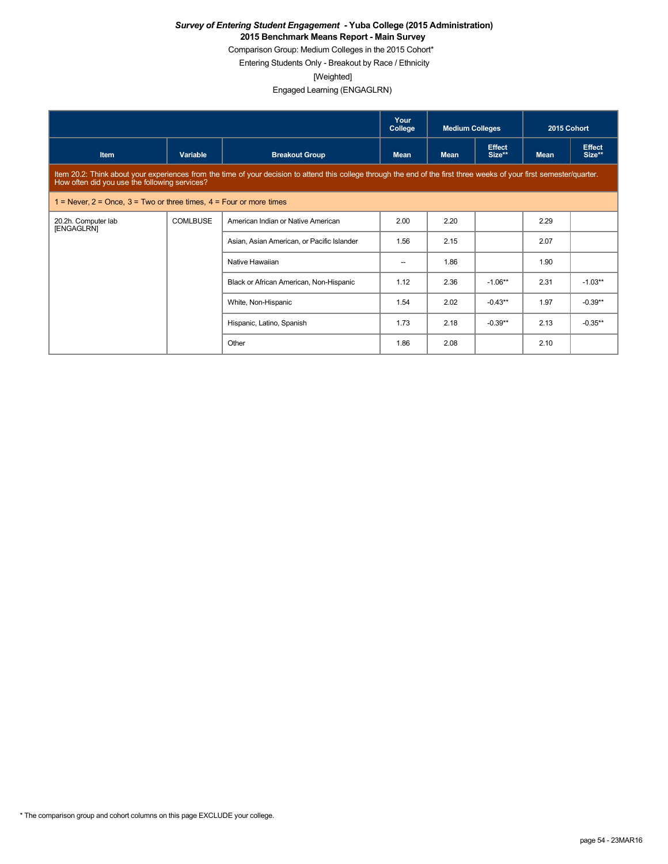Comparison Group: Medium Colleges in the 2015 Cohort\*

Entering Students Only - Breakout by Race / Ethnicity

[Weighted]

|                                                                           |          |                                                                                                                                                                        | Your<br>College | <b>Medium Colleges</b> |                         | 2015 Cohort |                         |
|---------------------------------------------------------------------------|----------|------------------------------------------------------------------------------------------------------------------------------------------------------------------------|-----------------|------------------------|-------------------------|-------------|-------------------------|
| Item                                                                      | Variable | <b>Breakout Group</b>                                                                                                                                                  | <b>Mean</b>     | <b>Mean</b>            | <b>Effect</b><br>Size** | <b>Mean</b> | <b>Effect</b><br>Size** |
| How often did you use the following services?                             |          | Item 20.2: Think about your experiences from the time of your decision to attend this college through the end of the first three weeks of your first semester/quarter. |                 |                        |                         |             |                         |
| 1 = Never, $2$ = Once, $3$ = Two or three times, $4$ = Four or more times |          |                                                                                                                                                                        |                 |                        |                         |             |                         |
| 20.2h. Computer lab<br>[ENGAGLRN]                                         | COMLBUSE | American Indian or Native American                                                                                                                                     | 2.00            | 2.20                   |                         | 2.29        |                         |
|                                                                           |          | Asian, Asian American, or Pacific Islander                                                                                                                             | 1.56            | 2.15                   |                         | 2.07        |                         |
|                                                                           |          | Native Hawaiian                                                                                                                                                        | --              | 1.86                   |                         | 1.90        |                         |
|                                                                           |          | Black or African American, Non-Hispanic                                                                                                                                | 1.12            | 2.36                   | $-1.06**$               | 2.31        | $-1.03**$               |
|                                                                           |          | White, Non-Hispanic                                                                                                                                                    | 1.54            | 2.02                   | $-0.43**$               | 1.97        | $-0.39**$               |
|                                                                           |          | Hispanic, Latino, Spanish                                                                                                                                              | 1.73            | 2.18                   | $-0.39**$               | 2.13        | $-0.35**$               |
|                                                                           |          | Other                                                                                                                                                                  | 1.86            | 2.08                   |                         | 2.10        |                         |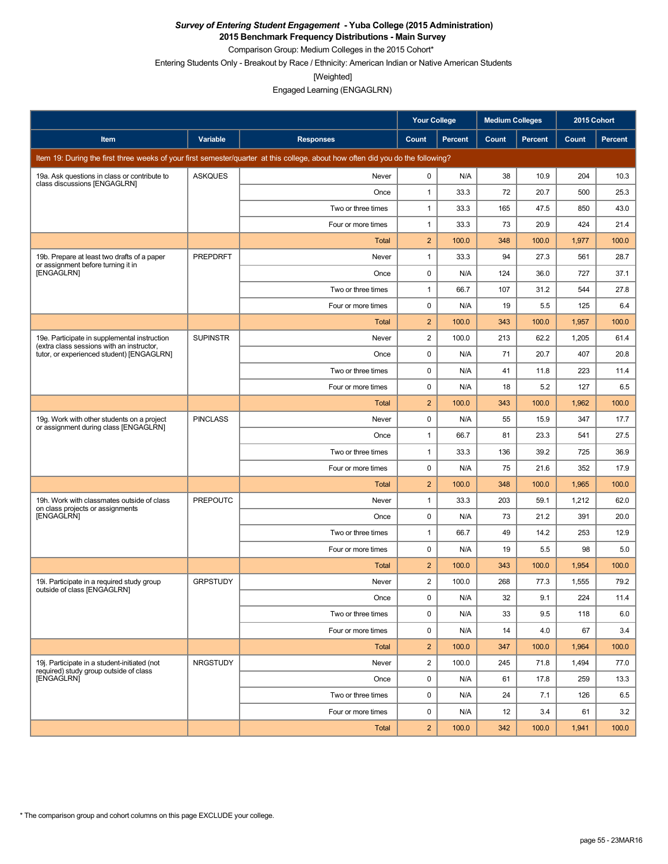**2015 Benchmark Frequency Distributions - Main Survey**

Comparison Group: Medium Colleges in the 2015 Cohort\*

Entering Students Only - Breakout by Race / Ethnicity: American Indian or Native American Students

[Weighted]

|                                                                                           |                 |                                                                                                                                 | <b>Your College</b> |                | <b>Medium Colleges</b> |         | 2015 Cohort |         |
|-------------------------------------------------------------------------------------------|-----------------|---------------------------------------------------------------------------------------------------------------------------------|---------------------|----------------|------------------------|---------|-------------|---------|
| Item                                                                                      | Variable        | <b>Responses</b>                                                                                                                | Count               | <b>Percent</b> | Count                  | Percent | Count       | Percent |
|                                                                                           |                 | Item 19: During the first three weeks of your first semester/quarter at this college, about how often did you do the following? |                     |                |                        |         |             |         |
| 19a. Ask questions in class or contribute to                                              | <b>ASKQUES</b>  | Never                                                                                                                           | 0                   | N/A            | 38                     | 10.9    | 204         | 10.3    |
| class discussions [ENGAGLRN]                                                              |                 | Once                                                                                                                            | $\mathbf{1}$        | 33.3           | 72                     | 20.7    | 500         | 25.3    |
|                                                                                           |                 | Two or three times                                                                                                              | 1                   | 33.3           | 165                    | 47.5    | 850         | 43.0    |
|                                                                                           |                 | Four or more times                                                                                                              | $\mathbf{1}$        | 33.3           | 73                     | 20.9    | 424         | 21.4    |
|                                                                                           |                 | Total                                                                                                                           | $\overline{2}$      | 100.0          | 348                    | 100.0   | 1,977       | 100.0   |
| 19b. Prepare at least two drafts of a paper<br>or assignment before turning it in         | <b>PREPDRFT</b> | Never                                                                                                                           | $\mathbf{1}$        | 33.3           | 94                     | 27.3    | 561         | 28.7    |
| [ENGAGLRN]                                                                                |                 | Once                                                                                                                            | $\mathbf 0$         | N/A            | 124                    | 36.0    | 727         | 37.1    |
|                                                                                           |                 | Two or three times                                                                                                              | $\mathbf{1}$        | 66.7           | 107                    | 31.2    | 544         | 27.8    |
|                                                                                           |                 | Four or more times                                                                                                              | 0                   | N/A            | 19                     | 5.5     | 125         | 6.4     |
|                                                                                           |                 | <b>Total</b>                                                                                                                    | $\overline{2}$      | 100.0          | 343                    | 100.0   | 1,957       | 100.0   |
| 19e. Participate in supplemental instruction<br>(extra class sessions with an instructor, | <b>SUPINSTR</b> | Never                                                                                                                           | $\overline{2}$      | 100.0          | 213                    | 62.2    | 1,205       | 61.4    |
| tutor, or experienced student) [ENGAGLRN]                                                 |                 | Once                                                                                                                            | 0                   | N/A            | 71                     | 20.7    | 407         | 20.8    |
|                                                                                           |                 | Two or three times                                                                                                              | 0                   | N/A            | 41                     | 11.8    | 223         | 11.4    |
|                                                                                           |                 | Four or more times                                                                                                              | 0                   | N/A            | 18                     | 5.2     | 127         | 6.5     |
|                                                                                           |                 | Total                                                                                                                           | $\overline{2}$      | 100.0          | 343                    | 100.0   | 1,962       | 100.0   |
| 19g. Work with other students on a project<br>or assignment during class [ENGAGLRN]       | <b>PINCLASS</b> | Never                                                                                                                           | 0                   | N/A            | 55                     | 15.9    | 347         | 17.7    |
|                                                                                           |                 | Once                                                                                                                            | $\mathbf{1}$        | 66.7           | 81                     | 23.3    | 541         | 27.5    |
|                                                                                           |                 | Two or three times                                                                                                              | $\mathbf{1}$        | 33.3           | 136                    | 39.2    | 725         | 36.9    |
|                                                                                           |                 | Four or more times                                                                                                              | $\mathbf 0$         | N/A            | 75                     | 21.6    | 352         | 17.9    |
|                                                                                           |                 | Total                                                                                                                           | $\overline{2}$      | 100.0          | 348                    | 100.0   | 1,965       | 100.0   |
| 19h. Work with classmates outside of class<br>on class projects or assignments            | <b>PREPOUTC</b> | Never                                                                                                                           | $\mathbf{1}$        | 33.3           | 203                    | 59.1    | 1,212       | 62.0    |
| [ENGAGLRN]                                                                                |                 | Once                                                                                                                            | 0                   | N/A            | 73                     | 21.2    | 391         | 20.0    |
|                                                                                           |                 | Two or three times                                                                                                              | $\mathbf{1}$        | 66.7           | 49                     | 14.2    | 253         | 12.9    |
|                                                                                           |                 | Four or more times                                                                                                              | 0                   | N/A            | 19                     | 5.5     | 98          | 5.0     |
|                                                                                           |                 | Total                                                                                                                           | $\overline{2}$      | 100.0          | 343                    | 100.0   | 1,954       | 100.0   |
| 19i. Participate in a required study group<br>outside of class [ENGAGLRN]                 | <b>GRPSTUDY</b> | Never                                                                                                                           | $\overline{c}$      | 100.0          | 268                    | 77.3    | 1,555       | 79.2    |
|                                                                                           |                 | Once                                                                                                                            | $\Omega$            | N/A            | 32                     | 9.1     | 224         | 11.4    |
|                                                                                           |                 | Two or three times                                                                                                              | 0                   | N/A            | 33                     | 9.5     | 118         | 6.0     |
|                                                                                           |                 | Four or more times                                                                                                              | 0                   | N/A            | 14                     | 4.0     | 67          | 3.4     |
|                                                                                           |                 | Total                                                                                                                           | $\overline{2}$      | 100.0          | 347                    | 100.0   | 1,964       | 100.0   |
| 19j. Participate in a student-initiated (not<br>required) study group outside of class    | <b>NRGSTUDY</b> | Never                                                                                                                           | $\overline{2}$      | 100.0          | 245                    | 71.8    | 1,494       | 77.0    |
| [ENGAGLRN]                                                                                |                 | Once                                                                                                                            | 0                   | N/A            | 61                     | 17.8    | 259         | 13.3    |
|                                                                                           |                 | Two or three times                                                                                                              | 0                   | N/A            | 24                     | 7.1     | 126         | 6.5     |
|                                                                                           |                 | Four or more times                                                                                                              | 0                   | N/A            | 12                     | 3.4     | 61          | 3.2     |
|                                                                                           |                 | <b>Total</b>                                                                                                                    | $\overline{2}$      | 100.0          | 342                    | 100.0   | 1,941       | 100.0   |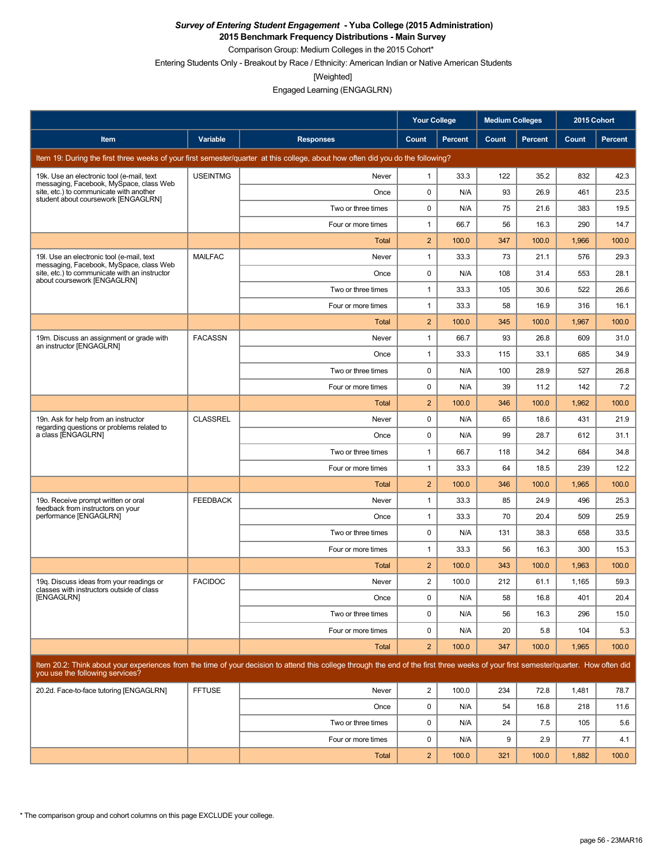**2015 Benchmark Frequency Distributions - Main Survey**

Comparison Group: Medium Colleges in the 2015 Cohort\*

Entering Students Only - Breakout by Race / Ethnicity: American Indian or Native American Students

[Weighted]

|                                                                                                                           |                 |                                                                                                                                                                                      | <b>Your College</b> |                | <b>Medium Colleges</b> |                | 2015 Cohort |         |
|---------------------------------------------------------------------------------------------------------------------------|-----------------|--------------------------------------------------------------------------------------------------------------------------------------------------------------------------------------|---------------------|----------------|------------------------|----------------|-------------|---------|
| Item                                                                                                                      | Variable        | <b>Responses</b>                                                                                                                                                                     | Count               | <b>Percent</b> | Count                  | <b>Percent</b> | Count       | Percent |
|                                                                                                                           |                 | Item 19: During the first three weeks of your first semester/quarter at this college, about how often did you do the following?                                                      |                     |                |                        |                |             |         |
| 19k. Use an electronic tool (e-mail, text                                                                                 | <b>USEINTMG</b> | Never                                                                                                                                                                                | $\mathbf{1}$        | 33.3           | 122                    | 35.2           | 832         | 42.3    |
| messaging, Facebook, MySpace, class Web<br>site, etc.) to communicate with another<br>student about coursework [ENGAGLRN] |                 | Once                                                                                                                                                                                 | 0                   | N/A            | 93                     | 26.9           | 461         | 23.5    |
|                                                                                                                           |                 | Two or three times                                                                                                                                                                   | 0                   | N/A            | 75                     | 21.6           | 383         | 19.5    |
|                                                                                                                           |                 | Four or more times                                                                                                                                                                   | 1                   | 66.7           | 56                     | 16.3           | 290         | 14.7    |
|                                                                                                                           |                 | Total                                                                                                                                                                                | $\overline{2}$      | 100.0          | 347                    | 100.0          | 1,966       | 100.0   |
| 19I. Use an electronic tool (e-mail, text<br>messaging, Facebook, MySpace, class Web                                      | <b>MAILFAC</b>  | Never                                                                                                                                                                                | 1                   | 33.3           | 73                     | 21.1           | 576         | 29.3    |
| site, etc.) to communicate with an instructor<br>about coursework [ENGAGLRN]                                              |                 | Once                                                                                                                                                                                 | 0                   | N/A            | 108                    | 31.4           | 553         | 28.1    |
|                                                                                                                           |                 | Two or three times                                                                                                                                                                   | 1                   | 33.3           | 105                    | 30.6           | 522         | 26.6    |
|                                                                                                                           |                 | Four or more times                                                                                                                                                                   | $\mathbf{1}$        | 33.3           | 58                     | 16.9           | 316         | 16.1    |
|                                                                                                                           |                 | Total                                                                                                                                                                                | $\overline{2}$      | 100.0          | 345                    | 100.0          | 1,967       | 100.0   |
| 19m. Discuss an assignment or grade with<br>an instructor [ENGAGLRN]                                                      | <b>FACASSN</b>  | Never                                                                                                                                                                                | 1                   | 66.7           | 93                     | 26.8           | 609         | 31.0    |
|                                                                                                                           |                 | Once                                                                                                                                                                                 | 1                   | 33.3           | 115                    | 33.1           | 685         | 34.9    |
|                                                                                                                           |                 | Two or three times                                                                                                                                                                   | 0                   | N/A            | 100                    | 28.9           | 527         | 26.8    |
|                                                                                                                           |                 | Four or more times                                                                                                                                                                   | 0                   | N/A            | 39                     | 11.2           | 142         | 7.2     |
|                                                                                                                           |                 | Total                                                                                                                                                                                | $\overline{2}$      | 100.0          | 346                    | 100.0          | 1,962       | 100.0   |
| 19n. Ask for help from an instructor<br>regarding questions or problems related to                                        | <b>CLASSREL</b> | Never                                                                                                                                                                                | 0                   | N/A            | 65                     | 18.6           | 431         | 21.9    |
| a class [ENGAGLRN]                                                                                                        |                 | Once                                                                                                                                                                                 | 0                   | N/A            | 99                     | 28.7           | 612         | 31.1    |
|                                                                                                                           |                 | Two or three times                                                                                                                                                                   | 1                   | 66.7           | 118                    | 34.2           | 684         | 34.8    |
|                                                                                                                           |                 | Four or more times                                                                                                                                                                   | 1                   | 33.3           | 64                     | 18.5           | 239         | 12.2    |
|                                                                                                                           |                 | Total                                                                                                                                                                                | $\overline{2}$      | 100.0          | 346                    | 100.0          | 1,965       | 100.0   |
| 19o. Receive prompt written or oral<br>feedback from instructors on your                                                  | <b>FEEDBACK</b> | Never                                                                                                                                                                                | $\mathbf{1}$        | 33.3           | 85                     | 24.9           | 496         | 25.3    |
| performance [ENGAGLRN]                                                                                                    |                 | Once                                                                                                                                                                                 | $\mathbf{1}$        | 33.3           | 70                     | 20.4           | 509         | 25.9    |
|                                                                                                                           |                 | Two or three times                                                                                                                                                                   | 0                   | N/A            | 131                    | 38.3           | 658         | 33.5    |
|                                                                                                                           |                 | Four or more times                                                                                                                                                                   | 1                   | 33.3           | 56                     | 16.3           | 300         | 15.3    |
|                                                                                                                           |                 | Total                                                                                                                                                                                | $\overline{2}$      | 100.0          | 343                    | 100.0          | 1,963       | 100.0   |
| 19q. Discuss ideas from your readings or<br>classes with instructors outside of class                                     | <b>FACIDOC</b>  | Never                                                                                                                                                                                | $\overline{c}$      | 100.0          | 212                    | 61.1           | 1,165       | 59.3    |
| [ENGAGLRN]                                                                                                                |                 | Once                                                                                                                                                                                 | $\Omega$            | N/A            | 58                     | 16.8           | 401         | 20.4    |
|                                                                                                                           |                 | Two or three times                                                                                                                                                                   | 0                   | N/A            | 56                     | 16.3           | 296         | 15.0    |
|                                                                                                                           |                 | Four or more times                                                                                                                                                                   | 0                   | N/A            | 20                     | 5.8            | 104         | 5.3     |
|                                                                                                                           |                 | <b>Total</b>                                                                                                                                                                         | $\overline{2}$      | 100.0          | 347                    | 100.0          | 1,965       | 100.0   |
| you use the following services?                                                                                           |                 | Item 20.2: Think about your experiences from the time of your decision to attend this college through the end of the first three weeks of your first semester/quarter. How often did |                     |                |                        |                |             |         |
| 20.2d. Face-to-face tutoring [ENGAGLRN]                                                                                   | <b>FFTUSE</b>   | Never                                                                                                                                                                                | $\overline{2}$      | 100.0          | 234                    | 72.8           | 1,481       | 78.7    |
|                                                                                                                           |                 | Once                                                                                                                                                                                 | 0                   | N/A            | 54                     | 16.8           | 218         | 11.6    |
|                                                                                                                           |                 | Two or three times                                                                                                                                                                   | 0                   | N/A            | 24                     | 7.5            | 105         | 5.6     |
|                                                                                                                           |                 | Four or more times                                                                                                                                                                   | 0                   | N/A            | 9                      | 2.9            | 77          | 4.1     |
|                                                                                                                           |                 | Total                                                                                                                                                                                | $\overline{2}$      | 100.0          | 321                    | 100.0          | 1,882       | 100.0   |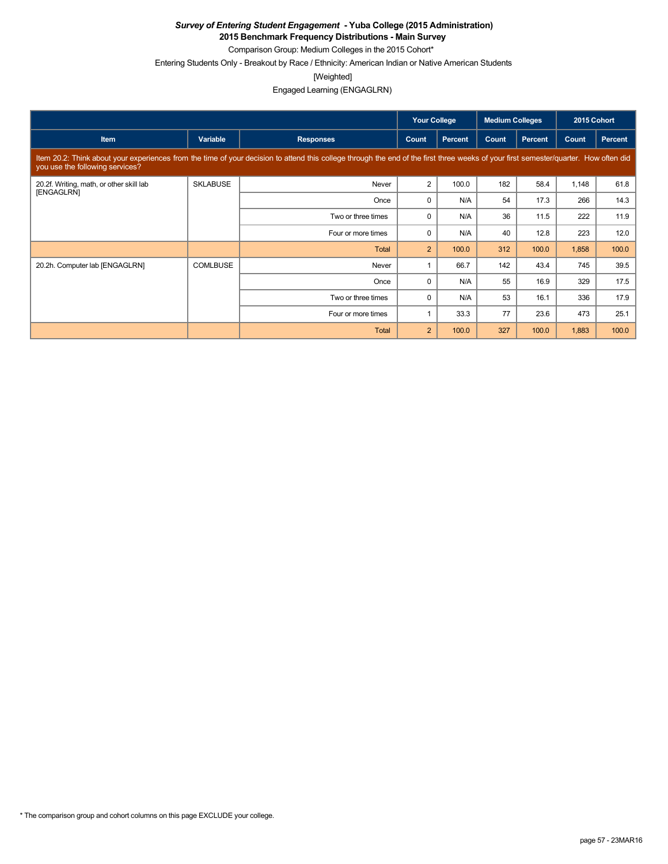**2015 Benchmark Frequency Distributions - Main Survey**

Comparison Group: Medium Colleges in the 2015 Cohort\*

Entering Students Only - Breakout by Race / Ethnicity: American Indian or Native American Students

[Weighted]

|                                                        |                 |                                                                                                                                                                                      | <b>Your College</b> |                | <b>Medium Colleges</b> |                | 2015 Cohort |                |
|--------------------------------------------------------|-----------------|--------------------------------------------------------------------------------------------------------------------------------------------------------------------------------------|---------------------|----------------|------------------------|----------------|-------------|----------------|
| Item                                                   | Variable        | <b>Responses</b>                                                                                                                                                                     | Count               | <b>Percent</b> | Count                  | <b>Percent</b> | Count       | <b>Percent</b> |
| you use the following services?                        |                 | Item 20.2: Think about your experiences from the time of your decision to attend this college through the end of the first three weeks of your first semester/quarter. How often did |                     |                |                        |                |             |                |
| 20.2f. Writing, math, or other skill lab<br>[ENGAGLRN] | <b>SKLABUSE</b> | Never                                                                                                                                                                                | $\overline{2}$      | 100.0          | 182                    | 58.4           | 1,148       | 61.8           |
|                                                        |                 | Once                                                                                                                                                                                 | $\Omega$            | N/A            | 54                     | 17.3           | 266         | 14.3           |
|                                                        |                 | Two or three times                                                                                                                                                                   | 0                   | N/A            | 36                     | 11.5           | 222         | 11.9           |
|                                                        |                 | Four or more times                                                                                                                                                                   | $\Omega$            | N/A            | 40                     | 12.8           | 223         | 12.0           |
|                                                        |                 | Total                                                                                                                                                                                | $\overline{2}$      | 100.0          | 312                    | 100.0          | 1,858       | 100.0          |
| 20.2h. Computer lab [ENGAGLRN]                         | <b>COMLBUSE</b> | Never                                                                                                                                                                                |                     | 66.7           | 142                    | 43.4           | 745         | 39.5           |
|                                                        |                 | Once                                                                                                                                                                                 | 0                   | N/A            | 55                     | 16.9           | 329         | 17.5           |
|                                                        |                 | Two or three times                                                                                                                                                                   | 0                   | N/A            | 53                     | 16.1           | 336         | 17.9           |
|                                                        |                 | Four or more times                                                                                                                                                                   |                     | 33.3           | 77                     | 23.6           | 473         | 25.1           |
|                                                        |                 | Total                                                                                                                                                                                | $\overline{2}$      | 100.0          | 327                    | 100.0          | 1,883       | 100.0          |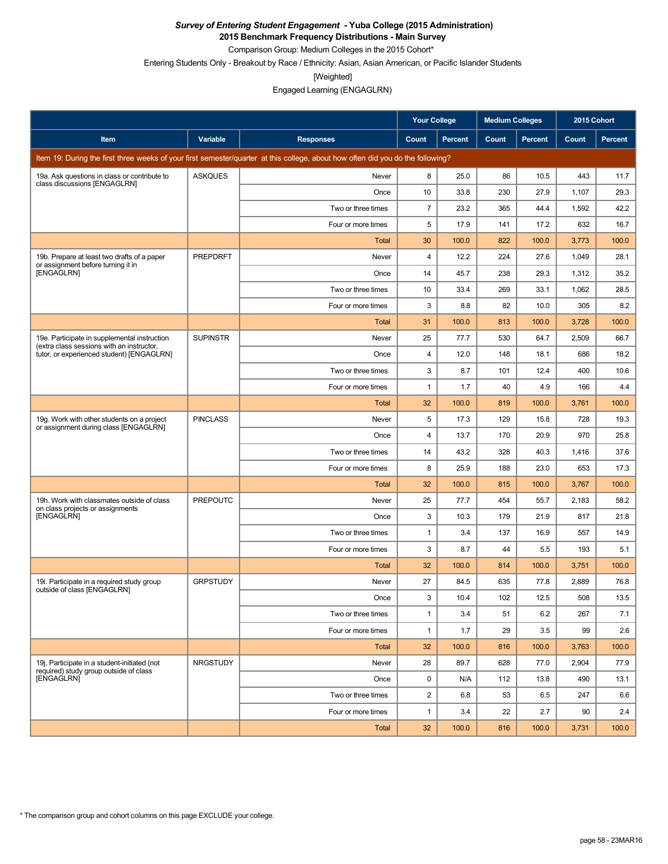**2015 Benchmark Frequency Distributions - Main Survey**

Comparison Group: Medium Colleges in the 2015 Cohort\* Entering Students Only - Breakout by Race / Ethnicity: Asian, Asian American, or Pacific Islander Students

[Weighted]

Engaged Learning (ENGAGLRN)

|                                                                                           |                 |                                                                                                                                 | <b>Your College</b> |                | <b>Medium Colleges</b> |                | 2015 Cohort |         |
|-------------------------------------------------------------------------------------------|-----------------|---------------------------------------------------------------------------------------------------------------------------------|---------------------|----------------|------------------------|----------------|-------------|---------|
| Item                                                                                      | Variable        | <b>Responses</b>                                                                                                                | <b>Count</b>        | <b>Percent</b> | Count                  | <b>Percent</b> | Count       | Percent |
|                                                                                           |                 | Item 19: During the first three weeks of your first semester/quarter at this college, about how often did you do the following? |                     |                |                        |                |             |         |
| 19a. Ask questions in class or contribute to<br>class discussions [ENGAGLRN]              | <b>ASKQUES</b>  | Never                                                                                                                           | 8                   | 25.0           | 86                     | 10.5           | 443         | 11.7    |
|                                                                                           |                 | Once                                                                                                                            | 10                  | 33.8           | 230                    | 27.9           | 1,107       | 29.3    |
|                                                                                           |                 | Two or three times                                                                                                              | $\overline{7}$      | 23.2           | 365                    | 44.4           | 1,592       | 42.2    |
|                                                                                           |                 | Four or more times                                                                                                              | 5                   | 17.9           | 141                    | 17.2           | 632         | 16.7    |
|                                                                                           |                 | Total                                                                                                                           | 30                  | 100.0          | 822                    | 100.0          | 3,773       | 100.0   |
| 19b. Prepare at least two drafts of a paper<br>or assignment before turning it in         | <b>PREPDRFT</b> | Never                                                                                                                           | 4                   | 12.2           | 224                    | 27.6           | 1,049       | 28.1    |
| [ENGAGLRN]                                                                                |                 | Once                                                                                                                            | 14                  | 45.7           | 238                    | 29.3           | 1,312       | 35.2    |
|                                                                                           |                 | Two or three times                                                                                                              | 10                  | 33.4           | 269                    | 33.1           | 1,062       | 28.5    |
|                                                                                           |                 | Four or more times                                                                                                              | 3                   | 8.8            | 82                     | 10.0           | 305         | 8.2     |
|                                                                                           |                 | Total                                                                                                                           | 31                  | 100.0          | 813                    | 100.0          | 3,728       | 100.0   |
| 19e. Participate in supplemental instruction<br>(extra class sessions with an instructor, | <b>SUPINSTR</b> | Never                                                                                                                           | 25                  | 77.7           | 530                    | 64.7           | 2,509       | 66.7    |
| tutor, or experienced student) [ENGAGLRN]                                                 |                 | Once                                                                                                                            | 4                   | 12.0           | 148                    | 18.1           | 686         | 18.2    |
|                                                                                           |                 | Two or three times                                                                                                              | 3                   | 8.7            | 101                    | 12.4           | 400         | 10.6    |
|                                                                                           |                 | Four or more times                                                                                                              | 1                   | 1.7            | 40                     | 4.9            | 166         | 4.4     |
|                                                                                           |                 | Total                                                                                                                           | 32                  | 100.0          | 819                    | 100.0          | 3,761       | 100.0   |
| 19g. Work with other students on a project<br>or assignment during class [ENGAGLRN]       | <b>PINCLASS</b> | Never                                                                                                                           | 5                   | 17.3           | 129                    | 15.8           | 728         | 19.3    |
|                                                                                           |                 | Once                                                                                                                            | 4                   | 13.7           | 170                    | 20.9           | 970         | 25.8    |
|                                                                                           |                 | Two or three times                                                                                                              | 14                  | 43.2           | 328                    | 40.3           | 1,416       | 37.6    |
|                                                                                           |                 | Four or more times                                                                                                              | 8                   | 25.9           | 188                    | 23.0           | 653         | 17.3    |
|                                                                                           |                 | Total                                                                                                                           | 32                  | 100.0          | 815                    | 100.0          | 3,767       | 100.0   |
| 19h. Work with classmates outside of class<br>on class projects or assignments            | <b>PREPOUTC</b> | Never                                                                                                                           | 25                  | 77.7           | 454                    | 55.7           | 2,183       | 58.2    |
| [ENGAGLRN]                                                                                |                 | Once                                                                                                                            | 3                   | 10.3           | 179                    | 21.9           | 817         | 21.8    |
|                                                                                           |                 | Two or three times                                                                                                              | $\mathbf{1}$        | 3.4            | 137                    | 16.9           | 557         | 14.9    |
|                                                                                           |                 | Four or more times                                                                                                              | 3                   | 8.7            | 44                     | 5.5            | 193         | 5.1     |
|                                                                                           |                 | Total                                                                                                                           | 32                  | 100.0          | 814                    | 100.0          | 3,751       | 100.0   |
| 19i. Participate in a required study group<br>outside of class [ENGAGLRN]                 | <b>GRPSTUDY</b> | Never                                                                                                                           | 27                  | 84.5           | 635                    | 77.8           | 2,889       | 76.8    |
|                                                                                           |                 | Once                                                                                                                            | 3                   | 10.4           | 102                    | 12.5           | 508         | 13.5    |
|                                                                                           |                 | Two or three times                                                                                                              | 1                   | 3.4            | 51                     | 6.2            | 267         | 7.1     |
|                                                                                           |                 | Four or more times                                                                                                              | 1                   | 1.7            | 29                     | 3.5            | 99          | 2.6     |
|                                                                                           |                 | Total                                                                                                                           | 32                  | 100.0          | 816                    | 100.0          | 3,763       | 100.0   |
| 19j. Participate in a student-initiated (not<br>required) study group outside of class    | <b>NRGSTUDY</b> | Never                                                                                                                           | 28                  | 89.7           | 628                    | 77.0           | 2,904       | 77.9    |
| [ENGAGLRN]                                                                                |                 | Once                                                                                                                            | 0                   | N/A            | 112                    | 13.8           | 490         | 13.1    |
|                                                                                           |                 | Two or three times                                                                                                              | $\overline{c}$      | 6.8            | 53                     | 6.5            | 247         | 6.6     |
|                                                                                           |                 | Four or more times                                                                                                              | 1                   | 3.4            | 22                     | 2.7            | 90          | 2.4     |
|                                                                                           |                 | Total                                                                                                                           | 32                  | 100.0          | 816                    | 100.0          | 3,731       | 100.0   |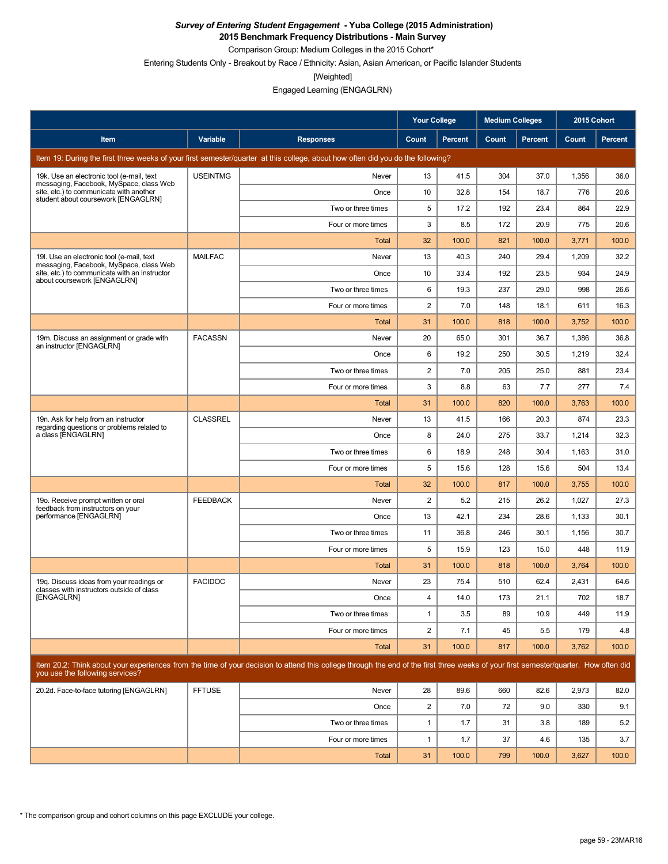**2015 Benchmark Frequency Distributions - Main Survey**

Comparison Group: Medium Colleges in the 2015 Cohort\*

Entering Students Only - Breakout by Race / Ethnicity: Asian, Asian American, or Pacific Islander Students

[Weighted]

|                                                                                       |                 |                                                                                                                                                                                      | Your College            |                | <b>Medium Colleges</b> |         | 2015 Cohort |         |
|---------------------------------------------------------------------------------------|-----------------|--------------------------------------------------------------------------------------------------------------------------------------------------------------------------------------|-------------------------|----------------|------------------------|---------|-------------|---------|
| Item                                                                                  | Variable        | <b>Responses</b>                                                                                                                                                                     | Count                   | <b>Percent</b> | Count                  | Percent | Count       | Percent |
|                                                                                       |                 | Item 19: During the first three weeks of your first semester/quarter at this college, about how often did you do the following?                                                      |                         |                |                        |         |             |         |
| 19k. Use an electronic tool (e-mail, text<br>messaging, Facebook, MySpace, class Web  | <b>USEINTMG</b> | Never                                                                                                                                                                                | 13                      | 41.5           | 304                    | 37.0    | 1,356       | 36.0    |
| site, etc.) to communicate with another<br>student about coursework [ENGAGLRN]        |                 | Once                                                                                                                                                                                 | 10                      | 32.8           | 154                    | 18.7    | 776         | 20.6    |
|                                                                                       |                 | Two or three times                                                                                                                                                                   | 5                       | 17.2           | 192                    | 23.4    | 864         | 22.9    |
|                                                                                       |                 | Four or more times                                                                                                                                                                   | 3                       | 8.5            | 172                    | 20.9    | 775         | 20.6    |
|                                                                                       |                 | Total                                                                                                                                                                                | 32                      | 100.0          | 821                    | 100.0   | 3,771       | 100.0   |
| 19. Use an electronic tool (e-mail, text<br>messaging, Facebook, MySpace, class Web   | <b>MAILFAC</b>  | Never                                                                                                                                                                                | 13                      | 40.3           | 240                    | 29.4    | 1,209       | 32.2    |
| site, etc.) to communicate with an instructor<br>about coursework [ENGAGLRN]          |                 | Once                                                                                                                                                                                 | 10                      | 33.4           | 192                    | 23.5    | 934         | 24.9    |
|                                                                                       |                 | Two or three times                                                                                                                                                                   | 6                       | 19.3           | 237                    | 29.0    | 998         | 26.6    |
|                                                                                       |                 | Four or more times                                                                                                                                                                   | 2                       | 7.0            | 148                    | 18.1    | 611         | 16.3    |
|                                                                                       |                 | <b>Total</b>                                                                                                                                                                         | 31                      | 100.0          | 818                    | 100.0   | 3,752       | 100.0   |
| 19m. Discuss an assignment or grade with<br>an instructor [ENGAGLRN]                  | <b>FACASSN</b>  | Never                                                                                                                                                                                | 20                      | 65.0           | 301                    | 36.7    | 1,386       | 36.8    |
|                                                                                       |                 | Once                                                                                                                                                                                 | 6                       | 19.2           | 250                    | 30.5    | 1,219       | 32.4    |
|                                                                                       |                 | Two or three times                                                                                                                                                                   | $\overline{\mathbf{c}}$ | 7.0            | 205                    | 25.0    | 881         | 23.4    |
|                                                                                       |                 | Four or more times                                                                                                                                                                   | 3                       | 8.8            | 63                     | 7.7     | 277         | 7.4     |
|                                                                                       |                 | Total                                                                                                                                                                                | 31                      | 100.0          | 820                    | 100.0   | 3,763       | 100.0   |
| 19n. Ask for help from an instructor<br>regarding questions or problems related to    | <b>CLASSREL</b> | Never                                                                                                                                                                                | 13                      | 41.5           | 166                    | 20.3    | 874         | 23.3    |
| a class [ENGAGLRN]                                                                    |                 | Once                                                                                                                                                                                 | 8                       | 24.0           | 275                    | 33.7    | 1,214       | 32.3    |
|                                                                                       |                 | Two or three times                                                                                                                                                                   | 6                       | 18.9           | 248                    | 30.4    | 1,163       | 31.0    |
|                                                                                       |                 | Four or more times                                                                                                                                                                   | 5                       | 15.6           | 128                    | 15.6    | 504         | 13.4    |
|                                                                                       |                 | Total                                                                                                                                                                                | 32                      | 100.0          | 817                    | 100.0   | 3,755       | 100.0   |
| 19o. Receive prompt written or oral<br>feedback from instructors on your              | <b>FEEDBACK</b> | Never                                                                                                                                                                                | 2                       | 5.2            | 215                    | 26.2    | 1,027       | 27.3    |
| performance [ENGAGLRN]                                                                |                 | Once                                                                                                                                                                                 | 13                      | 42.1           | 234                    | 28.6    | 1,133       | 30.1    |
|                                                                                       |                 | Two or three times                                                                                                                                                                   | 11                      | 36.8           | 246                    | 30.1    | 1,156       | 30.7    |
|                                                                                       |                 | Four or more times                                                                                                                                                                   | 5                       | 15.9           | 123                    | 15.0    | 448         | 11.9    |
|                                                                                       |                 | Total                                                                                                                                                                                | 31                      | 100.0          | 818                    | 100.0   | 3,764       | 100.0   |
| 19g. Discuss ideas from your readings or<br>classes with instructors outside of class | <b>FACIDOC</b>  | Never                                                                                                                                                                                | 23                      | 75.4           | 510                    | 62.4    | 2,431       | 64.6    |
| [ENGAGLRN]                                                                            |                 | Once                                                                                                                                                                                 | 4                       | 14.0           | 173                    | 21.1    | 702         | 18.7    |
|                                                                                       |                 | Two or three times                                                                                                                                                                   | $\mathbf{1}$            | 3.5            | 89                     | 10.9    | 449         | 11.9    |
|                                                                                       |                 | Four or more times                                                                                                                                                                   | $\overline{c}$          | 7.1            | 45                     | 5.5     | 179         | 4.8     |
|                                                                                       |                 | Total                                                                                                                                                                                | 31                      | 100.0          | 817                    | 100.0   | 3,762       | 100.0   |
| you use the following services?                                                       |                 | Item 20.2: Think about your experiences from the time of your decision to attend this college through the end of the first three weeks of your first semester/quarter. How often did |                         |                |                        |         |             |         |
| 20.2d. Face-to-face tutoring [ENGAGLRN]                                               | <b>FFTUSE</b>   | Never                                                                                                                                                                                | 28                      | 89.6           | 660                    | 82.6    | 2,973       | 82.0    |
|                                                                                       |                 | Once                                                                                                                                                                                 | $\overline{a}$          | 7.0            | 72                     | 9.0     | 330         | 9.1     |
|                                                                                       |                 | Two or three times                                                                                                                                                                   | 1                       | 1.7            | 31                     | 3.8     | 189         | 5.2     |
|                                                                                       |                 | Four or more times                                                                                                                                                                   | 1                       | 1.7            | 37                     | 4.6     | 135         | 3.7     |
|                                                                                       |                 | <b>Total</b>                                                                                                                                                                         | 31                      | 100.0          | 799                    | 100.0   | 3,627       | 100.0   |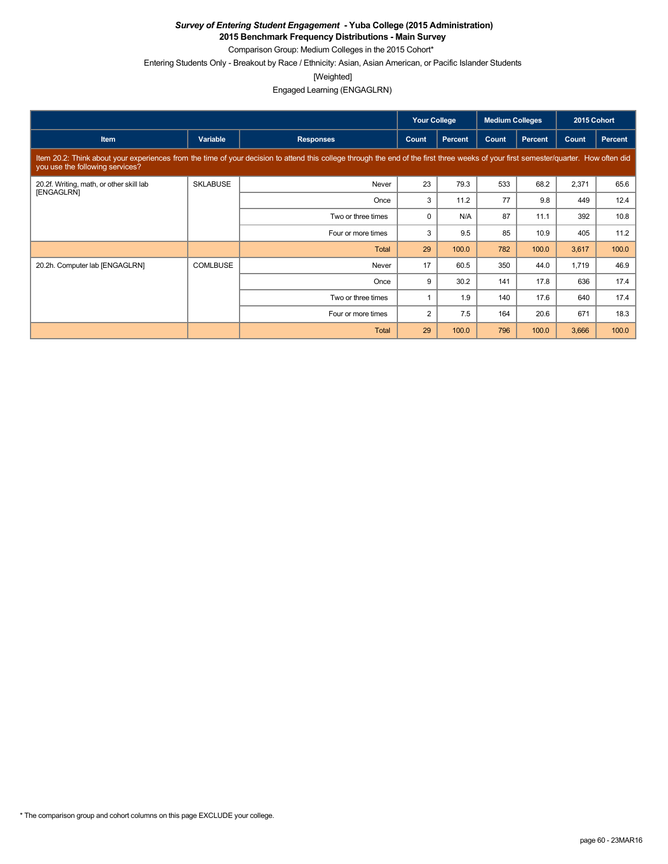**2015 Benchmark Frequency Distributions - Main Survey**

Comparison Group: Medium Colleges in the 2015 Cohort\*

Entering Students Only - Breakout by Race / Ethnicity: Asian, Asian American, or Pacific Islander Students

[Weighted]

Engaged Learning (ENGAGLRN)

|                                                        |                 |                                                                                                                                                                                      | <b>Your College</b> |                | <b>Medium Colleges</b> |         | 2015 Cohort |         |
|--------------------------------------------------------|-----------------|--------------------------------------------------------------------------------------------------------------------------------------------------------------------------------------|---------------------|----------------|------------------------|---------|-------------|---------|
| <b>Item</b>                                            | Variable        | <b>Responses</b>                                                                                                                                                                     | Count               | <b>Percent</b> | Count                  | Percent | Count       | Percent |
| you use the following services?                        |                 | Item 20.2: Think about your experiences from the time of your decision to attend this college through the end of the first three weeks of your first semester/quarter. How often did |                     |                |                        |         |             |         |
| 20.2f. Writing, math, or other skill lab<br>[ENGAGLRN] | <b>SKLABUSE</b> | Never                                                                                                                                                                                | 23                  | 79.3           | 533                    | 68.2    | 2,371       | 65.6    |
|                                                        |                 | Once                                                                                                                                                                                 | 3                   | 11.2           | 77                     | 9.8     | 449         | 12.4    |
|                                                        |                 | Two or three times                                                                                                                                                                   | 0                   | N/A            | 87                     | 11.1    | 392         | 10.8    |
|                                                        |                 | Four or more times                                                                                                                                                                   | 3                   | 9.5            | 85                     | 10.9    | 405         | 11.2    |
|                                                        |                 | Total                                                                                                                                                                                | 29                  | 100.0          | 782                    | 100.0   | 3,617       | 100.0   |
| 20.2h. Computer lab [ENGAGLRN]                         | <b>COMLBUSE</b> | Never                                                                                                                                                                                | 17                  | 60.5           | 350                    | 44.0    | 1,719       | 46.9    |
|                                                        |                 | Once                                                                                                                                                                                 | 9                   | 30.2           | 141                    | 17.8    | 636         | 17.4    |
|                                                        |                 | Two or three times                                                                                                                                                                   |                     | 1.9            | 140                    | 17.6    | 640         | 17.4    |
|                                                        |                 | Four or more times                                                                                                                                                                   | $\overline{2}$      | 7.5            | 164                    | 20.6    | 671         | 18.3    |
|                                                        |                 | <b>Total</b>                                                                                                                                                                         | 29                  | 100.0          | 796                    | 100.0   | 3,666       | 100.0   |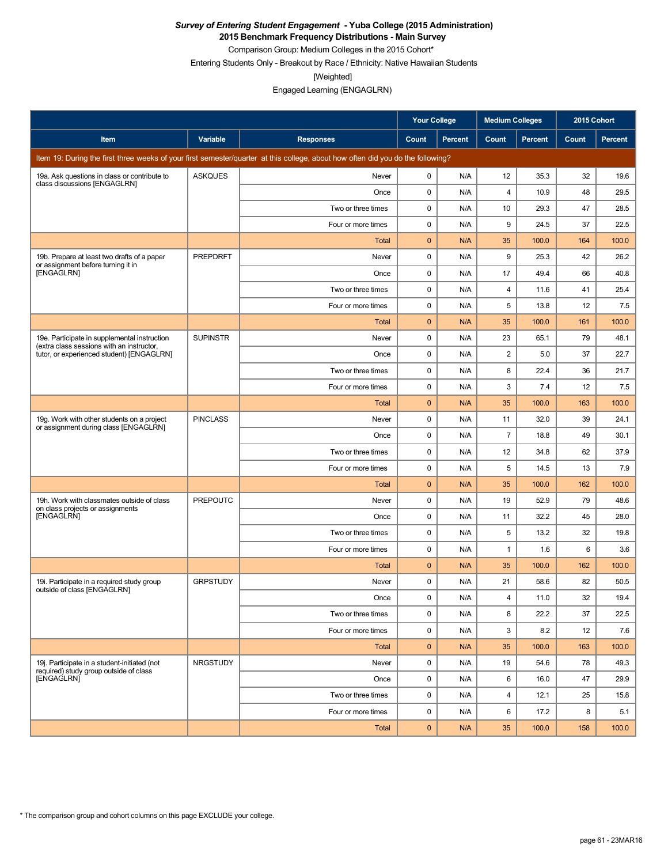**2015 Benchmark Frequency Distributions - Main Survey**

Comparison Group: Medium Colleges in the 2015 Cohort\*

Entering Students Only - Breakout by Race / Ethnicity: Native Hawaiian Students

[Weighted]

|                                                                                           |                 |                                                                                                                                 | <b>Your College</b> |                | <b>Medium Colleges</b> |         | 2015 Cohort |                |
|-------------------------------------------------------------------------------------------|-----------------|---------------------------------------------------------------------------------------------------------------------------------|---------------------|----------------|------------------------|---------|-------------|----------------|
| Item                                                                                      | Variable        | <b>Responses</b>                                                                                                                | Count               | <b>Percent</b> | Count                  | Percent | Count       | <b>Percent</b> |
|                                                                                           |                 | Item 19: During the first three weeks of your first semester/quarter at this college, about how often did you do the following? |                     |                |                        |         |             |                |
| 19a. Ask questions in class or contribute to<br>class discussions [ENGAGLRN]              | <b>ASKQUES</b>  | Never                                                                                                                           | $\mathbf 0$         | N/A            | 12                     | 35.3    | 32          | 19.6           |
|                                                                                           |                 | Once                                                                                                                            | $\mathbf 0$         | N/A            | 4                      | 10.9    | 48          | 29.5           |
|                                                                                           |                 | Two or three times                                                                                                              | $\mathbf 0$         | N/A            | 10                     | 29.3    | 47          | 28.5           |
|                                                                                           |                 | Four or more times                                                                                                              | $\mathbf 0$         | N/A            | 9                      | 24.5    | 37          | 22.5           |
|                                                                                           |                 | Total                                                                                                                           | $\mathbf 0$         | N/A            | 35                     | 100.0   | 164         | 100.0          |
| 19b. Prepare at least two drafts of a paper<br>or assignment before turning it in         | <b>PREPDRFT</b> | Never                                                                                                                           | 0                   | N/A            | 9                      | 25.3    | 42          | 26.2           |
| <b>[ENGAGLRN]</b>                                                                         |                 | Once                                                                                                                            | 0                   | N/A            | 17                     | 49.4    | 66          | 40.8           |
|                                                                                           |                 | Two or three times                                                                                                              | $\mathbf 0$         | N/A            | 4                      | 11.6    | 41          | 25.4           |
|                                                                                           |                 | Four or more times                                                                                                              | 0                   | N/A            | 5                      | 13.8    | 12          | 7.5            |
|                                                                                           |                 | Total                                                                                                                           | $\mathbf{0}$        | N/A            | 35                     | 100.0   | 161         | 100.0          |
| 19e. Participate in supplemental instruction<br>(extra class sessions with an instructor, | <b>SUPINSTR</b> | Never                                                                                                                           | $\mathbf 0$         | N/A            | 23                     | 65.1    | 79          | 48.1           |
| tutor, or experienced student) [ENGAGLRN]                                                 |                 | Once                                                                                                                            | $\mathbf 0$         | N/A            | $\overline{a}$         | 5.0     | 37          | 22.7           |
|                                                                                           |                 | Two or three times                                                                                                              | $\mathbf 0$         | N/A            | 8                      | 22.4    | 36          | 21.7           |
|                                                                                           |                 | Four or more times                                                                                                              | $\mathbf 0$         | N/A            | 3                      | 7.4     | 12          | 7.5            |
|                                                                                           |                 | <b>Total</b>                                                                                                                    | $\mathbf 0$         | N/A            | 35                     | 100.0   | 163         | 100.0          |
| 19g. Work with other students on a project<br>or assignment during class [ENGAGLRN]       | <b>PINCLASS</b> | Never                                                                                                                           | $\mathbf 0$         | N/A            | 11                     | 32.0    | 39          | 24.1           |
|                                                                                           |                 | Once                                                                                                                            | $\mathbf 0$         | N/A            | $\overline{7}$         | 18.8    | 49          | 30.1           |
|                                                                                           |                 | Two or three times                                                                                                              | 0                   | N/A            | 12                     | 34.8    | 62          | 37.9           |
|                                                                                           |                 | Four or more times                                                                                                              | 0                   | N/A            | 5                      | 14.5    | 13          | 7.9            |
|                                                                                           |                 | Total                                                                                                                           | $\mathbf{0}$        | N/A            | 35                     | 100.0   | 162         | 100.0          |
| 19h. Work with classmates outside of class<br>on class projects or assignments            | <b>PREPOUTC</b> | Never                                                                                                                           | $\mathbf 0$         | N/A            | 19                     | 52.9    | 79          | 48.6           |
| [ENGAGLRN]                                                                                |                 | Once                                                                                                                            | $\mathbf 0$         | N/A            | 11                     | 32.2    | 45          | 28.0           |
|                                                                                           |                 | Two or three times                                                                                                              | $\mathbf 0$         | N/A            | 5                      | 13.2    | 32          | 19.8           |
|                                                                                           |                 | Four or more times                                                                                                              | $\mathbf 0$         | N/A            | $\mathbf{1}$           | 1.6     | 6           | 3.6            |
|                                                                                           |                 | Total                                                                                                                           | $\mathbf{0}$        | N/A            | 35                     | 100.0   | 162         | 100.0          |
| 19i. Participate in a required study group<br>outside of class [ENGAGLRN]                 | <b>GRPSTUDY</b> | Never                                                                                                                           | 0                   | N/A            | 21                     | 58.6    | 82          | 50.5           |
|                                                                                           |                 | Once                                                                                                                            | $\mathbf 0$         | N/A            | $\overline{4}$         | 11.0    | 32          | 19.4           |
|                                                                                           |                 | Two or three times                                                                                                              | $\mathbf 0$         | N/A            | 8                      | 22.2    | 37          | 22.5           |
|                                                                                           |                 | Four or more times                                                                                                              | $\mathbf 0$         | N/A            | 3                      | 8.2     | 12          | 7.6            |
|                                                                                           |                 | Total                                                                                                                           | $\mathbf{0}$        | N/A            | 35                     | 100.0   | 163         | 100.0          |
| 19j. Participate in a student-initiated (not<br>required) study group outside of class    | NRGSTUDY        | Never                                                                                                                           | $\mathbf 0$         | N/A            | 19                     | 54.6    | 78          | 49.3           |
| <b>IENGAGLRNÍ</b>                                                                         |                 | Once                                                                                                                            | $\mathbf 0$         | N/A            | 6                      | 16.0    | 47          | 29.9           |
|                                                                                           |                 | Two or three times                                                                                                              | $\mathbf 0$         | N/A            | 4                      | 12.1    | 25          | 15.8           |
|                                                                                           |                 | Four or more times                                                                                                              | $\mathbf 0$         | N/A            | 6                      | 17.2    | 8           | 5.1            |
|                                                                                           |                 | Total                                                                                                                           | $\mathbf{0}$        | N/A            | 35                     | 100.0   | 158         | 100.0          |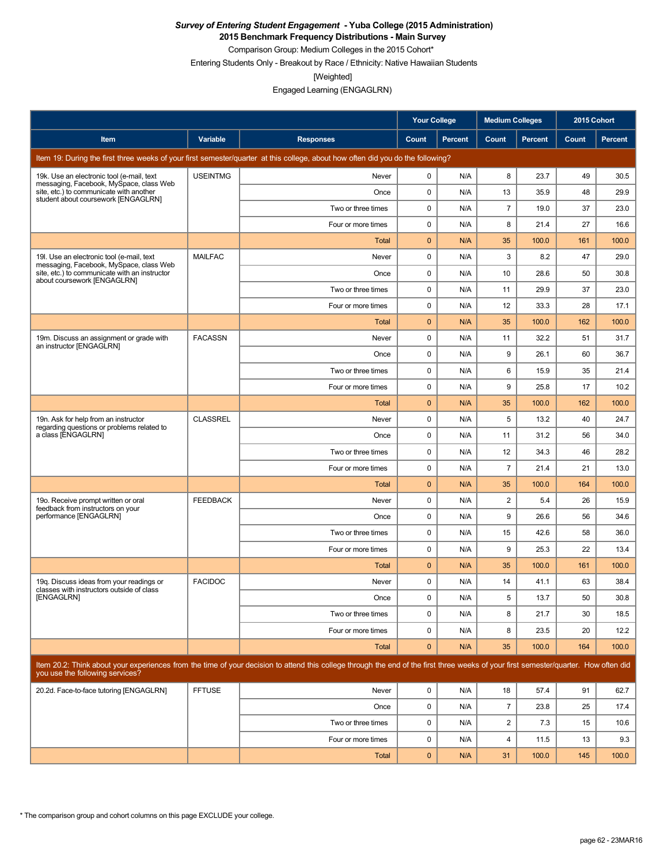**2015 Benchmark Frequency Distributions - Main Survey**

Comparison Group: Medium Colleges in the 2015 Cohort\* Entering Students Only - Breakout by Race / Ethnicity: Native Hawaiian Students

[Weighted]

|                                                                                                                           |                 |                                                                                                                                                                                      | <b>Your College</b> |                | <b>Medium Colleges</b> |                | 2015 Cohort  |         |
|---------------------------------------------------------------------------------------------------------------------------|-----------------|--------------------------------------------------------------------------------------------------------------------------------------------------------------------------------------|---------------------|----------------|------------------------|----------------|--------------|---------|
| Item                                                                                                                      | Variable        | <b>Responses</b>                                                                                                                                                                     | Count               | <b>Percent</b> | Count                  | <b>Percent</b> | <b>Count</b> | Percent |
|                                                                                                                           |                 | Item 19: During the first three weeks of your first semester/quarter at this college, about how often did you do the following?                                                      |                     |                |                        |                |              |         |
| 19k. Use an electronic tool (e-mail, text                                                                                 | <b>USEINTMG</b> | Never                                                                                                                                                                                | 0                   | N/A            | 8                      | 23.7           | 49           | 30.5    |
| messaging, Facebook, MySpace, class Web<br>site, etc.) to communicate with another<br>student about coursework [ENGAGLRN] |                 | Once                                                                                                                                                                                 | 0                   | N/A            | 13                     | 35.9           | 48           | 29.9    |
|                                                                                                                           |                 | Two or three times                                                                                                                                                                   | 0                   | N/A            | $\overline{7}$         | 19.0           | 37           | 23.0    |
|                                                                                                                           |                 | Four or more times                                                                                                                                                                   | 0                   | N/A            | 8                      | 21.4           | 27           | 16.6    |
|                                                                                                                           |                 | Total                                                                                                                                                                                | $\mathbf{0}$        | N/A            | 35                     | 100.0          | 161          | 100.0   |
| 19I. Use an electronic tool (e-mail, text<br>messaging, Facebook, MySpace, class Web                                      | <b>MAILFAC</b>  | Never                                                                                                                                                                                | 0                   | N/A            | 3                      | 8.2            | 47           | 29.0    |
| site, etc.) to communicate with an instructor<br>about coursework [ENGAGLRN]                                              |                 | Once                                                                                                                                                                                 | 0                   | N/A            | 10                     | 28.6           | 50           | 30.8    |
|                                                                                                                           |                 | Two or three times                                                                                                                                                                   | 0                   | N/A            | 11                     | 29.9           | 37           | 23.0    |
|                                                                                                                           |                 | Four or more times                                                                                                                                                                   | 0                   | N/A            | 12                     | 33.3           | 28           | 17.1    |
|                                                                                                                           |                 | Total                                                                                                                                                                                | 0                   | N/A            | 35                     | 100.0          | 162          | 100.0   |
| 19m. Discuss an assignment or grade with<br>an instructor [ENGAGLRN]                                                      | <b>FACASSN</b>  | Never                                                                                                                                                                                | 0                   | N/A            | 11                     | 32.2           | 51           | 31.7    |
|                                                                                                                           |                 | Once                                                                                                                                                                                 | 0                   | N/A            | 9                      | 26.1           | 60           | 36.7    |
|                                                                                                                           |                 | Two or three times                                                                                                                                                                   | 0                   | N/A            | 6                      | 15.9           | 35           | 21.4    |
|                                                                                                                           |                 | Four or more times                                                                                                                                                                   | 0                   | N/A            | 9                      | 25.8           | 17           | 10.2    |
|                                                                                                                           |                 | Total                                                                                                                                                                                | $\mathbf{0}$        | N/A            | 35                     | 100.0          | 162          | 100.0   |
| 19n. Ask for help from an instructor<br>regarding questions or problems related to                                        | <b>CLASSREL</b> | Never                                                                                                                                                                                | 0                   | N/A            | 5                      | 13.2           | 40           | 24.7    |
| a class [ENGAGLRN]                                                                                                        |                 | Once                                                                                                                                                                                 | 0                   | N/A            | 11                     | 31.2           | 56           | 34.0    |
|                                                                                                                           |                 | Two or three times                                                                                                                                                                   | 0                   | N/A            | 12                     | 34.3           | 46           | 28.2    |
|                                                                                                                           |                 | Four or more times                                                                                                                                                                   | 0                   | N/A            | $\overline{7}$         | 21.4           | 21           | 13.0    |
|                                                                                                                           |                 | Total                                                                                                                                                                                | $\mathbf{0}$        | N/A            | 35                     | 100.0          | 164          | 100.0   |
| 19o. Receive prompt written or oral<br>feedback from instructors on your                                                  | <b>FEEDBACK</b> | Never                                                                                                                                                                                | 0                   | N/A            | $\overline{2}$         | 5.4            | 26           | 15.9    |
| performance [ENGAGLRN]                                                                                                    |                 | Once                                                                                                                                                                                 | 0                   | N/A            | 9                      | 26.6           | 56           | 34.6    |
|                                                                                                                           |                 | Two or three times                                                                                                                                                                   | 0                   | N/A            | 15                     | 42.6           | 58           | 36.0    |
|                                                                                                                           |                 | Four or more times                                                                                                                                                                   | 0                   | N/A            | 9                      | 25.3           | 22           | 13.4    |
|                                                                                                                           |                 | Total                                                                                                                                                                                | $\mathbf{0}$        | N/A            | 35                     | 100.0          | 161          | 100.0   |
| 19q. Discuss ideas from your readings or<br>classes with instructors outside of class                                     | <b>FACIDOC</b>  | Never                                                                                                                                                                                | 0                   | N/A            | 14                     | 41.1           | 63           | 38.4    |
| [ENGAGLRN]                                                                                                                |                 | Once                                                                                                                                                                                 | $\Omega$            | N/A            | 5                      | 13.7           | 50           | 30.8    |
|                                                                                                                           |                 | Two or three times                                                                                                                                                                   | 0                   | N/A            | 8                      | 21.7           | 30           | 18.5    |
|                                                                                                                           |                 | Four or more times                                                                                                                                                                   | 0                   | N/A            | 8                      | 23.5           | 20           | 12.2    |
|                                                                                                                           |                 | <b>Total</b>                                                                                                                                                                         | $\mathbf 0$         | N/A            | 35                     | 100.0          | 164          | 100.0   |
| you use the following services?                                                                                           |                 | Item 20.2: Think about your experiences from the time of your decision to attend this college through the end of the first three weeks of your first semester/quarter. How often did |                     |                |                        |                |              |         |
| 20.2d. Face-to-face tutoring [ENGAGLRN]                                                                                   | <b>FFTUSE</b>   | Never                                                                                                                                                                                | 0                   | N/A            | 18                     | 57.4           | 91           | 62.7    |
|                                                                                                                           |                 | Once                                                                                                                                                                                 | 0                   | N/A            | $\overline{7}$         | 23.8           | 25           | 17.4    |
|                                                                                                                           |                 | Two or three times                                                                                                                                                                   | 0                   | N/A            | $\overline{c}$         | 7.3            | 15           | 10.6    |
|                                                                                                                           |                 | Four or more times                                                                                                                                                                   | 0                   | N/A            | 4                      | 11.5           | 13           | 9.3     |
|                                                                                                                           |                 | <b>Total</b>                                                                                                                                                                         | $\mathbf 0$         | N/A            | 31                     | 100.0          | 145          | 100.0   |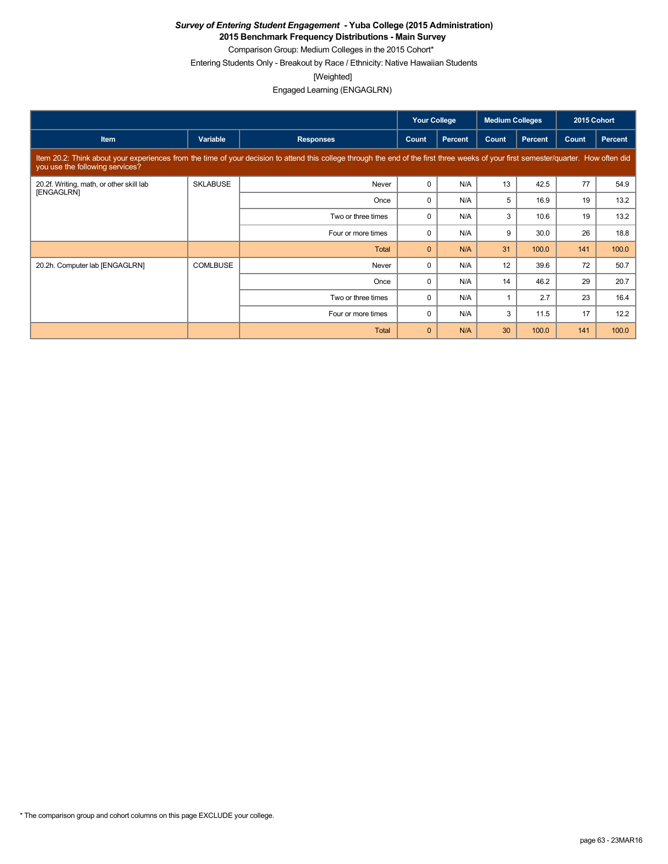**2015 Benchmark Frequency Distributions - Main Survey**

Comparison Group: Medium Colleges in the 2015 Cohort\*

Entering Students Only - Breakout by Race / Ethnicity: Native Hawaiian Students

[Weighted]

|                                                                                                                                                                                                                         |                 |                    | <b>Your College</b> |                | <b>Medium Colleges</b> |         | 2015 Cohort |         |  |
|-------------------------------------------------------------------------------------------------------------------------------------------------------------------------------------------------------------------------|-----------------|--------------------|---------------------|----------------|------------------------|---------|-------------|---------|--|
| <b>Item</b>                                                                                                                                                                                                             | Variable        | <b>Responses</b>   | Count               | <b>Percent</b> | Count                  | Percent | Count       | Percent |  |
| Item 20.2: Think about your experiences from the time of your decision to attend this college through the end of the first three weeks of your first semester/quarter. How often did<br>you use the following services? |                 |                    |                     |                |                        |         |             |         |  |
| 20.2f. Writing, math, or other skill lab<br>[ENGAGLRN]                                                                                                                                                                  | <b>SKLABUSE</b> | Never              | 0                   | N/A            | 13                     | 42.5    | 77          | 54.9    |  |
|                                                                                                                                                                                                                         |                 | Once               | 0                   | N/A            | 5                      | 16.9    | 19          | 13.2    |  |
|                                                                                                                                                                                                                         |                 | Two or three times | 0                   | N/A            | 3                      | 10.6    | 19          | 13.2    |  |
|                                                                                                                                                                                                                         |                 | Four or more times | $\Omega$            | N/A            | 9                      | 30.0    | 26          | 18.8    |  |
|                                                                                                                                                                                                                         |                 | Total              | $\mathbf{0}$        | N/A            | 31                     | 100.0   | 141         | 100.0   |  |
| 20.2h. Computer lab [ENGAGLRN]                                                                                                                                                                                          | <b>COMLBUSE</b> | Never              | $\Omega$            | N/A            | 12                     | 39.6    | 72          | 50.7    |  |
|                                                                                                                                                                                                                         |                 | Once               | $\Omega$            | N/A            | 14                     | 46.2    | 29          | 20.7    |  |
|                                                                                                                                                                                                                         |                 | Two or three times | 0                   | N/A            |                        | 2.7     | 23          | 16.4    |  |
|                                                                                                                                                                                                                         |                 | Four or more times | $\Omega$            | N/A            | 3                      | 11.5    | 17          | 12.2    |  |
|                                                                                                                                                                                                                         |                 | Total              | $\mathbf{0}$        | N/A            | 30                     | 100.0   | 141         | 100.0   |  |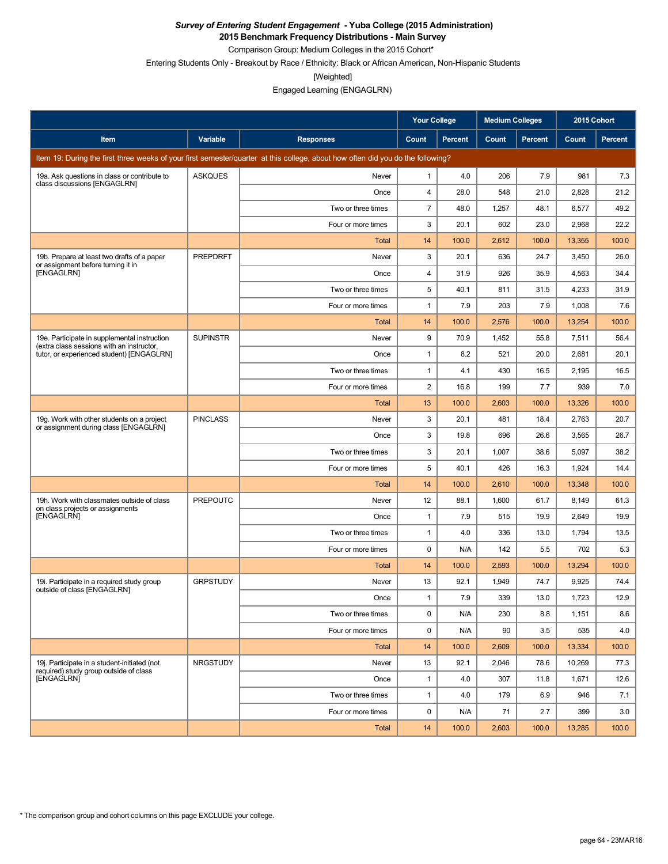**2015 Benchmark Frequency Distributions - Main Survey**

Comparison Group: Medium Colleges in the 2015 Cohort\*

Entering Students Only - Breakout by Race / Ethnicity: Black or African American, Non-Hispanic Students

[Weighted]

Engaged Learning (ENGAGLRN)

|                                                                                           |                 |                                                                                                                                 | <b>Your College</b> |                | <b>Medium Colleges</b> |         | 2015 Cohort |         |
|-------------------------------------------------------------------------------------------|-----------------|---------------------------------------------------------------------------------------------------------------------------------|---------------------|----------------|------------------------|---------|-------------|---------|
| Item                                                                                      | Variable        | <b>Responses</b>                                                                                                                | Count               | <b>Percent</b> | Count                  | Percent | Count       | Percent |
|                                                                                           |                 | Item 19: During the first three weeks of your first semester/quarter at this college, about how often did you do the following? |                     |                |                        |         |             |         |
| 19a. Ask questions in class or contribute to<br>class discussions [ENGAGLRN]              | <b>ASKQUES</b>  | Never                                                                                                                           | $\mathbf{1}$        | 4.0            | 206                    | 7.9     | 981         | 7.3     |
|                                                                                           |                 | Once                                                                                                                            | $\overline{4}$      | 28.0           | 548                    | 21.0    | 2,828       | 21.2    |
|                                                                                           |                 | Two or three times                                                                                                              | $\overline{7}$      | 48.0           | 1,257                  | 48.1    | 6,577       | 49.2    |
|                                                                                           |                 | Four or more times                                                                                                              | 3                   | 20.1           | 602                    | 23.0    | 2,968       | 22.2    |
|                                                                                           |                 | Total                                                                                                                           | 14                  | 100.0          | 2,612                  | 100.0   | 13,355      | 100.0   |
| 19b. Prepare at least two drafts of a paper<br>or assignment before turning it in         | PREPDRFT        | Never                                                                                                                           | 3                   | 20.1           | 636                    | 24.7    | 3,450       | 26.0    |
| [ENGAGLRN]                                                                                |                 | Once                                                                                                                            | 4                   | 31.9           | 926                    | 35.9    | 4,563       | 34.4    |
|                                                                                           |                 | Two or three times                                                                                                              | 5                   | 40.1           | 811                    | 31.5    | 4,233       | 31.9    |
|                                                                                           |                 | Four or more times                                                                                                              | 1                   | 7.9            | 203                    | 7.9     | 1,008       | 7.6     |
|                                                                                           |                 | Total                                                                                                                           | 14                  | 100.0          | 2,576                  | 100.0   | 13,254      | 100.0   |
| 19e. Participate in supplemental instruction<br>(extra class sessions with an instructor, | <b>SUPINSTR</b> | Never                                                                                                                           | 9                   | 70.9           | 1,452                  | 55.8    | 7,511       | 56.4    |
| tutor, or experienced student) [ENGAGLRN]                                                 |                 | Once                                                                                                                            | 1                   | 8.2            | 521                    | 20.0    | 2,681       | 20.1    |
|                                                                                           |                 | Two or three times                                                                                                              | 1                   | 4.1            | 430                    | 16.5    | 2,195       | 16.5    |
|                                                                                           |                 | Four or more times                                                                                                              | $\overline{c}$      | 16.8           | 199                    | 7.7     | 939         | 7.0     |
|                                                                                           |                 | <b>Total</b>                                                                                                                    | 13                  | 100.0          | 2,603                  | 100.0   | 13,326      | 100.0   |
| 19g. Work with other students on a project<br>or assignment during class [ENGAGLRN]       | <b>PINCLASS</b> | Never                                                                                                                           | 3                   | 20.1           | 481                    | 18.4    | 2,763       | 20.7    |
|                                                                                           |                 | Once                                                                                                                            | 3                   | 19.8           | 696                    | 26.6    | 3,565       | 26.7    |
|                                                                                           |                 | Two or three times                                                                                                              | 3                   | 20.1           | 1,007                  | 38.6    | 5,097       | 38.2    |
|                                                                                           |                 | Four or more times                                                                                                              | 5                   | 40.1           | 426                    | 16.3    | 1,924       | 14.4    |
|                                                                                           |                 | Total                                                                                                                           | 14                  | 100.0          | 2,610                  | 100.0   | 13,348      | 100.0   |
| 19h. Work with classmates outside of class<br>on class projects or assignments            | <b>PREPOUTC</b> | Never                                                                                                                           | 12                  | 88.1           | 1,600                  | 61.7    | 8,149       | 61.3    |
| [ENGAGLRN]                                                                                |                 | Once                                                                                                                            | $\mathbf{1}$        | 7.9            | 515                    | 19.9    | 2.649       | 19.9    |
|                                                                                           |                 | Two or three times                                                                                                              | $\mathbf{1}$        | 4.0            | 336                    | 13.0    | 1,794       | 13.5    |
|                                                                                           |                 | Four or more times                                                                                                              | 0                   | N/A            | 142                    | 5.5     | 702         | 5.3     |
|                                                                                           |                 | <b>Total</b>                                                                                                                    | 14                  | 100.0          | 2,593                  | 100.0   | 13,294      | 100.0   |
| 19i. Participate in a required study group<br>outside of class [ENGAGLRN]                 | <b>GRPSTUDY</b> | Never                                                                                                                           | 13                  | 92.1           | 1,949                  | 74.7    | 9,925       | 74.4    |
|                                                                                           |                 | Once                                                                                                                            | 1                   | 7.9            | 339                    | 13.0    | 1,723       | 12.9    |
|                                                                                           |                 | Two or three times                                                                                                              | 0                   | N/A            | 230                    | 8.8     | 1,151       | 8.6     |
|                                                                                           |                 | Four or more times                                                                                                              | 0                   | N/A            | 90                     | 3.5     | 535         | 4.0     |
|                                                                                           |                 | Total                                                                                                                           | 14                  | 100.0          | 2,609                  | 100.0   | 13,334      | 100.0   |
| 19j. Participate in a student-initiated (not<br>required) study group outside of class    | <b>NRGSTUDY</b> | Never                                                                                                                           | 13                  | 92.1           | 2,046                  | 78.6    | 10,269      | 77.3    |
| [ENGAGLRN]                                                                                |                 | Once                                                                                                                            | $\mathbf{1}$        | 4.0            | 307                    | 11.8    | 1,671       | 12.6    |
|                                                                                           |                 | Two or three times                                                                                                              | $\mathbf{1}$        | 4.0            | 179                    | 6.9     | 946         | 7.1     |
|                                                                                           |                 | Four or more times                                                                                                              | 0                   | N/A            | 71                     | 2.7     | 399         | 3.0     |
|                                                                                           |                 | Total                                                                                                                           | 14                  | 100.0          | 2,603                  | 100.0   | 13,285      | 100.0   |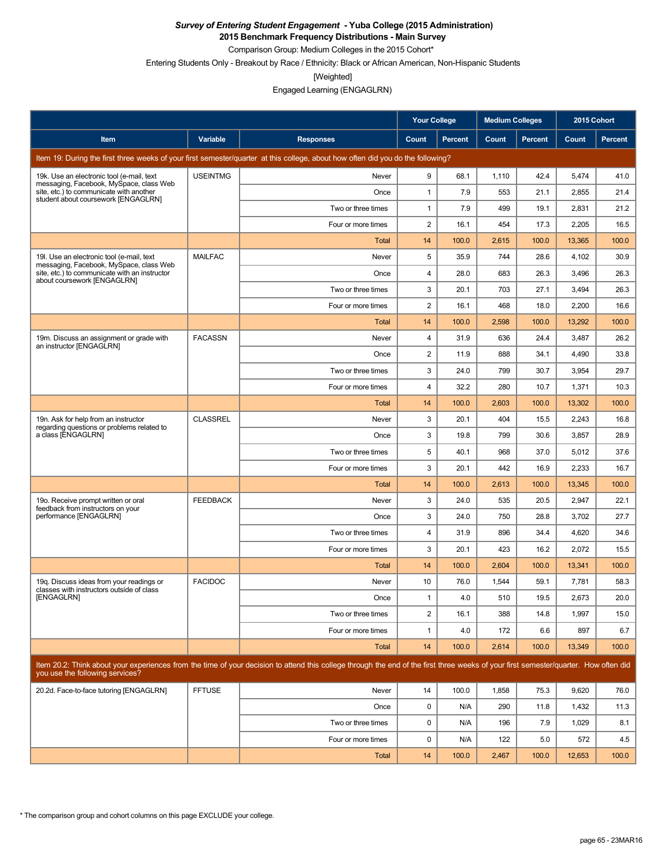**2015 Benchmark Frequency Distributions - Main Survey**

Comparison Group: Medium Colleges in the 2015 Cohort\*

Entering Students Only - Breakout by Race / Ethnicity: Black or African American, Non-Hispanic Students

[Weighted]

Engaged Learning (ENGAGLRN)

|                                                                                       |                 |                                                                                                                                                                                      | <b>Your College</b> |                | <b>Medium Colleges</b> |         | 2015 Cohort |         |
|---------------------------------------------------------------------------------------|-----------------|--------------------------------------------------------------------------------------------------------------------------------------------------------------------------------------|---------------------|----------------|------------------------|---------|-------------|---------|
| Item                                                                                  | Variable        | <b>Responses</b>                                                                                                                                                                     | Count               | <b>Percent</b> | Count                  | Percent | Count       | Percent |
|                                                                                       |                 | Item 19: During the first three weeks of your first semester/quarter at this college, about how often did you do the following?                                                      |                     |                |                        |         |             |         |
| 19k. Use an electronic tool (e-mail, text<br>messaging, Facebook, MySpace, class Web  | <b>USEINTMG</b> | Never                                                                                                                                                                                | 9                   | 68.1           | 1,110                  | 42.4    | 5,474       | 41.0    |
| site, etc.) to communicate with another<br>student about coursework [ENGAGLRN]        |                 | Once                                                                                                                                                                                 | $\mathbf{1}$        | 7.9            | 553                    | 21.1    | 2,855       | 21.4    |
|                                                                                       |                 | Two or three times                                                                                                                                                                   | $\mathbf{1}$        | 7.9            | 499                    | 19.1    | 2,831       | 21.2    |
|                                                                                       |                 | Four or more times                                                                                                                                                                   | 2                   | 16.1           | 454                    | 17.3    | 2,205       | 16.5    |
|                                                                                       |                 | Total                                                                                                                                                                                | 14                  | 100.0          | 2,615                  | 100.0   | 13,365      | 100.0   |
| 19I. Use an electronic tool (e-mail, text<br>messaging, Facebook, MySpace, class Web  | <b>MAILFAC</b>  | Never                                                                                                                                                                                | 5                   | 35.9           | 744                    | 28.6    | 4,102       | 30.9    |
| site, etc.) to communicate with an instructor<br>about coursework [ENGAGLRN]          |                 | Once                                                                                                                                                                                 | 4                   | 28.0           | 683                    | 26.3    | 3,496       | 26.3    |
|                                                                                       |                 | Two or three times                                                                                                                                                                   | 3                   | 20.1           | 703                    | 27.1    | 3,494       | 26.3    |
|                                                                                       |                 | Four or more times                                                                                                                                                                   | 2                   | 16.1           | 468                    | 18.0    | 2,200       | 16.6    |
|                                                                                       |                 | Total                                                                                                                                                                                | 14                  | 100.0          | 2,598                  | 100.0   | 13,292      | 100.0   |
| 19m. Discuss an assignment or grade with<br>an instructor [ENGAGLRN]                  | <b>FACASSN</b>  | Never                                                                                                                                                                                | 4                   | 31.9           | 636                    | 24.4    | 3,487       | 26.2    |
|                                                                                       |                 | Once                                                                                                                                                                                 | 2                   | 11.9           | 888                    | 34.1    | 4,490       | 33.8    |
|                                                                                       |                 | Two or three times                                                                                                                                                                   | 3                   | 24.0           | 799                    | 30.7    | 3,954       | 29.7    |
|                                                                                       |                 | Four or more times                                                                                                                                                                   | 4                   | 32.2           | 280                    | 10.7    | 1,371       | 10.3    |
|                                                                                       |                 | Total                                                                                                                                                                                | 14                  | 100.0          | 2,603                  | 100.0   | 13,302      | 100.0   |
| 19n. Ask for help from an instructor<br>regarding questions or problems related to    | <b>CLASSREL</b> | Never                                                                                                                                                                                | 3                   | 20.1           | 404                    | 15.5    | 2,243       | 16.8    |
| a class [ENGAGLRN]                                                                    |                 | Once                                                                                                                                                                                 | 3                   | 19.8           | 799                    | 30.6    | 3,857       | 28.9    |
|                                                                                       |                 | Two or three times                                                                                                                                                                   | 5                   | 40.1           | 968                    | 37.0    | 5,012       | 37.6    |
|                                                                                       |                 | Four or more times                                                                                                                                                                   | 3                   | 20.1           | 442                    | 16.9    | 2,233       | 16.7    |
|                                                                                       |                 | Total                                                                                                                                                                                | 14                  | 100.0          | 2,613                  | 100.0   | 13,345      | 100.0   |
| 19o. Receive prompt written or oral<br>feedback from instructors on your              | <b>FEEDBACK</b> | Never                                                                                                                                                                                | 3                   | 24.0           | 535                    | 20.5    | 2,947       | 22.1    |
| performance [ENGAGLRN]                                                                |                 | Once                                                                                                                                                                                 | 3                   | 24.0           | 750                    | 28.8    | 3,702       | 27.7    |
|                                                                                       |                 | Two or three times                                                                                                                                                                   | 4                   | 31.9           | 896                    | 34.4    | 4,620       | 34.6    |
|                                                                                       |                 | Four or more times                                                                                                                                                                   | 3                   | 20.1           | 423                    | 16.2    | 2,072       | 15.5    |
|                                                                                       |                 | Total                                                                                                                                                                                | 14                  | 100.0          | 2,604                  | 100.0   | 13,341      | 100.0   |
| 19g. Discuss ideas from your readings or<br>classes with instructors outside of class | <b>FACIDOC</b>  | Never                                                                                                                                                                                | 10                  | 76.0           | 1,544                  | 59.1    | 7,781       | 58.3    |
| [ENGAGLRN]                                                                            |                 | Once                                                                                                                                                                                 | 1                   | 4.0            | 510                    | 19.5    | 2,673       | 20.0    |
|                                                                                       |                 | Two or three times                                                                                                                                                                   | $\overline{c}$      | 16.1           | 388                    | 14.8    | 1,997       | 15.0    |
|                                                                                       |                 | Four or more times                                                                                                                                                                   | 1                   | 4.0            | 172                    | 6.6     | 897         | 6.7     |
|                                                                                       |                 | Total                                                                                                                                                                                | 14                  | 100.0          | 2,614                  | 100.0   | 13,349      | 100.0   |
| you use the following services?                                                       |                 | Item 20.2: Think about your experiences from the time of your decision to attend this college through the end of the first three weeks of your first semester/quarter. How often did |                     |                |                        |         |             |         |
| 20.2d. Face-to-face tutoring [ENGAGLRN]                                               | <b>FFTUSE</b>   | Never                                                                                                                                                                                | 14                  | 100.0          | 1,858                  | 75.3    | 9,620       | 76.0    |
|                                                                                       |                 | Once                                                                                                                                                                                 | 0                   | N/A            | 290                    | 11.8    | 1,432       | 11.3    |
|                                                                                       |                 | Two or three times                                                                                                                                                                   | 0                   | N/A            | 196                    | 7.9     | 1,029       | 8.1     |
|                                                                                       |                 | Four or more times                                                                                                                                                                   | 0                   | N/A            | 122                    | 5.0     | 572         | 4.5     |
|                                                                                       |                 | Total                                                                                                                                                                                | 14                  | 100.0          | 2,467                  | 100.0   | 12,653      | 100.0   |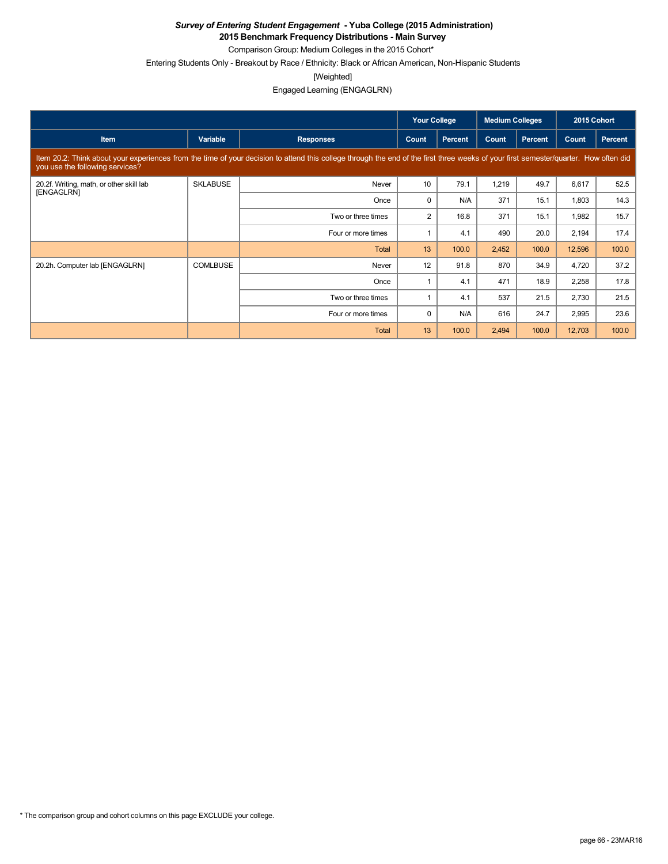**2015 Benchmark Frequency Distributions - Main Survey**

Comparison Group: Medium Colleges in the 2015 Cohort\*

Entering Students Only - Breakout by Race / Ethnicity: Black or African American, Non-Hispanic Students

[Weighted]

|                                                                                                                                                                                                                         |                 |                    | <b>Your College</b> |                | <b>Medium Colleges</b> |                | 2015 Cohort |         |  |
|-------------------------------------------------------------------------------------------------------------------------------------------------------------------------------------------------------------------------|-----------------|--------------------|---------------------|----------------|------------------------|----------------|-------------|---------|--|
| <b>Item</b>                                                                                                                                                                                                             | Variable        | <b>Responses</b>   | Count               | <b>Percent</b> | Count                  | <b>Percent</b> | Count       | Percent |  |
| Item 20.2: Think about your experiences from the time of your decision to attend this college through the end of the first three weeks of your first semester/quarter. How often did<br>you use the following services? |                 |                    |                     |                |                        |                |             |         |  |
| 20.2f. Writing, math, or other skill lab<br>[ENGAGLRN]                                                                                                                                                                  | <b>SKLABUSE</b> | Never              | 10                  | 79.1           | 1,219                  | 49.7           | 6,617       | 52.5    |  |
|                                                                                                                                                                                                                         |                 | Once               | $\Omega$            | N/A            | 371                    | 15.1           | 1,803       | 14.3    |  |
|                                                                                                                                                                                                                         |                 | Two or three times | 2                   | 16.8           | 371                    | 15.1           | 1,982       | 15.7    |  |
|                                                                                                                                                                                                                         |                 | Four or more times |                     | 4.1            | 490                    | 20.0           | 2,194       | 17.4    |  |
|                                                                                                                                                                                                                         |                 | Total              | 13                  | 100.0          | 2,452                  | 100.0          | 12,596      | 100.0   |  |
| 20.2h. Computer lab [ENGAGLRN]                                                                                                                                                                                          | <b>COMLBUSE</b> | Never              | 12                  | 91.8           | 870                    | 34.9           | 4,720       | 37.2    |  |
|                                                                                                                                                                                                                         |                 | Once               |                     | 4.1            | 471                    | 18.9           | 2,258       | 17.8    |  |
|                                                                                                                                                                                                                         |                 | Two or three times |                     | 4.1            | 537                    | 21.5           | 2,730       | 21.5    |  |
|                                                                                                                                                                                                                         |                 | Four or more times | $\Omega$            | N/A            | 616                    | 24.7           | 2,995       | 23.6    |  |
|                                                                                                                                                                                                                         |                 | <b>Total</b>       | 13                  | 100.0          | 2,494                  | 100.0          | 12,703      | 100.0   |  |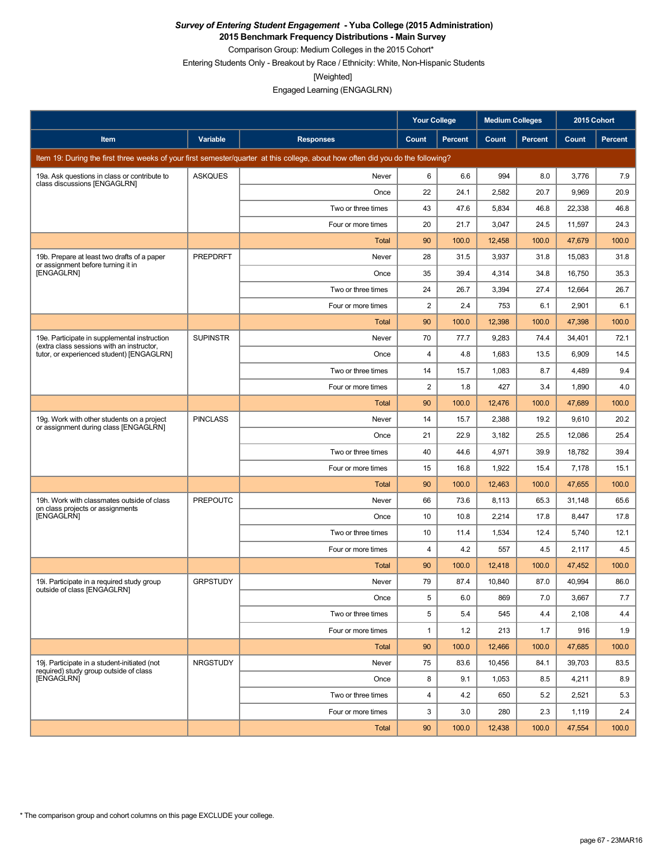**2015 Benchmark Frequency Distributions - Main Survey**

Comparison Group: Medium Colleges in the 2015 Cohort\* Entering Students Only - Breakout by Race / Ethnicity: White, Non-Hispanic Students

[Weighted]

Engaged Learning (ENGAGLRN)

|                                                                                           |                 |                                                                                                                                 | <b>Your College</b> |                | <b>Medium Colleges</b> |         | 2015 Cohort |         |
|-------------------------------------------------------------------------------------------|-----------------|---------------------------------------------------------------------------------------------------------------------------------|---------------------|----------------|------------------------|---------|-------------|---------|
| Item                                                                                      | Variable        | <b>Responses</b>                                                                                                                | Count               | <b>Percent</b> | Count                  | Percent | Count       | Percent |
|                                                                                           |                 | Item 19: During the first three weeks of your first semester/quarter at this college, about how often did you do the following? |                     |                |                        |         |             |         |
| 19a. Ask questions in class or contribute to                                              | <b>ASKQUES</b>  | Never                                                                                                                           | 6                   | 6.6            | 994                    | 8.0     | 3,776       | 7.9     |
| class discussions [ENGAGLRN]                                                              |                 | Once                                                                                                                            | 22                  | 24.1           | 2,582                  | 20.7    | 9,969       | 20.9    |
|                                                                                           |                 | Two or three times                                                                                                              | 43                  | 47.6           | 5,834                  | 46.8    | 22,338      | 46.8    |
|                                                                                           |                 | Four or more times                                                                                                              | 20                  | 21.7           | 3,047                  | 24.5    | 11,597      | 24.3    |
|                                                                                           |                 | Total                                                                                                                           | 90                  | 100.0          | 12,458                 | 100.0   | 47,679      | 100.0   |
| 19b. Prepare at least two drafts of a paper<br>or assignment before turning it in         | PREPDRFT        | Never                                                                                                                           | 28                  | 31.5           | 3,937                  | 31.8    | 15,083      | 31.8    |
| [ENGAGLRN]                                                                                |                 | Once                                                                                                                            | 35                  | 39.4           | 4,314                  | 34.8    | 16,750      | 35.3    |
|                                                                                           |                 | Two or three times                                                                                                              | 24                  | 26.7           | 3,394                  | 27.4    | 12,664      | 26.7    |
|                                                                                           |                 | Four or more times                                                                                                              | $\overline{2}$      | 2.4            | 753                    | 6.1     | 2,901       | 6.1     |
|                                                                                           |                 | Total                                                                                                                           | 90                  | 100.0          | 12,398                 | 100.0   | 47,398      | 100.0   |
| 19e. Participate in supplemental instruction<br>(extra class sessions with an instructor, | <b>SUPINSTR</b> | Never                                                                                                                           | 70                  | 77.7           | 9,283                  | 74.4    | 34,401      | 72.1    |
| tutor, or experienced student) [ENGAGLRN]                                                 |                 | Once                                                                                                                            | 4                   | 4.8            | 1,683                  | 13.5    | 6,909       | 14.5    |
|                                                                                           |                 | Two or three times                                                                                                              | 14                  | 15.7           | 1,083                  | 8.7     | 4,489       | 9.4     |
|                                                                                           |                 | Four or more times                                                                                                              | 2                   | 1.8            | 427                    | 3.4     | 1,890       | 4.0     |
|                                                                                           |                 | <b>Total</b>                                                                                                                    | 90                  | 100.0          | 12,476                 | 100.0   | 47,689      | 100.0   |
| 19g. Work with other students on a project<br>or assignment during class [ENGAGLRN]       | <b>PINCLASS</b> | Never                                                                                                                           | 14                  | 15.7           | 2,388                  | 19.2    | 9,610       | 20.2    |
|                                                                                           |                 | Once                                                                                                                            | 21                  | 22.9           | 3,182                  | 25.5    | 12,086      | 25.4    |
|                                                                                           |                 | Two or three times                                                                                                              | 40                  | 44.6           | 4,971                  | 39.9    | 18,782      | 39.4    |
|                                                                                           |                 | Four or more times                                                                                                              | 15                  | 16.8           | 1,922                  | 15.4    | 7,178       | 15.1    |
|                                                                                           |                 | Total                                                                                                                           | 90                  | 100.0          | 12,463                 | 100.0   | 47,655      | 100.0   |
| 19h. Work with classmates outside of class<br>on class projects or assignments            | <b>PREPOUTC</b> | Never                                                                                                                           | 66                  | 73.6           | 8,113                  | 65.3    | 31,148      | 65.6    |
| [ENGAGLRN]                                                                                |                 | Once                                                                                                                            | 10                  | 10.8           | 2,214                  | 17.8    | 8,447       | 17.8    |
|                                                                                           |                 | Two or three times                                                                                                              | 10                  | 11.4           | 1,534                  | 12.4    | 5,740       | 12.1    |
|                                                                                           |                 | Four or more times                                                                                                              | 4                   | 4.2            | 557                    | 4.5     | 2,117       | 4.5     |
|                                                                                           |                 | <b>Total</b>                                                                                                                    | 90                  | 100.0          | 12,418                 | 100.0   | 47,452      | 100.0   |
| 19i. Participate in a required study group<br>outside of class [ENGAGLRN]                 | <b>GRPSTUDY</b> | Never                                                                                                                           | 79                  | 87.4           | 10,840                 | 87.0    | 40,994      | 86.0    |
|                                                                                           |                 | Once                                                                                                                            | 5                   | 6.0            | 869                    | 7.0     | 3,667       | 7.7     |
|                                                                                           |                 | Two or three times                                                                                                              | 5                   | 5.4            | 545                    | 4.4     | 2,108       | 4.4     |
|                                                                                           |                 | Four or more times                                                                                                              | 1                   | 1.2            | 213                    | 1.7     | 916         | 1.9     |
|                                                                                           |                 | Total                                                                                                                           | 90                  | 100.0          | 12,466                 | 100.0   | 47,685      | 100.0   |
| 19j. Participate in a student-initiated (not<br>required) study group outside of class    | <b>NRGSTUDY</b> | Never                                                                                                                           | 75                  | 83.6           | 10,456                 | 84.1    | 39,703      | 83.5    |
| [ENGAGLRN]                                                                                |                 | Once                                                                                                                            | 8                   | 9.1            | 1,053                  | 8.5     | 4,211       | 8.9     |
|                                                                                           |                 | Two or three times                                                                                                              | 4                   | 4.2            | 650                    | 5.2     | 2,521       | 5.3     |
|                                                                                           |                 | Four or more times                                                                                                              | 3                   | 3.0            | 280                    | 2.3     | 1,119       | 2.4     |
|                                                                                           |                 | <b>Total</b>                                                                                                                    | 90                  | 100.0          | 12,438                 | 100.0   | 47,554      | 100.0   |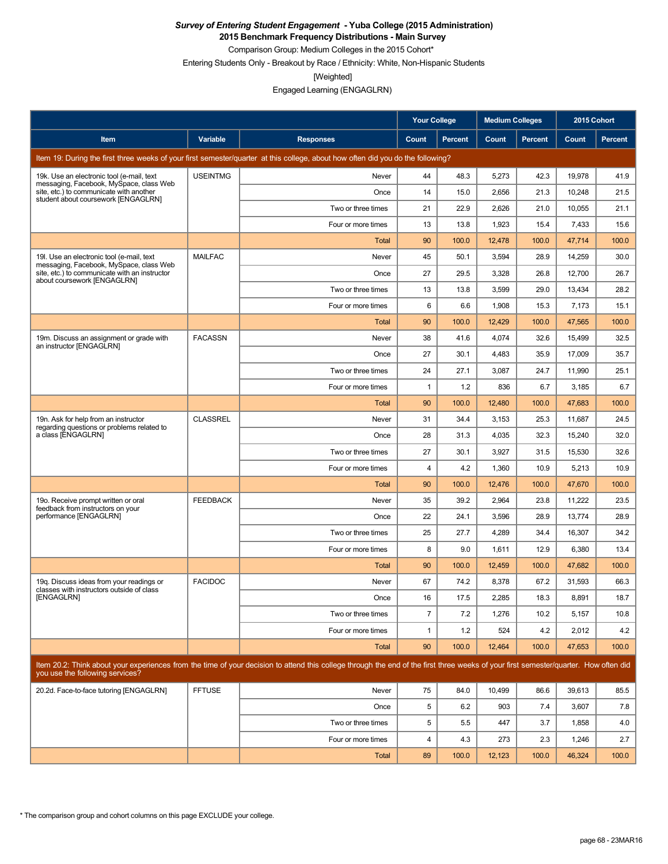**2015 Benchmark Frequency Distributions - Main Survey**

Comparison Group: Medium Colleges in the 2015 Cohort\* Entering Students Only - Breakout by Race / Ethnicity: White, Non-Hispanic Students

[Weighted]

|                                                                                       |                 |                                                                                                                                                                                      | <b>Your College</b> |                | <b>Medium Colleges</b> |         | 2015 Cohort |         |
|---------------------------------------------------------------------------------------|-----------------|--------------------------------------------------------------------------------------------------------------------------------------------------------------------------------------|---------------------|----------------|------------------------|---------|-------------|---------|
| Item                                                                                  | Variable        | <b>Responses</b>                                                                                                                                                                     | Count               | <b>Percent</b> | Count                  | Percent | Count       | Percent |
|                                                                                       |                 | Item 19: During the first three weeks of your first semester/quarter at this college, about how often did you do the following?                                                      |                     |                |                        |         |             |         |
| 19k. Use an electronic tool (e-mail, text<br>messaging, Facebook, MySpace, class Web  | <b>USEINTMG</b> | Never                                                                                                                                                                                | 44                  | 48.3           | 5,273                  | 42.3    | 19,978      | 41.9    |
| site, etc.) to communicate with another<br>student about coursework [ENGAGLRN]        |                 | Once                                                                                                                                                                                 | 14                  | 15.0           | 2,656                  | 21.3    | 10,248      | 21.5    |
|                                                                                       |                 | Two or three times                                                                                                                                                                   | 21                  | 22.9           | 2,626                  | 21.0    | 10,055      | 21.1    |
|                                                                                       |                 | Four or more times                                                                                                                                                                   | 13                  | 13.8           | 1,923                  | 15.4    | 7,433       | 15.6    |
|                                                                                       |                 | Total                                                                                                                                                                                | 90                  | 100.0          | 12,478                 | 100.0   | 47,714      | 100.0   |
| 19I. Use an electronic tool (e-mail, text<br>messaging, Facebook, MySpace, class Web  | <b>MAILFAC</b>  | Never                                                                                                                                                                                | 45                  | 50.1           | 3,594                  | 28.9    | 14,259      | 30.0    |
| site, etc.) to communicate with an instructor<br>about coursework [ENGAGLRN]          |                 | Once                                                                                                                                                                                 | 27                  | 29.5           | 3,328                  | 26.8    | 12,700      | 26.7    |
|                                                                                       |                 | Two or three times                                                                                                                                                                   | 13                  | 13.8           | 3,599                  | 29.0    | 13,434      | 28.2    |
|                                                                                       |                 | Four or more times                                                                                                                                                                   | 6                   | 6.6            | 1,908                  | 15.3    | 7,173       | 15.1    |
|                                                                                       |                 | Total                                                                                                                                                                                | 90                  | 100.0          | 12,429                 | 100.0   | 47,565      | 100.0   |
| 19m. Discuss an assignment or grade with<br>an instructor [ENGAGLRN]                  | <b>FACASSN</b>  | Never                                                                                                                                                                                | 38                  | 41.6           | 4,074                  | 32.6    | 15,499      | 32.5    |
|                                                                                       |                 | Once                                                                                                                                                                                 | 27                  | 30.1           | 4,483                  | 35.9    | 17,009      | 35.7    |
|                                                                                       |                 | Two or three times                                                                                                                                                                   | 24                  | 27.1           | 3,087                  | 24.7    | 11,990      | 25.1    |
|                                                                                       |                 | Four or more times                                                                                                                                                                   | $\mathbf{1}$        | 1.2            | 836                    | 6.7     | 3,185       | 6.7     |
|                                                                                       |                 | Total                                                                                                                                                                                | 90                  | 100.0          | 12,480                 | 100.0   | 47,683      | 100.0   |
| 19n. Ask for help from an instructor<br>regarding questions or problems related to    | <b>CLASSREL</b> | Never                                                                                                                                                                                | 31                  | 34.4           | 3,153                  | 25.3    | 11,687      | 24.5    |
| a class [ENGAGLRN]                                                                    |                 | Once                                                                                                                                                                                 | 28                  | 31.3           | 4,035                  | 32.3    | 15,240      | 32.0    |
|                                                                                       |                 | Two or three times                                                                                                                                                                   | 27                  | 30.1           | 3,927                  | 31.5    | 15,530      | 32.6    |
|                                                                                       |                 | Four or more times                                                                                                                                                                   | 4                   | 4.2            | 1,360                  | 10.9    | 5,213       | 10.9    |
|                                                                                       |                 | Total                                                                                                                                                                                | 90                  | 100.0          | 12,476                 | 100.0   | 47,670      | 100.0   |
| 19o. Receive prompt written or oral<br>feedback from instructors on your              | <b>FEEDBACK</b> | Never                                                                                                                                                                                | 35                  | 39.2           | 2,964                  | 23.8    | 11,222      | 23.5    |
| performance [ENGAGLRN]                                                                |                 | Once                                                                                                                                                                                 | 22                  | 24.1           | 3,596                  | 28.9    | 13,774      | 28.9    |
|                                                                                       |                 | Two or three times                                                                                                                                                                   | 25                  | 27.7           | 4,289                  | 34.4    | 16,307      | 34.2    |
|                                                                                       |                 | Four or more times                                                                                                                                                                   | 8                   | 9.0            | 1,611                  | 12.9    | 6,380       | 13.4    |
|                                                                                       |                 | Total                                                                                                                                                                                | 90                  | 100.0          | 12,459                 | 100.0   | 47,682      | 100.0   |
| 19g. Discuss ideas from your readings or<br>classes with instructors outside of class | <b>FACIDOC</b>  | Never                                                                                                                                                                                | 67                  | 74.2           | 8,378                  | 67.2    | 31,593      | 66.3    |
| [ENGAGLRN]                                                                            |                 | Once                                                                                                                                                                                 | 16                  | 17.5           | 2,285                  | 18.3    | 8,891       | 18.7    |
|                                                                                       |                 | Two or three times                                                                                                                                                                   | $\overline{7}$      | 7.2            | 1,276                  | 10.2    | 5,157       | 10.8    |
|                                                                                       |                 | Four or more times                                                                                                                                                                   | 1                   | 1.2            | 524                    | 4.2     | 2,012       | 4.2     |
|                                                                                       |                 | Total                                                                                                                                                                                | 90                  | 100.0          | 12,464                 | 100.0   | 47,653      | 100.0   |
| you use the following services?                                                       |                 | Item 20.2: Think about your experiences from the time of your decision to attend this college through the end of the first three weeks of your first semester/quarter. How often did |                     |                |                        |         |             |         |
| 20.2d. Face-to-face tutoring [ENGAGLRN]                                               | <b>FFTUSE</b>   | Never                                                                                                                                                                                | 75                  | 84.0           | 10,499                 | 86.6    | 39,613      | 85.5    |
|                                                                                       |                 | Once                                                                                                                                                                                 | 5                   | 6.2            | 903                    | 7.4     | 3,607       | 7.8     |
|                                                                                       |                 | Two or three times                                                                                                                                                                   | 5                   | 5.5            | 447                    | 3.7     | 1,858       | 4.0     |
|                                                                                       |                 | Four or more times                                                                                                                                                                   | 4                   | 4.3            | 273                    | 2.3     | 1,246       | 2.7     |
|                                                                                       |                 | Total                                                                                                                                                                                | 89                  | 100.0          | 12,123                 | 100.0   | 46,324      | 100.0   |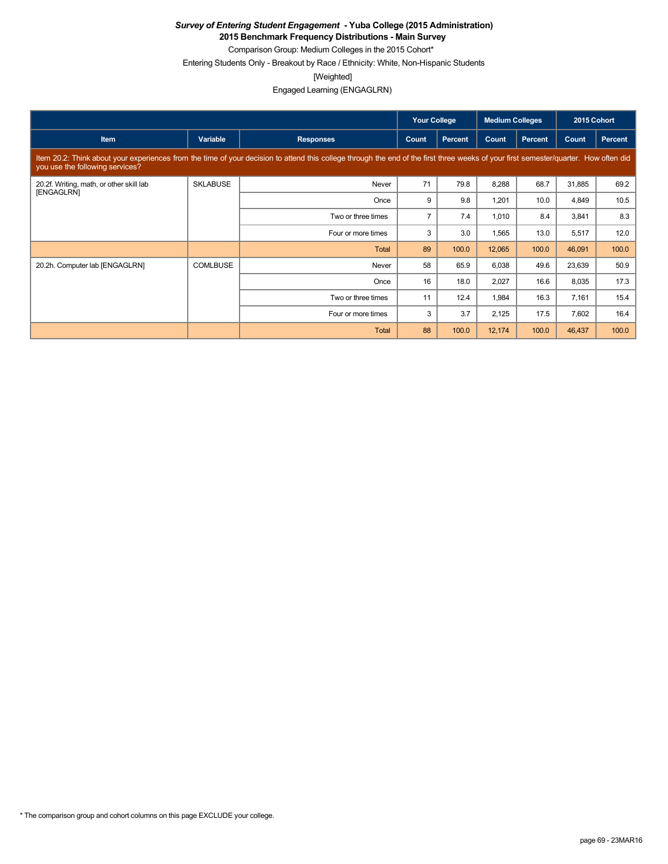**2015 Benchmark Frequency Distributions - Main Survey**

Comparison Group: Medium Colleges in the 2015 Cohort\* Entering Students Only - Breakout by Race / Ethnicity: White, Non-Hispanic Students

[Weighted]

|                                                                                                                                                                                                                         |                 |                    | <b>Your College</b> |                | <b>Medium Colleges</b> |         | 2015 Cohort |                |  |
|-------------------------------------------------------------------------------------------------------------------------------------------------------------------------------------------------------------------------|-----------------|--------------------|---------------------|----------------|------------------------|---------|-------------|----------------|--|
| <b>Item</b>                                                                                                                                                                                                             | Variable        | <b>Responses</b>   | Count               | <b>Percent</b> | Count                  | Percent | Count       | <b>Percent</b> |  |
| Item 20.2: Think about your experiences from the time of your decision to attend this college through the end of the first three weeks of your first semester/quarter. How often did<br>you use the following services? |                 |                    |                     |                |                        |         |             |                |  |
| 20.2f. Writing, math, or other skill lab<br>[ENGAGLRN]                                                                                                                                                                  | <b>SKLABUSE</b> | Never              | 71                  | 79.8           | 8,288                  | 68.7    | 31,885      | 69.2           |  |
|                                                                                                                                                                                                                         |                 | Once               | 9                   | 9.8            | 1,201                  | 10.0    | 4,849       | 10.5           |  |
|                                                                                                                                                                                                                         |                 | Two or three times | $\overline{7}$      | 7.4            | 1,010                  | 8.4     | 3,841       | 8.3            |  |
|                                                                                                                                                                                                                         |                 | Four or more times | 3                   | 3.0            | 1,565                  | 13.0    | 5,517       | 12.0           |  |
|                                                                                                                                                                                                                         |                 | Total              | 89                  | 100.0          | 12,065                 | 100.0   | 46,091      | 100.0          |  |
| 20.2h. Computer lab [ENGAGLRN]                                                                                                                                                                                          | <b>COMLBUSE</b> | Never              | 58                  | 65.9           | 6,038                  | 49.6    | 23,639      | 50.9           |  |
|                                                                                                                                                                                                                         |                 | Once               | 16                  | 18.0           | 2,027                  | 16.6    | 8,035       | 17.3           |  |
|                                                                                                                                                                                                                         |                 | Two or three times | 11                  | 12.4           | 1,984                  | 16.3    | 7,161       | 15.4           |  |
|                                                                                                                                                                                                                         |                 | Four or more times | 3                   | 3.7            | 2,125                  | 17.5    | 7,602       | 16.4           |  |
|                                                                                                                                                                                                                         |                 | <b>Total</b>       | 88                  | 100.0          | 12,174                 | 100.0   | 46,437      | 100.0          |  |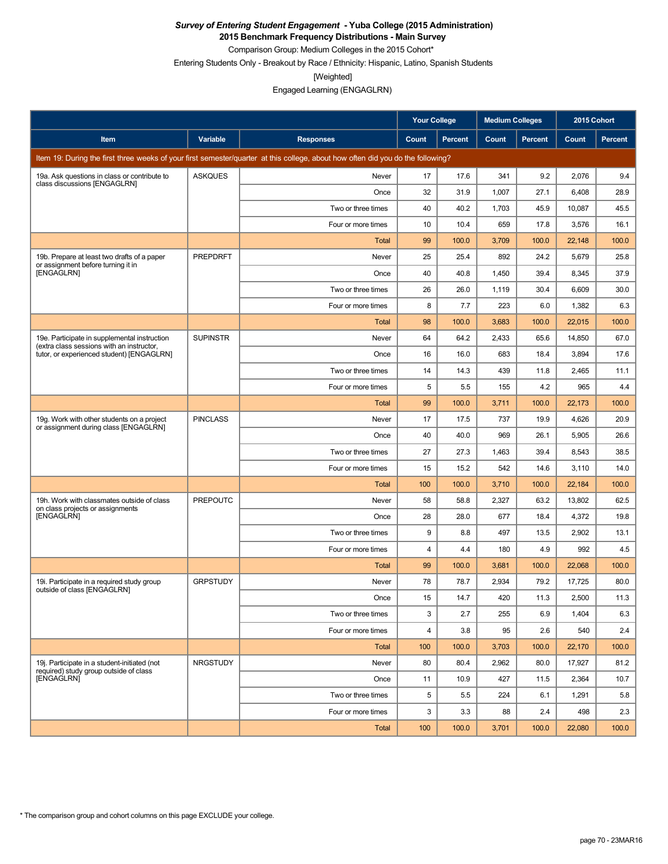**2015 Benchmark Frequency Distributions - Main Survey** Comparison Group: Medium Colleges in the 2015 Cohort\*

Entering Students Only - Breakout by Race / Ethnicity: Hispanic, Latino, Spanish Students

[Weighted]

Engaged Learning (ENGAGLRN)

|                                                                                           |                 |                                                                                                                                 | <b>Your College</b> |                | <b>Medium Colleges</b> |         | 2015 Cohort |         |
|-------------------------------------------------------------------------------------------|-----------------|---------------------------------------------------------------------------------------------------------------------------------|---------------------|----------------|------------------------|---------|-------------|---------|
| Item                                                                                      | Variable        | <b>Responses</b>                                                                                                                | Count               | <b>Percent</b> | Count                  | Percent | Count       | Percent |
|                                                                                           |                 | Item 19: During the first three weeks of your first semester/quarter at this college, about how often did you do the following? |                     |                |                        |         |             |         |
| 19a. Ask questions in class or contribute to                                              | <b>ASKQUES</b>  | Never                                                                                                                           | 17                  | 17.6           | 341                    | 9.2     | 2,076       | 9.4     |
| class discussions [ENGAGLRN]                                                              |                 | Once                                                                                                                            | 32                  | 31.9           | 1,007                  | 27.1    | 6,408       | 28.9    |
|                                                                                           |                 | Two or three times                                                                                                              | 40                  | 40.2           | 1,703                  | 45.9    | 10,087      | 45.5    |
|                                                                                           |                 | Four or more times                                                                                                              | 10                  | 10.4           | 659                    | 17.8    | 3,576       | 16.1    |
|                                                                                           |                 | Total                                                                                                                           | 99                  | 100.0          | 3,709                  | 100.0   | 22,148      | 100.0   |
| 19b. Prepare at least two drafts of a paper<br>or assignment before turning it in         | <b>PREPDRFT</b> | Never                                                                                                                           | 25                  | 25.4           | 892                    | 24.2    | 5,679       | 25.8    |
| [ENGAGLRN]                                                                                |                 | Once                                                                                                                            | 40                  | 40.8           | 1,450                  | 39.4    | 8,345       | 37.9    |
|                                                                                           |                 | Two or three times                                                                                                              | 26                  | 26.0           | 1,119                  | 30.4    | 6,609       | 30.0    |
|                                                                                           |                 | Four or more times                                                                                                              | 8                   | 7.7            | 223                    | 6.0     | 1,382       | 6.3     |
|                                                                                           |                 | Total                                                                                                                           | 98                  | 100.0          | 3,683                  | 100.0   | 22,015      | 100.0   |
| 19e. Participate in supplemental instruction<br>(extra class sessions with an instructor, | <b>SUPINSTR</b> | Never                                                                                                                           | 64                  | 64.2           | 2,433                  | 65.6    | 14,850      | 67.0    |
| tutor, or experienced student) [ENGAGLRN]                                                 |                 | Once                                                                                                                            | 16                  | 16.0           | 683                    | 18.4    | 3,894       | 17.6    |
|                                                                                           |                 | Two or three times                                                                                                              | 14                  | 14.3           | 439                    | 11.8    | 2,465       | 11.1    |
|                                                                                           |                 | Four or more times                                                                                                              | 5                   | 5.5            | 155                    | 4.2     | 965         | 4.4     |
|                                                                                           |                 | <b>Total</b>                                                                                                                    | 99                  | 100.0          | 3,711                  | 100.0   | 22,173      | 100.0   |
| 19g. Work with other students on a project<br>or assignment during class [ENGAGLRN]       | <b>PINCLASS</b> | Never                                                                                                                           | 17                  | 17.5           | 737                    | 19.9    | 4,626       | 20.9    |
|                                                                                           |                 | Once                                                                                                                            | 40                  | 40.0           | 969                    | 26.1    | 5,905       | 26.6    |
|                                                                                           |                 | Two or three times                                                                                                              | 27                  | 27.3           | 1,463                  | 39.4    | 8,543       | 38.5    |
|                                                                                           |                 | Four or more times                                                                                                              | 15                  | 15.2           | 542                    | 14.6    | 3,110       | 14.0    |
|                                                                                           |                 | Total                                                                                                                           | 100                 | 100.0          | 3,710                  | 100.0   | 22,184      | 100.0   |
| 19h. Work with classmates outside of class<br>on class projects or assignments            | <b>PREPOUTC</b> | Never                                                                                                                           | 58                  | 58.8           | 2,327                  | 63.2    | 13,802      | 62.5    |
| [ENGAGLRN]                                                                                |                 | Once                                                                                                                            | 28                  | 28.0           | 677                    | 18.4    | 4,372       | 19.8    |
|                                                                                           |                 | Two or three times                                                                                                              | 9                   | 8.8            | 497                    | 13.5    | 2,902       | 13.1    |
|                                                                                           |                 | Four or more times                                                                                                              | 4                   | 4.4            | 180                    | 4.9     | 992         | 4.5     |
|                                                                                           |                 | Total                                                                                                                           | 99                  | 100.0          | 3,681                  | 100.0   | 22,068      | 100.0   |
| 19i. Participate in a required study group<br>outside of class [ENGAGLRN]                 | <b>GRPSTUDY</b> | Never                                                                                                                           | 78                  | 78.7           | 2,934                  | 79.2    | 17,725      | 80.0    |
|                                                                                           |                 | Once                                                                                                                            | 15                  | 14.7           | 420                    | 11.3    | 2,500       | 11.3    |
|                                                                                           |                 | Two or three times                                                                                                              | 3                   | 2.7            | 255                    | 6.9     | 1,404       | 6.3     |
|                                                                                           |                 | Four or more times                                                                                                              | 4                   | 3.8            | 95                     | 2.6     | 540         | 2.4     |
|                                                                                           |                 | Total                                                                                                                           | 100                 | 100.0          | 3,703                  | 100.0   | 22,170      | 100.0   |
| 19j. Participate in a student-initiated (not<br>required) study group outside of class    | <b>NRGSTUDY</b> | Never                                                                                                                           | 80                  | 80.4           | 2,962                  | 80.0    | 17,927      | 81.2    |
| [ENGAGLRN]                                                                                |                 | Once                                                                                                                            | 11                  | 10.9           | 427                    | 11.5    | 2,364       | 10.7    |
|                                                                                           |                 | Two or three times                                                                                                              | 5                   | 5.5            | 224                    | 6.1     | 1,291       | 5.8     |
|                                                                                           |                 | Four or more times                                                                                                              | 3                   | 3.3            | 88                     | 2.4     | 498         | 2.3     |
|                                                                                           |                 | <b>Total</b>                                                                                                                    | 100                 | 100.0          | 3,701                  | 100.0   | 22,080      | 100.0   |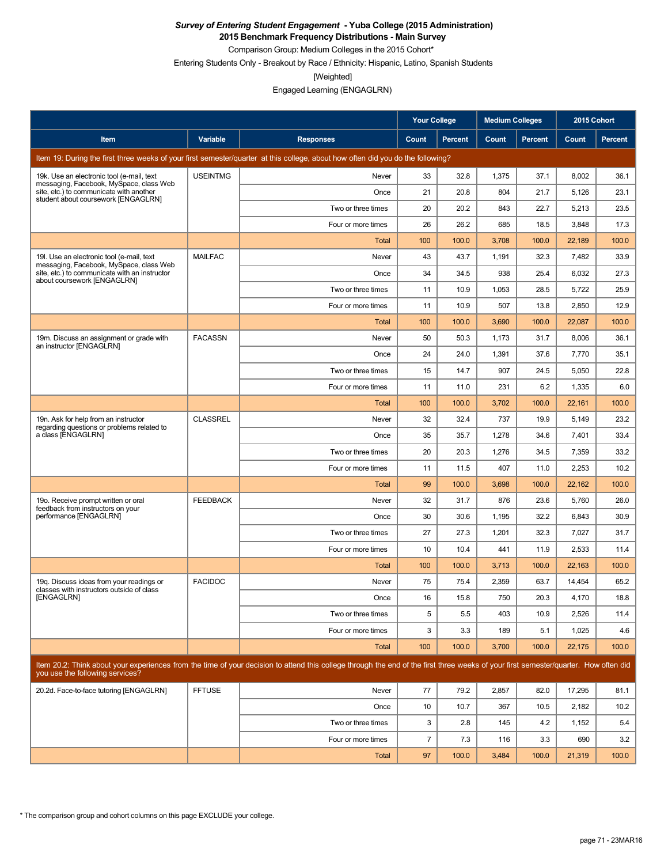**2015 Benchmark Frequency Distributions - Main Survey**

Comparison Group: Medium Colleges in the 2015 Cohort\* Entering Students Only - Breakout by Race / Ethnicity: Hispanic, Latino, Spanish Students

[Weighted]

|                                                                                       |                 |                                                                                                                                                                                      | <b>Your College</b> |                | <b>Medium Colleges</b> |         | 2015 Cohort |         |
|---------------------------------------------------------------------------------------|-----------------|--------------------------------------------------------------------------------------------------------------------------------------------------------------------------------------|---------------------|----------------|------------------------|---------|-------------|---------|
| Item                                                                                  | Variable        | <b>Responses</b>                                                                                                                                                                     | Count               | <b>Percent</b> | Count                  | Percent | Count       | Percent |
|                                                                                       |                 | Item 19: During the first three weeks of your first semester/quarter at this college, about how often did you do the following?                                                      |                     |                |                        |         |             |         |
| 19k. Use an electronic tool (e-mail, text<br>messaging, Facebook, MySpace, class Web  | <b>USEINTMG</b> | Never                                                                                                                                                                                | 33                  | 32.8           | 1,375                  | 37.1    | 8,002       | 36.1    |
| site, etc.) to communicate with another<br>student about coursework [ENGAGLRN]        |                 | Once                                                                                                                                                                                 | 21                  | 20.8           | 804                    | 21.7    | 5,126       | 23.1    |
|                                                                                       |                 | Two or three times                                                                                                                                                                   | 20                  | 20.2           | 843                    | 22.7    | 5,213       | 23.5    |
|                                                                                       |                 | Four or more times                                                                                                                                                                   | 26                  | 26.2           | 685                    | 18.5    | 3,848       | 17.3    |
|                                                                                       |                 | Total                                                                                                                                                                                | 100                 | 100.0          | 3,708                  | 100.0   | 22,189      | 100.0   |
| 19I. Use an electronic tool (e-mail, text<br>messaging, Facebook, MySpace, class Web  | <b>MAILFAC</b>  | Never                                                                                                                                                                                | 43                  | 43.7           | 1,191                  | 32.3    | 7,482       | 33.9    |
| site, etc.) to communicate with an instructor<br>about coursework [ENGAGLRN]          |                 | Once                                                                                                                                                                                 | 34                  | 34.5           | 938                    | 25.4    | 6,032       | 27.3    |
|                                                                                       |                 | Two or three times                                                                                                                                                                   | 11                  | 10.9           | 1,053                  | 28.5    | 5,722       | 25.9    |
|                                                                                       |                 | Four or more times                                                                                                                                                                   | 11                  | 10.9           | 507                    | 13.8    | 2,850       | 12.9    |
|                                                                                       |                 | <b>Total</b>                                                                                                                                                                         | 100                 | 100.0          | 3,690                  | 100.0   | 22,087      | 100.0   |
| 19m. Discuss an assignment or grade with<br>an instructor [ENGAGLRN]                  | <b>FACASSN</b>  | Never                                                                                                                                                                                | 50                  | 50.3           | 1,173                  | 31.7    | 8,006       | 36.1    |
|                                                                                       |                 | Once                                                                                                                                                                                 | 24                  | 24.0           | 1,391                  | 37.6    | 7,770       | 35.1    |
|                                                                                       |                 | Two or three times                                                                                                                                                                   | 15                  | 14.7           | 907                    | 24.5    | 5,050       | 22.8    |
|                                                                                       |                 | Four or more times                                                                                                                                                                   | 11                  | 11.0           | 231                    | 6.2     | 1,335       | 6.0     |
|                                                                                       |                 | Total                                                                                                                                                                                | 100                 | 100.0          | 3,702                  | 100.0   | 22,161      | 100.0   |
| 19n. Ask for help from an instructor<br>regarding questions or problems related to    | <b>CLASSREL</b> | Never                                                                                                                                                                                | 32                  | 32.4           | 737                    | 19.9    | 5,149       | 23.2    |
| a class [ENGAGLRN]                                                                    |                 | Once                                                                                                                                                                                 | 35                  | 35.7           | 1,278                  | 34.6    | 7,401       | 33.4    |
|                                                                                       |                 | Two or three times                                                                                                                                                                   | 20                  | 20.3           | 1,276                  | 34.5    | 7,359       | 33.2    |
|                                                                                       |                 | Four or more times                                                                                                                                                                   | 11                  | 11.5           | 407                    | 11.0    | 2,253       | 10.2    |
|                                                                                       |                 | Total                                                                                                                                                                                | 99                  | 100.0          | 3,698                  | 100.0   | 22,162      | 100.0   |
| 19o. Receive prompt written or oral<br>feedback from instructors on your              | <b>FEEDBACK</b> | Never                                                                                                                                                                                | 32                  | 31.7           | 876                    | 23.6    | 5,760       | 26.0    |
| performance [ENGAGLRN]                                                                |                 | Once                                                                                                                                                                                 | 30                  | 30.6           | 1,195                  | 32.2    | 6,843       | 30.9    |
|                                                                                       |                 | Two or three times                                                                                                                                                                   | 27                  | 27.3           | 1,201                  | 32.3    | 7,027       | 31.7    |
|                                                                                       |                 | Four or more times                                                                                                                                                                   | 10                  | 10.4           | 441                    | 11.9    | 2,533       | 11.4    |
|                                                                                       |                 | Total                                                                                                                                                                                | 100                 | 100.0          | 3,713                  | 100.0   | 22,163      | 100.0   |
| 19g. Discuss ideas from your readings or<br>classes with instructors outside of class | <b>FACIDOC</b>  | Never                                                                                                                                                                                | 75                  | 75.4           | 2,359                  | 63.7    | 14,454      | 65.2    |
| [ENGAGLRN]                                                                            |                 | Once                                                                                                                                                                                 | 16                  | 15.8           | 750                    | 20.3    | 4,170       | 18.8    |
|                                                                                       |                 | Two or three times                                                                                                                                                                   | 5                   | 5.5            | 403                    | 10.9    | 2,526       | 11.4    |
|                                                                                       |                 | Four or more times                                                                                                                                                                   | 3                   | 3.3            | 189                    | 5.1     | 1,025       | 4.6     |
|                                                                                       |                 | Total                                                                                                                                                                                | 100                 | 100.0          | 3,700                  | 100.0   | 22,175      | 100.0   |
| you use the following services?                                                       |                 | Item 20.2: Think about your experiences from the time of your decision to attend this college through the end of the first three weeks of your first semester/quarter. How often did |                     |                |                        |         |             |         |
| 20.2d. Face-to-face tutoring [ENGAGLRN]                                               | <b>FFTUSE</b>   | Never                                                                                                                                                                                | 77                  | 79.2           | 2,857                  | 82.0    | 17,295      | 81.1    |
|                                                                                       |                 | Once                                                                                                                                                                                 | 10                  | 10.7           | 367                    | 10.5    | 2,182       | 10.2    |
|                                                                                       |                 | Two or three times                                                                                                                                                                   | 3                   | 2.8            | 145                    | 4.2     | 1,152       | 5.4     |
|                                                                                       |                 | Four or more times                                                                                                                                                                   | $\overline{7}$      | 7.3            | 116                    | 3.3     | 690         | 3.2     |
|                                                                                       |                 | Total                                                                                                                                                                                | 97                  | 100.0          | 3,484                  | 100.0   | 21,319      | 100.0   |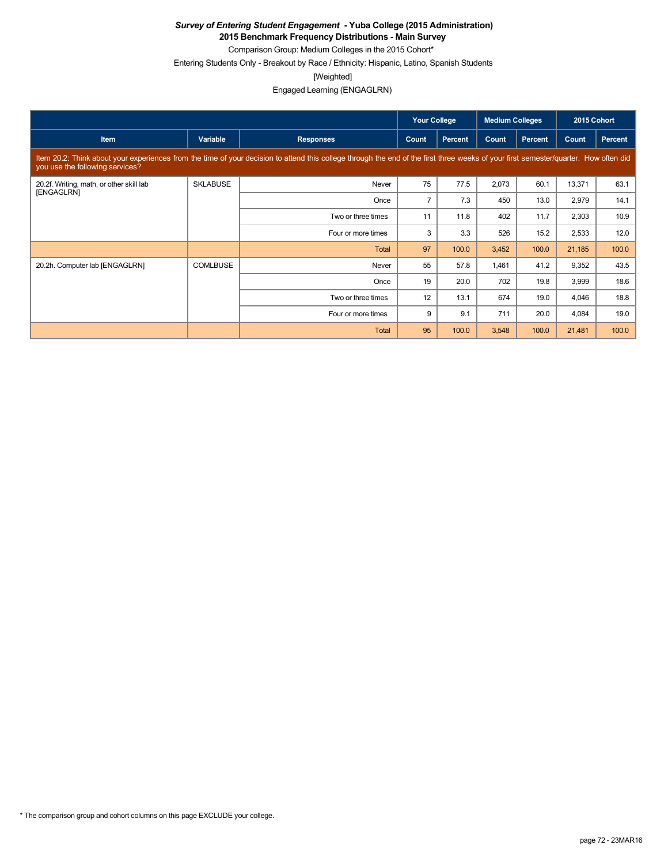**2015 Benchmark Frequency Distributions - Main Survey** Comparison Group: Medium Colleges in the 2015 Cohort\*

Entering Students Only - Breakout by Race / Ethnicity: Hispanic, Latino, Spanish Students

[Weighted]

Engaged Learning (ENGAGLRN)

|                                                                                                                                                                                                                         |                 |                    | <b>Your College</b> |                | <b>Medium Colleges</b> |                | 2015 Cohort |                |  |
|-------------------------------------------------------------------------------------------------------------------------------------------------------------------------------------------------------------------------|-----------------|--------------------|---------------------|----------------|------------------------|----------------|-------------|----------------|--|
| Item                                                                                                                                                                                                                    | Variable        | <b>Responses</b>   | Count               | <b>Percent</b> | Count                  | <b>Percent</b> | Count       | <b>Percent</b> |  |
| Item 20.2: Think about your experiences from the time of your decision to attend this college through the end of the first three weeks of your first semester/quarter. How often did<br>you use the following services? |                 |                    |                     |                |                        |                |             |                |  |
| 20.2f. Writing, math, or other skill lab<br>[ENGAGLRN]                                                                                                                                                                  | <b>SKLABUSE</b> | Never              | 75                  | 77.5           | 2,073                  | 60.1           | 13,371      | 63.1           |  |
|                                                                                                                                                                                                                         |                 | Once               | $\overline{7}$      | 7.3            | 450                    | 13.0           | 2,979       | 14.1           |  |
|                                                                                                                                                                                                                         |                 | Two or three times | 11                  | 11.8           | 402                    | 11.7           | 2,303       | 10.9           |  |
|                                                                                                                                                                                                                         |                 | Four or more times | 3                   | 3.3            | 526                    | 15.2           | 2,533       | 12.0           |  |
|                                                                                                                                                                                                                         |                 | Total              | 97                  | 100.0          | 3,452                  | 100.0          | 21,185      | 100.0          |  |
| 20.2h. Computer lab [ENGAGLRN]                                                                                                                                                                                          | <b>COMLBUSE</b> | Never              | 55                  | 57.8           | 1,461                  | 41.2           | 9,352       | 43.5           |  |
|                                                                                                                                                                                                                         |                 | Once               | 19                  | 20.0           | 702                    | 19.8           | 3,999       | 18.6           |  |
|                                                                                                                                                                                                                         |                 | Two or three times | 12                  | 13.1           | 674                    | 19.0           | 4,046       | 18.8           |  |
|                                                                                                                                                                                                                         |                 | Four or more times | 9                   | 9.1            | 711                    | 20.0           | 4,084       | 19.0           |  |
|                                                                                                                                                                                                                         |                 | Total              | 95                  | 100.0          | 3,548                  | 100.0          | 21,481      | 100.0          |  |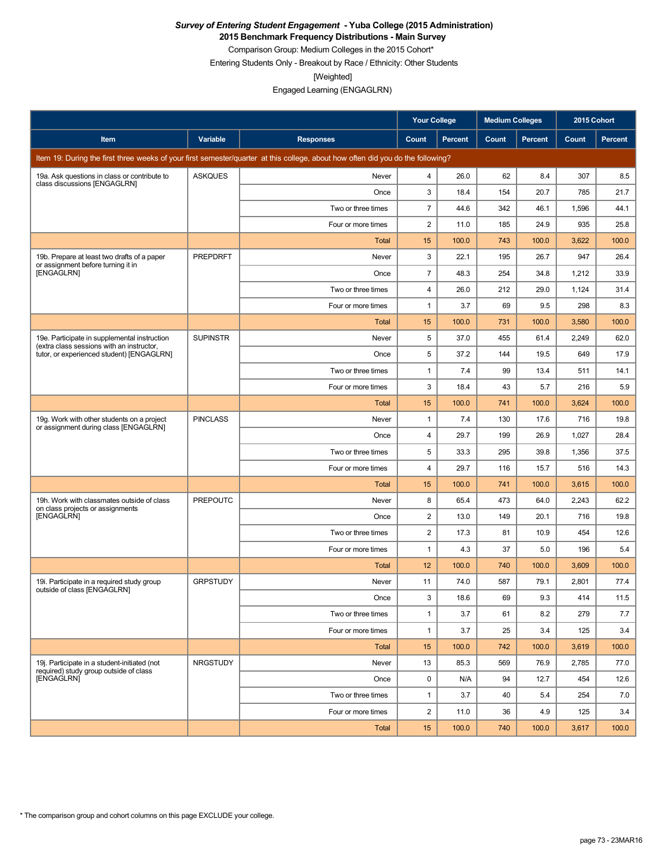**2015 Benchmark Frequency Distributions - Main Survey**

Comparison Group: Medium Colleges in the 2015 Cohort\* Entering Students Only - Breakout by Race / Ethnicity: Other Students

[Weighted]

Engaged Learning (ENGAGLRN)

|                                                                                           |                 |                                                                                                                                 | <b>Your College</b> |                | <b>Medium Colleges</b> |         | 2015 Cohort |                |
|-------------------------------------------------------------------------------------------|-----------------|---------------------------------------------------------------------------------------------------------------------------------|---------------------|----------------|------------------------|---------|-------------|----------------|
| Item                                                                                      | Variable        | <b>Responses</b>                                                                                                                | Count               | <b>Percent</b> | Count                  | Percent | Count       | <b>Percent</b> |
|                                                                                           |                 | Item 19: During the first three weeks of your first semester/quarter at this college, about how often did you do the following? |                     |                |                        |         |             |                |
| 19a. Ask questions in class or contribute to<br>class discussions [ENGAGLRN]              | <b>ASKQUES</b>  | Never                                                                                                                           | 4                   | 26.0           | 62                     | 8.4     | 307         | 8.5            |
|                                                                                           |                 | Once                                                                                                                            | 3                   | 18.4           | 154                    | 20.7    | 785         | 21.7           |
|                                                                                           |                 | Two or three times                                                                                                              | $\overline{7}$      | 44.6           | 342                    | 46.1    | 1,596       | 44.1           |
|                                                                                           |                 | Four or more times                                                                                                              | 2                   | 11.0           | 185                    | 24.9    | 935         | 25.8           |
|                                                                                           |                 | Total                                                                                                                           | 15                  | 100.0          | 743                    | 100.0   | 3,622       | 100.0          |
| 19b. Prepare at least two drafts of a paper<br>or assignment before turning it in         | <b>PREPDRFT</b> | Never                                                                                                                           | 3                   | 22.1           | 195                    | 26.7    | 947         | 26.4           |
| [ENGAGLRN]                                                                                |                 | Once                                                                                                                            | $\overline{7}$      | 48.3           | 254                    | 34.8    | 1,212       | 33.9           |
|                                                                                           |                 | Two or three times                                                                                                              | $\overline{4}$      | 26.0           | 212                    | 29.0    | 1,124       | 31.4           |
|                                                                                           |                 | Four or more times                                                                                                              | $\mathbf{1}$        | 3.7            | 69                     | 9.5     | 298         | 8.3            |
|                                                                                           |                 | Total                                                                                                                           | 15                  | 100.0          | 731                    | 100.0   | 3,580       | 100.0          |
| 19e. Participate in supplemental instruction<br>(extra class sessions with an instructor, | <b>SUPINSTR</b> | Never                                                                                                                           | 5                   | 37.0           | 455                    | 61.4    | 2,249       | 62.0           |
| tutor, or experienced student) [ENGAGLRN]                                                 |                 | Once                                                                                                                            | 5                   | 37.2           | 144                    | 19.5    | 649         | 17.9           |
|                                                                                           |                 | Two or three times                                                                                                              | $\mathbf{1}$        | 7.4            | 99                     | 13.4    | 511         | 14.1           |
|                                                                                           |                 | Four or more times                                                                                                              | 3                   | 18.4           | 43                     | 5.7     | 216         | 5.9            |
|                                                                                           |                 | <b>Total</b>                                                                                                                    | 15                  | 100.0          | 741                    | 100.0   | 3,624       | 100.0          |
| 19g. Work with other students on a project<br>or assignment during class [ENGAGLRN]       | <b>PINCLASS</b> | Never                                                                                                                           | $\mathbf{1}$        | 7.4            | 130                    | 17.6    | 716         | 19.8           |
|                                                                                           |                 | Once                                                                                                                            | 4                   | 29.7           | 199                    | 26.9    | 1,027       | 28.4           |
|                                                                                           |                 | Two or three times                                                                                                              | 5                   | 33.3           | 295                    | 39.8    | 1,356       | 37.5           |
|                                                                                           |                 | Four or more times                                                                                                              | $\overline{4}$      | 29.7           | 116                    | 15.7    | 516         | 14.3           |
|                                                                                           |                 | Total                                                                                                                           | 15                  | 100.0          | 741                    | 100.0   | 3,615       | 100.0          |
| 19h. Work with classmates outside of class<br>on class projects or assignments            | <b>PREPOUTC</b> | Never                                                                                                                           | 8                   | 65.4           | 473                    | 64.0    | 2,243       | 62.2           |
| [ENGAGLRN]                                                                                |                 | Once                                                                                                                            | 2                   | 13.0           | 149                    | 20.1    | 716         | 19.8           |
|                                                                                           |                 | Two or three times                                                                                                              | 2                   | 17.3           | 81                     | 10.9    | 454         | 12.6           |
|                                                                                           |                 | Four or more times                                                                                                              | $\mathbf{1}$        | 4.3            | 37                     | 5.0     | 196         | 5.4            |
|                                                                                           |                 | Total                                                                                                                           | 12                  | 100.0          | 740                    | 100.0   | 3,609       | 100.0          |
| 19i. Participate in a required study group<br>outside of class [ENGAGLRN]                 | <b>GRPSTUDY</b> | Never                                                                                                                           | 11                  | 74.0           | 587                    | 79.1    | 2,801       | 77.4           |
|                                                                                           |                 | Once                                                                                                                            | 3                   | 18.6           | 69                     | 9.3     | 414         | 11.5           |
|                                                                                           |                 | Two or three times                                                                                                              | $\mathbf{1}$        | 3.7            | 61                     | 8.2     | 279         | 7.7            |
|                                                                                           |                 | Four or more times                                                                                                              | $\mathbf{1}$        | 3.7            | 25                     | 3.4     | 125         | 3.4            |
|                                                                                           |                 | Total                                                                                                                           | 15                  | 100.0          | 742                    | 100.0   | 3,619       | 100.0          |
| 19j. Participate in a student-initiated (not<br>required) study group outside of class    | NRGSTUDY        | Never                                                                                                                           | 13                  | 85.3           | 569                    | 76.9    | 2,785       | 77.0           |
| <b>[ENGAGLRN]</b>                                                                         |                 | Once                                                                                                                            | $\mathbf 0$         | N/A            | 94                     | 12.7    | 454         | 12.6           |
|                                                                                           |                 | Two or three times                                                                                                              | $\mathbf{1}$        | 3.7            | 40                     | 5.4     | 254         | 7.0            |
|                                                                                           |                 | Four or more times                                                                                                              | $\overline{2}$      | 11.0           | 36                     | 4.9     | 125         | 3.4            |
|                                                                                           |                 | Total                                                                                                                           | 15                  | 100.0          | 740                    | 100.0   | 3,617       | 100.0          |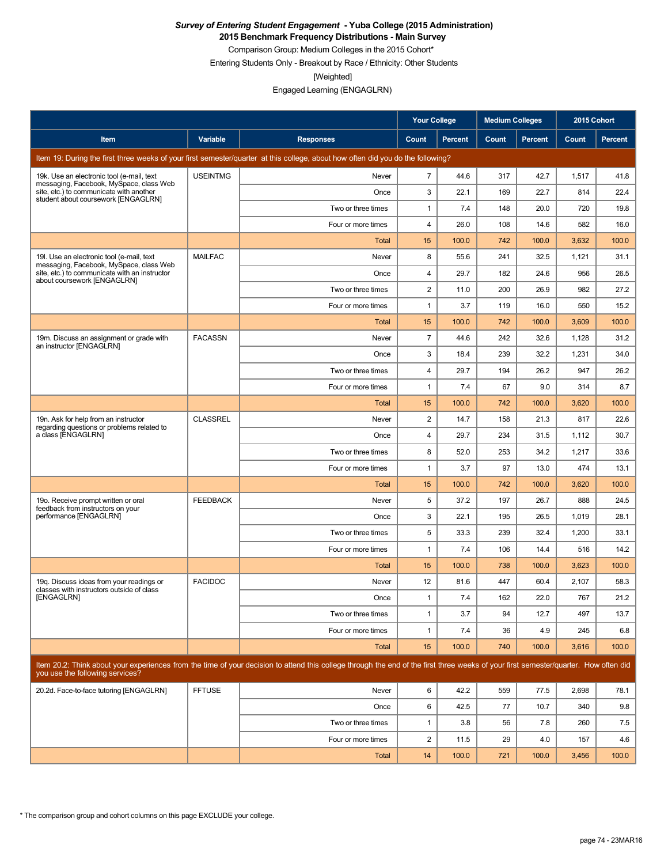**2015 Benchmark Frequency Distributions - Main Survey**

Comparison Group: Medium Colleges in the 2015 Cohort\* Entering Students Only - Breakout by Race / Ethnicity: Other Students

[Weighted]

Engaged Learning (ENGAGLRN)

|                                                                                       |                 |                                                                                                                                                                                      | <b>Your College</b>     |                | <b>Medium Colleges</b> |                | 2015 Cohort  |         |
|---------------------------------------------------------------------------------------|-----------------|--------------------------------------------------------------------------------------------------------------------------------------------------------------------------------------|-------------------------|----------------|------------------------|----------------|--------------|---------|
| Item                                                                                  | Variable        | <b>Responses</b>                                                                                                                                                                     | Count                   | <b>Percent</b> | Count                  | <b>Percent</b> | <b>Count</b> | Percent |
|                                                                                       |                 | Item 19: During the first three weeks of your first semester/quarter at this college, about how often did you do the following?                                                      |                         |                |                        |                |              |         |
| 19k. Use an electronic tool (e-mail, text<br>messaging, Facebook, MySpace, class Web  | <b>USEINTMG</b> | Never                                                                                                                                                                                | $\overline{7}$          | 44.6           | 317                    | 42.7           | 1,517        | 41.8    |
| site, etc.) to communicate with another<br>student about coursework [ENGAGLRN]        |                 | Once                                                                                                                                                                                 | 3                       | 22.1           | 169                    | 22.7           | 814          | 22.4    |
|                                                                                       |                 | Two or three times                                                                                                                                                                   | $\mathbf{1}$            | 7.4            | 148                    | 20.0           | 720          | 19.8    |
|                                                                                       |                 | Four or more times                                                                                                                                                                   | $\overline{4}$          | 26.0           | 108                    | 14.6           | 582          | 16.0    |
|                                                                                       |                 | Total                                                                                                                                                                                | 15                      | 100.0          | 742                    | 100.0          | 3,632        | 100.0   |
| 19. Use an electronic tool (e-mail, text<br>messaging, Facebook, MySpace, class Web   | <b>MAILFAC</b>  | Never                                                                                                                                                                                | 8                       | 55.6           | 241                    | 32.5           | 1,121        | 31.1    |
| site, etc.) to communicate with an instructor<br>about coursework [ENGAGLRN]          |                 | Once                                                                                                                                                                                 | 4                       | 29.7           | 182                    | 24.6           | 956          | 26.5    |
|                                                                                       |                 | Two or three times                                                                                                                                                                   | $\overline{2}$          | 11.0           | 200                    | 26.9           | 982          | 27.2    |
|                                                                                       |                 | Four or more times                                                                                                                                                                   | $\mathbf{1}$            | 3.7            | 119                    | 16.0           | 550          | 15.2    |
|                                                                                       |                 | <b>Total</b>                                                                                                                                                                         | 15                      | 100.0          | 742                    | 100.0          | 3,609        | 100.0   |
| 19m. Discuss an assignment or grade with<br>an instructor [ENGAGLRN]                  | <b>FACASSN</b>  | Never                                                                                                                                                                                | $\overline{7}$          | 44.6           | 242                    | 32.6           | 1,128        | 31.2    |
|                                                                                       |                 | Once                                                                                                                                                                                 | 3                       | 18.4           | 239                    | 32.2           | 1,231        | 34.0    |
|                                                                                       |                 | Two or three times                                                                                                                                                                   | $\overline{4}$          | 29.7           | 194                    | 26.2           | 947          | 26.2    |
|                                                                                       |                 | Four or more times                                                                                                                                                                   | $\mathbf{1}$            | 7.4            | 67                     | 9.0            | 314          | 8.7     |
|                                                                                       |                 | <b>Total</b>                                                                                                                                                                         | 15                      | 100.0          | 742                    | 100.0          | 3,620        | 100.0   |
| 19n. Ask for help from an instructor<br>regarding questions or problems related to    | <b>CLASSREL</b> | Never                                                                                                                                                                                | $\overline{\mathbf{c}}$ | 14.7           | 158                    | 21.3           | 817          | 22.6    |
| a class [ENGAGLRN]                                                                    |                 | Once                                                                                                                                                                                 | 4                       | 29.7           | 234                    | 31.5           | 1,112        | 30.7    |
|                                                                                       |                 | Two or three times                                                                                                                                                                   | 8                       | 52.0           | 253                    | 34.2           | 1,217        | 33.6    |
|                                                                                       |                 | Four or more times                                                                                                                                                                   | $\mathbf{1}$            | 3.7            | 97                     | 13.0           | 474          | 13.1    |
|                                                                                       |                 | Total                                                                                                                                                                                | 15                      | 100.0          | 742                    | 100.0          | 3,620        | 100.0   |
| 19o. Receive prompt written or oral<br>feedback from instructors on your              | <b>FEEDBACK</b> | Never                                                                                                                                                                                | 5                       | 37.2           | 197                    | 26.7           | 888          | 24.5    |
| performance [ENGAGLRN]                                                                |                 | Once                                                                                                                                                                                 | 3                       | 22.1           | 195                    | 26.5           | 1,019        | 28.1    |
|                                                                                       |                 | Two or three times                                                                                                                                                                   | 5                       | 33.3           | 239                    | 32.4           | 1,200        | 33.1    |
|                                                                                       |                 | Four or more times                                                                                                                                                                   | $\mathbf{1}$            | 7.4            | 106                    | 14.4           | 516          | 14.2    |
|                                                                                       |                 | <b>Total</b>                                                                                                                                                                         | 15                      | 100.0          | 738                    | 100.0          | 3,623        | 100.0   |
| 19g. Discuss ideas from your readings or<br>classes with instructors outside of class | <b>FACIDOC</b>  | Never                                                                                                                                                                                | 12                      | 81.6           | 447                    | 60.4           | 2,107        | 58.3    |
| [ENGAGLRN]                                                                            |                 | Once                                                                                                                                                                                 | $\mathbf{1}$            | 7.4            | 162                    | 22.0           | 767          | 21.2    |
|                                                                                       |                 | Two or three times                                                                                                                                                                   | $\mathbf{1}$            | 3.7            | 94                     | 12.7           | 497          | 13.7    |
|                                                                                       |                 | Four or more times                                                                                                                                                                   | $\mathbf{1}$            | 7.4            | 36                     | 4.9            | 245          | 6.8     |
|                                                                                       |                 | Total                                                                                                                                                                                | 15                      | 100.0          | 740                    | 100.0          | 3,616        | 100.0   |
| you use the following services?                                                       |                 | Item 20.2: Think about your experiences from the time of your decision to attend this college through the end of the first three weeks of your first semester/quarter. How often did |                         |                |                        |                |              |         |
| 20.2d. Face-to-face tutoring [ENGAGLRN]                                               | <b>FFTUSE</b>   | Never                                                                                                                                                                                | 6                       | 42.2           | 559                    | 77.5           | 2,698        | 78.1    |
|                                                                                       |                 | Once                                                                                                                                                                                 | 6                       | 42.5           | 77                     | 10.7           | 340          | 9.8     |
|                                                                                       |                 | Two or three times                                                                                                                                                                   | $\mathbf{1}$            | 3.8            | 56                     | 7.8            | 260          | 7.5     |
|                                                                                       |                 | Four or more times                                                                                                                                                                   | $\overline{2}$          | 11.5           | 29                     | 4.0            | 157          | 4.6     |
|                                                                                       |                 | Total                                                                                                                                                                                | 14                      | 100.0          | 721                    | 100.0          | 3,456        | 100.0   |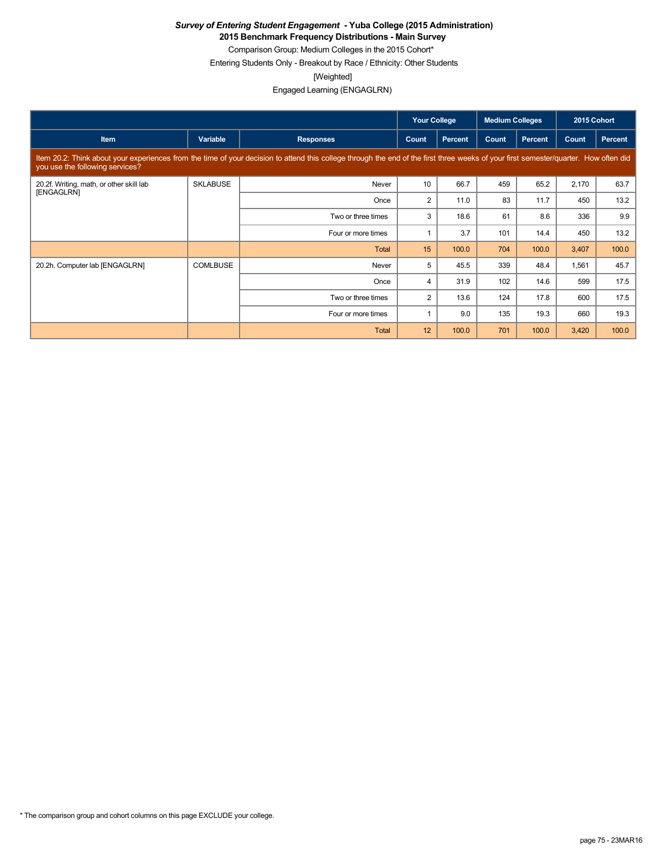**2015 Benchmark Frequency Distributions - Main Survey**

Comparison Group: Medium Colleges in the 2015 Cohort\* Entering Students Only - Breakout by Race / Ethnicity: Other Students

[Weighted]

Engaged Learning (ENGAGLRN)

|                                                        |                 |                                                                                                                                                                                      | <b>Your College</b> |                | <b>Medium Colleges</b> |         | 2015 Cohort |                |
|--------------------------------------------------------|-----------------|--------------------------------------------------------------------------------------------------------------------------------------------------------------------------------------|---------------------|----------------|------------------------|---------|-------------|----------------|
| <b>Item</b>                                            | Variable        | <b>Responses</b>                                                                                                                                                                     | Count               | <b>Percent</b> | Count                  | Percent | Count       | <b>Percent</b> |
| you use the following services?                        |                 | Item 20.2: Think about your experiences from the time of your decision to attend this college through the end of the first three weeks of your first semester/quarter. How often did |                     |                |                        |         |             |                |
| 20.2f. Writing, math, or other skill lab<br>[ENGAGLRN] | <b>SKLABUSE</b> | Never                                                                                                                                                                                | 10                  | 66.7           | 459                    | 65.2    | 2,170       | 63.7           |
|                                                        |                 | Once                                                                                                                                                                                 | $\overline{2}$      | 11.0           | 83                     | 11.7    | 450         | 13.2           |
|                                                        |                 | Two or three times                                                                                                                                                                   | 3                   | 18.6           | 61                     | 8.6     | 336         | 9.9            |
|                                                        |                 | Four or more times                                                                                                                                                                   |                     | 3.7            | 101                    | 14.4    | 450         | 13.2           |
|                                                        |                 | Total                                                                                                                                                                                | 15                  | 100.0          | 704                    | 100.0   | 3,407       | 100.0          |
| 20.2h. Computer lab [ENGAGLRN]                         | <b>COMLBUSE</b> | Never                                                                                                                                                                                | 5                   | 45.5           | 339                    | 48.4    | 1,561       | 45.7           |
|                                                        |                 | Once                                                                                                                                                                                 | $\overline{4}$      | 31.9           | 102                    | 14.6    | 599         | 17.5           |
|                                                        |                 | Two or three times                                                                                                                                                                   | $\overline{2}$      | 13.6           | 124                    | 17.8    | 600         | 17.5           |
|                                                        |                 | Four or more times                                                                                                                                                                   |                     | 9.0            | 135                    | 19.3    | 660         | 19.3           |
|                                                        |                 | <b>Total</b>                                                                                                                                                                         | 12                  | 100.0          | 701                    | 100.0   | 3,420       | 100.0          |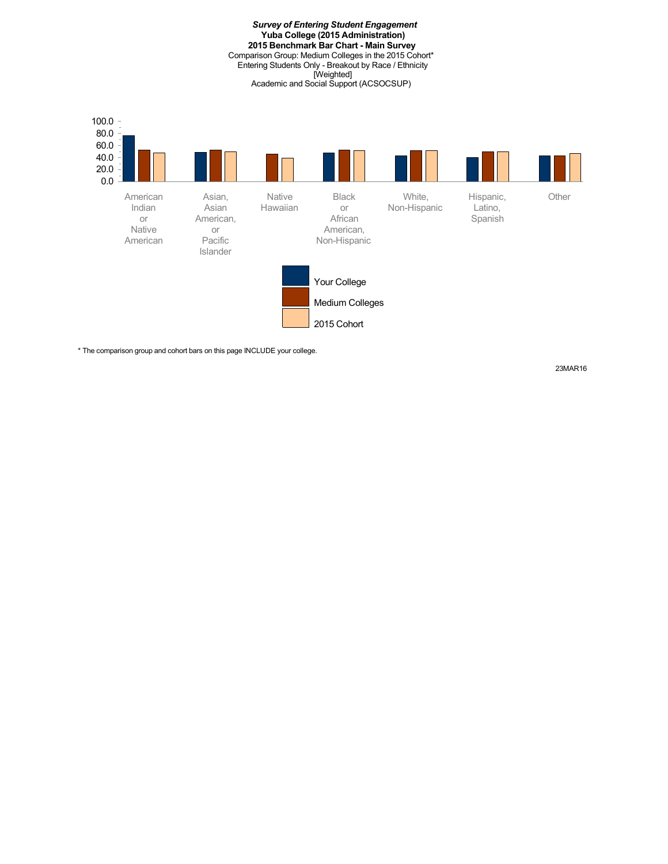*Survey of Entering Student Engagement* **Yuba College (2015 Administration) 2015 Benchmark Bar Chart - Main Survey** Comparison Group: Medium Colleges in the 2015 Cohort\* Entering Students Only - Breakout by Race / Ethnicity [Weighted] Academic and Social Support (ACSOCSUP)



\* The comparison group and cohort bars on this page INCLUDE your college.

23MAR16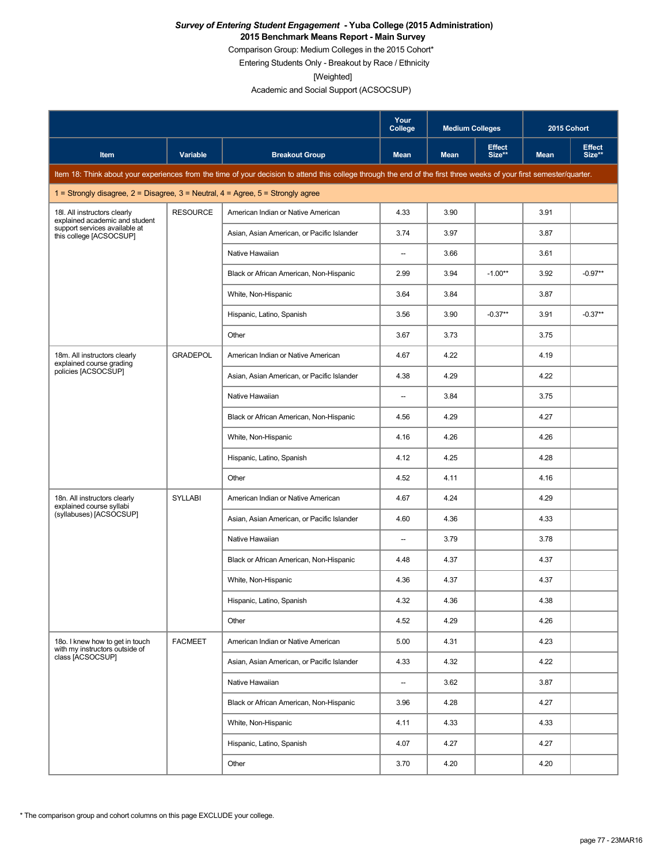#### *Survey of Entering Student Engagement* **- Yuba College (2015 Administration) 2015 Benchmark Means Report - Main Survey**

Comparison Group: Medium Colleges in the 2015 Cohort\*

Entering Students Only - Breakout by Race / Ethnicity

[Weighted]

|                                                                                         |                 |                                                                                                                                                                      | Your<br>College | <b>Medium Colleges</b> |                         | 2015 Cohort |                         |
|-----------------------------------------------------------------------------------------|-----------------|----------------------------------------------------------------------------------------------------------------------------------------------------------------------|-----------------|------------------------|-------------------------|-------------|-------------------------|
| Item                                                                                    | Variable        | <b>Breakout Group</b>                                                                                                                                                | <b>Mean</b>     | <b>Mean</b>            | <b>Effect</b><br>Size** | <b>Mean</b> | <b>Effect</b><br>Size** |
|                                                                                         |                 | Item 18: Think about your experiences from the time of your decision to attend this college through the end of the first three weeks of your first semester/quarter. |                 |                        |                         |             |                         |
| 1 = Strongly disagree, $2$ = Disagree, $3$ = Neutral, $4$ = Agree, $5$ = Strongly agree |                 |                                                                                                                                                                      |                 |                        |                         |             |                         |
| 18I. All instructors clearly<br>explained academic and student                          | <b>RESOURCE</b> | American Indian or Native American                                                                                                                                   | 4.33            | 3.90                   |                         | 3.91        |                         |
| support services available at<br>this college [ACSOCSUP]                                |                 | Asian, Asian American, or Pacific Islander                                                                                                                           | 3.74            | 3.97                   |                         | 3.87        |                         |
|                                                                                         |                 | Native Hawaiian                                                                                                                                                      | --              | 3.66                   |                         | 3.61        |                         |
|                                                                                         |                 | Black or African American, Non-Hispanic                                                                                                                              | 2.99            | 3.94                   | $-1.00**$               | 3.92        | $-0.97**$               |
|                                                                                         |                 | White, Non-Hispanic                                                                                                                                                  | 3.64            | 3.84                   |                         | 3.87        |                         |
|                                                                                         |                 | Hispanic, Latino, Spanish                                                                                                                                            | 3.56            | 3.90                   | $-0.37**$               | 3.91        | $-0.37**$               |
|                                                                                         |                 | Other                                                                                                                                                                | 3.67            | 3.73                   |                         | 3.75        |                         |
| 18m. All instructors clearly<br>explained course grading                                | <b>GRADEPOL</b> | American Indian or Native American                                                                                                                                   | 4.67            | 4.22                   |                         | 4.19        |                         |
| policies [ACSOCSUP]                                                                     |                 | Asian, Asian American, or Pacific Islander                                                                                                                           | 4.38            | 4.29                   |                         | 4.22        |                         |
|                                                                                         |                 | Native Hawaiian                                                                                                                                                      | --              | 3.84                   |                         | 3.75        |                         |
|                                                                                         |                 | Black or African American, Non-Hispanic                                                                                                                              | 4.56            | 4.29                   |                         | 4.27        |                         |
|                                                                                         |                 | White, Non-Hispanic                                                                                                                                                  | 4.16            | 4.26                   |                         | 4.26        |                         |
|                                                                                         |                 | Hispanic, Latino, Spanish                                                                                                                                            | 4.12            | 4.25                   |                         | 4.28        |                         |
|                                                                                         |                 | Other                                                                                                                                                                | 4.52            | 4.11                   |                         | 4.16        |                         |
| 18n. All instructors clearly<br>explained course syllabi                                | <b>SYLLABI</b>  | American Indian or Native American                                                                                                                                   | 4.67            | 4.24                   |                         | 4.29        |                         |
| (syllabuses) [ACSOCSUP]                                                                 |                 | Asian, Asian American, or Pacific Islander                                                                                                                           | 4.60            | 4.36                   |                         | 4.33        |                         |
|                                                                                         |                 | Native Hawaiian                                                                                                                                                      | --              | 3.79                   |                         | 3.78        |                         |
|                                                                                         |                 | Black or African American, Non-Hispanic                                                                                                                              | 4.48            | 4.37                   |                         | 4.37        |                         |
|                                                                                         |                 | White, Non-Hispanic                                                                                                                                                  | 4.36            | 4.37                   |                         | 4.37        |                         |
|                                                                                         |                 | Hispanic, Latino, Spanish                                                                                                                                            | 4.32            | 4.36                   |                         | 4.38        |                         |
|                                                                                         |                 | Other                                                                                                                                                                | 4.52            | 4.29                   |                         | 4.26        |                         |
| 18o. I knew how to get in touch<br>with my instructors outside of                       | <b>FACMEET</b>  | American Indian or Native American                                                                                                                                   | 5.00            | 4.31                   |                         | 4.23        |                         |
| class [ACSOCSUP]                                                                        |                 | Asian, Asian American, or Pacific Islander                                                                                                                           | 4.33            | 4.32                   |                         | 4.22        |                         |
|                                                                                         |                 | Native Hawaiian                                                                                                                                                      | --              | 3.62                   |                         | 3.87        |                         |
|                                                                                         |                 | Black or African American, Non-Hispanic                                                                                                                              | 3.96            | 4.28                   |                         | 4.27        |                         |
|                                                                                         |                 | White, Non-Hispanic                                                                                                                                                  | 4.11            | 4.33                   |                         | 4.33        |                         |
|                                                                                         |                 | Hispanic, Latino, Spanish                                                                                                                                            | 4.07            | 4.27                   |                         | 4.27        |                         |
|                                                                                         |                 | Other                                                                                                                                                                | 3.70            | 4.20                   |                         | 4.20        |                         |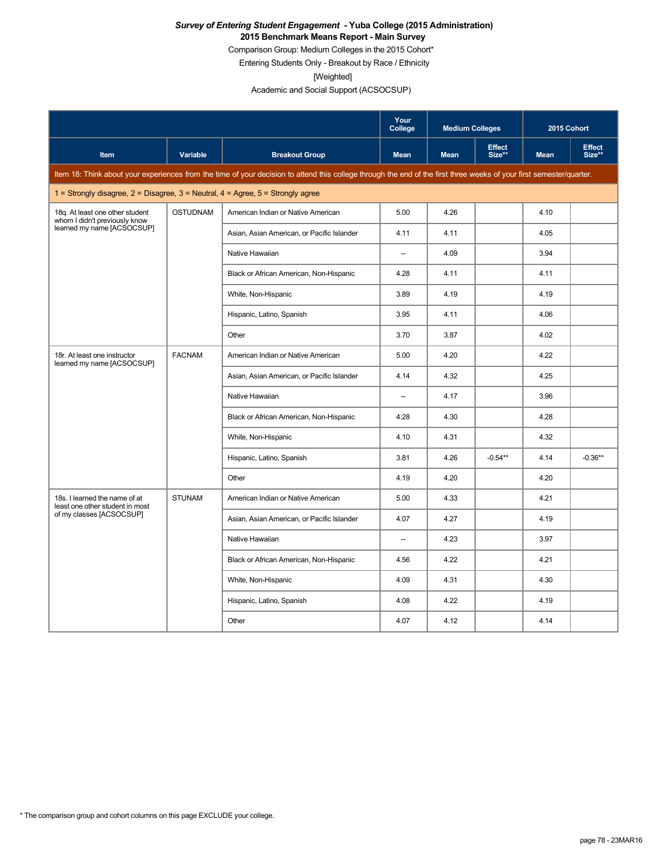#### *Survey of Entering Student Engagement* **- Yuba College (2015 Administration) 2015 Benchmark Means Report - Main Survey**

Comparison Group: Medium Colleges in the 2015 Cohort\*

Entering Students Only - Breakout by Race / Ethnicity

[Weighted]

Academic and Social Support (ACSOCSUP)

|                                                                                         |                 |                                                                                                                                                                      | Your<br>College          | <b>Medium Colleges</b> |                         | 2015 Cohort |                         |
|-----------------------------------------------------------------------------------------|-----------------|----------------------------------------------------------------------------------------------------------------------------------------------------------------------|--------------------------|------------------------|-------------------------|-------------|-------------------------|
| Item                                                                                    | <b>Variable</b> | <b>Breakout Group</b>                                                                                                                                                | <b>Mean</b>              | <b>Mean</b>            | <b>Effect</b><br>Size** | <b>Mean</b> | <b>Effect</b><br>Size** |
|                                                                                         |                 | Item 18: Think about your experiences from the time of your decision to attend this college through the end of the first three weeks of your first semester/quarter. |                          |                        |                         |             |                         |
| 1 = Strongly disagree, $2$ = Disagree, $3$ = Neutral, $4$ = Agree, $5$ = Strongly agree |                 |                                                                                                                                                                      |                          |                        |                         |             |                         |
| 18q. At least one other student<br>whom I didn't previously know                        | <b>OSTUDNAM</b> | American Indian or Native American                                                                                                                                   | 5.00                     | 4.26                   |                         | 4.10        |                         |
| learned my name [ACSOCSUP]                                                              |                 | Asian, Asian American, or Pacific Islander                                                                                                                           | 4.11                     | 4.11                   |                         | 4.05        |                         |
|                                                                                         |                 | Native Hawaiian                                                                                                                                                      | $\overline{\phantom{a}}$ | 4.09                   |                         | 3.94        |                         |
|                                                                                         |                 | Black or African American, Non-Hispanic                                                                                                                              | 4.28                     | 4.11                   |                         | 4.11        |                         |
|                                                                                         |                 | White, Non-Hispanic                                                                                                                                                  | 3.89                     | 4.19                   |                         | 4.19        |                         |
|                                                                                         |                 | Hispanic, Latino, Spanish                                                                                                                                            | 3.95                     | 4.11                   |                         | 4.06        |                         |
|                                                                                         |                 | Other                                                                                                                                                                | 3.70                     | 3.87                   |                         | 4.02        |                         |
| 18r. At least one instructor<br>learned my name [ACSOCSUP]                              | <b>FACNAM</b>   | American Indian or Native American                                                                                                                                   | 5.00                     | 4.20                   |                         | 4.22        |                         |
|                                                                                         |                 | Asian, Asian American, or Pacific Islander                                                                                                                           | 4.14                     | 4.32                   |                         | 4.25        |                         |
|                                                                                         |                 | Native Hawaiian                                                                                                                                                      | $\overline{\phantom{a}}$ | 4.17                   |                         | 3.96        |                         |
|                                                                                         |                 | Black or African American, Non-Hispanic                                                                                                                              | 4.28                     | 4.30                   |                         | 4.28        |                         |
|                                                                                         |                 | White, Non-Hispanic                                                                                                                                                  | 4.10                     | 4.31                   |                         | 4.32        |                         |
|                                                                                         |                 | Hispanic, Latino, Spanish                                                                                                                                            | 3.81                     | 4.26                   | $-0.54***$              | 4.14        | $-0.36**$               |
|                                                                                         |                 | Other                                                                                                                                                                | 4.19                     | 4.20                   |                         | 4.20        |                         |
| 18s. I learned the name of at<br>least one other student in most                        | <b>STUNAM</b>   | American Indian or Native American                                                                                                                                   | 5.00                     | 4.33                   |                         | 4.21        |                         |
| of my classes [ACSOCSUP]                                                                |                 | Asian, Asian American, or Pacific Islander                                                                                                                           | 4.07                     | 4.27                   |                         | 4.19        |                         |
|                                                                                         |                 | Native Hawaiian                                                                                                                                                      | $\overline{\phantom{a}}$ | 4.23                   |                         | 3.97        |                         |
|                                                                                         |                 | Black or African American, Non-Hispanic                                                                                                                              | 4.56                     | 4.22                   |                         | 4.21        |                         |
|                                                                                         |                 | White, Non-Hispanic                                                                                                                                                  | 4.09                     | 4.31                   |                         | 4.30        |                         |
|                                                                                         |                 | Hispanic, Latino, Spanish                                                                                                                                            | 4.08                     | 4.22                   |                         | 4.19        |                         |
|                                                                                         |                 | Other                                                                                                                                                                | 4.07                     | 4.12                   |                         | 4.14        |                         |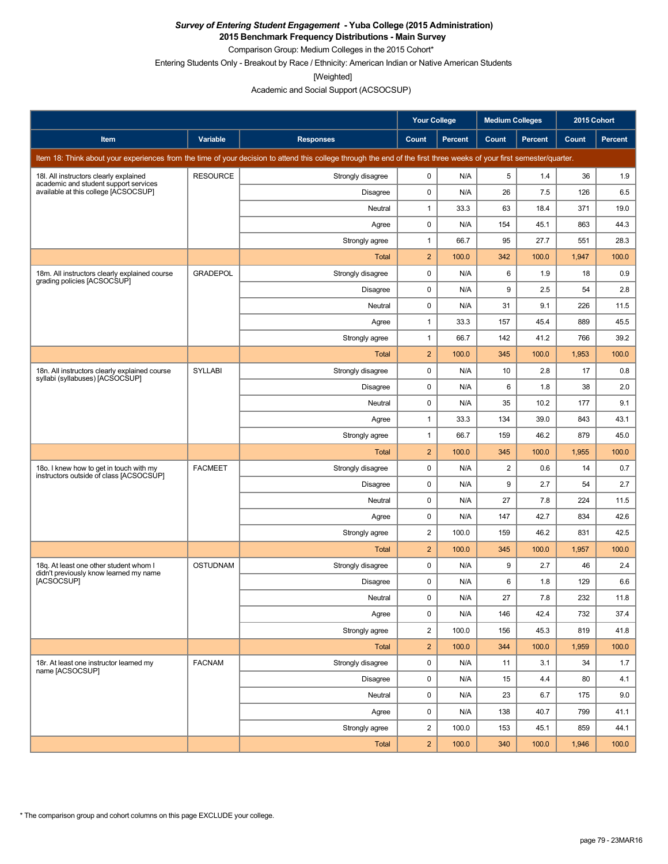**2015 Benchmark Frequency Distributions - Main Survey**

Comparison Group: Medium Colleges in the 2015 Cohort\*

Entering Students Only - Breakout by Race / Ethnicity: American Indian or Native American Students

[Weighted]

Academic and Social Support (ACSOCSUP)

|                                                                                    |                 |                                                                                                                                                                      | <b>Your College</b> |         | <b>Medium Colleges</b>  |         | 2015 Cohort |         |
|------------------------------------------------------------------------------------|-----------------|----------------------------------------------------------------------------------------------------------------------------------------------------------------------|---------------------|---------|-------------------------|---------|-------------|---------|
| Item                                                                               | Variable        | <b>Responses</b>                                                                                                                                                     | Count               | Percent | Count                   | Percent | Count       | Percent |
|                                                                                    |                 | Item 18: Think about your experiences from the time of your decision to attend this college through the end of the first three weeks of your first semester/quarter. |                     |         |                         |         |             |         |
| 18I. All instructors clearly explained<br>academic and student support services    | <b>RESOURCE</b> | Strongly disagree                                                                                                                                                    | 0                   | N/A     | 5                       | 1.4     | 36          | 1.9     |
| available at this college [ACSOCSUP]                                               |                 | Disagree                                                                                                                                                             | 0                   | N/A     | 26                      | 7.5     | 126         | 6.5     |
|                                                                                    |                 | Neutral                                                                                                                                                              | $\mathbf{1}$        | 33.3    | 63                      | 18.4    | 371         | 19.0    |
|                                                                                    |                 | Agree                                                                                                                                                                | 0                   | N/A     | 154                     | 45.1    | 863         | 44.3    |
|                                                                                    |                 | Strongly agree                                                                                                                                                       | $\mathbf{1}$        | 66.7    | 95                      | 27.7    | 551         | 28.3    |
|                                                                                    |                 | Total                                                                                                                                                                | $\overline{c}$      | 100.0   | 342                     | 100.0   | 1,947       | 100.0   |
| 18m. All instructors clearly explained course<br>grading policies [ACSOCSUP]       | <b>GRADEPOL</b> | Strongly disagree                                                                                                                                                    | $\mathbf 0$         | N/A     | 6                       | 1.9     | 18          | 0.9     |
|                                                                                    |                 | Disagree                                                                                                                                                             | $\pmb{0}$           | N/A     | 9                       | 2.5     | 54          | 2.8     |
|                                                                                    |                 | Neutral                                                                                                                                                              | $\mathbf 0$         | N/A     | 31                      | 9.1     | 226         | 11.5    |
|                                                                                    |                 | Agree                                                                                                                                                                | $\mathbf{1}$        | 33.3    | 157                     | 45.4    | 889         | 45.5    |
|                                                                                    |                 | Strongly agree                                                                                                                                                       | 1                   | 66.7    | 142                     | 41.2    | 766         | 39.2    |
|                                                                                    |                 | Total                                                                                                                                                                | $\overline{2}$      | 100.0   | 345                     | 100.0   | 1,953       | 100.0   |
| 18n. All instructors clearly explained course<br>syllabi (syllabuses) [ACSOCSUP]   | <b>SYLLABI</b>  | Strongly disagree                                                                                                                                                    | $\pmb{0}$           | N/A     | 10                      | 2.8     | 17          | 0.8     |
|                                                                                    |                 | Disagree                                                                                                                                                             | 0                   | N/A     | 6                       | 1.8     | 38          | 2.0     |
|                                                                                    |                 | Neutral                                                                                                                                                              | 0                   | N/A     | 35                      | 10.2    | 177         | 9.1     |
|                                                                                    |                 | Agree                                                                                                                                                                | $\mathbf{1}$        | 33.3    | 134                     | 39.0    | 843         | 43.1    |
|                                                                                    |                 | Strongly agree                                                                                                                                                       | $\mathbf{1}$        | 66.7    | 159                     | 46.2    | 879         | 45.0    |
|                                                                                    |                 | <b>Total</b>                                                                                                                                                         | $\overline{c}$      | 100.0   | 345                     | 100.0   | 1,955       | 100.0   |
| 18o. I knew how to get in touch with my<br>instructors outside of class [ACSOCSUP] | <b>FACMEET</b>  | Strongly disagree                                                                                                                                                    | 0                   | N/A     | $\overline{\mathbf{c}}$ | 0.6     | 14          | 0.7     |
|                                                                                    |                 | Disagree                                                                                                                                                             | $\pmb{0}$           | N/A     | 9                       | 2.7     | 54          | 2.7     |
|                                                                                    |                 | Neutral                                                                                                                                                              | $\mathbf 0$         | N/A     | 27                      | 7.8     | 224         | 11.5    |
|                                                                                    |                 | Agree                                                                                                                                                                | $\pmb{0}$           | N/A     | 147                     | 42.7    | 834         | 42.6    |
|                                                                                    |                 | Strongly agree                                                                                                                                                       | $\overline{2}$      | 100.0   | 159                     | 46.2    | 831         | 42.5    |
|                                                                                    |                 | Total                                                                                                                                                                | $\overline{2}$      | 100.0   | 345                     | 100.0   | 1,957       | 100.0   |
| 18q. At least one other student whom I<br>didn't previously know learned my name   | <b>OSTUDNAM</b> | Strongly disagree                                                                                                                                                    | 0                   | N/A     | 9                       | 2.7     | 46          | 2.4     |
| [ACSOCSUP]                                                                         |                 | Disagree                                                                                                                                                             | 0                   | N/A     | 6                       | 1.8     | 129         | 6.6     |
|                                                                                    |                 | Neutral                                                                                                                                                              | $\Omega$            | N/A     | 27                      | 7.8     | 232         | 11.8    |
|                                                                                    |                 | Agree                                                                                                                                                                | 0                   | N/A     | 146                     | 42.4    | 732         | 37.4    |
|                                                                                    |                 | Strongly agree                                                                                                                                                       | $\overline{c}$      | 100.0   | 156                     | 45.3    | 819         | 41.8    |
|                                                                                    |                 | Total                                                                                                                                                                | $\overline{2}$      | 100.0   | 344                     | 100.0   | 1,959       | 100.0   |
| 18r. At least one instructor learned my<br>name [ACSOCSUP]                         | <b>FACNAM</b>   | Strongly disagree                                                                                                                                                    | 0                   | N/A     | 11                      | 3.1     | 34          | 1.7     |
|                                                                                    |                 | Disagree                                                                                                                                                             | 0                   | N/A     | 15                      | 4.4     | 80          | 4.1     |
|                                                                                    |                 | Neutral                                                                                                                                                              | 0                   | N/A     | 23                      | 6.7     | 175         | 9.0     |
|                                                                                    |                 | Agree                                                                                                                                                                | 0                   | N/A     | 138                     | 40.7    | 799         | 41.1    |
|                                                                                    |                 | Strongly agree                                                                                                                                                       | $\overline{c}$      | 100.0   | 153                     | 45.1    | 859         | 44.1    |
|                                                                                    |                 | Total                                                                                                                                                                | $\overline{2}$      | 100.0   | 340                     | 100.0   | 1,946       | 100.0   |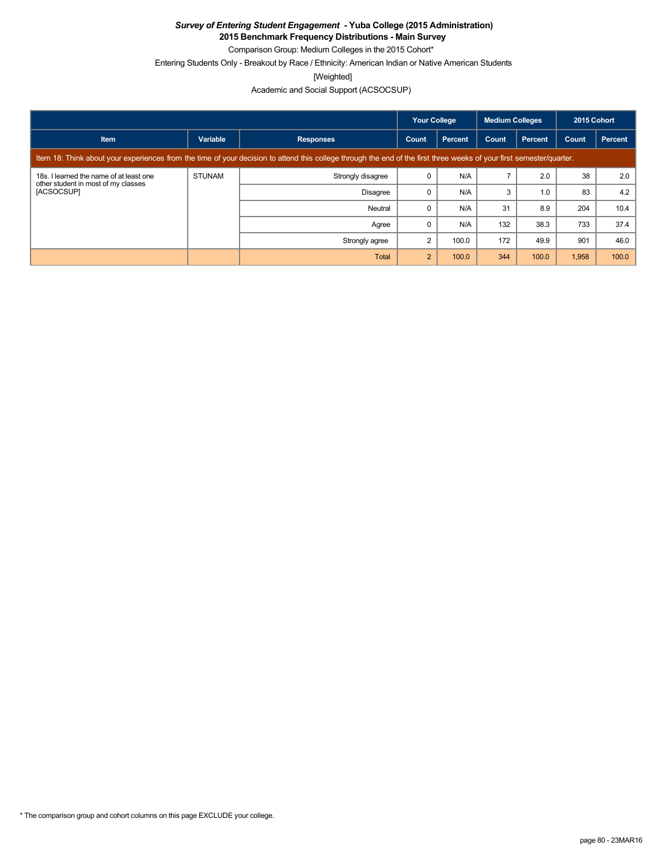**2015 Benchmark Frequency Distributions - Main Survey**

Comparison Group: Medium Colleges in the 2015 Cohort\*

Entering Students Only - Breakout by Race / Ethnicity: American Indian or Native American Students

[Weighted]

|                                                                                              |               |                                                                                                                                                                      | <b>Your College</b> |                | <b>Medium Colleges</b> |                | 2015 Cohort |         |  |  |
|----------------------------------------------------------------------------------------------|---------------|----------------------------------------------------------------------------------------------------------------------------------------------------------------------|---------------------|----------------|------------------------|----------------|-------------|---------|--|--|
| <b>Item</b>                                                                                  | Variable      | <b>Responses</b>                                                                                                                                                     | Count               | <b>Percent</b> | Count                  | <b>Percent</b> | Count       | Percent |  |  |
|                                                                                              |               | Item 18: Think about your experiences from the time of your decision to attend this college through the end of the first three weeks of your first semester/quarter. |                     |                |                        |                |             |         |  |  |
| 18s. I learned the name of at least one<br>other student in most of my classes<br>[ACSOCSUP] | <b>STUNAM</b> | Strongly disagree                                                                                                                                                    |                     | N/A            |                        | 2.0            | 38          | 2.0     |  |  |
|                                                                                              |               | Disagree                                                                                                                                                             |                     | N/A            | 3                      | 1.0            | 83          | 4.2     |  |  |
|                                                                                              |               | Neutral                                                                                                                                                              |                     | N/A            | 31                     | 8.9            | 204         | 10.4    |  |  |
|                                                                                              |               | Agree                                                                                                                                                                |                     | N/A            | 132                    | 38.3           | 733         | 37.4    |  |  |
|                                                                                              |               | Strongly agree                                                                                                                                                       |                     | 100.0          | 172                    | 49.9           | 901         | 46.0    |  |  |
|                                                                                              |               | Total                                                                                                                                                                | 2                   | 100.0          | 344                    | 100.0          | 1,958       | 100.0   |  |  |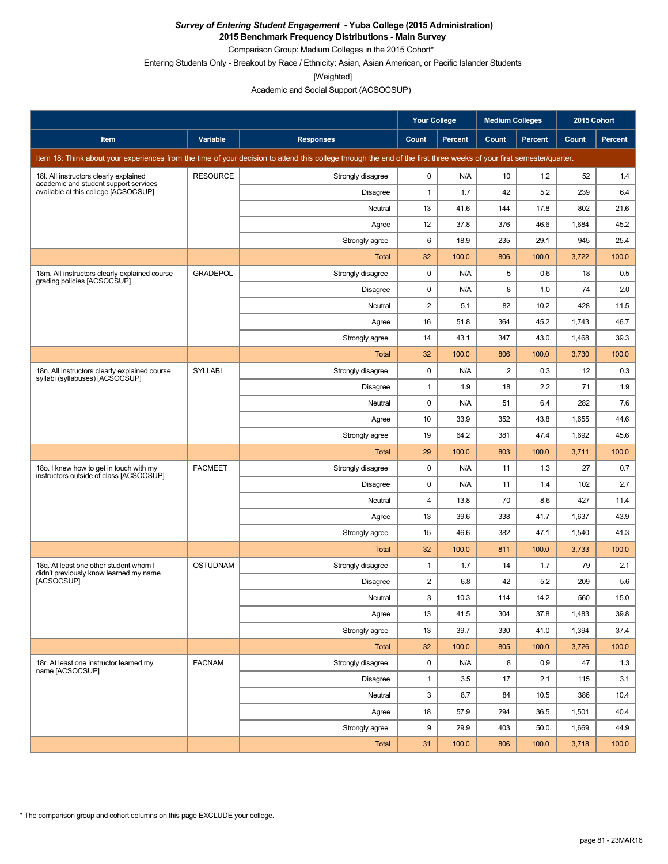**2015 Benchmark Frequency Distributions - Main Survey**

Comparison Group: Medium Colleges in the 2015 Cohort\*

Entering Students Only - Breakout by Race / Ethnicity: Asian, Asian American, or Pacific Islander Students

[Weighted]

Academic and Social Support (ACSOCSUP)

|                                                                                    |                 |                                                                                                                                                                      | <b>Your College</b> |                | <b>Medium Colleges</b> |                | 2015 Cohort |         |
|------------------------------------------------------------------------------------|-----------------|----------------------------------------------------------------------------------------------------------------------------------------------------------------------|---------------------|----------------|------------------------|----------------|-------------|---------|
| Item                                                                               | Variable        | <b>Responses</b>                                                                                                                                                     | Count               | <b>Percent</b> | Count                  | <b>Percent</b> | Count       | Percent |
|                                                                                    |                 | Item 18: Think about your experiences from the time of your decision to attend this college through the end of the first three weeks of your first semester/quarter. |                     |                |                        |                |             |         |
| 18I. All instructors clearly explained<br>academic and student support services    | <b>RESOURCE</b> | Strongly disagree                                                                                                                                                    | 0                   | N/A            | 10                     | 1.2            | 52          | 1.4     |
| available at this college [ACSOCSUP]                                               |                 | Disagree                                                                                                                                                             | 1                   | 1.7            | 42                     | 5.2            | 239         | 6.4     |
|                                                                                    |                 | Neutral                                                                                                                                                              | 13                  | 41.6           | 144                    | 17.8           | 802         | 21.6    |
|                                                                                    |                 | Agree                                                                                                                                                                | 12                  | 37.8           | 376                    | 46.6           | 1,684       | 45.2    |
|                                                                                    |                 | Strongly agree                                                                                                                                                       | 6                   | 18.9           | 235                    | 29.1           | 945         | 25.4    |
|                                                                                    |                 | <b>Total</b>                                                                                                                                                         | 32                  | 100.0          | 806                    | 100.0          | 3,722       | 100.0   |
| 18m. All instructors clearly explained course<br>grading policies [ACSOCSUP]       | <b>GRADEPOL</b> | Strongly disagree                                                                                                                                                    | 0                   | N/A            | 5                      | 0.6            | 18          | 0.5     |
|                                                                                    |                 | <b>Disagree</b>                                                                                                                                                      | 0                   | N/A            | 8                      | 1.0            | 74          | 2.0     |
|                                                                                    |                 | Neutral                                                                                                                                                              | 2                   | 5.1            | 82                     | 10.2           | 428         | 11.5    |
|                                                                                    |                 | Agree                                                                                                                                                                | 16                  | 51.8           | 364                    | 45.2           | 1,743       | 46.7    |
|                                                                                    |                 | Strongly agree                                                                                                                                                       | 14                  | 43.1           | 347                    | 43.0           | 1,468       | 39.3    |
|                                                                                    |                 | Total                                                                                                                                                                | 32                  | 100.0          | 806                    | 100.0          | 3,730       | 100.0   |
| 18n. All instructors clearly explained course<br>syllabi (syllabuses) [ACSOCSUP]   | <b>SYLLABI</b>  | Strongly disagree                                                                                                                                                    | 0                   | N/A            | $\overline{2}$         | 0.3            | 12          | 0.3     |
|                                                                                    |                 | <b>Disagree</b>                                                                                                                                                      | 1                   | 1.9            | 18                     | 2.2            | 71          | 1.9     |
|                                                                                    |                 | Neutral                                                                                                                                                              | 0                   | N/A            | 51                     | 6.4            | 282         | 7.6     |
|                                                                                    |                 | Agree                                                                                                                                                                | 10                  | 33.9           | 352                    | 43.8           | 1,655       | 44.6    |
|                                                                                    |                 | Strongly agree                                                                                                                                                       | 19                  | 64.2           | 381                    | 47.4           | 1,692       | 45.6    |
|                                                                                    |                 | <b>Total</b>                                                                                                                                                         | 29                  | 100.0          | 803                    | 100.0          | 3,711       | 100.0   |
| 180. I knew how to get in touch with my<br>instructors outside of class [ACSOCSUP] | <b>FACMEET</b>  | Strongly disagree                                                                                                                                                    | 0                   | N/A            | 11                     | 1.3            | 27          | 0.7     |
|                                                                                    |                 | <b>Disagree</b>                                                                                                                                                      | 0                   | N/A            | 11                     | 1.4            | 102         | 2.7     |
|                                                                                    |                 | Neutral                                                                                                                                                              | 4                   | 13.8           | 70                     | 8.6            | 427         | 11.4    |
|                                                                                    |                 | Agree                                                                                                                                                                | 13                  | 39.6           | 338                    | 41.7           | 1,637       | 43.9    |
|                                                                                    |                 | Strongly agree                                                                                                                                                       | 15                  | 46.6           | 382                    | 47.1           | 1,540       | 41.3    |
|                                                                                    |                 | Total                                                                                                                                                                | 32                  | 100.0          | 811                    | 100.0          | 3,733       | 100.0   |
| 18g. At least one other student whom I<br>didn't previously know learned my name   | <b>OSTUDNAM</b> | Strongly disagree                                                                                                                                                    | $\mathbf{1}$        | 1.7            | 14                     | 1.7            | 79          | 2.1     |
| [ACSOCSUP]                                                                         |                 | Disagree                                                                                                                                                             | 2                   | 6.8            | 42                     | 5.2            | 209         | 5.6     |
|                                                                                    |                 | Neutral                                                                                                                                                              | 3                   | 10.3           | 114                    | 14.2           | 560         | 15.0    |
|                                                                                    |                 | Agree                                                                                                                                                                | 13                  | 41.5           | 304                    | 37.8           | 1,483       | 39.8    |
|                                                                                    |                 | Strongly agree                                                                                                                                                       | 13                  | 39.7           | 330                    | 41.0           | 1,394       | 37.4    |
|                                                                                    |                 | Total                                                                                                                                                                | 32                  | 100.0          | 805                    | 100.0          | 3,726       | 100.0   |
| 18r. At least one instructor learned my<br>name [ACSOCSUP]                         | <b>FACNAM</b>   | Strongly disagree                                                                                                                                                    | 0                   | N/A            | 8                      | 0.9            | 47          | 1.3     |
|                                                                                    |                 | Disagree                                                                                                                                                             | $\mathbf{1}$        | 3.5            | 17                     | 2.1            | 115         | 3.1     |
|                                                                                    |                 | Neutral                                                                                                                                                              | 3                   | 8.7            | 84                     | 10.5           | 386         | 10.4    |
|                                                                                    |                 | Agree                                                                                                                                                                | 18                  | 57.9           | 294                    | 36.5           | 1,501       | 40.4    |
|                                                                                    |                 | Strongly agree                                                                                                                                                       | 9                   | 29.9           | 403                    | 50.0           | 1,669       | 44.9    |
|                                                                                    |                 | Total                                                                                                                                                                | 31                  | 100.0          | 806                    | 100.0          | 3,718       | 100.0   |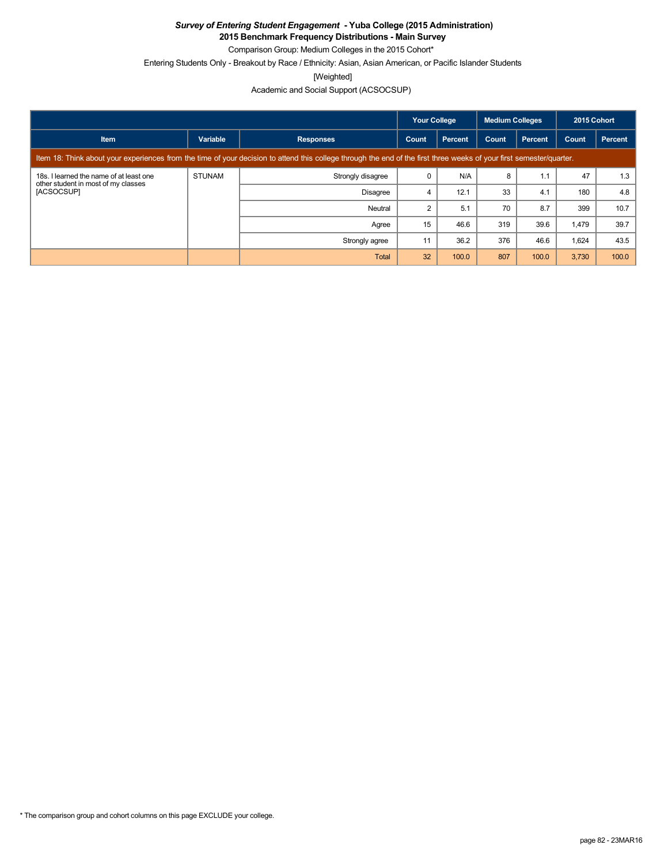**2015 Benchmark Frequency Distributions - Main Survey**

Comparison Group: Medium Colleges in the 2015 Cohort\*

Entering Students Only - Breakout by Race / Ethnicity: Asian, Asian American, or Pacific Islander Students

[Weighted]

|                                                                                              |                                                                                                     |                                                                                                                                                                      | <b>Your College</b> |         | <b>Medium Colleges</b> |                | 2015 Cohort |         |  |  |
|----------------------------------------------------------------------------------------------|-----------------------------------------------------------------------------------------------------|----------------------------------------------------------------------------------------------------------------------------------------------------------------------|---------------------|---------|------------------------|----------------|-------------|---------|--|--|
| <b>Item</b>                                                                                  | Variable                                                                                            | <b>Responses</b>                                                                                                                                                     | Count               | Percent | Count                  | <b>Percent</b> | Count       | Percent |  |  |
|                                                                                              |                                                                                                     | Item 18: Think about your experiences from the time of your decision to attend this college through the end of the first three weeks of your first semester/quarter. |                     |         |                        |                |             |         |  |  |
| 18s. I learned the name of at least one<br>other student in most of my classes<br>[ACSOCSUP] | <b>STUNAM</b>                                                                                       | Strongly disagree                                                                                                                                                    |                     | N/A     | 8                      | 1.1            | 47          | 1.3     |  |  |
|                                                                                              |                                                                                                     | <b>Disagree</b>                                                                                                                                                      | 4                   | 12.1    | 33                     | 4.1            | 180         | 4.8     |  |  |
|                                                                                              | 70<br>8.7<br>5.1<br>399<br>$\overline{2}$<br>Neutral<br>15<br>46.6<br>319<br>39.6<br>1.479<br>Agree | 10.7                                                                                                                                                                 |                     |         |                        |                |             |         |  |  |
|                                                                                              |                                                                                                     |                                                                                                                                                                      |                     |         |                        |                |             | 39.7    |  |  |
|                                                                                              |                                                                                                     | Strongly agree                                                                                                                                                       | 11                  | 36.2    | 376                    | 46.6           | 1,624       | 43.5    |  |  |
|                                                                                              |                                                                                                     | Total                                                                                                                                                                | 32                  | 100.0   | 807                    | 100.0          | 3,730       | 100.0   |  |  |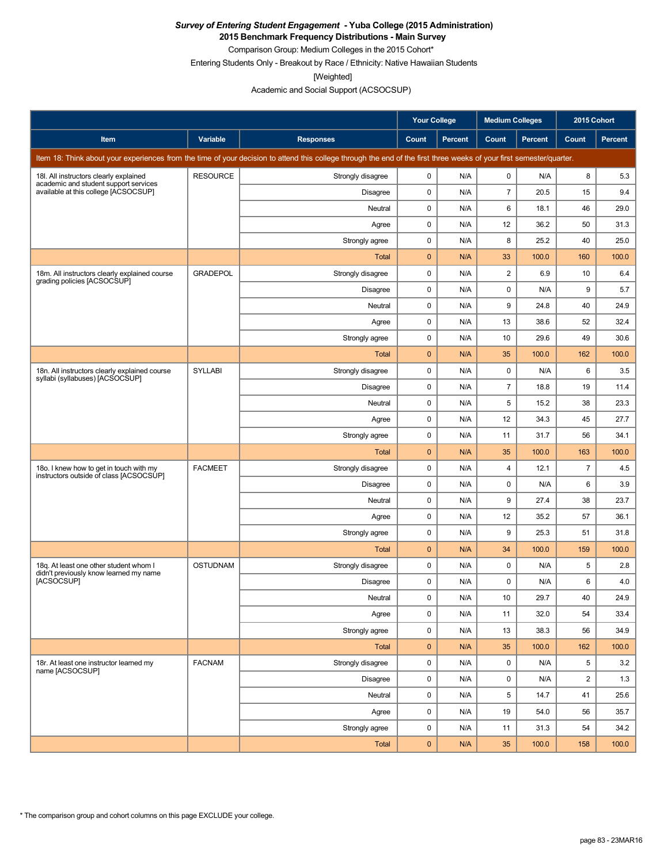**2015 Benchmark Frequency Distributions - Main Survey**

Comparison Group: Medium Colleges in the 2015 Cohort\* Entering Students Only - Breakout by Race / Ethnicity: Native Hawaiian Students

[Weighted]

Academic and Social Support (ACSOCSUP)

|                                                                                    |                 |                                                                                                                                                                      | Your College |                | <b>Medium Colleges</b> |                | 2015 Cohort    |                |
|------------------------------------------------------------------------------------|-----------------|----------------------------------------------------------------------------------------------------------------------------------------------------------------------|--------------|----------------|------------------------|----------------|----------------|----------------|
| Item                                                                               | Variable        | <b>Responses</b>                                                                                                                                                     | Count        | <b>Percent</b> | Count                  | <b>Percent</b> | Count          | <b>Percent</b> |
|                                                                                    |                 | Item 18: Think about your experiences from the time of your decision to attend this college through the end of the first three weeks of your first semester/quarter. |              |                |                        |                |                |                |
| 18I. All instructors clearly explained                                             | <b>RESOURCE</b> | Strongly disagree                                                                                                                                                    | 0            | N/A            | $\mathbf 0$            | N/A            | 8              | 5.3            |
| academic and student support services<br>available at this college [ACSOCSUP]      |                 | Disagree                                                                                                                                                             | $\pmb{0}$    | N/A            | $\overline{7}$         | 20.5           | 15             | 9.4            |
|                                                                                    |                 | Neutral                                                                                                                                                              | $\mathbf 0$  | N/A            | 6                      | 18.1           | 46             | 29.0           |
|                                                                                    |                 | Agree                                                                                                                                                                | $\pmb{0}$    | N/A            | 12                     | 36.2           | 50             | 31.3           |
|                                                                                    |                 | Strongly agree                                                                                                                                                       | 0            | N/A            | 8                      | 25.2           | 40             | 25.0           |
|                                                                                    |                 | <b>Total</b>                                                                                                                                                         | $\mathbf 0$  | N/A            | 33                     | 100.0          | 160            | 100.0          |
| 18m. All instructors clearly explained course<br>grading policies [ACSOCSUP]       | <b>GRADEPOL</b> | Strongly disagree                                                                                                                                                    | 0            | N/A            | $\overline{2}$         | 6.9            | 10             | 6.4            |
|                                                                                    |                 | Disagree                                                                                                                                                             | 0            | N/A            | 0                      | N/A            | 9              | 5.7            |
|                                                                                    |                 | Neutral                                                                                                                                                              | 0            | N/A            | 9                      | 24.8           | 40             | 24.9           |
|                                                                                    |                 | Agree                                                                                                                                                                | 0            | N/A            | 13                     | 38.6           | 52             | 32.4           |
|                                                                                    |                 | Strongly agree                                                                                                                                                       | 0            | N/A            | 10                     | 29.6           | 49             | 30.6           |
|                                                                                    |                 | Total                                                                                                                                                                | $\mathbf 0$  | N/A            | 35                     | 100.0          | 162            | 100.0          |
| 18n. All instructors clearly explained course<br>syllabi (syllabuses) [ACSOCSUP]   | <b>SYLLABI</b>  | Strongly disagree                                                                                                                                                    | 0            | N/A            | 0                      | N/A            | 6              | 3.5            |
|                                                                                    |                 | <b>Disagree</b>                                                                                                                                                      | $\pmb{0}$    | N/A            | $\overline{7}$         | 18.8           | 19             | 11.4           |
|                                                                                    |                 | Neutral                                                                                                                                                              | $\pmb{0}$    | N/A            | 5                      | 15.2           | 38             | 23.3           |
|                                                                                    |                 | Agree                                                                                                                                                                | 0            | N/A            | 12                     | 34.3           | 45             | 27.7           |
|                                                                                    |                 | Strongly agree                                                                                                                                                       | 0            | N/A            | 11                     | 31.7           | 56             | 34.1           |
|                                                                                    |                 | Total                                                                                                                                                                | $\mathbf 0$  | N/A            | 35                     | 100.0          | 163            | 100.0          |
| 180. I knew how to get in touch with my<br>instructors outside of class [ACSOCSUP] | <b>FACMEET</b>  | Strongly disagree                                                                                                                                                    | 0            | N/A            | 4                      | 12.1           | $\overline{7}$ | 4.5            |
|                                                                                    |                 | Disagree                                                                                                                                                             | 0            | N/A            | 0                      | N/A            | 6              | 3.9            |
|                                                                                    |                 | Neutral                                                                                                                                                              | 0            | N/A            | 9                      | 27.4           | 38             | 23.7           |
|                                                                                    |                 | Agree                                                                                                                                                                | 0            | N/A            | 12                     | 35.2           | 57             | 36.1           |
|                                                                                    |                 | Strongly agree                                                                                                                                                       | $\pmb{0}$    | N/A            | 9                      | 25.3           | 51             | 31.8           |
|                                                                                    |                 | Total                                                                                                                                                                | $\mathbf{0}$ | N/A            | 34                     | 100.0          | 159            | 100.0          |
| 18q. At least one other student whom I<br>didn't previously know learned my name   | <b>OSTUDNAM</b> | Strongly disagree                                                                                                                                                    | $\pmb{0}$    | N/A            | 0                      | N/A            | 5              | 2.8            |
| [ACSOCSUP]                                                                         |                 | Disagree                                                                                                                                                             | $\mathbf 0$  | N/A            | $\mathbf 0$            | N/A            | 6              | 4.0            |
|                                                                                    |                 | Neutral                                                                                                                                                              | 0            | N/A            | 10                     | 29.7           | 40             | 24.9           |
|                                                                                    |                 | Agree                                                                                                                                                                | $\mathbf 0$  | N/A            | 11                     | 32.0           | 54             | 33.4           |
|                                                                                    |                 | Strongly agree                                                                                                                                                       | 0            | N/A            | 13                     | 38.3           | 56             | 34.9           |
|                                                                                    |                 | Total                                                                                                                                                                | $\mathbf 0$  | N/A            | 35                     | 100.0          | 162            | 100.0          |
| 18r. At least one instructor learned my<br>name [ACSOCSUP]                         | <b>FACNAM</b>   | Strongly disagree                                                                                                                                                    | 0            | N/A            | 0                      | N/A            | 5              | 3.2            |
|                                                                                    |                 | Disagree                                                                                                                                                             | 0            | N/A            | 0                      | N/A            | $\overline{2}$ | 1.3            |
|                                                                                    |                 | Neutral                                                                                                                                                              | 0            | N/A            | 5                      | 14.7           | 41             | 25.6           |
|                                                                                    |                 | Agree                                                                                                                                                                | 0            | N/A            | 19                     | 54.0           | 56             | 35.7           |
|                                                                                    |                 | Strongly agree                                                                                                                                                       | 0            | N/A            | 11                     | 31.3           | 54             | 34.2           |
|                                                                                    |                 | Total                                                                                                                                                                | $\mathbf{0}$ | N/A            | 35                     | 100.0          | 158            | 100.0          |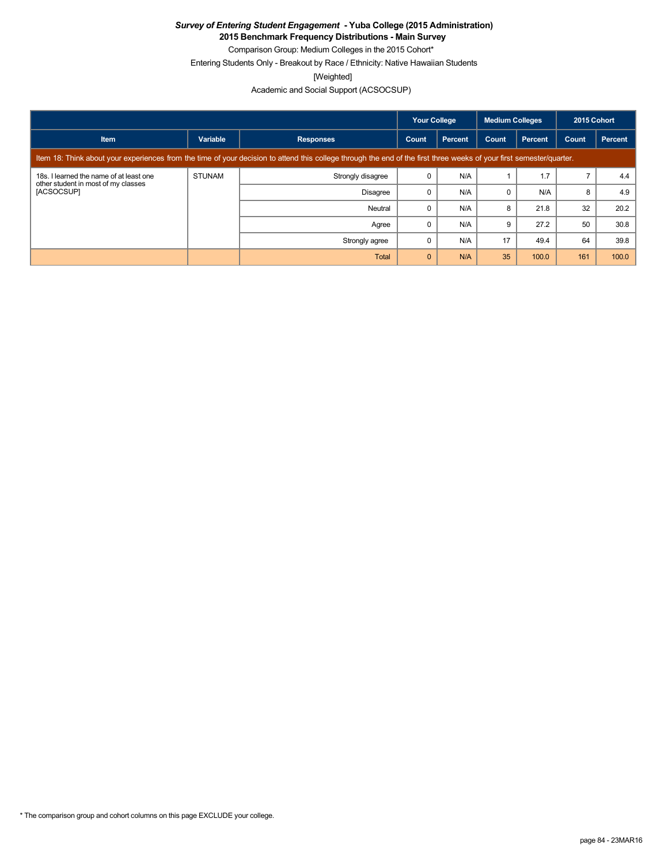**2015 Benchmark Frequency Distributions - Main Survey**

Comparison Group: Medium Colleges in the 2015 Cohort\*

Entering Students Only - Breakout by Race / Ethnicity: Native Hawaiian Students

[Weighted]

|                                                                                              |               |                                                                                                                                                                      | <b>Your College</b> |                | <b>Medium Colleges</b> |                | 2015 Cohort |         |  |  |  |
|----------------------------------------------------------------------------------------------|---------------|----------------------------------------------------------------------------------------------------------------------------------------------------------------------|---------------------|----------------|------------------------|----------------|-------------|---------|--|--|--|
| <b>Item</b>                                                                                  | Variable      | <b>Responses</b>                                                                                                                                                     | Count               | <b>Percent</b> | Count                  | <b>Percent</b> | Count       | Percent |  |  |  |
|                                                                                              |               | Item 18: Think about your experiences from the time of your decision to attend this college through the end of the first three weeks of your first semester/quarter. |                     |                |                        |                |             |         |  |  |  |
| 18s. I learned the name of at least one<br>other student in most of my classes<br>[ACSOCSUP] | <b>STUNAM</b> | Strongly disagree                                                                                                                                                    |                     | N/A            |                        | 1.7            |             | 4.4     |  |  |  |
|                                                                                              |               | <b>Disagree</b>                                                                                                                                                      |                     | N/A            | $\Omega$               | N/A            | 8           | 4.9     |  |  |  |
|                                                                                              |               | Neutral                                                                                                                                                              |                     | N/A            | 8                      | 21.8           | 32          | 20.2    |  |  |  |
|                                                                                              |               | Agree                                                                                                                                                                |                     | N/A            | 9                      | 27.2           | 50          | 30.8    |  |  |  |
|                                                                                              |               | Strongly agree                                                                                                                                                       |                     | N/A            | 17                     | 49.4           | 64          | 39.8    |  |  |  |
|                                                                                              |               | Total                                                                                                                                                                | $\Omega$            | N/A            | 35                     | 100.0          | 161         | 100.0   |  |  |  |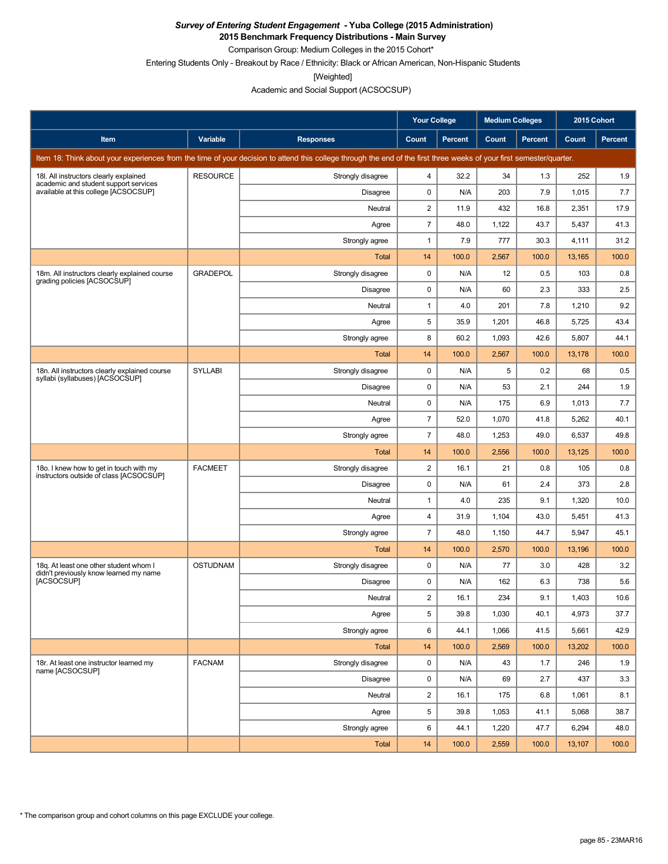**2015 Benchmark Frequency Distributions - Main Survey**

Comparison Group: Medium Colleges in the 2015 Cohort\*

Entering Students Only - Breakout by Race / Ethnicity: Black or African American, Non-Hispanic Students

[Weighted]

Academic and Social Support (ACSOCSUP)

|                                                                                    |                 |                                                                                                                                                                      | <b>Your College</b>     |                | <b>Medium Colleges</b> |                |                                                                                                                                                                                                           |         |
|------------------------------------------------------------------------------------|-----------------|----------------------------------------------------------------------------------------------------------------------------------------------------------------------|-------------------------|----------------|------------------------|----------------|-----------------------------------------------------------------------------------------------------------------------------------------------------------------------------------------------------------|---------|
| Item                                                                               | Variable        | <b>Responses</b>                                                                                                                                                     | Count                   | <b>Percent</b> | Count                  | <b>Percent</b> | <b>Count</b>                                                                                                                                                                                              | Percent |
|                                                                                    |                 | Item 18: Think about your experiences from the time of your decision to attend this college through the end of the first three weeks of your first semester/quarter. |                         |                |                        |                |                                                                                                                                                                                                           |         |
| 18I. All instructors clearly explained<br>academic and student support services    | <b>RESOURCE</b> | Strongly disagree                                                                                                                                                    | 4                       | 32.2           | 34                     | 1.3            | 252                                                                                                                                                                                                       | 1.9     |
| available at this college [ACSOCSUP]                                               |                 | <b>Disagree</b>                                                                                                                                                      | 0                       | N/A            | 203                    | 7.9            | 1,015                                                                                                                                                                                                     | 7.7     |
|                                                                                    |                 | Neutral                                                                                                                                                              | $\overline{\mathbf{c}}$ | 11.9           | 432                    | 16.8           | 2,351                                                                                                                                                                                                     | 17.9    |
|                                                                                    |                 | Agree                                                                                                                                                                | $\overline{7}$          | 48.0           | 1,122                  | 43.7           | 5,437                                                                                                                                                                                                     | 41.3    |
|                                                                                    |                 | Strongly agree                                                                                                                                                       | 1                       | 7.9            | 777                    | 30.3           | 4,111                                                                                                                                                                                                     | 31.2    |
|                                                                                    |                 | Total                                                                                                                                                                | 14                      | 100.0          | 2,567                  | 100.0          | 13,165                                                                                                                                                                                                    | 100.0   |
| 18m. All instructors clearly explained course<br>grading policies [ACSOCSUP]       | <b>GRADEPOL</b> | Strongly disagree                                                                                                                                                    | $\mathbf 0$             | N/A            | 12                     | 0.5            | 103                                                                                                                                                                                                       | 0.8     |
|                                                                                    |                 | <b>Disagree</b>                                                                                                                                                      | 0                       | N/A            | 60                     | 2.3            | 333                                                                                                                                                                                                       | 2.5     |
|                                                                                    |                 | Neutral                                                                                                                                                              | $\mathbf{1}$            | 4.0            | 201                    | 7.8            | 1,210                                                                                                                                                                                                     | 9.2     |
|                                                                                    |                 | Agree                                                                                                                                                                | 5                       | 35.9           | 1,201                  | 46.8           | 5,725                                                                                                                                                                                                     | 43.4    |
|                                                                                    |                 | Strongly agree                                                                                                                                                       | 8                       | 60.2           | 1,093                  | 42.6           | 5,807                                                                                                                                                                                                     | 44.1    |
|                                                                                    |                 | Total                                                                                                                                                                | 14                      | 100.0          | 2,567                  | 100.0          | 13,178                                                                                                                                                                                                    | 100.0   |
| 18n. All instructors clearly explained course<br>syllabi (syllabuses) [ACSOCSUP]   | <b>SYLLABI</b>  | Strongly disagree                                                                                                                                                    | 0                       | N/A            | 5                      | 0.2            | 68                                                                                                                                                                                                        | 0.5     |
|                                                                                    |                 | <b>Disagree</b>                                                                                                                                                      | 0                       | N/A            | 53                     | 2.1            | 244                                                                                                                                                                                                       | 1.9     |
|                                                                                    |                 | Neutral                                                                                                                                                              | 0                       | N/A            | 175                    | 6.9            | 2015 Cohort<br>1,013<br>5,262<br>6,537<br>13,125<br>105<br>373<br>1,320<br>5,451<br>5,947<br>13,196<br>428<br>738<br>1,403<br>4,973<br>5,661<br>13,202<br>246<br>437<br>1,061<br>5,068<br>6,294<br>13,107 | 7.7     |
|                                                                                    |                 | Agree                                                                                                                                                                | $\overline{7}$          | 52.0           | 1,070                  | 41.8           |                                                                                                                                                                                                           | 40.1    |
|                                                                                    |                 | Strongly agree                                                                                                                                                       | $\overline{7}$          | 48.0           | 1,253                  | 49.0           |                                                                                                                                                                                                           | 49.8    |
|                                                                                    |                 | Total                                                                                                                                                                | 14                      | 100.0          | 2,556                  | 100.0          |                                                                                                                                                                                                           | 100.0   |
| 18o. I knew how to get in touch with my<br>instructors outside of class [ACSOCSUP] | <b>FACMEET</b>  | Strongly disagree                                                                                                                                                    | $\overline{c}$          | 16.1           | 21                     | 0.8            |                                                                                                                                                                                                           | 0.8     |
|                                                                                    |                 | <b>Disagree</b>                                                                                                                                                      | 0                       | N/A            | 61                     | 2.4            |                                                                                                                                                                                                           | 2.8     |
|                                                                                    |                 | Neutral                                                                                                                                                              | $\mathbf{1}$            | 4.0            | 235                    | 9.1            |                                                                                                                                                                                                           | 10.0    |
|                                                                                    |                 | Agree                                                                                                                                                                | 4                       | 31.9           | 1,104                  | 43.0           |                                                                                                                                                                                                           | 41.3    |
|                                                                                    |                 | Strongly agree                                                                                                                                                       | 7                       | 48.0           | 1,150                  | 44.7           |                                                                                                                                                                                                           | 45.1    |
|                                                                                    |                 | Total                                                                                                                                                                | 14                      | 100.0          | 2,570                  | 100.0          |                                                                                                                                                                                                           | 100.0   |
| 18q. At least one other student whom I<br>didn't previously know learned my name   | <b>OSTUDNAM</b> | Strongly disagree                                                                                                                                                    | 0                       | N/A            | 77                     | 3.0            |                                                                                                                                                                                                           | 3.2     |
| [ACSOCSUP]                                                                         |                 | Disagree                                                                                                                                                             | 0                       | N/A            | 162                    | 6.3            |                                                                                                                                                                                                           | 5.6     |
|                                                                                    |                 | Neutral                                                                                                                                                              | $\overline{2}$          | 16.1           | 234                    | 9.1            |                                                                                                                                                                                                           | 10.6    |
|                                                                                    |                 | Agree                                                                                                                                                                | 5                       | 39.8           | 1,030                  | 40.1           |                                                                                                                                                                                                           | 37.7    |
|                                                                                    |                 | Strongly agree                                                                                                                                                       | 6                       | 44.1           | 1,066                  | 41.5           |                                                                                                                                                                                                           | 42.9    |
|                                                                                    |                 | Total                                                                                                                                                                | 14                      | 100.0          | 2,569                  | 100.0          |                                                                                                                                                                                                           | 100.0   |
| 18r. At least one instructor learned my<br>name [ACSOCSUP]                         | <b>FACNAM</b>   | Strongly disagree                                                                                                                                                    | 0                       | N/A            | 43                     | 1.7            |                                                                                                                                                                                                           | 1.9     |
|                                                                                    |                 | Disagree                                                                                                                                                             | 0                       | N/A            | 69                     | 2.7            |                                                                                                                                                                                                           | 3.3     |
|                                                                                    |                 | Neutral                                                                                                                                                              | 2                       | 16.1           | 175                    | 6.8            |                                                                                                                                                                                                           | 8.1     |
|                                                                                    |                 | Agree                                                                                                                                                                | 5                       | 39.8           | 1,053                  | 41.1           |                                                                                                                                                                                                           | 38.7    |
|                                                                                    |                 | Strongly agree                                                                                                                                                       | 6                       | 44.1           | 1,220                  | 47.7           |                                                                                                                                                                                                           | 48.0    |
|                                                                                    |                 | Total                                                                                                                                                                | 14                      | 100.0          | 2,559                  | 100.0          |                                                                                                                                                                                                           | 100.0   |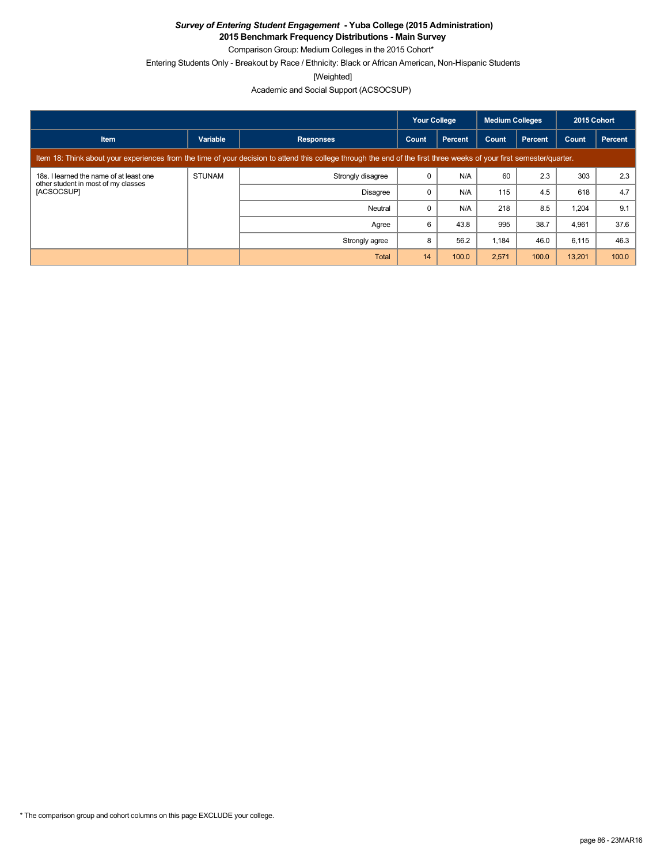**2015 Benchmark Frequency Distributions - Main Survey**

Comparison Group: Medium Colleges in the 2015 Cohort\* Entering Students Only - Breakout by Race / Ethnicity: Black or African American, Non-Hispanic Students

[Weighted]

|                                                                                                                                                                      |               |                   | <b>Your College</b> |         | <b>Medium Colleges</b> |                | 2015 Cohort |         |
|----------------------------------------------------------------------------------------------------------------------------------------------------------------------|---------------|-------------------|---------------------|---------|------------------------|----------------|-------------|---------|
| <b>Item</b>                                                                                                                                                          | Variable      | <b>Responses</b>  | Count               | Percent | Count                  | <b>Percent</b> | Count       | Percent |
| Item 18: Think about your experiences from the time of your decision to attend this college through the end of the first three weeks of your first semester/quarter. |               |                   |                     |         |                        |                |             |         |
| 18s. I learned the name of at least one<br>other student in most of my classes<br>[ACSOCSUP]                                                                         | <b>STUNAM</b> | Strongly disagree | 0                   | N/A     | 60                     | 2.3            | 303         | 2.3     |
|                                                                                                                                                                      |               | <b>Disagree</b>   | 0                   | N/A     | 115                    | 4.5            | 618         | 4.7     |
|                                                                                                                                                                      |               | Neutral           | 0                   | N/A     | 218                    | 8.5            | 1,204       | 9.1     |
|                                                                                                                                                                      |               | Agree             | 6                   | 43.8    | 995                    | 38.7           | 4,961       | 37.6    |
|                                                                                                                                                                      |               | Strongly agree    | 8                   | 56.2    | 1,184                  | 46.0           | 6,115       | 46.3    |
|                                                                                                                                                                      |               | Total             | 14                  | 100.0   | 2,571                  | 100.0          | 13,201      | 100.0   |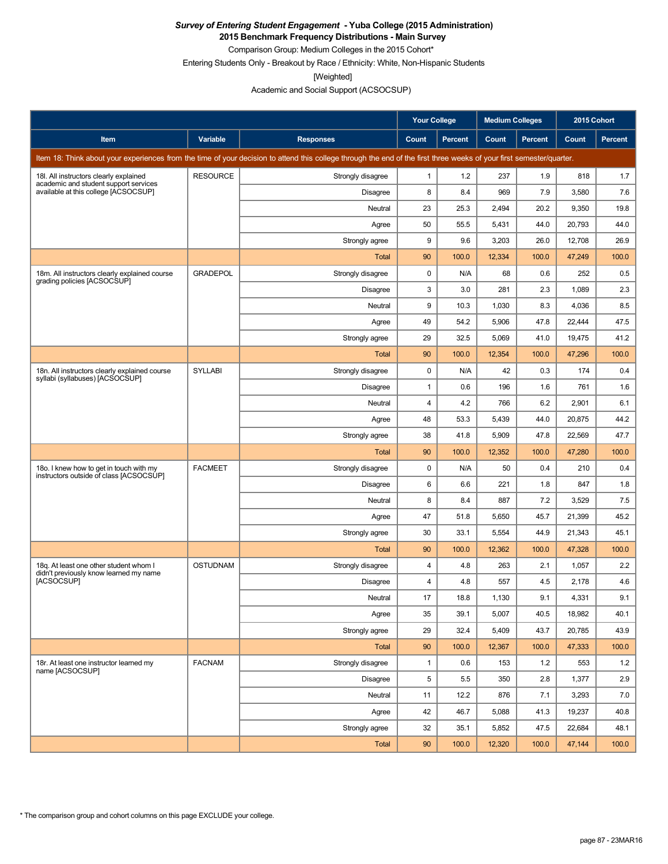**2015 Benchmark Frequency Distributions - Main Survey** Comparison Group: Medium Colleges in the 2015 Cohort\*

Entering Students Only - Breakout by Race / Ethnicity: White, Non-Hispanic Students

[Weighted]

|                                                                                    |                 |                                                                                                                                                                      | <b>Your College</b> |                | <b>Medium Colleges</b> |                | 2015 Cohort |                |
|------------------------------------------------------------------------------------|-----------------|----------------------------------------------------------------------------------------------------------------------------------------------------------------------|---------------------|----------------|------------------------|----------------|-------------|----------------|
| Item                                                                               | Variable        | <b>Responses</b>                                                                                                                                                     | Count               | <b>Percent</b> | Count                  | <b>Percent</b> | Count       | <b>Percent</b> |
|                                                                                    |                 | Item 18: Think about your experiences from the time of your decision to attend this college through the end of the first three weeks of your first semester/quarter. |                     |                |                        |                |             |                |
| 18I. All instructors clearly explained<br>academic and student support services    | <b>RESOURCE</b> | Strongly disagree                                                                                                                                                    | $\mathbf{1}$        | 1.2            | 237                    | 1.9            | 818         | 1.7            |
| available at this college [ACSOCSUP]                                               |                 | Disagree                                                                                                                                                             | 8                   | 8.4            | 969                    | 7.9            | 3,580       | 7.6            |
|                                                                                    |                 | Neutral                                                                                                                                                              | 23                  | 25.3           | 2,494                  | 20.2           | 9,350       | 19.8           |
|                                                                                    |                 | Agree                                                                                                                                                                | 50                  | 55.5           | 5,431                  | 44.0           | 20,793      | 44.0           |
|                                                                                    |                 | Strongly agree                                                                                                                                                       | 9                   | 9.6            | 3,203                  | 26.0           | 12,708      | 26.9           |
|                                                                                    |                 | Total                                                                                                                                                                | 90                  | 100.0          | 12,334                 | 100.0          | 47,249      | 100.0          |
| 18m. All instructors clearly explained course<br>grading policies [ACSOCSUP]       | <b>GRADEPOL</b> | Strongly disagree                                                                                                                                                    | 0                   | N/A            | 68                     | 0.6            | 252         | 0.5            |
|                                                                                    |                 | Disagree                                                                                                                                                             | 3                   | 3.0            | 281                    | 2.3            | 1,089       | 2.3            |
|                                                                                    |                 | Neutral                                                                                                                                                              | 9                   | 10.3           | 1,030                  | 8.3            | 4,036       | 8.5            |
|                                                                                    |                 | Agree                                                                                                                                                                | 49                  | 54.2           | 5,906                  | 47.8           | 22,444      | 47.5           |
|                                                                                    |                 | Strongly agree                                                                                                                                                       | 29                  | 32.5           | 5,069                  | 41.0           | 19.475      | 41.2           |
|                                                                                    |                 | Total                                                                                                                                                                | 90                  | 100.0          | 12,354                 | 100.0          | 47,296      | 100.0          |
| 18n. All instructors clearly explained course<br>syllabi (syllabuses) [ACSOCSUP]   | <b>SYLLABI</b>  | Strongly disagree                                                                                                                                                    | 0                   | N/A            | 42                     | 0.3            | 174         | 0.4            |
|                                                                                    |                 | Disagree                                                                                                                                                             | $\mathbf{1}$        | 0.6            | 196                    | 1.6            | 761         | 1.6            |
|                                                                                    |                 | Neutral                                                                                                                                                              | $\overline{4}$      | 4.2            | 766                    | 6.2            | 2,901       | 6.1            |
|                                                                                    |                 | Agree                                                                                                                                                                | 48                  | 53.3           | 5,439                  | 44.0           | 20,875      | 44.2           |
|                                                                                    |                 | Strongly agree                                                                                                                                                       | 38                  | 41.8           | 5,909                  | 47.8           | 22,569      | 47.7           |
|                                                                                    |                 | Total                                                                                                                                                                | 90                  | 100.0          | 12,352                 | 100.0          | 47,280      | 100.0          |
| 180. I knew how to get in touch with my<br>instructors outside of class [ACSOCSUP] | <b>FACMEET</b>  | Strongly disagree                                                                                                                                                    | 0                   | N/A            | 50                     | 0.4            | 210         | 0.4            |
|                                                                                    |                 | Disagree                                                                                                                                                             | 6                   | 6.6            | 221                    | 1.8            | 847         | 1.8            |
|                                                                                    |                 | Neutral                                                                                                                                                              | 8                   | 8.4            | 887                    | 7.2            | 3,529       | 7.5            |
|                                                                                    |                 | Agree                                                                                                                                                                | 47                  | 51.8           | 5,650                  | 45.7           | 21,399      | 45.2           |
|                                                                                    |                 | Strongly agree                                                                                                                                                       | 30                  | 33.1           | 5,554                  | 44.9           | 21,343      | 45.1           |
|                                                                                    |                 | Total                                                                                                                                                                | 90                  | 100.0          | 12,362                 | 100.0          | 47,328      | 100.0          |
| 18q. At least one other student whom I<br>didn't previously know learned my name   | <b>OSTUDNAM</b> | Strongly disagree                                                                                                                                                    | $\overline{4}$      | 4.8            | 263                    | 2.1            | 1,057       | 2.2            |
| <b>IACSOCSUPI</b>                                                                  |                 | Disagree                                                                                                                                                             | $\overline{4}$      | 4.8            | 557                    | 4.5            | 2,178       | 4.6            |
|                                                                                    |                 | Neutral                                                                                                                                                              | 17                  | 18.8           | 1,130                  | 9.1            | 4.331       | 9.1            |
|                                                                                    |                 | Agree                                                                                                                                                                | 35                  | 39.1           | 5,007                  | 40.5           | 18,982      | 40.1           |
|                                                                                    |                 | Strongly agree                                                                                                                                                       | 29                  | 32.4           | 5,409                  | 43.7           | 20,785      | 43.9           |
|                                                                                    |                 | <b>Total</b>                                                                                                                                                         | 90                  | 100.0          | 12,367                 | 100.0          | 47,333      | 100.0          |
| 18r. At least one instructor learned my<br>name [ACSOCSUP]                         | <b>FACNAM</b>   | Strongly disagree                                                                                                                                                    | $\mathbf{1}$        | 0.6            | 153                    | 1.2            | 553         | 1.2            |
|                                                                                    |                 | <b>Disagree</b>                                                                                                                                                      | 5                   | 5.5            | 350                    | 2.8            | 1,377       | 2.9            |
|                                                                                    |                 | Neutral                                                                                                                                                              | 11                  | 12.2           | 876                    | 7.1            | 3,293       | 7.0            |
|                                                                                    |                 | Agree                                                                                                                                                                | 42                  | 46.7           | 5,088                  | 41.3           | 19,237      | 40.8           |
|                                                                                    |                 | Strongly agree                                                                                                                                                       | 32                  | 35.1           | 5,852                  | 47.5           | 22,684      | 48.1           |
|                                                                                    |                 | <b>Total</b>                                                                                                                                                         | 90                  | 100.0          | 12,320                 | 100.0          | 47,144      | 100.0          |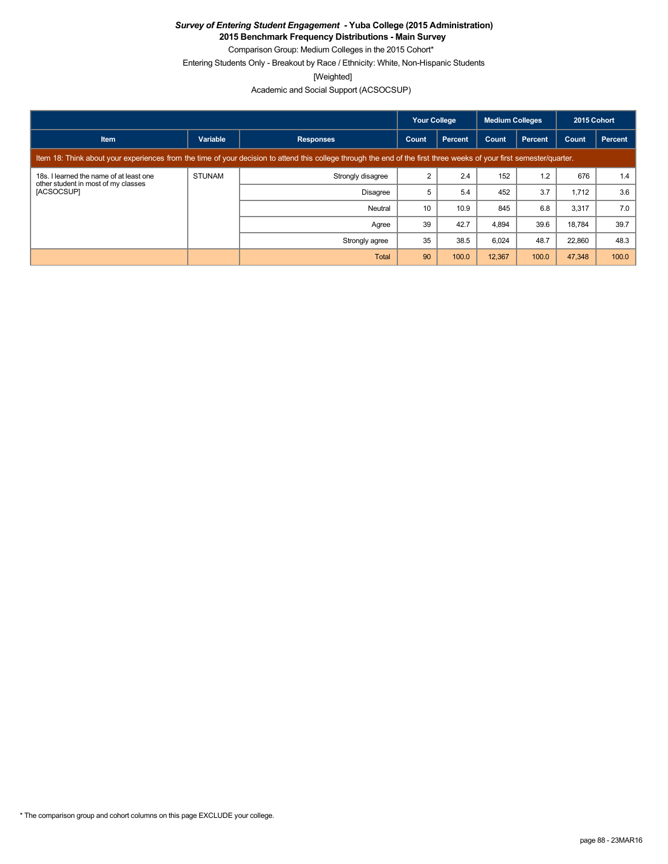**2015 Benchmark Frequency Distributions - Main Survey** Comparison Group: Medium Colleges in the 2015 Cohort\*

Entering Students Only - Breakout by Race / Ethnicity: White, Non-Hispanic Students

[Weighted]

|                                                                                                                                                                      |               |                   | <b>Your College</b> |                | <b>Medium Colleges</b> |         | 2015 Cohort |         |
|----------------------------------------------------------------------------------------------------------------------------------------------------------------------|---------------|-------------------|---------------------|----------------|------------------------|---------|-------------|---------|
| <b>Item</b>                                                                                                                                                          | Variable      | <b>Responses</b>  | Count               | <b>Percent</b> | Count                  | Percent | Count       | Percent |
| Item 18: Think about your experiences from the time of your decision to attend this college through the end of the first three weeks of your first semester/quarter. |               |                   |                     |                |                        |         |             |         |
| 18s. I learned the name of at least one<br>other student in most of my classes<br>[ACSOCSUP]                                                                         | <b>STUNAM</b> | Strongly disagree | 2                   | 2.4            | 152                    | 1.2     | 676         | 1.4     |
|                                                                                                                                                                      |               | <b>Disagree</b>   | 5                   | 5.4            | 452                    | 3.7     | 1,712       | 3.6     |
|                                                                                                                                                                      |               | Neutral           | 10                  | 10.9           | 845                    | 6.8     | 3,317       | 7.0     |
|                                                                                                                                                                      |               | Agree             | 39                  | 42.7           | 4.894                  | 39.6    | 18.784      | 39.7    |
|                                                                                                                                                                      |               | Strongly agree    | 35                  | 38.5           | 6,024                  | 48.7    | 22,860      | 48.3    |
|                                                                                                                                                                      |               | Total             | 90                  | 100.0          | 12,367                 | 100.0   | 47,348      | 100.0   |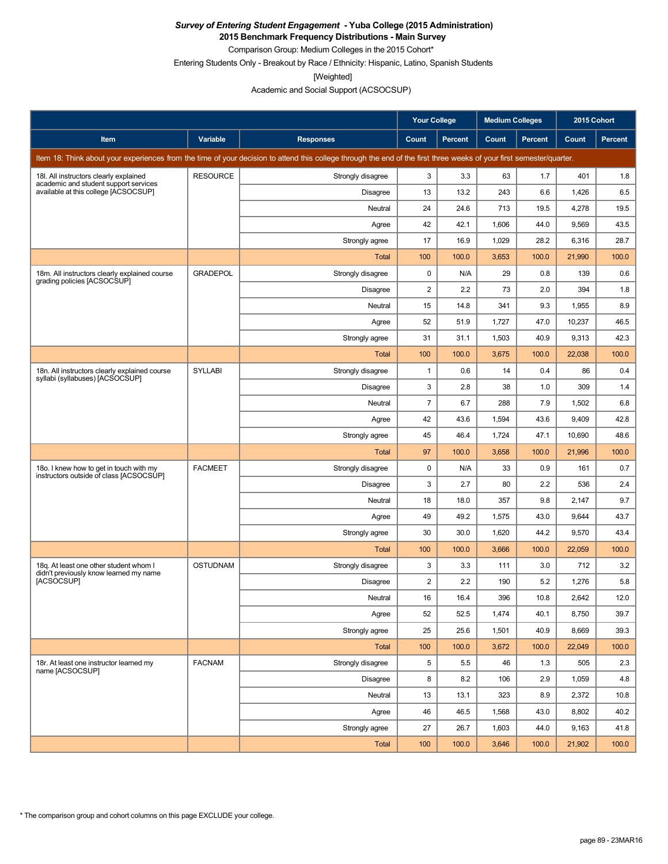**2015 Benchmark Frequency Distributions - Main Survey** Comparison Group: Medium Colleges in the 2015 Cohort\*

Entering Students Only - Breakout by Race / Ethnicity: Hispanic, Latino, Spanish Students

[Weighted]

Academic and Social Support (ACSOCSUP)

|                                                                                    |                 |                                                                                                                                                                      | <b>Your College</b> |                | <b>Medium Colleges</b> |                | 2015 Cohort |                |
|------------------------------------------------------------------------------------|-----------------|----------------------------------------------------------------------------------------------------------------------------------------------------------------------|---------------------|----------------|------------------------|----------------|-------------|----------------|
| Item                                                                               | Variable        | <b>Responses</b>                                                                                                                                                     | Count               | <b>Percent</b> | Count                  | <b>Percent</b> | Count       | <b>Percent</b> |
|                                                                                    |                 | Item 18: Think about your experiences from the time of your decision to attend this college through the end of the first three weeks of your first semester/quarter. |                     |                |                        |                |             |                |
| 18I. All instructors clearly explained                                             | <b>RESOURCE</b> | Strongly disagree                                                                                                                                                    | 3                   | 3.3            | 63                     | 1.7            | 401         | 1.8            |
| academic and student support services<br>available at this college [ACSOCSUP]      |                 | Disagree                                                                                                                                                             | 13                  | 13.2           | 243                    | 6.6            | 1,426       | 6.5            |
|                                                                                    |                 | Neutral                                                                                                                                                              | 24                  | 24.6           | 713                    | 19.5           | 4,278       | 19.5           |
|                                                                                    |                 | Agree                                                                                                                                                                | 42                  | 42.1           | 1,606                  | 44.0           | 9,569       | 43.5           |
|                                                                                    |                 | Strongly agree                                                                                                                                                       | 17                  | 16.9           | 1,029                  | 28.2           | 6,316       | 28.7           |
|                                                                                    |                 | Total                                                                                                                                                                | 100                 | 100.0          | 3,653                  | 100.0          | 21,990      | 100.0          |
| 18m. All instructors clearly explained course<br>grading policies [ACSOCSUP]       | <b>GRADEPOL</b> | Strongly disagree                                                                                                                                                    | 0                   | N/A            | 29                     | 0.8            | 139         | 0.6            |
|                                                                                    |                 | Disagree                                                                                                                                                             | 2                   | 2.2            | 73                     | 2.0            | 394         | 1.8            |
|                                                                                    |                 | Neutral                                                                                                                                                              | 15                  | 14.8           | 341                    | 9.3            | 1,955       | 8.9            |
|                                                                                    |                 | Agree                                                                                                                                                                | 52                  | 51.9           | 1,727                  | 47.0           | 10,237      | 46.5           |
|                                                                                    |                 | Strongly agree                                                                                                                                                       | 31                  | 31.1           | 1,503                  | 40.9           | 9,313       | 42.3           |
|                                                                                    |                 | Total                                                                                                                                                                | 100                 | 100.0          | 3,675                  | 100.0          | 22,038      | 100.0          |
| 18n. All instructors clearly explained course<br>syllabi (syllabuses) [ACSOCSUP]   | <b>SYLLABI</b>  | Strongly disagree                                                                                                                                                    | $\mathbf{1}$        | 0.6            | 14                     | 0.4            | 86          | 0.4            |
|                                                                                    |                 | Disagree                                                                                                                                                             | 3                   | 2.8            | 38                     | 1.0            | 309         | 1.4            |
|                                                                                    |                 | Neutral                                                                                                                                                              | $\overline{7}$      | 6.7            | 288                    | 7.9            | 1,502       | 6.8            |
|                                                                                    |                 | Agree                                                                                                                                                                | 42                  | 43.6           | 1,594                  | 43.6           | 9,409       | 42.8           |
|                                                                                    |                 | Strongly agree                                                                                                                                                       | 45                  | 46.4           | 1,724                  | 47.1           | 10,690      | 48.6           |
|                                                                                    |                 | Total                                                                                                                                                                | 97                  | 100.0          | 3,658                  | 100.0          | 21,996      | 100.0          |
| 180. I knew how to get in touch with my<br>instructors outside of class [ACSOCSUP] | <b>FACMEET</b>  | Strongly disagree                                                                                                                                                    | 0                   | N/A            | 33                     | 0.9            | 161         | 0.7            |
|                                                                                    |                 | Disagree                                                                                                                                                             | 3                   | 2.7            | 80                     | 2.2            | 536         | 2.4            |
|                                                                                    |                 | Neutral                                                                                                                                                              | 18                  | 18.0           | 357                    | 9.8            | 2,147       | 9.7            |
|                                                                                    |                 | Agree                                                                                                                                                                | 49                  | 49.2           | 1,575                  | 43.0           | 9,644       | 43.7           |
|                                                                                    |                 | Strongly agree                                                                                                                                                       | 30                  | 30.0           | 1,620                  | 44.2           | 9,570       | 43.4           |
|                                                                                    |                 | Total                                                                                                                                                                | 100                 | 100.0          | 3,666                  | 100.0          | 22,059      | 100.0          |
| 18q. At least one other student whom I<br>didn't previously know learned my name   | <b>OSTUDNAM</b> | Strongly disagree                                                                                                                                                    | 3                   | 3.3            | 111                    | 3.0            | 712         | 3.2            |
| <b>IACSOCSUPI</b>                                                                  |                 | Disagree                                                                                                                                                             | $\overline{2}$      | 2.2            | 190                    | 5.2            | 1,276       | 5.8            |
|                                                                                    |                 | Neutral                                                                                                                                                              | 16                  | 16.4           | 396                    | 10.8           | 2,642       | 12.0           |
|                                                                                    |                 | Agree                                                                                                                                                                | 52                  | 52.5           | 1,474                  | 40.1           | 8,750       | 39.7           |
|                                                                                    |                 | Strongly agree                                                                                                                                                       | 25                  | 25.6           | 1,501                  | 40.9           | 8,669       | 39.3           |
|                                                                                    |                 | <b>Total</b>                                                                                                                                                         | 100                 | 100.0          | 3,672                  | 100.0          | 22,049      | 100.0          |
| 18r. At least one instructor learned my<br>name [ACSOCSUP]                         | <b>FACNAM</b>   | Strongly disagree                                                                                                                                                    | 5                   | 5.5            | 46                     | 1.3            | 505         | 2.3            |
|                                                                                    |                 | <b>Disagree</b>                                                                                                                                                      | 8                   | 8.2            | 106                    | 2.9            | 1,059       | 4.8            |
|                                                                                    |                 | Neutral                                                                                                                                                              | 13                  | 13.1           | 323                    | 8.9            | 2,372       | 10.8           |
|                                                                                    |                 | Agree                                                                                                                                                                | 46                  | 46.5           | 1,568                  | 43.0           | 8,802       | 40.2           |
|                                                                                    |                 | Strongly agree                                                                                                                                                       | 27                  | 26.7           | 1,603                  | 44.0           | 9,163       | 41.8           |
|                                                                                    |                 | <b>Total</b>                                                                                                                                                         | 100                 | 100.0          | 3,646                  | 100.0          | 21,902      | 100.0          |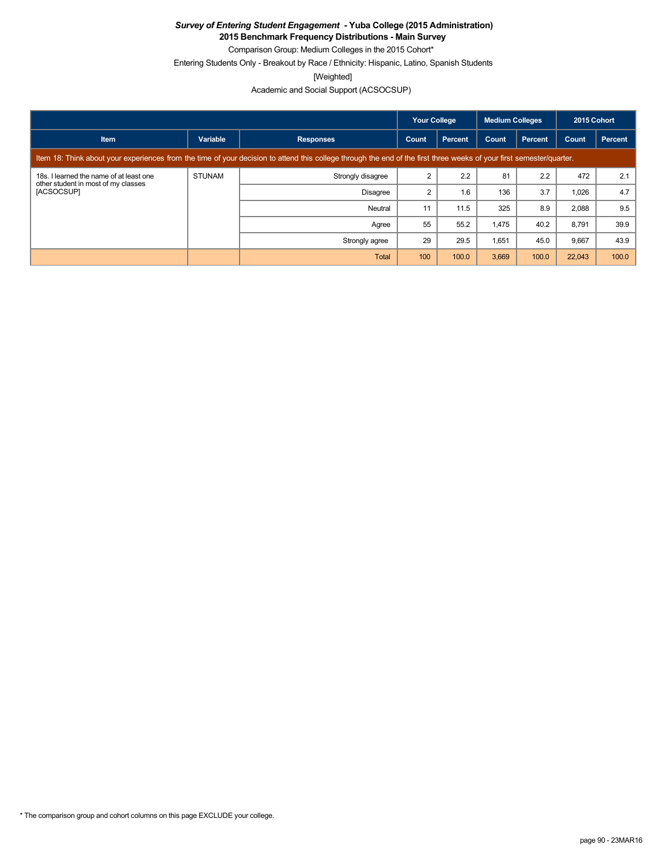**2015 Benchmark Frequency Distributions - Main Survey** Comparison Group: Medium Colleges in the 2015 Cohort\*

Entering Students Only - Breakout by Race / Ethnicity: Hispanic, Latino, Spanish Students

[Weighted]

|                                                                                                                                                                      |               |                   | <b>Your College</b><br><b>Medium Colleges</b> |                | 2015 Cohort |         |        |         |
|----------------------------------------------------------------------------------------------------------------------------------------------------------------------|---------------|-------------------|-----------------------------------------------|----------------|-------------|---------|--------|---------|
| <b>Item</b>                                                                                                                                                          | Variable      | <b>Responses</b>  | Count                                         | <b>Percent</b> | Count       | Percent | Count  | Percent |
| Item 18: Think about your experiences from the time of your decision to attend this college through the end of the first three weeks of your first semester/quarter. |               |                   |                                               |                |             |         |        |         |
| 18s. I learned the name of at least one<br>other student in most of my classes<br>[ACSOCSUP]                                                                         | <b>STUNAM</b> | Strongly disagree | 2                                             | 2.2            | 81          | 2.2     | 472    | 2.1     |
|                                                                                                                                                                      |               | Disagree          | 2                                             | 1.6            | 136         | 3.7     | 1,026  | 4.7     |
|                                                                                                                                                                      |               | Neutral           | 11                                            | 11.5           | 325         | 8.9     | 2,088  | 9.5     |
|                                                                                                                                                                      |               | Agree             | 55                                            | 55.2           | 1,475       | 40.2    | 8,791  | 39.9    |
|                                                                                                                                                                      |               | Strongly agree    | 29                                            | 29.5           | 1,651       | 45.0    | 9,667  | 43.9    |
|                                                                                                                                                                      |               | Total             | 100                                           | 100.0          | 3,669       | 100.0   | 22,043 | 100.0   |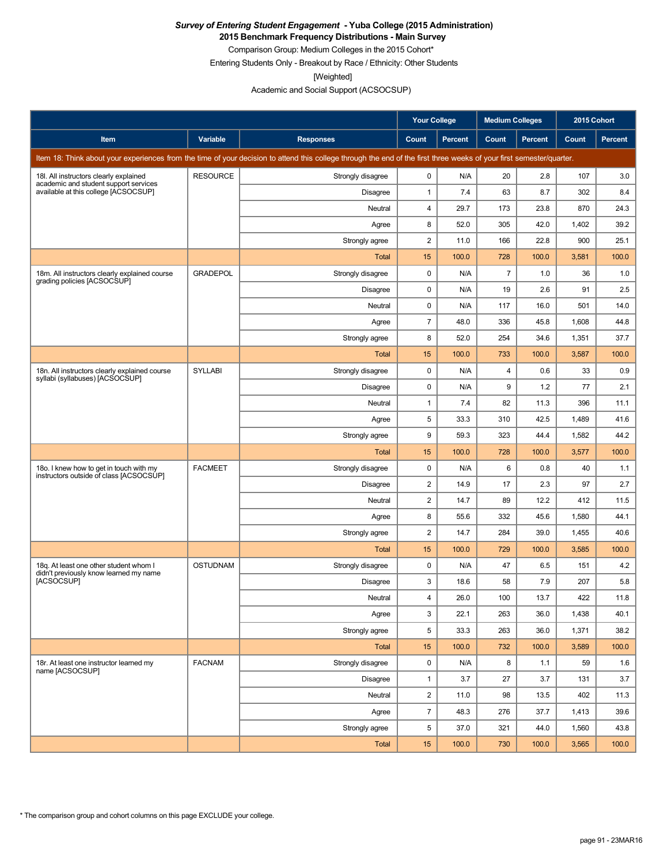**2015 Benchmark Frequency Distributions - Main Survey**

Comparison Group: Medium Colleges in the 2015 Cohort\* Entering Students Only - Breakout by Race / Ethnicity: Other Students

[Weighted]

|                                                                                    |                 |                                                                                                                                                                      | Your College   |                | <b>Medium Colleges</b> |                | 2015 Cohort |                |
|------------------------------------------------------------------------------------|-----------------|----------------------------------------------------------------------------------------------------------------------------------------------------------------------|----------------|----------------|------------------------|----------------|-------------|----------------|
| Item                                                                               | Variable        | <b>Responses</b>                                                                                                                                                     | Count          | <b>Percent</b> | Count                  | <b>Percent</b> | Count       | <b>Percent</b> |
|                                                                                    |                 | Item 18: Think about your experiences from the time of your decision to attend this college through the end of the first three weeks of your first semester/quarter. |                |                |                        |                |             |                |
| 18I. All instructors clearly explained                                             | <b>RESOURCE</b> | Strongly disagree                                                                                                                                                    | 0              | N/A            | 20                     | 2.8            | 107         | 3.0            |
| academic and student support services<br>available at this college [ACSOCSUP]      |                 | Disagree                                                                                                                                                             | $\mathbf{1}$   | 7.4            | 63                     | 8.7            | 302         | 8.4            |
|                                                                                    |                 | Neutral                                                                                                                                                              | $\overline{4}$ | 29.7           | 173                    | 23.8           | 870         | 24.3           |
|                                                                                    |                 | Agree                                                                                                                                                                | 8              | 52.0           | 305                    | 42.0           | 1,402       | 39.2           |
|                                                                                    |                 | Strongly agree                                                                                                                                                       | $\overline{2}$ | 11.0           | 166                    | 22.8           | 900         | 25.1           |
|                                                                                    |                 | Total                                                                                                                                                                | 15             | 100.0          | 728                    | 100.0          | 3,581       | 100.0          |
| 18m. All instructors clearly explained course<br>grading policies [ACSOCSUP]       | <b>GRADEPOL</b> | Strongly disagree                                                                                                                                                    | $\mathbf 0$    | N/A            | $\overline{7}$         | 1.0            | 36          | 1.0            |
|                                                                                    |                 | Disagree                                                                                                                                                             | 0              | N/A            | 19                     | 2.6            | 91          | 2.5            |
|                                                                                    |                 | Neutral                                                                                                                                                              | 0              | N/A            | 117                    | 16.0           | 501         | 14.0           |
|                                                                                    |                 | Agree                                                                                                                                                                | $\overline{7}$ | 48.0           | 336                    | 45.8           | 1,608       | 44.8           |
|                                                                                    |                 | Strongly agree                                                                                                                                                       | 8              | 52.0           | 254                    | 34.6           | 1,351       | 37.7           |
|                                                                                    |                 | Total                                                                                                                                                                | 15             | 100.0          | 733                    | 100.0          | 3,587       | 100.0          |
| 18n. All instructors clearly explained course<br>syllabi (syllabuses) [ACSOCSUP]   | <b>SYLLABI</b>  | Strongly disagree                                                                                                                                                    | 0              | N/A            | 4                      | 0.6            | 33          | 0.9            |
|                                                                                    |                 | Disagree                                                                                                                                                             | $\pmb{0}$      | N/A            | 9                      | 1.2            | 77          | 2.1            |
|                                                                                    |                 | Neutral                                                                                                                                                              | $\mathbf{1}$   | 7.4            | 82                     | 11.3           | 396         | 11.1           |
|                                                                                    |                 | Agree                                                                                                                                                                | 5              | 33.3           | 310                    | 42.5           | 1,489       | 41.6           |
|                                                                                    |                 | Strongly agree                                                                                                                                                       | 9              | 59.3           | 323                    | 44.4           | 1,582       | 44.2           |
|                                                                                    |                 | Total                                                                                                                                                                | 15             | 100.0          | 728                    | 100.0          | 3,577       | 100.0          |
| 180. I knew how to get in touch with my<br>instructors outside of class [ACSOCSUP] | <b>FACMEET</b>  | Strongly disagree                                                                                                                                                    | 0              | N/A            | 6                      | 0.8            | 40          | 1.1            |
|                                                                                    |                 | <b>Disagree</b>                                                                                                                                                      | $\overline{c}$ | 14.9           | 17                     | 2.3            | 97          | 2.7            |
|                                                                                    |                 | Neutral                                                                                                                                                              | $\overline{2}$ | 14.7           | 89                     | 12.2           | 412         | 11.5           |
|                                                                                    |                 | Agree                                                                                                                                                                | 8              | 55.6           | 332                    | 45.6           | 1,580       | 44.1           |
|                                                                                    |                 | Strongly agree                                                                                                                                                       | $\overline{2}$ | 14.7           | 284                    | 39.0           | 1,455       | 40.6           |
|                                                                                    |                 | Total                                                                                                                                                                | 15             | 100.0          | 729                    | 100.0          | 3,585       | 100.0          |
| 18g. At least one other student whom I<br>didn't previously know learned my name   | <b>OSTUDNAM</b> | Strongly disagree                                                                                                                                                    | 0              | N/A            | 47                     | 6.5            | 151         | 4.2            |
| <b>IACSOCSUPI</b>                                                                  |                 | Disagree                                                                                                                                                             | 3              | 18.6           | 58                     | 7.9            | 207         | 5.8            |
|                                                                                    |                 | Neutral                                                                                                                                                              | 4              | 26.0           | 100                    | 13.7           | 422         | 11.8           |
|                                                                                    |                 | Agree                                                                                                                                                                | 3              | 22.1           | 263                    | 36.0           | 1,438       | 40.1           |
|                                                                                    |                 | Strongly agree                                                                                                                                                       | 5              | 33.3           | 263                    | 36.0           | 1,371       | 38.2           |
|                                                                                    |                 | Total                                                                                                                                                                | 15             | 100.0          | 732                    | 100.0          | 3,589       | 100.0          |
| 18r. At least one instructor learned my<br>name [ACSOCSUP]                         | <b>FACNAM</b>   | Strongly disagree                                                                                                                                                    | $\mathbf 0$    | N/A            | 8                      | 1.1            | 59          | 1.6            |
|                                                                                    |                 | <b>Disagree</b>                                                                                                                                                      | $\mathbf{1}$   | 3.7            | 27                     | 3.7            | 131         | 3.7            |
|                                                                                    |                 | Neutral                                                                                                                                                              | $\overline{c}$ | 11.0           | 98                     | 13.5           | 402         | 11.3           |
|                                                                                    |                 | Agree                                                                                                                                                                | $\overline{7}$ | 48.3           | 276                    | 37.7           | 1,413       | 39.6           |
|                                                                                    |                 | Strongly agree                                                                                                                                                       | 5              | 37.0           | 321                    | 44.0           | 1,560       | 43.8           |
|                                                                                    |                 | Total                                                                                                                                                                | 15             | 100.0          | 730                    | 100.0          | 3,565       | 100.0          |